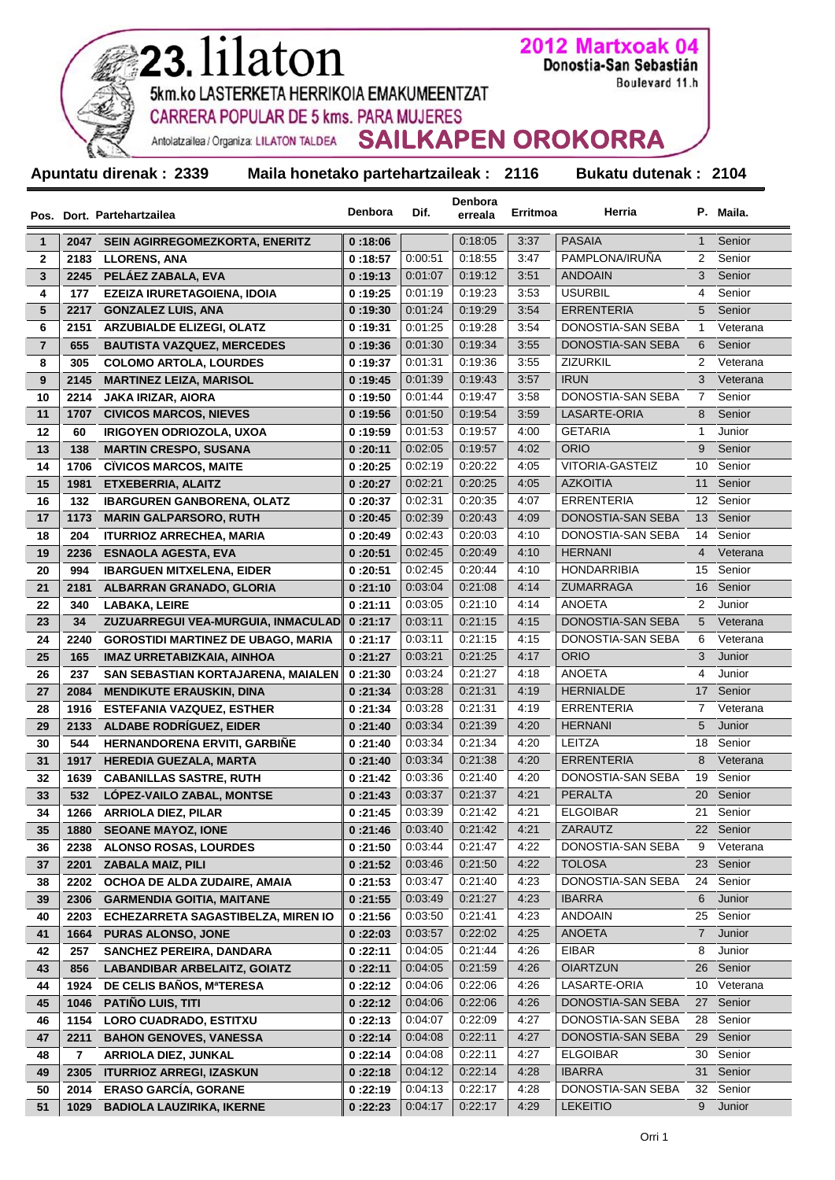| <b>CARRERA POPULAR DE 5 kms. PARA MUJERES</b><br>Antolatzailea / Organiza: LILATON TALDEA SAILKAPEN OROKORRA<br>Apuntatu direnak: 2339<br>Maila honetako partehartzaileak : 2116<br>Bukatu dutenak: 2104<br>Denbora<br>Denbora<br>Herria<br>P. Maila.<br>Erritmoa<br>Dif.<br>erreala<br>Pos. Dort. Partehartzailea<br><b>PASAIA</b><br>SEIN AGIRREGOMEZKORTA, ENERITZ<br>0:18:05<br>3:37<br>$\mathbf{1}$<br>2047<br>0:18:06<br>Senior<br>1<br>$\mathbf 2$<br>PAMPLONA/IRUÑA<br>2183<br><b>LLORENS, ANA</b><br>0:00:51<br>0:18:55<br>2<br>Senior<br>0:18:57<br>3:47<br><b>ANDOAIN</b><br>3<br>3<br>2245<br>PELÁEZ ZABALA, EVA<br>0.01:07<br>0:19:12<br>3:51<br>Senior<br>0:19:13<br>3:53<br><b>USURBIL</b><br>Senior<br>4<br>177<br>EZEIZA IRURETAGOIENA, IDOIA<br>0:19:25<br>0:01:19<br>0:19:23<br>4<br>0.01:24<br>0:19:29<br>3:54<br><b>ERRENTERIA</b><br>Senior<br>5<br>2217<br><b>GONZALEZ LUIS, ANA</b><br>0:19:30<br>5<br>0:01:25<br>0:19:28<br>3:54<br>DONOSTIA-SAN SEBA<br>Veterana<br>6<br>2151<br><b>ARZUBIALDE ELIZEGI, OLATZ</b><br>0:19:31<br>$\mathbf{1}$<br>$\overline{\mathbf{r}}$<br>655<br>0:01:30<br>0:19:34<br>3:55<br>DONOSTIA-SAN SEBA<br>Senior<br><b>BAUTISTA VAZQUEZ, MERCEDES</b><br>6<br>0:19:36<br>0:01:31<br>0:19:36<br><b>ZIZURKIL</b><br>Veterana<br>8<br>305<br><b>COLOMO ARTOLA, LOURDES</b><br>0:19:37<br>3:55<br>2<br>9<br>0.01:39<br>0:19:43<br>3:57<br><b>IRUN</b><br>Veterana<br>2145<br><b>MARTINEZ LEIZA, MARISOL</b><br>0:19:45<br>3<br>DONOSTIA-SAN SEBA<br>2214<br>0:01:44<br>0:19:47<br>3:58<br>Senior<br>10<br><b>JAKA IRIZAR, AIORA</b><br>7<br>0:19:50<br>11<br>0:01:50<br>0:19:54<br>3:59<br>LASARTE-ORIA<br>Senior<br>1707<br><b>CIVICOS MARCOS, NIEVES</b><br>8<br>0:19:56<br>12<br>60<br><b>IRIGOYEN ODRIOZOLA, UXOA</b><br>0:01:53<br>0:19:57<br>4:00<br><b>GETARIA</b><br>$\mathbf{1}$<br>Junior<br>0:19:59<br>13<br>138<br>0:02:05<br>0:19:57<br>4:02<br><b>ORIO</b><br><b>MARTIN CRESPO, SUSANA</b><br>0:20:11<br>9<br>Senior<br>14<br>1706<br><b>CIVICOS MARCOS, MAITE</b><br>0:02:19<br>0:20:22<br>4:05<br><b>VITORIA-GASTEIZ</b><br>Senior<br>0:20:25<br>10<br>15<br>1981<br>0.02.21<br>0:20:25<br>4:05<br><b>AZKOITIA</b><br>Senior<br>ETXEBERRIA, ALAITZ<br>0:20:27<br>11<br>16<br>132<br><b>IBARGUREN GANBORENA, OLATZ</b><br>0:20:35<br>4:07<br>0:20:37<br>0:02:31<br>ERRENTERIA<br>12<br>Senior<br>17<br>1173<br><b>MARIN GALPARSORO, RUTH</b><br>0:02:39<br>0:20:43<br>4:09<br>DONOSTIA-SAN SEBA<br>0:20:45<br>13<br>Senior<br>18<br>204<br>0:20:03<br>DONOSTIA-SAN SEBA<br><b>ITURRIOZ ARRECHEA, MARIA</b><br>0:20:49<br>0:02:43<br>4:10<br>Senior<br>14<br>19<br>2236<br><b>ESNAOLA AGESTA, EVA</b><br>0:02:45<br>0:20:49<br>4:10<br><b>HERNANI</b><br>0:20:51<br>4<br>HONDARRIBIA<br>Senior<br>20<br>0:02:45<br>0:20:44<br>4:10<br>15<br>994<br><b>IBARGUEN MITXELENA, EIDER</b><br>0:20:51<br>0:21:08<br>4:14<br>ZUMARRAGA<br>21<br>ALBARRAN GRANADO, GLORIA<br>0:03:04<br>16<br>Senior<br>2181<br>0:21:10<br>22<br>0:03:05<br>0:21:10<br>4:14<br>ANOETA<br>Junior<br>340<br><b>LABAKA, LEIRE</b><br>0:21:11<br>2<br>0:03:11<br>0:21:15<br>4:15<br>DONOSTIA-SAN SEBA<br>23<br>0:21:17<br>5<br>34<br>ZUZUARREGUI VEA-MURGUIA, INMACULAD<br>DONOSTIA-SAN SEBA<br>24<br>0:03:11<br>0:21:15<br>4:15<br>2240<br><b>GOROSTIDI MARTINEZ DE UBAGO, MARIA</b><br>0:21:17<br>6<br><b>ORIO</b><br>25<br>165<br>0:03:21<br>0:21:25<br>4:17<br>Junior<br>IMAZ URRETABIZKAIA, AINHOA<br>0:21:27<br>3<br><b>ANOETA</b><br>26<br>237<br>SAN SEBASTIAN KORTAJARENA, MAIALEN<br>0:21:30<br>0:03:24<br>0:21:27<br>4:18<br>Junior<br>4<br><b>HERNIALDE</b><br>27<br><b>MENDIKUTE ERAUSKIN, DINA</b><br>0:03:28<br>0:21:31<br>4:19<br>17 Senior<br>2084<br>0:21:34<br>28<br>0:03:28<br>0:21:31<br>4:19<br><b>ERRENTERIA</b><br>1916<br>ESTEFANIA VAZQUEZ, ESTHER<br>0:21:34<br>7 Veterana<br>2133 ALDABE RODRÍGUEZ, EIDER<br><b>HERNANI</b><br>5<br>0:03:34<br>0:21:39<br>4:20<br>Junior<br>29<br>0:21:40<br>544<br>HERNANDORENA ERVITI, GARBIÑE<br>0:03:34<br>0:21:34<br>4:20<br>LEITZA<br>Senior<br>30<br>0:21:40<br>18<br>31<br><b>HEREDIA GUEZALA, MARTA</b><br>0:21:40<br>0.03.34<br>0:21:38<br><b>ERRENTERIA</b><br>1917<br>4:20<br>8<br>32<br>1639<br><b>CABANILLAS SASTRE, RUTH</b><br>0:21:42<br>0:03:36<br>0:21:40<br>4:20<br>DONOSTIA-SAN SEBA<br>Senior<br>19<br>33<br>532<br>LOPEZ-VAILO ZABAL, MONTSE<br>0:21:37<br><b>PERALTA</b><br>0:21:43<br>0:03:37<br>4:21<br>20<br>Senior<br>34<br>1266<br><b>ARRIOLA DIEZ, PILAR</b><br>0:21:45<br>0:03:39<br>0:21:42<br>4:21<br><b>ELGOIBAR</b><br>21<br>Senior<br>35<br>1880<br><b>SEOANE MAYOZ, IONE</b><br>0:21:46<br>0.03:40<br>0:21:42<br>4:21<br>ZARAUTZ<br>Senior<br>22<br>36<br>2238<br><b>ALONSO ROSAS, LOURDES</b><br>0:21:50<br>0:21:47<br>4:22<br>DONOSTIA-SAN SEBA<br>0:03:44<br>9<br>Veterana<br>0:21:50<br>4:22<br><b>TOLOSA</b><br>23<br>Senior<br>37<br>2201<br><b>ZABALA MAIZ, PILI</b><br>0:21:52<br>0:03:46<br>DONOSTIA-SAN SEBA<br>Senior<br>38<br>2202<br>OCHOA DE ALDA ZUDAIRE, AMAIA<br>0:21:53<br>0:03:47<br>0:21:40<br>4:23<br>24<br>0:21:27<br>4:23<br><b>IBARRA</b><br>Junior<br>39<br>2306<br><b>GARMENDIA GOITIA, MAITANE</b><br>0:21:55<br>0:03:49<br>6<br><b>ANDOAIN</b><br>40<br>ECHEZARRETA SAGASTIBELZA, MIREN IO<br>0:03:50<br>0:21:41<br>4:23<br>Senior<br>2203<br>0:21:56<br>25<br><b>ANOETA</b><br>41<br>0:03:57<br>0:22:02<br>4:25<br>$\overline{7}$<br>Junior<br>1664<br><b>PURAS ALONSO, JONE</b><br>0:22:03<br>0:21:44<br><b>EIBAR</b><br>Junior<br>42<br>257<br><b>SANCHEZ PEREIRA, DANDARA</b><br>0:22:11<br>0:04:05<br>4:26<br>8<br><b>OIARTZUN</b><br>43<br>856<br><b>LABANDIBAR ARBELAITZ, GOIATZ</b><br>0.04:05<br>0:21:59<br>4:26<br>Senior<br>0:22:11<br>26<br>LASARTE-ORIA<br>DE CELIS BAÑOS, MªTERESA<br>0:04:06<br>0:22:06<br>4:26<br>Veterana<br>44<br>1924<br>0:22:12<br>10<br>45<br><b>PATIÑO LUIS, TITI</b><br>0.04.06<br>0:22:06<br>4:26<br>DONOSTIA-SAN SEBA<br>Senior<br>1046<br>0:22:12<br>27<br>DONOSTIA-SAN SEBA<br>46<br>1154<br><b>LORO CUADRADO, ESTITXU</b><br>0:22:13<br>0:04:07<br>0:22:09<br>4:27<br>Senior<br>28<br><b>BAHON GENOVES, VANESSA</b><br>0.04:08<br>0:22:11<br>4:27<br>DONOSTIA-SAN SEBA<br>Senior<br>47<br>2211<br>0:22:14<br>29<br>48<br>7<br><b>ARRIOLA DIEZ, JUNKAL</b><br>0:22:14<br>0:04:08<br>0:22:11<br><b>ELGOIBAR</b><br>Senior<br>4:27<br>30<br>49<br>2305<br><b>ITURRIOZ ARREGI, IZASKUN</b><br>0:22:18<br>0:04:12<br>0:22:14<br>4:28<br><b>IBARRA</b><br>Senior<br>31<br>2014 ERASO GARCÍA, GORANE<br>32 Senior |    | 5km.ko LASTERKETA HERRIKOIA EMAKUMEENTZAT |         |         |         |      | Boulevard 11.h    |          |
|-----------------------------------------------------------------------------------------------------------------------------------------------------------------------------------------------------------------------------------------------------------------------------------------------------------------------------------------------------------------------------------------------------------------------------------------------------------------------------------------------------------------------------------------------------------------------------------------------------------------------------------------------------------------------------------------------------------------------------------------------------------------------------------------------------------------------------------------------------------------------------------------------------------------------------------------------------------------------------------------------------------------------------------------------------------------------------------------------------------------------------------------------------------------------------------------------------------------------------------------------------------------------------------------------------------------------------------------------------------------------------------------------------------------------------------------------------------------------------------------------------------------------------------------------------------------------------------------------------------------------------------------------------------------------------------------------------------------------------------------------------------------------------------------------------------------------------------------------------------------------------------------------------------------------------------------------------------------------------------------------------------------------------------------------------------------------------------------------------------------------------------------------------------------------------------------------------------------------------------------------------------------------------------------------------------------------------------------------------------------------------------------------------------------------------------------------------------------------------------------------------------------------------------------------------------------------------------------------------------------------------------------------------------------------------------------------------------------------------------------------------------------------------------------------------------------------------------------------------------------------------------------------------------------------------------------------------------------------------------------------------------------------------------------------------------------------------------------------------------------------------------------------------------------------------------------------------------------------------------------------------------------------------------------------------------------------------------------------------------------------------------------------------------------------------------------------------------------------------------------------------------------------------------------------------------------------------------------------------------------------------------------------------------------------------------------------------------------------------------------------------------------------------------------------------------------------------------------------------------------------------------------------------------------------------------------------------------------------------------------------------------------------------------------------------------------------------------------------------------------------------------------------------------------------------------------------------------------------------------------------------------------------------------------------------------------------------------------------------------------------------------------------------------------------------------------------------------------------------------------------------------------------------------------------------------------------------------------------------------------------------------------------------------------------------------------------------------------------------------------------------------------------------------------------------------------------------------------------------------------------------------------------------------------------------------------------------------------------------------------------------------------------------------------------------------------------------------------------------------------------------------------------------------------------------------------------------------------------------------------------------------------------------------------------------------------------------------------------------------------------------------------------------------------------------------------------------------------------------------------------------------------------------------------------------------------------------------------------------------------------------------------------------------------------------------------------------------------------------------------------------------------------------------------------------------------------------------------------------------------------------------------------------------------------------------------------------------------------------------------------------------------------------------------------------------------------------------------------------------------------------------------------------------------------------------------------------------------------------------------------------------------------------------------------------------------------------------------------------------------------------------------------------------------------------------------------------------------------------------------------------------------------|----|-------------------------------------------|---------|---------|---------|------|-------------------|----------|
|                                                                                                                                                                                                                                                                                                                                                                                                                                                                                                                                                                                                                                                                                                                                                                                                                                                                                                                                                                                                                                                                                                                                                                                                                                                                                                                                                                                                                                                                                                                                                                                                                                                                                                                                                                                                                                                                                                                                                                                                                                                                                                                                                                                                                                                                                                                                                                                                                                                                                                                                                                                                                                                                                                                                                                                                                                                                                                                                                                                                                                                                                                                                                                                                                                                                                                                                                                                                                                                                                                                                                                                                                                                                                                                                                                                                                                                                                                                                                                                                                                                                                                                                                                                                                                                                                                                                                                                                                                                                                                                                                                                                                                                                                                                                                                                                                                                                                                                                                                                                                                                                                                                                                                                                                                                                                                                                                                                                                                                                                                                                                                                                                                                                                                                                                                                                                                                                                                                                                                                                                                                                                                                                                                                                                                                                                                                                                                                                                                                                                                                       |    |                                           |         |         |         |      |                   |          |
|                                                                                                                                                                                                                                                                                                                                                                                                                                                                                                                                                                                                                                                                                                                                                                                                                                                                                                                                                                                                                                                                                                                                                                                                                                                                                                                                                                                                                                                                                                                                                                                                                                                                                                                                                                                                                                                                                                                                                                                                                                                                                                                                                                                                                                                                                                                                                                                                                                                                                                                                                                                                                                                                                                                                                                                                                                                                                                                                                                                                                                                                                                                                                                                                                                                                                                                                                                                                                                                                                                                                                                                                                                                                                                                                                                                                                                                                                                                                                                                                                                                                                                                                                                                                                                                                                                                                                                                                                                                                                                                                                                                                                                                                                                                                                                                                                                                                                                                                                                                                                                                                                                                                                                                                                                                                                                                                                                                                                                                                                                                                                                                                                                                                                                                                                                                                                                                                                                                                                                                                                                                                                                                                                                                                                                                                                                                                                                                                                                                                                                                       |    |                                           |         |         |         |      |                   |          |
|                                                                                                                                                                                                                                                                                                                                                                                                                                                                                                                                                                                                                                                                                                                                                                                                                                                                                                                                                                                                                                                                                                                                                                                                                                                                                                                                                                                                                                                                                                                                                                                                                                                                                                                                                                                                                                                                                                                                                                                                                                                                                                                                                                                                                                                                                                                                                                                                                                                                                                                                                                                                                                                                                                                                                                                                                                                                                                                                                                                                                                                                                                                                                                                                                                                                                                                                                                                                                                                                                                                                                                                                                                                                                                                                                                                                                                                                                                                                                                                                                                                                                                                                                                                                                                                                                                                                                                                                                                                                                                                                                                                                                                                                                                                                                                                                                                                                                                                                                                                                                                                                                                                                                                                                                                                                                                                                                                                                                                                                                                                                                                                                                                                                                                                                                                                                                                                                                                                                                                                                                                                                                                                                                                                                                                                                                                                                                                                                                                                                                                                       |    |                                           |         |         |         |      |                   |          |
|                                                                                                                                                                                                                                                                                                                                                                                                                                                                                                                                                                                                                                                                                                                                                                                                                                                                                                                                                                                                                                                                                                                                                                                                                                                                                                                                                                                                                                                                                                                                                                                                                                                                                                                                                                                                                                                                                                                                                                                                                                                                                                                                                                                                                                                                                                                                                                                                                                                                                                                                                                                                                                                                                                                                                                                                                                                                                                                                                                                                                                                                                                                                                                                                                                                                                                                                                                                                                                                                                                                                                                                                                                                                                                                                                                                                                                                                                                                                                                                                                                                                                                                                                                                                                                                                                                                                                                                                                                                                                                                                                                                                                                                                                                                                                                                                                                                                                                                                                                                                                                                                                                                                                                                                                                                                                                                                                                                                                                                                                                                                                                                                                                                                                                                                                                                                                                                                                                                                                                                                                                                                                                                                                                                                                                                                                                                                                                                                                                                                                                                       |    |                                           |         |         |         |      |                   |          |
|                                                                                                                                                                                                                                                                                                                                                                                                                                                                                                                                                                                                                                                                                                                                                                                                                                                                                                                                                                                                                                                                                                                                                                                                                                                                                                                                                                                                                                                                                                                                                                                                                                                                                                                                                                                                                                                                                                                                                                                                                                                                                                                                                                                                                                                                                                                                                                                                                                                                                                                                                                                                                                                                                                                                                                                                                                                                                                                                                                                                                                                                                                                                                                                                                                                                                                                                                                                                                                                                                                                                                                                                                                                                                                                                                                                                                                                                                                                                                                                                                                                                                                                                                                                                                                                                                                                                                                                                                                                                                                                                                                                                                                                                                                                                                                                                                                                                                                                                                                                                                                                                                                                                                                                                                                                                                                                                                                                                                                                                                                                                                                                                                                                                                                                                                                                                                                                                                                                                                                                                                                                                                                                                                                                                                                                                                                                                                                                                                                                                                                                       |    |                                           |         |         |         |      |                   |          |
|                                                                                                                                                                                                                                                                                                                                                                                                                                                                                                                                                                                                                                                                                                                                                                                                                                                                                                                                                                                                                                                                                                                                                                                                                                                                                                                                                                                                                                                                                                                                                                                                                                                                                                                                                                                                                                                                                                                                                                                                                                                                                                                                                                                                                                                                                                                                                                                                                                                                                                                                                                                                                                                                                                                                                                                                                                                                                                                                                                                                                                                                                                                                                                                                                                                                                                                                                                                                                                                                                                                                                                                                                                                                                                                                                                                                                                                                                                                                                                                                                                                                                                                                                                                                                                                                                                                                                                                                                                                                                                                                                                                                                                                                                                                                                                                                                                                                                                                                                                                                                                                                                                                                                                                                                                                                                                                                                                                                                                                                                                                                                                                                                                                                                                                                                                                                                                                                                                                                                                                                                                                                                                                                                                                                                                                                                                                                                                                                                                                                                                                       |    |                                           |         |         |         |      |                   |          |
|                                                                                                                                                                                                                                                                                                                                                                                                                                                                                                                                                                                                                                                                                                                                                                                                                                                                                                                                                                                                                                                                                                                                                                                                                                                                                                                                                                                                                                                                                                                                                                                                                                                                                                                                                                                                                                                                                                                                                                                                                                                                                                                                                                                                                                                                                                                                                                                                                                                                                                                                                                                                                                                                                                                                                                                                                                                                                                                                                                                                                                                                                                                                                                                                                                                                                                                                                                                                                                                                                                                                                                                                                                                                                                                                                                                                                                                                                                                                                                                                                                                                                                                                                                                                                                                                                                                                                                                                                                                                                                                                                                                                                                                                                                                                                                                                                                                                                                                                                                                                                                                                                                                                                                                                                                                                                                                                                                                                                                                                                                                                                                                                                                                                                                                                                                                                                                                                                                                                                                                                                                                                                                                                                                                                                                                                                                                                                                                                                                                                                                                       |    |                                           |         |         |         |      |                   |          |
|                                                                                                                                                                                                                                                                                                                                                                                                                                                                                                                                                                                                                                                                                                                                                                                                                                                                                                                                                                                                                                                                                                                                                                                                                                                                                                                                                                                                                                                                                                                                                                                                                                                                                                                                                                                                                                                                                                                                                                                                                                                                                                                                                                                                                                                                                                                                                                                                                                                                                                                                                                                                                                                                                                                                                                                                                                                                                                                                                                                                                                                                                                                                                                                                                                                                                                                                                                                                                                                                                                                                                                                                                                                                                                                                                                                                                                                                                                                                                                                                                                                                                                                                                                                                                                                                                                                                                                                                                                                                                                                                                                                                                                                                                                                                                                                                                                                                                                                                                                                                                                                                                                                                                                                                                                                                                                                                                                                                                                                                                                                                                                                                                                                                                                                                                                                                                                                                                                                                                                                                                                                                                                                                                                                                                                                                                                                                                                                                                                                                                                                       |    |                                           |         |         |         |      |                   |          |
|                                                                                                                                                                                                                                                                                                                                                                                                                                                                                                                                                                                                                                                                                                                                                                                                                                                                                                                                                                                                                                                                                                                                                                                                                                                                                                                                                                                                                                                                                                                                                                                                                                                                                                                                                                                                                                                                                                                                                                                                                                                                                                                                                                                                                                                                                                                                                                                                                                                                                                                                                                                                                                                                                                                                                                                                                                                                                                                                                                                                                                                                                                                                                                                                                                                                                                                                                                                                                                                                                                                                                                                                                                                                                                                                                                                                                                                                                                                                                                                                                                                                                                                                                                                                                                                                                                                                                                                                                                                                                                                                                                                                                                                                                                                                                                                                                                                                                                                                                                                                                                                                                                                                                                                                                                                                                                                                                                                                                                                                                                                                                                                                                                                                                                                                                                                                                                                                                                                                                                                                                                                                                                                                                                                                                                                                                                                                                                                                                                                                                                                       |    |                                           |         |         |         |      |                   |          |
|                                                                                                                                                                                                                                                                                                                                                                                                                                                                                                                                                                                                                                                                                                                                                                                                                                                                                                                                                                                                                                                                                                                                                                                                                                                                                                                                                                                                                                                                                                                                                                                                                                                                                                                                                                                                                                                                                                                                                                                                                                                                                                                                                                                                                                                                                                                                                                                                                                                                                                                                                                                                                                                                                                                                                                                                                                                                                                                                                                                                                                                                                                                                                                                                                                                                                                                                                                                                                                                                                                                                                                                                                                                                                                                                                                                                                                                                                                                                                                                                                                                                                                                                                                                                                                                                                                                                                                                                                                                                                                                                                                                                                                                                                                                                                                                                                                                                                                                                                                                                                                                                                                                                                                                                                                                                                                                                                                                                                                                                                                                                                                                                                                                                                                                                                                                                                                                                                                                                                                                                                                                                                                                                                                                                                                                                                                                                                                                                                                                                                                                       |    |                                           |         |         |         |      |                   |          |
|                                                                                                                                                                                                                                                                                                                                                                                                                                                                                                                                                                                                                                                                                                                                                                                                                                                                                                                                                                                                                                                                                                                                                                                                                                                                                                                                                                                                                                                                                                                                                                                                                                                                                                                                                                                                                                                                                                                                                                                                                                                                                                                                                                                                                                                                                                                                                                                                                                                                                                                                                                                                                                                                                                                                                                                                                                                                                                                                                                                                                                                                                                                                                                                                                                                                                                                                                                                                                                                                                                                                                                                                                                                                                                                                                                                                                                                                                                                                                                                                                                                                                                                                                                                                                                                                                                                                                                                                                                                                                                                                                                                                                                                                                                                                                                                                                                                                                                                                                                                                                                                                                                                                                                                                                                                                                                                                                                                                                                                                                                                                                                                                                                                                                                                                                                                                                                                                                                                                                                                                                                                                                                                                                                                                                                                                                                                                                                                                                                                                                                                       |    |                                           |         |         |         |      |                   |          |
|                                                                                                                                                                                                                                                                                                                                                                                                                                                                                                                                                                                                                                                                                                                                                                                                                                                                                                                                                                                                                                                                                                                                                                                                                                                                                                                                                                                                                                                                                                                                                                                                                                                                                                                                                                                                                                                                                                                                                                                                                                                                                                                                                                                                                                                                                                                                                                                                                                                                                                                                                                                                                                                                                                                                                                                                                                                                                                                                                                                                                                                                                                                                                                                                                                                                                                                                                                                                                                                                                                                                                                                                                                                                                                                                                                                                                                                                                                                                                                                                                                                                                                                                                                                                                                                                                                                                                                                                                                                                                                                                                                                                                                                                                                                                                                                                                                                                                                                                                                                                                                                                                                                                                                                                                                                                                                                                                                                                                                                                                                                                                                                                                                                                                                                                                                                                                                                                                                                                                                                                                                                                                                                                                                                                                                                                                                                                                                                                                                                                                                                       |    |                                           |         |         |         |      |                   |          |
|                                                                                                                                                                                                                                                                                                                                                                                                                                                                                                                                                                                                                                                                                                                                                                                                                                                                                                                                                                                                                                                                                                                                                                                                                                                                                                                                                                                                                                                                                                                                                                                                                                                                                                                                                                                                                                                                                                                                                                                                                                                                                                                                                                                                                                                                                                                                                                                                                                                                                                                                                                                                                                                                                                                                                                                                                                                                                                                                                                                                                                                                                                                                                                                                                                                                                                                                                                                                                                                                                                                                                                                                                                                                                                                                                                                                                                                                                                                                                                                                                                                                                                                                                                                                                                                                                                                                                                                                                                                                                                                                                                                                                                                                                                                                                                                                                                                                                                                                                                                                                                                                                                                                                                                                                                                                                                                                                                                                                                                                                                                                                                                                                                                                                                                                                                                                                                                                                                                                                                                                                                                                                                                                                                                                                                                                                                                                                                                                                                                                                                                       |    |                                           |         |         |         |      |                   |          |
|                                                                                                                                                                                                                                                                                                                                                                                                                                                                                                                                                                                                                                                                                                                                                                                                                                                                                                                                                                                                                                                                                                                                                                                                                                                                                                                                                                                                                                                                                                                                                                                                                                                                                                                                                                                                                                                                                                                                                                                                                                                                                                                                                                                                                                                                                                                                                                                                                                                                                                                                                                                                                                                                                                                                                                                                                                                                                                                                                                                                                                                                                                                                                                                                                                                                                                                                                                                                                                                                                                                                                                                                                                                                                                                                                                                                                                                                                                                                                                                                                                                                                                                                                                                                                                                                                                                                                                                                                                                                                                                                                                                                                                                                                                                                                                                                                                                                                                                                                                                                                                                                                                                                                                                                                                                                                                                                                                                                                                                                                                                                                                                                                                                                                                                                                                                                                                                                                                                                                                                                                                                                                                                                                                                                                                                                                                                                                                                                                                                                                                                       |    |                                           |         |         |         |      |                   |          |
|                                                                                                                                                                                                                                                                                                                                                                                                                                                                                                                                                                                                                                                                                                                                                                                                                                                                                                                                                                                                                                                                                                                                                                                                                                                                                                                                                                                                                                                                                                                                                                                                                                                                                                                                                                                                                                                                                                                                                                                                                                                                                                                                                                                                                                                                                                                                                                                                                                                                                                                                                                                                                                                                                                                                                                                                                                                                                                                                                                                                                                                                                                                                                                                                                                                                                                                                                                                                                                                                                                                                                                                                                                                                                                                                                                                                                                                                                                                                                                                                                                                                                                                                                                                                                                                                                                                                                                                                                                                                                                                                                                                                                                                                                                                                                                                                                                                                                                                                                                                                                                                                                                                                                                                                                                                                                                                                                                                                                                                                                                                                                                                                                                                                                                                                                                                                                                                                                                                                                                                                                                                                                                                                                                                                                                                                                                                                                                                                                                                                                                                       |    |                                           |         |         |         |      |                   |          |
|                                                                                                                                                                                                                                                                                                                                                                                                                                                                                                                                                                                                                                                                                                                                                                                                                                                                                                                                                                                                                                                                                                                                                                                                                                                                                                                                                                                                                                                                                                                                                                                                                                                                                                                                                                                                                                                                                                                                                                                                                                                                                                                                                                                                                                                                                                                                                                                                                                                                                                                                                                                                                                                                                                                                                                                                                                                                                                                                                                                                                                                                                                                                                                                                                                                                                                                                                                                                                                                                                                                                                                                                                                                                                                                                                                                                                                                                                                                                                                                                                                                                                                                                                                                                                                                                                                                                                                                                                                                                                                                                                                                                                                                                                                                                                                                                                                                                                                                                                                                                                                                                                                                                                                                                                                                                                                                                                                                                                                                                                                                                                                                                                                                                                                                                                                                                                                                                                                                                                                                                                                                                                                                                                                                                                                                                                                                                                                                                                                                                                                                       |    |                                           |         |         |         |      |                   |          |
|                                                                                                                                                                                                                                                                                                                                                                                                                                                                                                                                                                                                                                                                                                                                                                                                                                                                                                                                                                                                                                                                                                                                                                                                                                                                                                                                                                                                                                                                                                                                                                                                                                                                                                                                                                                                                                                                                                                                                                                                                                                                                                                                                                                                                                                                                                                                                                                                                                                                                                                                                                                                                                                                                                                                                                                                                                                                                                                                                                                                                                                                                                                                                                                                                                                                                                                                                                                                                                                                                                                                                                                                                                                                                                                                                                                                                                                                                                                                                                                                                                                                                                                                                                                                                                                                                                                                                                                                                                                                                                                                                                                                                                                                                                                                                                                                                                                                                                                                                                                                                                                                                                                                                                                                                                                                                                                                                                                                                                                                                                                                                                                                                                                                                                                                                                                                                                                                                                                                                                                                                                                                                                                                                                                                                                                                                                                                                                                                                                                                                                                       |    |                                           |         |         |         |      |                   |          |
|                                                                                                                                                                                                                                                                                                                                                                                                                                                                                                                                                                                                                                                                                                                                                                                                                                                                                                                                                                                                                                                                                                                                                                                                                                                                                                                                                                                                                                                                                                                                                                                                                                                                                                                                                                                                                                                                                                                                                                                                                                                                                                                                                                                                                                                                                                                                                                                                                                                                                                                                                                                                                                                                                                                                                                                                                                                                                                                                                                                                                                                                                                                                                                                                                                                                                                                                                                                                                                                                                                                                                                                                                                                                                                                                                                                                                                                                                                                                                                                                                                                                                                                                                                                                                                                                                                                                                                                                                                                                                                                                                                                                                                                                                                                                                                                                                                                                                                                                                                                                                                                                                                                                                                                                                                                                                                                                                                                                                                                                                                                                                                                                                                                                                                                                                                                                                                                                                                                                                                                                                                                                                                                                                                                                                                                                                                                                                                                                                                                                                                                       |    |                                           |         |         |         |      |                   |          |
|                                                                                                                                                                                                                                                                                                                                                                                                                                                                                                                                                                                                                                                                                                                                                                                                                                                                                                                                                                                                                                                                                                                                                                                                                                                                                                                                                                                                                                                                                                                                                                                                                                                                                                                                                                                                                                                                                                                                                                                                                                                                                                                                                                                                                                                                                                                                                                                                                                                                                                                                                                                                                                                                                                                                                                                                                                                                                                                                                                                                                                                                                                                                                                                                                                                                                                                                                                                                                                                                                                                                                                                                                                                                                                                                                                                                                                                                                                                                                                                                                                                                                                                                                                                                                                                                                                                                                                                                                                                                                                                                                                                                                                                                                                                                                                                                                                                                                                                                                                                                                                                                                                                                                                                                                                                                                                                                                                                                                                                                                                                                                                                                                                                                                                                                                                                                                                                                                                                                                                                                                                                                                                                                                                                                                                                                                                                                                                                                                                                                                                                       |    |                                           |         |         |         |      |                   |          |
|                                                                                                                                                                                                                                                                                                                                                                                                                                                                                                                                                                                                                                                                                                                                                                                                                                                                                                                                                                                                                                                                                                                                                                                                                                                                                                                                                                                                                                                                                                                                                                                                                                                                                                                                                                                                                                                                                                                                                                                                                                                                                                                                                                                                                                                                                                                                                                                                                                                                                                                                                                                                                                                                                                                                                                                                                                                                                                                                                                                                                                                                                                                                                                                                                                                                                                                                                                                                                                                                                                                                                                                                                                                                                                                                                                                                                                                                                                                                                                                                                                                                                                                                                                                                                                                                                                                                                                                                                                                                                                                                                                                                                                                                                                                                                                                                                                                                                                                                                                                                                                                                                                                                                                                                                                                                                                                                                                                                                                                                                                                                                                                                                                                                                                                                                                                                                                                                                                                                                                                                                                                                                                                                                                                                                                                                                                                                                                                                                                                                                                                       |    |                                           |         |         |         |      |                   |          |
|                                                                                                                                                                                                                                                                                                                                                                                                                                                                                                                                                                                                                                                                                                                                                                                                                                                                                                                                                                                                                                                                                                                                                                                                                                                                                                                                                                                                                                                                                                                                                                                                                                                                                                                                                                                                                                                                                                                                                                                                                                                                                                                                                                                                                                                                                                                                                                                                                                                                                                                                                                                                                                                                                                                                                                                                                                                                                                                                                                                                                                                                                                                                                                                                                                                                                                                                                                                                                                                                                                                                                                                                                                                                                                                                                                                                                                                                                                                                                                                                                                                                                                                                                                                                                                                                                                                                                                                                                                                                                                                                                                                                                                                                                                                                                                                                                                                                                                                                                                                                                                                                                                                                                                                                                                                                                                                                                                                                                                                                                                                                                                                                                                                                                                                                                                                                                                                                                                                                                                                                                                                                                                                                                                                                                                                                                                                                                                                                                                                                                                                       |    |                                           |         |         |         |      |                   |          |
|                                                                                                                                                                                                                                                                                                                                                                                                                                                                                                                                                                                                                                                                                                                                                                                                                                                                                                                                                                                                                                                                                                                                                                                                                                                                                                                                                                                                                                                                                                                                                                                                                                                                                                                                                                                                                                                                                                                                                                                                                                                                                                                                                                                                                                                                                                                                                                                                                                                                                                                                                                                                                                                                                                                                                                                                                                                                                                                                                                                                                                                                                                                                                                                                                                                                                                                                                                                                                                                                                                                                                                                                                                                                                                                                                                                                                                                                                                                                                                                                                                                                                                                                                                                                                                                                                                                                                                                                                                                                                                                                                                                                                                                                                                                                                                                                                                                                                                                                                                                                                                                                                                                                                                                                                                                                                                                                                                                                                                                                                                                                                                                                                                                                                                                                                                                                                                                                                                                                                                                                                                                                                                                                                                                                                                                                                                                                                                                                                                                                                                                       |    |                                           |         |         |         |      |                   |          |
|                                                                                                                                                                                                                                                                                                                                                                                                                                                                                                                                                                                                                                                                                                                                                                                                                                                                                                                                                                                                                                                                                                                                                                                                                                                                                                                                                                                                                                                                                                                                                                                                                                                                                                                                                                                                                                                                                                                                                                                                                                                                                                                                                                                                                                                                                                                                                                                                                                                                                                                                                                                                                                                                                                                                                                                                                                                                                                                                                                                                                                                                                                                                                                                                                                                                                                                                                                                                                                                                                                                                                                                                                                                                                                                                                                                                                                                                                                                                                                                                                                                                                                                                                                                                                                                                                                                                                                                                                                                                                                                                                                                                                                                                                                                                                                                                                                                                                                                                                                                                                                                                                                                                                                                                                                                                                                                                                                                                                                                                                                                                                                                                                                                                                                                                                                                                                                                                                                                                                                                                                                                                                                                                                                                                                                                                                                                                                                                                                                                                                                                       |    |                                           |         |         |         |      |                   |          |
|                                                                                                                                                                                                                                                                                                                                                                                                                                                                                                                                                                                                                                                                                                                                                                                                                                                                                                                                                                                                                                                                                                                                                                                                                                                                                                                                                                                                                                                                                                                                                                                                                                                                                                                                                                                                                                                                                                                                                                                                                                                                                                                                                                                                                                                                                                                                                                                                                                                                                                                                                                                                                                                                                                                                                                                                                                                                                                                                                                                                                                                                                                                                                                                                                                                                                                                                                                                                                                                                                                                                                                                                                                                                                                                                                                                                                                                                                                                                                                                                                                                                                                                                                                                                                                                                                                                                                                                                                                                                                                                                                                                                                                                                                                                                                                                                                                                                                                                                                                                                                                                                                                                                                                                                                                                                                                                                                                                                                                                                                                                                                                                                                                                                                                                                                                                                                                                                                                                                                                                                                                                                                                                                                                                                                                                                                                                                                                                                                                                                                                                       |    |                                           |         |         |         |      |                   |          |
|                                                                                                                                                                                                                                                                                                                                                                                                                                                                                                                                                                                                                                                                                                                                                                                                                                                                                                                                                                                                                                                                                                                                                                                                                                                                                                                                                                                                                                                                                                                                                                                                                                                                                                                                                                                                                                                                                                                                                                                                                                                                                                                                                                                                                                                                                                                                                                                                                                                                                                                                                                                                                                                                                                                                                                                                                                                                                                                                                                                                                                                                                                                                                                                                                                                                                                                                                                                                                                                                                                                                                                                                                                                                                                                                                                                                                                                                                                                                                                                                                                                                                                                                                                                                                                                                                                                                                                                                                                                                                                                                                                                                                                                                                                                                                                                                                                                                                                                                                                                                                                                                                                                                                                                                                                                                                                                                                                                                                                                                                                                                                                                                                                                                                                                                                                                                                                                                                                                                                                                                                                                                                                                                                                                                                                                                                                                                                                                                                                                                                                                       |    |                                           |         |         |         |      |                   | Veterana |
|                                                                                                                                                                                                                                                                                                                                                                                                                                                                                                                                                                                                                                                                                                                                                                                                                                                                                                                                                                                                                                                                                                                                                                                                                                                                                                                                                                                                                                                                                                                                                                                                                                                                                                                                                                                                                                                                                                                                                                                                                                                                                                                                                                                                                                                                                                                                                                                                                                                                                                                                                                                                                                                                                                                                                                                                                                                                                                                                                                                                                                                                                                                                                                                                                                                                                                                                                                                                                                                                                                                                                                                                                                                                                                                                                                                                                                                                                                                                                                                                                                                                                                                                                                                                                                                                                                                                                                                                                                                                                                                                                                                                                                                                                                                                                                                                                                                                                                                                                                                                                                                                                                                                                                                                                                                                                                                                                                                                                                                                                                                                                                                                                                                                                                                                                                                                                                                                                                                                                                                                                                                                                                                                                                                                                                                                                                                                                                                                                                                                                                                       |    |                                           |         |         |         |      |                   |          |
|                                                                                                                                                                                                                                                                                                                                                                                                                                                                                                                                                                                                                                                                                                                                                                                                                                                                                                                                                                                                                                                                                                                                                                                                                                                                                                                                                                                                                                                                                                                                                                                                                                                                                                                                                                                                                                                                                                                                                                                                                                                                                                                                                                                                                                                                                                                                                                                                                                                                                                                                                                                                                                                                                                                                                                                                                                                                                                                                                                                                                                                                                                                                                                                                                                                                                                                                                                                                                                                                                                                                                                                                                                                                                                                                                                                                                                                                                                                                                                                                                                                                                                                                                                                                                                                                                                                                                                                                                                                                                                                                                                                                                                                                                                                                                                                                                                                                                                                                                                                                                                                                                                                                                                                                                                                                                                                                                                                                                                                                                                                                                                                                                                                                                                                                                                                                                                                                                                                                                                                                                                                                                                                                                                                                                                                                                                                                                                                                                                                                                                                       |    |                                           |         |         |         |      |                   |          |
|                                                                                                                                                                                                                                                                                                                                                                                                                                                                                                                                                                                                                                                                                                                                                                                                                                                                                                                                                                                                                                                                                                                                                                                                                                                                                                                                                                                                                                                                                                                                                                                                                                                                                                                                                                                                                                                                                                                                                                                                                                                                                                                                                                                                                                                                                                                                                                                                                                                                                                                                                                                                                                                                                                                                                                                                                                                                                                                                                                                                                                                                                                                                                                                                                                                                                                                                                                                                                                                                                                                                                                                                                                                                                                                                                                                                                                                                                                                                                                                                                                                                                                                                                                                                                                                                                                                                                                                                                                                                                                                                                                                                                                                                                                                                                                                                                                                                                                                                                                                                                                                                                                                                                                                                                                                                                                                                                                                                                                                                                                                                                                                                                                                                                                                                                                                                                                                                                                                                                                                                                                                                                                                                                                                                                                                                                                                                                                                                                                                                                                                       |    |                                           |         |         |         |      |                   |          |
|                                                                                                                                                                                                                                                                                                                                                                                                                                                                                                                                                                                                                                                                                                                                                                                                                                                                                                                                                                                                                                                                                                                                                                                                                                                                                                                                                                                                                                                                                                                                                                                                                                                                                                                                                                                                                                                                                                                                                                                                                                                                                                                                                                                                                                                                                                                                                                                                                                                                                                                                                                                                                                                                                                                                                                                                                                                                                                                                                                                                                                                                                                                                                                                                                                                                                                                                                                                                                                                                                                                                                                                                                                                                                                                                                                                                                                                                                                                                                                                                                                                                                                                                                                                                                                                                                                                                                                                                                                                                                                                                                                                                                                                                                                                                                                                                                                                                                                                                                                                                                                                                                                                                                                                                                                                                                                                                                                                                                                                                                                                                                                                                                                                                                                                                                                                                                                                                                                                                                                                                                                                                                                                                                                                                                                                                                                                                                                                                                                                                                                                       |    |                                           |         |         |         |      |                   | Veterana |
|                                                                                                                                                                                                                                                                                                                                                                                                                                                                                                                                                                                                                                                                                                                                                                                                                                                                                                                                                                                                                                                                                                                                                                                                                                                                                                                                                                                                                                                                                                                                                                                                                                                                                                                                                                                                                                                                                                                                                                                                                                                                                                                                                                                                                                                                                                                                                                                                                                                                                                                                                                                                                                                                                                                                                                                                                                                                                                                                                                                                                                                                                                                                                                                                                                                                                                                                                                                                                                                                                                                                                                                                                                                                                                                                                                                                                                                                                                                                                                                                                                                                                                                                                                                                                                                                                                                                                                                                                                                                                                                                                                                                                                                                                                                                                                                                                                                                                                                                                                                                                                                                                                                                                                                                                                                                                                                                                                                                                                                                                                                                                                                                                                                                                                                                                                                                                                                                                                                                                                                                                                                                                                                                                                                                                                                                                                                                                                                                                                                                                                                       |    |                                           |         |         |         |      |                   | Veterana |
|                                                                                                                                                                                                                                                                                                                                                                                                                                                                                                                                                                                                                                                                                                                                                                                                                                                                                                                                                                                                                                                                                                                                                                                                                                                                                                                                                                                                                                                                                                                                                                                                                                                                                                                                                                                                                                                                                                                                                                                                                                                                                                                                                                                                                                                                                                                                                                                                                                                                                                                                                                                                                                                                                                                                                                                                                                                                                                                                                                                                                                                                                                                                                                                                                                                                                                                                                                                                                                                                                                                                                                                                                                                                                                                                                                                                                                                                                                                                                                                                                                                                                                                                                                                                                                                                                                                                                                                                                                                                                                                                                                                                                                                                                                                                                                                                                                                                                                                                                                                                                                                                                                                                                                                                                                                                                                                                                                                                                                                                                                                                                                                                                                                                                                                                                                                                                                                                                                                                                                                                                                                                                                                                                                                                                                                                                                                                                                                                                                                                                                                       |    |                                           |         |         |         |      |                   |          |
|                                                                                                                                                                                                                                                                                                                                                                                                                                                                                                                                                                                                                                                                                                                                                                                                                                                                                                                                                                                                                                                                                                                                                                                                                                                                                                                                                                                                                                                                                                                                                                                                                                                                                                                                                                                                                                                                                                                                                                                                                                                                                                                                                                                                                                                                                                                                                                                                                                                                                                                                                                                                                                                                                                                                                                                                                                                                                                                                                                                                                                                                                                                                                                                                                                                                                                                                                                                                                                                                                                                                                                                                                                                                                                                                                                                                                                                                                                                                                                                                                                                                                                                                                                                                                                                                                                                                                                                                                                                                                                                                                                                                                                                                                                                                                                                                                                                                                                                                                                                                                                                                                                                                                                                                                                                                                                                                                                                                                                                                                                                                                                                                                                                                                                                                                                                                                                                                                                                                                                                                                                                                                                                                                                                                                                                                                                                                                                                                                                                                                                                       |    |                                           |         |         |         |      |                   |          |
|                                                                                                                                                                                                                                                                                                                                                                                                                                                                                                                                                                                                                                                                                                                                                                                                                                                                                                                                                                                                                                                                                                                                                                                                                                                                                                                                                                                                                                                                                                                                                                                                                                                                                                                                                                                                                                                                                                                                                                                                                                                                                                                                                                                                                                                                                                                                                                                                                                                                                                                                                                                                                                                                                                                                                                                                                                                                                                                                                                                                                                                                                                                                                                                                                                                                                                                                                                                                                                                                                                                                                                                                                                                                                                                                                                                                                                                                                                                                                                                                                                                                                                                                                                                                                                                                                                                                                                                                                                                                                                                                                                                                                                                                                                                                                                                                                                                                                                                                                                                                                                                                                                                                                                                                                                                                                                                                                                                                                                                                                                                                                                                                                                                                                                                                                                                                                                                                                                                                                                                                                                                                                                                                                                                                                                                                                                                                                                                                                                                                                                                       |    |                                           |         |         |         |      |                   |          |
|                                                                                                                                                                                                                                                                                                                                                                                                                                                                                                                                                                                                                                                                                                                                                                                                                                                                                                                                                                                                                                                                                                                                                                                                                                                                                                                                                                                                                                                                                                                                                                                                                                                                                                                                                                                                                                                                                                                                                                                                                                                                                                                                                                                                                                                                                                                                                                                                                                                                                                                                                                                                                                                                                                                                                                                                                                                                                                                                                                                                                                                                                                                                                                                                                                                                                                                                                                                                                                                                                                                                                                                                                                                                                                                                                                                                                                                                                                                                                                                                                                                                                                                                                                                                                                                                                                                                                                                                                                                                                                                                                                                                                                                                                                                                                                                                                                                                                                                                                                                                                                                                                                                                                                                                                                                                                                                                                                                                                                                                                                                                                                                                                                                                                                                                                                                                                                                                                                                                                                                                                                                                                                                                                                                                                                                                                                                                                                                                                                                                                                                       |    |                                           |         |         |         |      |                   |          |
|                                                                                                                                                                                                                                                                                                                                                                                                                                                                                                                                                                                                                                                                                                                                                                                                                                                                                                                                                                                                                                                                                                                                                                                                                                                                                                                                                                                                                                                                                                                                                                                                                                                                                                                                                                                                                                                                                                                                                                                                                                                                                                                                                                                                                                                                                                                                                                                                                                                                                                                                                                                                                                                                                                                                                                                                                                                                                                                                                                                                                                                                                                                                                                                                                                                                                                                                                                                                                                                                                                                                                                                                                                                                                                                                                                                                                                                                                                                                                                                                                                                                                                                                                                                                                                                                                                                                                                                                                                                                                                                                                                                                                                                                                                                                                                                                                                                                                                                                                                                                                                                                                                                                                                                                                                                                                                                                                                                                                                                                                                                                                                                                                                                                                                                                                                                                                                                                                                                                                                                                                                                                                                                                                                                                                                                                                                                                                                                                                                                                                                                       |    |                                           |         |         |         |      |                   |          |
|                                                                                                                                                                                                                                                                                                                                                                                                                                                                                                                                                                                                                                                                                                                                                                                                                                                                                                                                                                                                                                                                                                                                                                                                                                                                                                                                                                                                                                                                                                                                                                                                                                                                                                                                                                                                                                                                                                                                                                                                                                                                                                                                                                                                                                                                                                                                                                                                                                                                                                                                                                                                                                                                                                                                                                                                                                                                                                                                                                                                                                                                                                                                                                                                                                                                                                                                                                                                                                                                                                                                                                                                                                                                                                                                                                                                                                                                                                                                                                                                                                                                                                                                                                                                                                                                                                                                                                                                                                                                                                                                                                                                                                                                                                                                                                                                                                                                                                                                                                                                                                                                                                                                                                                                                                                                                                                                                                                                                                                                                                                                                                                                                                                                                                                                                                                                                                                                                                                                                                                                                                                                                                                                                                                                                                                                                                                                                                                                                                                                                                                       |    |                                           |         |         |         |      |                   |          |
|                                                                                                                                                                                                                                                                                                                                                                                                                                                                                                                                                                                                                                                                                                                                                                                                                                                                                                                                                                                                                                                                                                                                                                                                                                                                                                                                                                                                                                                                                                                                                                                                                                                                                                                                                                                                                                                                                                                                                                                                                                                                                                                                                                                                                                                                                                                                                                                                                                                                                                                                                                                                                                                                                                                                                                                                                                                                                                                                                                                                                                                                                                                                                                                                                                                                                                                                                                                                                                                                                                                                                                                                                                                                                                                                                                                                                                                                                                                                                                                                                                                                                                                                                                                                                                                                                                                                                                                                                                                                                                                                                                                                                                                                                                                                                                                                                                                                                                                                                                                                                                                                                                                                                                                                                                                                                                                                                                                                                                                                                                                                                                                                                                                                                                                                                                                                                                                                                                                                                                                                                                                                                                                                                                                                                                                                                                                                                                                                                                                                                                                       |    |                                           |         |         |         |      |                   | Veterana |
|                                                                                                                                                                                                                                                                                                                                                                                                                                                                                                                                                                                                                                                                                                                                                                                                                                                                                                                                                                                                                                                                                                                                                                                                                                                                                                                                                                                                                                                                                                                                                                                                                                                                                                                                                                                                                                                                                                                                                                                                                                                                                                                                                                                                                                                                                                                                                                                                                                                                                                                                                                                                                                                                                                                                                                                                                                                                                                                                                                                                                                                                                                                                                                                                                                                                                                                                                                                                                                                                                                                                                                                                                                                                                                                                                                                                                                                                                                                                                                                                                                                                                                                                                                                                                                                                                                                                                                                                                                                                                                                                                                                                                                                                                                                                                                                                                                                                                                                                                                                                                                                                                                                                                                                                                                                                                                                                                                                                                                                                                                                                                                                                                                                                                                                                                                                                                                                                                                                                                                                                                                                                                                                                                                                                                                                                                                                                                                                                                                                                                                                       |    |                                           |         |         |         |      |                   |          |
|                                                                                                                                                                                                                                                                                                                                                                                                                                                                                                                                                                                                                                                                                                                                                                                                                                                                                                                                                                                                                                                                                                                                                                                                                                                                                                                                                                                                                                                                                                                                                                                                                                                                                                                                                                                                                                                                                                                                                                                                                                                                                                                                                                                                                                                                                                                                                                                                                                                                                                                                                                                                                                                                                                                                                                                                                                                                                                                                                                                                                                                                                                                                                                                                                                                                                                                                                                                                                                                                                                                                                                                                                                                                                                                                                                                                                                                                                                                                                                                                                                                                                                                                                                                                                                                                                                                                                                                                                                                                                                                                                                                                                                                                                                                                                                                                                                                                                                                                                                                                                                                                                                                                                                                                                                                                                                                                                                                                                                                                                                                                                                                                                                                                                                                                                                                                                                                                                                                                                                                                                                                                                                                                                                                                                                                                                                                                                                                                                                                                                                                       |    |                                           |         |         |         |      |                   |          |
|                                                                                                                                                                                                                                                                                                                                                                                                                                                                                                                                                                                                                                                                                                                                                                                                                                                                                                                                                                                                                                                                                                                                                                                                                                                                                                                                                                                                                                                                                                                                                                                                                                                                                                                                                                                                                                                                                                                                                                                                                                                                                                                                                                                                                                                                                                                                                                                                                                                                                                                                                                                                                                                                                                                                                                                                                                                                                                                                                                                                                                                                                                                                                                                                                                                                                                                                                                                                                                                                                                                                                                                                                                                                                                                                                                                                                                                                                                                                                                                                                                                                                                                                                                                                                                                                                                                                                                                                                                                                                                                                                                                                                                                                                                                                                                                                                                                                                                                                                                                                                                                                                                                                                                                                                                                                                                                                                                                                                                                                                                                                                                                                                                                                                                                                                                                                                                                                                                                                                                                                                                                                                                                                                                                                                                                                                                                                                                                                                                                                                                                       |    |                                           |         |         |         |      |                   |          |
|                                                                                                                                                                                                                                                                                                                                                                                                                                                                                                                                                                                                                                                                                                                                                                                                                                                                                                                                                                                                                                                                                                                                                                                                                                                                                                                                                                                                                                                                                                                                                                                                                                                                                                                                                                                                                                                                                                                                                                                                                                                                                                                                                                                                                                                                                                                                                                                                                                                                                                                                                                                                                                                                                                                                                                                                                                                                                                                                                                                                                                                                                                                                                                                                                                                                                                                                                                                                                                                                                                                                                                                                                                                                                                                                                                                                                                                                                                                                                                                                                                                                                                                                                                                                                                                                                                                                                                                                                                                                                                                                                                                                                                                                                                                                                                                                                                                                                                                                                                                                                                                                                                                                                                                                                                                                                                                                                                                                                                                                                                                                                                                                                                                                                                                                                                                                                                                                                                                                                                                                                                                                                                                                                                                                                                                                                                                                                                                                                                                                                                                       |    |                                           |         |         |         |      |                   |          |
|                                                                                                                                                                                                                                                                                                                                                                                                                                                                                                                                                                                                                                                                                                                                                                                                                                                                                                                                                                                                                                                                                                                                                                                                                                                                                                                                                                                                                                                                                                                                                                                                                                                                                                                                                                                                                                                                                                                                                                                                                                                                                                                                                                                                                                                                                                                                                                                                                                                                                                                                                                                                                                                                                                                                                                                                                                                                                                                                                                                                                                                                                                                                                                                                                                                                                                                                                                                                                                                                                                                                                                                                                                                                                                                                                                                                                                                                                                                                                                                                                                                                                                                                                                                                                                                                                                                                                                                                                                                                                                                                                                                                                                                                                                                                                                                                                                                                                                                                                                                                                                                                                                                                                                                                                                                                                                                                                                                                                                                                                                                                                                                                                                                                                                                                                                                                                                                                                                                                                                                                                                                                                                                                                                                                                                                                                                                                                                                                                                                                                                                       |    |                                           |         |         |         |      |                   |          |
|                                                                                                                                                                                                                                                                                                                                                                                                                                                                                                                                                                                                                                                                                                                                                                                                                                                                                                                                                                                                                                                                                                                                                                                                                                                                                                                                                                                                                                                                                                                                                                                                                                                                                                                                                                                                                                                                                                                                                                                                                                                                                                                                                                                                                                                                                                                                                                                                                                                                                                                                                                                                                                                                                                                                                                                                                                                                                                                                                                                                                                                                                                                                                                                                                                                                                                                                                                                                                                                                                                                                                                                                                                                                                                                                                                                                                                                                                                                                                                                                                                                                                                                                                                                                                                                                                                                                                                                                                                                                                                                                                                                                                                                                                                                                                                                                                                                                                                                                                                                                                                                                                                                                                                                                                                                                                                                                                                                                                                                                                                                                                                                                                                                                                                                                                                                                                                                                                                                                                                                                                                                                                                                                                                                                                                                                                                                                                                                                                                                                                                                       |    |                                           |         |         |         |      |                   |          |
|                                                                                                                                                                                                                                                                                                                                                                                                                                                                                                                                                                                                                                                                                                                                                                                                                                                                                                                                                                                                                                                                                                                                                                                                                                                                                                                                                                                                                                                                                                                                                                                                                                                                                                                                                                                                                                                                                                                                                                                                                                                                                                                                                                                                                                                                                                                                                                                                                                                                                                                                                                                                                                                                                                                                                                                                                                                                                                                                                                                                                                                                                                                                                                                                                                                                                                                                                                                                                                                                                                                                                                                                                                                                                                                                                                                                                                                                                                                                                                                                                                                                                                                                                                                                                                                                                                                                                                                                                                                                                                                                                                                                                                                                                                                                                                                                                                                                                                                                                                                                                                                                                                                                                                                                                                                                                                                                                                                                                                                                                                                                                                                                                                                                                                                                                                                                                                                                                                                                                                                                                                                                                                                                                                                                                                                                                                                                                                                                                                                                                                                       |    |                                           |         |         |         |      |                   |          |
|                                                                                                                                                                                                                                                                                                                                                                                                                                                                                                                                                                                                                                                                                                                                                                                                                                                                                                                                                                                                                                                                                                                                                                                                                                                                                                                                                                                                                                                                                                                                                                                                                                                                                                                                                                                                                                                                                                                                                                                                                                                                                                                                                                                                                                                                                                                                                                                                                                                                                                                                                                                                                                                                                                                                                                                                                                                                                                                                                                                                                                                                                                                                                                                                                                                                                                                                                                                                                                                                                                                                                                                                                                                                                                                                                                                                                                                                                                                                                                                                                                                                                                                                                                                                                                                                                                                                                                                                                                                                                                                                                                                                                                                                                                                                                                                                                                                                                                                                                                                                                                                                                                                                                                                                                                                                                                                                                                                                                                                                                                                                                                                                                                                                                                                                                                                                                                                                                                                                                                                                                                                                                                                                                                                                                                                                                                                                                                                                                                                                                                                       |    |                                           |         |         |         |      |                   |          |
|                                                                                                                                                                                                                                                                                                                                                                                                                                                                                                                                                                                                                                                                                                                                                                                                                                                                                                                                                                                                                                                                                                                                                                                                                                                                                                                                                                                                                                                                                                                                                                                                                                                                                                                                                                                                                                                                                                                                                                                                                                                                                                                                                                                                                                                                                                                                                                                                                                                                                                                                                                                                                                                                                                                                                                                                                                                                                                                                                                                                                                                                                                                                                                                                                                                                                                                                                                                                                                                                                                                                                                                                                                                                                                                                                                                                                                                                                                                                                                                                                                                                                                                                                                                                                                                                                                                                                                                                                                                                                                                                                                                                                                                                                                                                                                                                                                                                                                                                                                                                                                                                                                                                                                                                                                                                                                                                                                                                                                                                                                                                                                                                                                                                                                                                                                                                                                                                                                                                                                                                                                                                                                                                                                                                                                                                                                                                                                                                                                                                                                                       |    |                                           |         |         |         |      |                   |          |
|                                                                                                                                                                                                                                                                                                                                                                                                                                                                                                                                                                                                                                                                                                                                                                                                                                                                                                                                                                                                                                                                                                                                                                                                                                                                                                                                                                                                                                                                                                                                                                                                                                                                                                                                                                                                                                                                                                                                                                                                                                                                                                                                                                                                                                                                                                                                                                                                                                                                                                                                                                                                                                                                                                                                                                                                                                                                                                                                                                                                                                                                                                                                                                                                                                                                                                                                                                                                                                                                                                                                                                                                                                                                                                                                                                                                                                                                                                                                                                                                                                                                                                                                                                                                                                                                                                                                                                                                                                                                                                                                                                                                                                                                                                                                                                                                                                                                                                                                                                                                                                                                                                                                                                                                                                                                                                                                                                                                                                                                                                                                                                                                                                                                                                                                                                                                                                                                                                                                                                                                                                                                                                                                                                                                                                                                                                                                                                                                                                                                                                                       |    |                                           |         |         |         |      |                   |          |
|                                                                                                                                                                                                                                                                                                                                                                                                                                                                                                                                                                                                                                                                                                                                                                                                                                                                                                                                                                                                                                                                                                                                                                                                                                                                                                                                                                                                                                                                                                                                                                                                                                                                                                                                                                                                                                                                                                                                                                                                                                                                                                                                                                                                                                                                                                                                                                                                                                                                                                                                                                                                                                                                                                                                                                                                                                                                                                                                                                                                                                                                                                                                                                                                                                                                                                                                                                                                                                                                                                                                                                                                                                                                                                                                                                                                                                                                                                                                                                                                                                                                                                                                                                                                                                                                                                                                                                                                                                                                                                                                                                                                                                                                                                                                                                                                                                                                                                                                                                                                                                                                                                                                                                                                                                                                                                                                                                                                                                                                                                                                                                                                                                                                                                                                                                                                                                                                                                                                                                                                                                                                                                                                                                                                                                                                                                                                                                                                                                                                                                                       |    |                                           |         |         |         |      |                   |          |
|                                                                                                                                                                                                                                                                                                                                                                                                                                                                                                                                                                                                                                                                                                                                                                                                                                                                                                                                                                                                                                                                                                                                                                                                                                                                                                                                                                                                                                                                                                                                                                                                                                                                                                                                                                                                                                                                                                                                                                                                                                                                                                                                                                                                                                                                                                                                                                                                                                                                                                                                                                                                                                                                                                                                                                                                                                                                                                                                                                                                                                                                                                                                                                                                                                                                                                                                                                                                                                                                                                                                                                                                                                                                                                                                                                                                                                                                                                                                                                                                                                                                                                                                                                                                                                                                                                                                                                                                                                                                                                                                                                                                                                                                                                                                                                                                                                                                                                                                                                                                                                                                                                                                                                                                                                                                                                                                                                                                                                                                                                                                                                                                                                                                                                                                                                                                                                                                                                                                                                                                                                                                                                                                                                                                                                                                                                                                                                                                                                                                                                                       |    |                                           |         |         |         |      |                   |          |
|                                                                                                                                                                                                                                                                                                                                                                                                                                                                                                                                                                                                                                                                                                                                                                                                                                                                                                                                                                                                                                                                                                                                                                                                                                                                                                                                                                                                                                                                                                                                                                                                                                                                                                                                                                                                                                                                                                                                                                                                                                                                                                                                                                                                                                                                                                                                                                                                                                                                                                                                                                                                                                                                                                                                                                                                                                                                                                                                                                                                                                                                                                                                                                                                                                                                                                                                                                                                                                                                                                                                                                                                                                                                                                                                                                                                                                                                                                                                                                                                                                                                                                                                                                                                                                                                                                                                                                                                                                                                                                                                                                                                                                                                                                                                                                                                                                                                                                                                                                                                                                                                                                                                                                                                                                                                                                                                                                                                                                                                                                                                                                                                                                                                                                                                                                                                                                                                                                                                                                                                                                                                                                                                                                                                                                                                                                                                                                                                                                                                                                                       |    |                                           |         |         |         |      |                   |          |
|                                                                                                                                                                                                                                                                                                                                                                                                                                                                                                                                                                                                                                                                                                                                                                                                                                                                                                                                                                                                                                                                                                                                                                                                                                                                                                                                                                                                                                                                                                                                                                                                                                                                                                                                                                                                                                                                                                                                                                                                                                                                                                                                                                                                                                                                                                                                                                                                                                                                                                                                                                                                                                                                                                                                                                                                                                                                                                                                                                                                                                                                                                                                                                                                                                                                                                                                                                                                                                                                                                                                                                                                                                                                                                                                                                                                                                                                                                                                                                                                                                                                                                                                                                                                                                                                                                                                                                                                                                                                                                                                                                                                                                                                                                                                                                                                                                                                                                                                                                                                                                                                                                                                                                                                                                                                                                                                                                                                                                                                                                                                                                                                                                                                                                                                                                                                                                                                                                                                                                                                                                                                                                                                                                                                                                                                                                                                                                                                                                                                                                                       |    |                                           |         |         |         |      |                   |          |
|                                                                                                                                                                                                                                                                                                                                                                                                                                                                                                                                                                                                                                                                                                                                                                                                                                                                                                                                                                                                                                                                                                                                                                                                                                                                                                                                                                                                                                                                                                                                                                                                                                                                                                                                                                                                                                                                                                                                                                                                                                                                                                                                                                                                                                                                                                                                                                                                                                                                                                                                                                                                                                                                                                                                                                                                                                                                                                                                                                                                                                                                                                                                                                                                                                                                                                                                                                                                                                                                                                                                                                                                                                                                                                                                                                                                                                                                                                                                                                                                                                                                                                                                                                                                                                                                                                                                                                                                                                                                                                                                                                                                                                                                                                                                                                                                                                                                                                                                                                                                                                                                                                                                                                                                                                                                                                                                                                                                                                                                                                                                                                                                                                                                                                                                                                                                                                                                                                                                                                                                                                                                                                                                                                                                                                                                                                                                                                                                                                                                                                                       |    |                                           |         |         |         |      |                   |          |
|                                                                                                                                                                                                                                                                                                                                                                                                                                                                                                                                                                                                                                                                                                                                                                                                                                                                                                                                                                                                                                                                                                                                                                                                                                                                                                                                                                                                                                                                                                                                                                                                                                                                                                                                                                                                                                                                                                                                                                                                                                                                                                                                                                                                                                                                                                                                                                                                                                                                                                                                                                                                                                                                                                                                                                                                                                                                                                                                                                                                                                                                                                                                                                                                                                                                                                                                                                                                                                                                                                                                                                                                                                                                                                                                                                                                                                                                                                                                                                                                                                                                                                                                                                                                                                                                                                                                                                                                                                                                                                                                                                                                                                                                                                                                                                                                                                                                                                                                                                                                                                                                                                                                                                                                                                                                                                                                                                                                                                                                                                                                                                                                                                                                                                                                                                                                                                                                                                                                                                                                                                                                                                                                                                                                                                                                                                                                                                                                                                                                                                                       |    |                                           |         |         |         |      |                   |          |
|                                                                                                                                                                                                                                                                                                                                                                                                                                                                                                                                                                                                                                                                                                                                                                                                                                                                                                                                                                                                                                                                                                                                                                                                                                                                                                                                                                                                                                                                                                                                                                                                                                                                                                                                                                                                                                                                                                                                                                                                                                                                                                                                                                                                                                                                                                                                                                                                                                                                                                                                                                                                                                                                                                                                                                                                                                                                                                                                                                                                                                                                                                                                                                                                                                                                                                                                                                                                                                                                                                                                                                                                                                                                                                                                                                                                                                                                                                                                                                                                                                                                                                                                                                                                                                                                                                                                                                                                                                                                                                                                                                                                                                                                                                                                                                                                                                                                                                                                                                                                                                                                                                                                                                                                                                                                                                                                                                                                                                                                                                                                                                                                                                                                                                                                                                                                                                                                                                                                                                                                                                                                                                                                                                                                                                                                                                                                                                                                                                                                                                                       |    |                                           |         |         |         |      |                   |          |
|                                                                                                                                                                                                                                                                                                                                                                                                                                                                                                                                                                                                                                                                                                                                                                                                                                                                                                                                                                                                                                                                                                                                                                                                                                                                                                                                                                                                                                                                                                                                                                                                                                                                                                                                                                                                                                                                                                                                                                                                                                                                                                                                                                                                                                                                                                                                                                                                                                                                                                                                                                                                                                                                                                                                                                                                                                                                                                                                                                                                                                                                                                                                                                                                                                                                                                                                                                                                                                                                                                                                                                                                                                                                                                                                                                                                                                                                                                                                                                                                                                                                                                                                                                                                                                                                                                                                                                                                                                                                                                                                                                                                                                                                                                                                                                                                                                                                                                                                                                                                                                                                                                                                                                                                                                                                                                                                                                                                                                                                                                                                                                                                                                                                                                                                                                                                                                                                                                                                                                                                                                                                                                                                                                                                                                                                                                                                                                                                                                                                                                                       | 50 |                                           | 0:22:19 | 0:04:13 | 0:22:17 | 4:28 | DONOSTIA-SAN SEBA |          |

23. lilaton

**1029 BADIOLA LAUZIRIKA, IKERNE 0 :22:23** 0:04:17 0:22:17 4:29 LEKEITIO 9 Junior

2012 Martxoak 04<br>Donostia-San Sebastián

Boulevard 11.h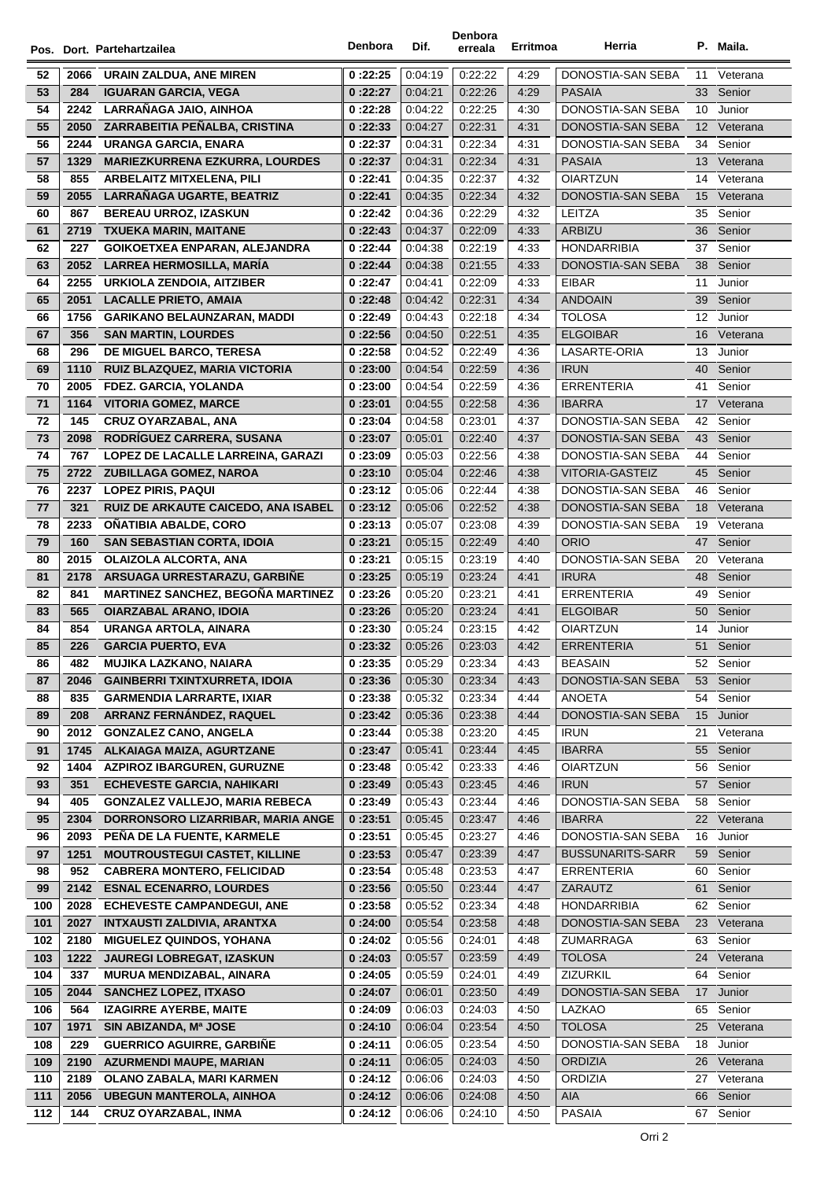|            |      | Pos. Dort. Partehartzailea            | Denbora  | Dif.    | Denbora<br>erreala | Erritmoa | Herria                  |                  | P. Maila.   |
|------------|------|---------------------------------------|----------|---------|--------------------|----------|-------------------------|------------------|-------------|
| 52         | 2066 | URAIN ZALDUA, ANE MIREN               | 0:22:25  | 0.04.19 | 0.22.22            | 4:29     | DONOSTIA-SAN SEBA       | 11               | Veterana    |
| 53         | 284  | <b>IGUARAN GARCIA, VEGA</b>           | 0:22:27  | 0:04:21 | 0:22:26            | 4:29     | <b>PASAIA</b>           | 33               | Senior      |
| 54         | 2242 | LARRAÑAGA JAIO, AINHOA                | 0:22:28  | 0:04:22 | 0:22:25            | 4:30     | DONOSTIA-SAN SEBA       |                  | 10 Junior   |
| 55         | 2050 | ZARRABEITIA PEÑALBA, CRISTINA         | 0:22:33  | 0.04.27 | 0:22:31            | 4:31     | DONOSTIA-SAN SEBA       |                  | 12 Veterana |
| 56         | 2244 | URANGA GARCIA, ENARA                  | 0:22:37  | 0:04:31 | 0:22:34            | 4:31     | DONOSTIA-SAN SEBA       | 34               | Senior      |
| 57         | 1329 | <b>MARIEZKURRENA EZKURRA, LOURDES</b> | 0:22:37  | 0.04.31 | 0:22:34            | 4:31     | <b>PASAIA</b>           |                  | 13 Veterana |
| 58         | 855  | <b>ARBELAITZ MITXELENA, PILI</b>      | 0:22:41  | 0:04:35 | 0:22:37            | 4:32     | <b>OIARTZUN</b>         |                  | 14 Veterana |
| 59         | 2055 | <b>LARRAÑAGA UGARTE, BEATRIZ</b>      | 0:22:41  | 0.04.35 | 0:22:34            | 4:32     | DONOSTIA-SAN SEBA       | 15 <sup>15</sup> | Veterana    |
| 60         | 867  | <b>BEREAU URROZ, IZASKUN</b>          | 0:22:42  | 0.04.36 | 0:22:29            | 4:32     | LEITZA                  | 35               | Senior      |
| 61         | 2719 | <b>TXUEKA MARIN, MAITANE</b>          | 0:22:43  | 0.04.37 | 0:22:09            | 4:33     | <b>ARBIZU</b>           | 36               | Senior      |
| 62         | 227  | GOIKOETXEA ENPARAN, ALEJANDRA         | 0:22:44  | 0:04:38 | 0:22:19            | 4:33     | <b>HONDARRIBIA</b>      | 37               | Senior      |
| 63         | 2052 | LARREA HERMOSILLA, MARÍA              | 0:22:44  | 0.04.38 | 0.21:55            | 4:33     | DONOSTIA-SAN SEBA       | 38               | Senior      |
| 64         | 2255 | <b>URKIOLA ZENDOIA, AITZIBER</b>      | 0:22:47  | 0.04.41 | 0:22:09            | 4:33     | <b>EIBAR</b>            | 11               | Junior      |
| 65         | 2051 | <b>LACALLE PRIETO, AMAIA</b>          | 0:22:48  | 0:04:42 | 0:22:31            | 4:34     | <b>ANDOAIN</b>          | 39               | Senior      |
| 66         | 1756 | <b>GARIKANO BELAUNZARAN, MADDI</b>    | 0:22:49  | 0:04:43 | 0:22:18            | 4:34     | <b>TOLOSA</b>           |                  | 12 Junior   |
| 67         | 356  | <b>SAN MARTIN, LOURDES</b>            | 0:22:56  | 0.04.50 | 0:22:51            | 4:35     | <b>ELGOIBAR</b>         | 16               | Veterana    |
| 68         | 296  | DE MIGUEL BARCO, TERESA               | 0:22:58  | 0.04.52 | 0:22:49            | 4:36     | <b>LASARTE-ORIA</b>     | 13               | Junior      |
| 69         | 1110 | RUIZ BLAZQUEZ, MARIA VICTORIA         | 0:23:00  | 0.04.54 | 0:22:59            | 4:36     | <b>IRUN</b>             | 40               | Senior      |
| 70         | 2005 | FDEZ. GARCIA, YOLANDA                 | 0:23:00  | 0:04:54 | 0:22:59            | 4:36     | <b>ERRENTERIA</b>       | 41               | Senior      |
| 71         | 1164 | <b>VITORIA GOMEZ, MARCE</b>           | 0:23:01  | 0:04:55 | 0:22:58            | 4:36     | <b>IBARRA</b>           | 17               | Veterana    |
| 72         | 145  | <b>CRUZ OYARZABAL, ANA</b>            | 0:23:04  | 0:04:58 | 0:23:01            | 4:37     | DONOSTIA-SAN SEBA       | 42               | Senior      |
| 73         | 2098 | RODRÍGUEZ CARRERA, SUSANA             | 0:23:07  | 0.05.01 | 0:22:40            | 4:37     | DONOSTIA-SAN SEBA       | 43               | Senior      |
| 74         | 767  | LOPEZ DE LACALLE LARREINA, GARAZI     | 0:23:09  | 0:05:03 | 0:22:56            | 4:38     | DONOSTIA-SAN SEBA       | 44               | Senior      |
| 75         | 2722 | <b>ZUBILLAGA GOMEZ, NAROA</b>         | 0:23:10  | 0.05.04 | 0:22:46            | 4:38     | VITORIA-GASTEIZ         | 45               | Senior      |
| 76         | 2237 | <b>LOPEZ PIRIS, PAQUI</b>             | 0:23:12  | 0.05.06 | 0.22:44            | 4:38     | DONOSTIA-SAN SEBA       | 46               | Senior      |
| ${\bf 77}$ | 321  | RUIZ DE ARKAUTE CAICEDO, ANA ISABEL   | 0:23:12  | 0.05.06 | 0:22:52            | 4:38     | DONOSTIA-SAN SEBA       | 18               | Veterana    |
| 78         | 2233 | OÑATIBIA ABALDE, CORO                 | 0:23:13  | 0:05:07 | 0:23:08            | 4:39     | DONOSTIA-SAN SEBA       | 19               | Veterana    |
| 79         | 160  | <b>SAN SEBASTIAN CORTA, IDOIA</b>     | 0:23:21  | 0:05:15 | 0:22:49            | 4:40     | <b>ORIO</b>             | 47               | Senior      |
| 80         | 2015 | <b>OLAIZOLA ALCORTA, ANA</b>          | 0:23:21  | 0:05:15 | 0:23:19            | 4:40     | DONOSTIA-SAN SEBA       | 20               | Veterana    |
| 81         | 2178 | ARSUAGA URRESTARAZU, GARBIÑE          | 0:23:25  | 0.05.19 | 0:23:24            | 4:41     | <b>IRURA</b>            | 48               | Senior      |
| 82         | 841  | MARTINEZ SANCHEZ, BEGOÑA MARTINEZ     | 0:23:26  | 0:05:20 | 0.23.21            | 4:41     | <b>ERRENTERIA</b>       | 49               | Senior      |
| 83         | 565  | <b>OIARZABAL ARANO, IDOIA</b>         | 0:23:26  | 0.05.20 | 0:23:24            | 4:41     | <b>ELGOIBAR</b>         | 50               | Senior      |
| 84         | 854  | URANGA ARTOLA, AINARA                 | 0:23:30  | 0.05.24 | 0:23:15            | 4:42     | <b>OIARTZUN</b>         | 14               | Junior      |
| 85         | 226  | <b>GARCIA PUERTO, EVA</b>             | 0:23:32  | 0.05.26 | 0:23:03            | 4:42     | <b>ERRENTERIA</b>       | 51               | Senior      |
| 86         | 482  | MUJIKA LAZKANO, NAIARA                | 0 :23:35 | 0:05:29 | 0.23.34            | 4:43     | BEASAIN                 | 52               | Senior      |
| 87         | 2046 | <b>GAINBERRI TXINTXURRETA, IDOIA</b>  | 0:23:36  | 0:05:30 | 0:23:34            | 4:43     | DONOSTIA-SAN SEBA       | 53               | Senior      |
| 88         | 835  | <b>GARMENDIA LARRARTE, IXIAR</b>      | 0:23:38  | 0.05.32 | 0:23:34            | 4:44     | ANOETA                  | 54               | Senior      |
| 89         | 208  | ARRANZ FERNÁNDEZ, RAQUEL              | 0:23:42  | 0.05.36 | 0:23:38            | 4:44     | DONOSTIA-SAN SEBA       | 15 <sup>15</sup> | Junior      |
| 90         | 2012 | <b>GONZALEZ CANO, ANGELA</b>          | 0:23:44  | 0:05:38 | 0:23:20            | 4:45     | <b>IRUN</b>             | 21               | Veterana    |
| 91         | 1745 | ALKAIAGA MAIZA, AGURTZANE             | 0:23:47  | 0:05:41 | 0:23:44            | 4:45     | <b>IBARRA</b>           | 55               | Senior      |
| 92         | 1404 | <b>AZPIROZ IBARGUREN, GURUZNE</b>     | 0:23:48  | 0.05.42 | 0:23:33            | 4:46     | <b>OIARTZUN</b>         | 56               | Senior      |
| 93         | 351  | <b>ECHEVESTE GARCIA, NAHIKARI</b>     | 0:23:49  | 0.05.43 | 0:23:45            | 4:46     | <b>IRUN</b>             | 57               | Senior      |
| 94         | 405  | <b>GONZALEZ VALLEJO, MARIA REBECA</b> | 0:23:49  | 0.05.43 | 0:23:44            | 4:46     | DONOSTIA-SAN SEBA       | 58               | Senior      |
| 95         | 2304 | DORRONSORO LIZARRIBAR, MARIA ANGE     | 0:23:51  | 0:05:45 | 0:23:47            | 4:46     | <b>IBARRA</b>           | 22               | Veterana    |
| 96         | 2093 | PEÑA DE LA FUENTE, KARMELE            | 0:23:51  | 0:05:45 | 0:23:27            | 4:46     | DONOSTIA-SAN SEBA       | 16               | Junior      |
| 97         | 1251 | <b>MOUTROUSTEGUI CASTET, KILLINE</b>  | 0:23:53  | 0:05:47 | 0:23:39            | 4:47     | <b>BUSSUNARITS-SARR</b> | 59               | Senior      |
| 98         | 952  | <b>CABRERA MONTERO, FELICIDAD</b>     | 0:23:54  | 0.05.48 | 0:23:53            | 4:47     | ERRENTERIA              | 60               | Senior      |
| 99         | 2142 | <b>ESNAL ECENARRO, LOURDES</b>        | 0:23:56  | 0:05:50 | 0:23:44            | 4:47     | ZARAUTZ                 | 61               | Senior      |
| 100        | 2028 | <b>ECHEVESTE CAMPANDEGUI, ANE</b>     | 0:23:58  | 0.05.52 | 0:23:34            | 4:48     | <b>HONDARRIBIA</b>      | 62               | Senior      |
| 101        | 2027 | <b>INTXAUSTI ZALDIVIA, ARANTXA</b>    | 0:24:00  | 0.05.54 | 0:23:58            | 4:48     | DONOSTIA-SAN SEBA       | 23               | Veterana    |
| 102        | 2180 | <b>MIGUELEZ QUINDOS, YOHANA</b>       | 0:24:02  | 0:05:56 | 0:24:01            | 4:48     | ZUMARRAGA               | 63               | Senior      |
| 103        | 1222 | <b>JAUREGI LOBREGAT, IZASKUN</b>      | 0:24:03  | 0:05:57 | 0:23:59            | 4:49     | <b>TOLOSA</b>           | 24               | Veterana    |
| 104        | 337  | MURUA MENDIZABAL, AINARA              | 0:24:05  | 0:05:59 | 0:24:01            | 4:49     | ZIZURKIL                | 64               | Senior      |
| 105        | 2044 | <b>SANCHEZ LOPEZ, ITXASO</b>          | 0:24:07  | 0:06:01 | 0:23:50            | 4:49     | DONOSTIA-SAN SEBA       | 17 <sup>2</sup>  | Junior      |
| 106        | 564  | <b>IZAGIRRE AYERBE, MAITE</b>         | 0:24:09  | 0.06.03 | 0:24:03            | 4:50     | LAZKAO                  | 65               | Senior      |
| 107        | 1971 | SIN ABIZANDA, Mª JOSE                 | 0:24:10  | 0.06.04 | 0:23:54            | 4:50     | <b>TOLOSA</b>           |                  | 25 Veterana |
| 108        | 229  | <b>GUERRICO AGUIRRE, GARBINE</b>      | 0:24:11  | 0:06:05 | 0:23:54            | 4:50     | DONOSTIA-SAN SEBA       | 18               | Junior      |
| 109        | 2190 | <b>AZURMENDI MAUPE, MARIAN</b>        | 0:24:11  | 0:06:05 | 0:24:03            | 4:50     | <b>ORDIZIA</b>          | 26               | Veterana    |
| 110        | 2189 | OLANO ZABALA, MARI KARMEN             | 0:24:12  | 0.06.06 | 0:24:03            | 4:50     | <b>ORDIZIA</b>          | 27               | Veterana    |
| 111        | 2056 | <b>UBEGUN MANTEROLA, AINHOA</b>       | 0:24:12  | 0.06.06 | 0.24:08            | 4:50     | <b>AIA</b>              | 66               | Senior      |
| 112        | 144  | <b>CRUZ OYARZABAL, INMA</b>           | 0:24:12  | 0:06:06 | 0:24:10            | 4:50     | <b>PASAIA</b>           | 67               | Senior      |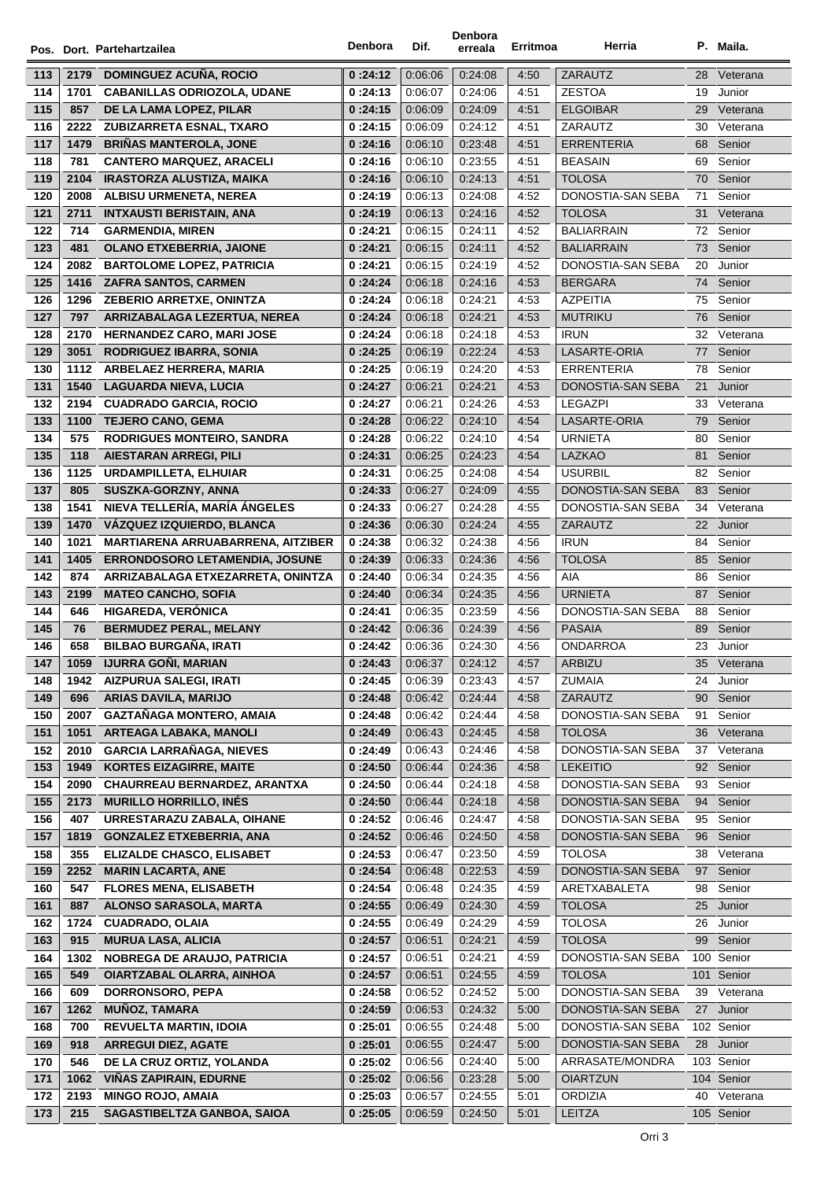|     |      | Pos. Dort. Partehartzailea               | Denbora | Dif.    | Denbora<br>erreala | Erritmoa | Herria            |    | P. Maila.  |
|-----|------|------------------------------------------|---------|---------|--------------------|----------|-------------------|----|------------|
| 113 | 2179 | <b>DOMINGUEZ ACUÑA, ROCIO</b>            | 0:24:12 | 0:06:06 | 0:24:08            | 4:50     | ZARAUTZ           | 28 | Veterana   |
| 114 | 1701 | <b>CABANILLAS ODRIOZOLA, UDANE</b>       | 0:24:13 | 0:06:07 | 0:24:06            | 4:51     | <b>ZESTOA</b>     | 19 | Junior     |
| 115 | 857  | DE LA LAMA LOPEZ, PILAR                  | 0:24:15 | 0:06:09 | 0:24:09            | 4:51     | <b>ELGOIBAR</b>   | 29 | Veterana   |
| 116 | 2222 | ZUBIZARRETA ESNAL, TXARO                 | 0:24:15 | 0:06:09 | 0.24.12            | 4:51     | <b>ZARAUTZ</b>    | 30 | Veterana   |
| 117 | 1479 | <b>BRIÑAS MANTEROLA, JONE</b>            | 0:24:16 | 0:06:10 | 0.23.48            | 4:51     | <b>ERRENTERIA</b> | 68 | Senior     |
| 118 | 781  | <b>CANTERO MARQUEZ, ARACELI</b>          | 0:24:16 | 0:06:10 | 0.23.55            | 4:51     | <b>BEASAIN</b>    | 69 | Senior     |
| 119 | 2104 | IRASTORZA ALUSTIZA, MAIKA                | 0:24:16 | 0:06:10 | 0.24.13            | 4:51     | <b>TOLOSA</b>     | 70 | Senior     |
| 120 | 2008 | <b>ALBISU URMENETA, NEREA</b>            | 0:24:19 | 0:06:13 | 0:24:08            | 4:52     | DONOSTIA-SAN SEBA | 71 | Senior     |
| 121 | 2711 | <b>INTXAUSTI BERISTAIN, ANA</b>          | 0:24:19 | 0:06:13 | 0:24:16            | 4:52     | <b>TOLOSA</b>     | 31 | Veterana   |
| 122 | 714  | <b>GARMENDIA, MIREN</b>                  | 0:24:21 | 0:06:15 | 0:24:11            | 4:52     | <b>BALIARRAIN</b> | 72 | Senior     |
| 123 | 481  | <b>OLANO ETXEBERRIA, JAIONE</b>          | 0:24:21 | 0:06:15 | 0.24.11            | 4:52     | <b>BALIARRAIN</b> | 73 | Senior     |
| 124 | 2082 | <b>BARTOLOME LOPEZ, PATRICIA</b>         | 0:24:21 | 0:06:15 | 0:24:19            | 4:52     | DONOSTIA-SAN SEBA | 20 | Junior     |
| 125 | 1416 | <b>ZAFRA SANTOS, CARMEN</b>              | 0:24:24 | 0:06:18 | 0.24.16            | 4:53     | <b>BERGARA</b>    |    | 74 Senior  |
| 126 | 1296 | <b>ZEBERIO ARRETXE, ONINTZA</b>          | 0:24:24 | 0:06:18 | 0.24.21            | 4:53     | <b>AZPEITIA</b>   | 75 | Senior     |
| 127 | 797  | ARRIZABALAGA LEZERTUA, NEREA             | 0:24:24 | 0:06:18 | 0.24.21            | 4:53     | <b>MUTRIKU</b>    | 76 | Senior     |
| 128 | 2170 | <b>HERNANDEZ CARO, MARI JOSE</b>         | 0:24:24 | 0:06:18 | 0:24:18            | 4:53     | <b>IRUN</b>       | 32 | Veterana   |
| 129 | 3051 | <b>RODRIGUEZ IBARRA, SONIA</b>           | 0:24:25 | 0:06:19 | 0.22.24            | 4:53     | LASARTE-ORIA      | 77 | Senior     |
| 130 | 1112 | ARBELAEZ HERRERA, MARIA                  | 0:24:25 | 0:06:19 | 0:24:20            | 4:53     | <b>ERRENTERIA</b> | 78 | Senior     |
| 131 | 1540 | <b>LAGUARDA NIEVA, LUCIA</b>             | 0:24:27 | 0:06:21 | 0.24.21            | 4:53     | DONOSTIA-SAN SEBA | 21 | Junior     |
| 132 | 2194 | <b>CUADRADO GARCIA, ROCIO</b>            | 0:24:27 | 0:06:21 | 0:24:26            | 4:53     | <b>LEGAZPI</b>    | 33 | Veterana   |
| 133 | 1100 | <b>TEJERO CANO, GEMA</b>                 | 0:24:28 | 0:06:22 | 0.24:10            | 4:54     | LASARTE-ORIA      | 79 | Senior     |
| 134 | 575  | <b>RODRIGUES MONTEIRO, SANDRA</b>        | 0:24:28 | 0:06:22 | 0:24:10            | 4:54     | <b>URNIETA</b>    | 80 | Senior     |
| 135 | 118  | <b>AIESTARAN ARREGI, PILI</b>            | 0:24:31 | 0:06:25 | 0.24.23            | 4:54     | <b>LAZKAO</b>     | 81 | Senior     |
| 136 | 1125 | <b>URDAMPILLETA, ELHUIAR</b>             | 0:24:31 | 0:06:25 | 0.24.08            | 4:54     | <b>USURBIL</b>    | 82 | Senior     |
| 137 | 805  | SUSZKA-GORZNY, ANNA                      | 0:24:33 | 0:06:27 | 0.24.09            | 4:55     | DONOSTIA-SAN SEBA | 83 | Senior     |
| 138 | 1541 | NIEVA TELLERÍA, MARÍA ÁNGELES            | 0:24:33 | 0:06:27 | 0:24:28            | 4:55     | DONOSTIA-SAN SEBA | 34 | Veterana   |
| 139 | 1470 | VÁZQUEZ IZQUIERDO, BLANCA                | 0:24:36 | 0:06:30 | 0.24.24            | 4:55     | ZARAUTZ           | 22 | Junior     |
| 140 | 1021 | <b>MARTIARENA ARRUABARRENA, AITZIBER</b> | 0:24:38 | 0:06:32 | 0:24:38            | 4:56     | <b>IRUN</b>       | 84 | Senior     |
| 141 | 1405 | <b>ERRONDOSORO LETAMENDIA, JOSUNE</b>    | 0:24:39 | 0:06:33 | 0:24:36            | 4:56     | <b>TOLOSA</b>     | 85 | Senior     |
| 142 | 874  | ARRIZABALAGA ETXEZARRETA, ONINTZA        | 0:24:40 | 0:06:34 | 0:24:35            | 4:56     | AIA               | 86 | Senior     |
| 143 | 2199 | <b>MATEO CANCHO, SOFIA</b>               | 0:24:40 | 0:06:34 | 0.24.35            | 4:56     | <b>URNIETA</b>    | 87 | Senior     |
| 144 | 646  | <b>HIGAREDA, VERONICA</b>                | 0:24:41 | 0:06:35 | 0:23:59            | 4:56     | DONOSTIA-SAN SEBA | 88 | Senior     |
| 145 | 76   | <b>BERMUDEZ PERAL, MELANY</b>            | 0:24:42 | 0:06:36 | 0:24:39            | 4:56     | <b>PASAIA</b>     | 89 | Senior     |
| 146 | 658  | <b>BILBAO BURGAÑA, IRATI</b>             | 0:24:42 | 0:06:36 | 0:24:30            | 4:56     | ONDARROA          | 23 | Junior     |
| 147 | 1059 | IJURRA GOÑI, MARIAN                      | 0:24:43 | 0:06:37 | 0:24:12            | 4:57     | ARBIZU            | 35 | Veterana   |
| 148 | 1942 | <b>AIZPURUA SALEGI, IRATI</b>            | 0:24:45 | 0:06:39 | 0.23.43            | 4:57     | <b>ZUMAIA</b>     | 24 | Junior     |
| 149 | 696  | <b>ARIAS DAVILA, MARIJO</b>              | 0:24:48 | 0:06:42 | 0.24.44            | 4:58     | ZARAUTZ           | 90 | Senior     |
| 150 | 2007 | GAZTAÑAGA MONTERO, AMAIA                 | 0:24:48 | 0:06:42 | 0.24.44            | 4:58     | DONOSTIA-SAN SEBA | 91 | Senior     |
| 151 | 1051 | <b>ARTEAGA LABAKA, MANOLI</b>            | 0:24:49 | 0:06:43 | 0.24.45            | 4:58     | <b>TOLOSA</b>     | 36 | Veterana   |
| 152 | 2010 | <b>GARCIA LARRAÑAGA, NIEVES</b>          | 0:24:49 | 0:06:43 | 0.24.46            | 4:58     | DONOSTIA-SAN SEBA | 37 | Veterana   |
| 153 | 1949 | <b>KORTES EIZAGIRRE, MAITE</b>           | 0:24:50 | 0:06:44 | 0.24.36            | 4:58     | <b>LEKEITIO</b>   | 92 | Senior     |
| 154 | 2090 | CHAURREAU BERNARDEZ, ARANTXA             | 0:24:50 | 0:06:44 | 0:24:18            | 4:58     | DONOSTIA-SAN SEBA | 93 | Senior     |
| 155 | 2173 | <b>MURILLO HORRILLO, INÉS</b>            | 0:24:50 | 0:06:44 | 0.24.18            | 4:58     | DONOSTIA-SAN SEBA | 94 | Senior     |
| 156 | 407  | URRESTARAZU ZABALA, OIHANE               | 0:24:52 | 0:06:46 | 0.24.47            | 4:58     | DONOSTIA-SAN SEBA | 95 | Senior     |
| 157 | 1819 | <b>GONZALEZ ETXEBERRIA, ANA</b>          | 0:24:52 | 0:06:46 | 0:24:50            | 4:58     | DONOSTIA-SAN SEBA | 96 | Senior     |
| 158 | 355  | <b>ELIZALDE CHASCO, ELISABET</b>         | 0:24:53 | 0:06:47 | 0.23.50            | 4:59     | TOLOSA            | 38 | Veterana   |
| 159 | 2252 | <b>MARIN LACARTA, ANE</b>                | 0:24:54 | 0:06:48 | 0:22:53            | 4:59     | DONOSTIA-SAN SEBA | 97 | Senior     |
| 160 | 547  | <b>FLORES MENA, ELISABETH</b>            | 0:24:54 | 0:06:48 | 0.24.35            | 4:59     | ARETXABALETA      | 98 | Senior     |
| 161 | 887  | ALONSO SARASOLA, MARTA                   | 0:24:55 | 0:06:49 | 0:24:30            | 4:59     | <b>TOLOSA</b>     | 25 | Junior     |
| 162 | 1724 | <b>CUADRADO, OLAIA</b>                   | 0:24:55 | 0:06:49 | 0:24:29            | 4:59     | <b>TOLOSA</b>     | 26 | Junior     |
| 163 | 915  | <b>MURUA LASA, ALICIA</b>                | 0:24:57 | 0:06:51 | 0.24.21            | 4:59     | TOLOSA            | 99 | Senior     |
| 164 | 1302 | <b>NOBREGA DE ARAUJO, PATRICIA</b>       | 0:24:57 | 0:06:51 | 0.24.21            | 4:59     | DONOSTIA-SAN SEBA |    | 100 Senior |
| 165 | 549  | <b>OIARTZABAL OLARRA, AINHOA</b>         | 0:24:57 | 0:06:51 | 0:24:55            | 4:59     | <b>TOLOSA</b>     |    | 101 Senior |
| 166 | 609  | DORRONSORO, PEPA                         | 0:24:58 | 0:06:52 | 0.24.52            | 5:00     | DONOSTIA-SAN SEBA | 39 | Veterana   |
| 167 | 1262 | <b>MUÑOZ, TAMARA</b>                     | 0:24:59 | 0:06:53 | 0:24:32            | 5:00     | DONOSTIA-SAN SEBA | 27 | Junior     |
| 168 | 700  | <b>REVUELTA MARTIN, IDOIA</b>            | 0:25:01 | 0:06:55 | 0.24.48            | 5:00     | DONOSTIA-SAN SEBA |    | 102 Senior |
| 169 | 918  | <b>ARREGUI DIEZ, AGATE</b>               | 0:25:01 | 0:06:55 | 0:24:47            | 5:00     | DONOSTIA-SAN SEBA | 28 | Junior     |
| 170 | 546  | DE LA CRUZ ORTIZ, YOLANDA                | 0:25:02 | 0:06:56 | 0:24:40            | 5:00     | ARRASATE/MONDRA   |    | 103 Senior |
| 171 | 1062 | <b>VIÑAS ZAPIRAIN, EDURNE</b>            | 0:25:02 | 0:06:56 | 0.23.28            | 5:00     | <b>OIARTZUN</b>   |    | 104 Senior |
| 172 | 2193 | <b>MINGO ROJO, AMAIA</b>                 | 0:25:03 | 0:06:57 | 0:24:55            | 5:01     | <b>ORDIZIA</b>    | 40 | Veterana   |
| 173 | 215  | SAGASTIBELTZA GANBOA, SAIOA              | 0:25:05 | 0:06:59 | 0:24:50            | 5:01     | LEITZA            |    | 105 Senior |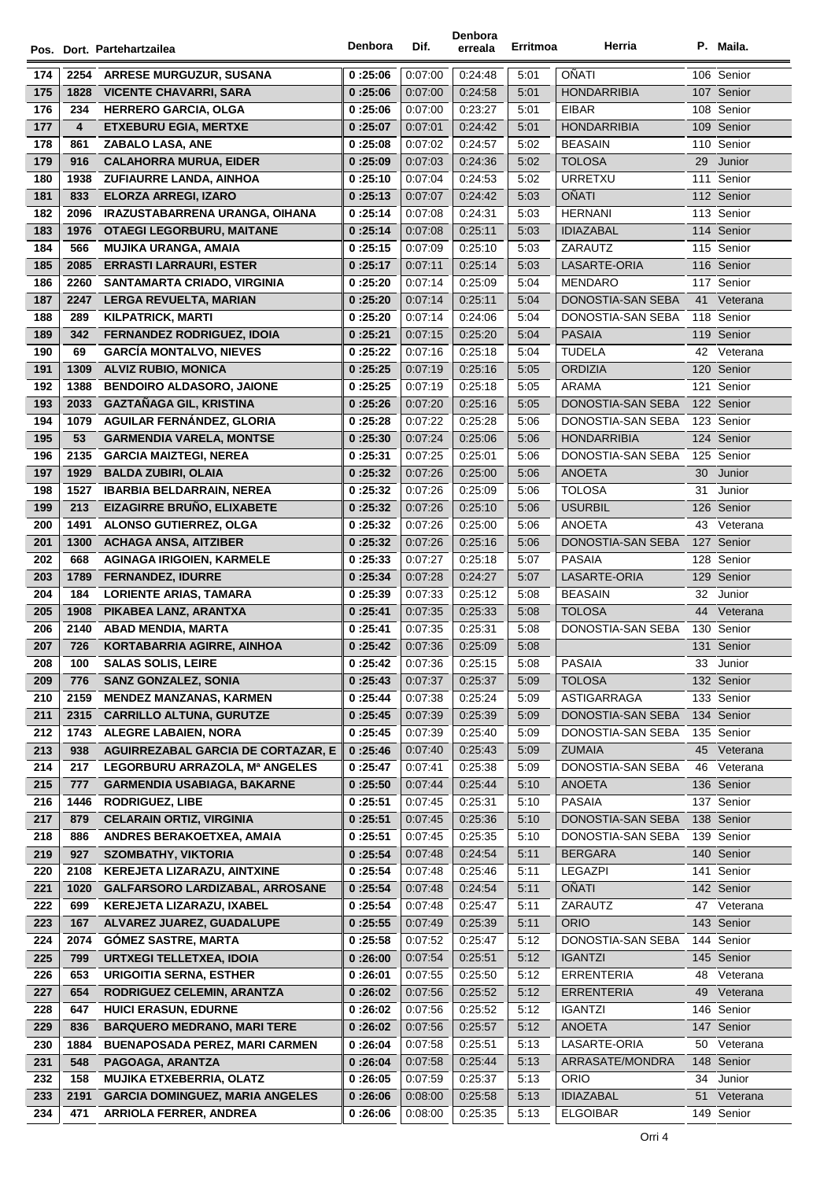|            |      | Pos. Dort. Partehartzailea                                  | Denbora  | Dif.               | Denbora<br>erreala | Erritmoa     | Herria                             |     | P. Maila.                |
|------------|------|-------------------------------------------------------------|----------|--------------------|--------------------|--------------|------------------------------------|-----|--------------------------|
|            |      |                                                             |          |                    |                    |              | OÑATI                              |     | 106 Senior               |
| 174        | 2254 | <b>ARRESE MURGUZUR, SUSANA</b>                              | 0:25:06  | 0.07:00            | 0.24.48            | 5:01         |                                    |     | 107 Senior               |
| 175        | 1828 | <b>VICENTE CHAVARRI, SARA</b>                               | 0:25:06  | 0:07:00<br>0:07:00 | 0.24.58<br>0:23:27 | 5:01<br>5:01 | <b>HONDARRIBIA</b><br><b>EIBAR</b> |     | 108 Senior               |
| 176        | 234  | <b>HERRERO GARCIA, OLGA</b><br><b>ETXEBURU EGIA, MERTXE</b> | 0:25:06  | 0:07:01            | 0:24:42            | 5:01         | <b>HONDARRIBIA</b>                 |     | 109 Senior               |
| 177<br>178 | 4    |                                                             | 0:25:07  | 0:07:02            | 0:24:57            | 5:02         | <b>BEASAIN</b>                     |     | 110 Senior               |
|            | 861  | <b>ZABALO LASA, ANE</b>                                     | 0:25:08  | 0:07:03            | 0:24:36            | 5:02         | <b>TOLOSA</b>                      |     | Junior                   |
| 179        | 916  | <b>CALAHORRA MURUA, EIDER</b>                               | 0:25:09  |                    |                    |              | <b>URRETXU</b>                     | 29  | Senior                   |
| 180        | 1938 | ZUFIAURRE LANDA, AINHOA                                     | 0:25:10  | 0:07:04            | 0:24:53            | 5:02         | <b>OÑATI</b>                       | 111 |                          |
| 181        | 833  | <b>ELORZA ARREGI, IZARO</b>                                 | 0:25:13  | 0:07:07            | 0.24.42            | 5:03         |                                    |     | 112 Senior               |
| 182        | 2096 | IRAZUSTABARRENA URANGA, OIHANA                              | 0:25:14  | 0.07:08            | 0:24:31            | 5:03         | <b>HERNANI</b><br><b>IDIAZABAL</b> |     | 113 Senior<br>114 Senior |
| 183        | 1976 | <b>OTAEGI LEGORBURU, MAITANE</b>                            | 0:25:14  | 0:07:08            | 0.25:11            | 5:03         |                                    |     |                          |
| 184        | 566  | <b>MUJIKA URANGA, AMAIA</b>                                 | 0:25:15  | 0:07:09            | 0:25:10            | 5:03         | ZARAUTZ                            |     | 115 Senior               |
| 185        | 2085 | <b>ERRASTI LARRAURI, ESTER</b>                              | 0:25:17  | 0:07:11            | 0.25:14            | 5:03         | LASARTE-ORIA                       |     | 116 Senior               |
| 186        | 2260 | SANTAMARTA CRIADO, VIRGINIA                                 | 0:25:20  | 0:07:14            | 0:25:09            | 5:04         | <b>MENDARO</b>                     |     | 117 Senior               |
| 187        | 2247 | <b>LERGA REVUELTA, MARIAN</b>                               | 0:25:20  | 0:07:14            | 0:25:11            | 5:04         | DONOSTIA-SAN SEBA                  |     | 41 Veterana              |
| 188        | 289  | <b>KILPATRICK, MARTI</b>                                    | 0:25:20  | 0:07:14            | 0:24:06            | 5:04         | DONOSTIA-SAN SEBA                  |     | 118 Senior               |
| 189        | 342  | <b>FERNANDEZ RODRIGUEZ, IDOIA</b>                           | 0:25:21  | 0:07:15            | 0:25:20            | 5:04         | <b>PASAIA</b>                      |     | 119 Senior               |
| 190        | 69   | <b>GARCIA MONTALVO, NIEVES</b>                              | 0:25:22  | 0:07:16            | 0:25:18            | 5:04         | <b>TUDELA</b>                      |     | 42 Veterana              |
| 191        | 1309 | <b>ALVIZ RUBIO, MONICA</b>                                  | 0:25:25  | 0:07:19            | 0.25:16            | 5:05         | <b>ORDIZIA</b>                     |     | 120 Senior               |
| 192        | 1388 | <b>BENDOIRO ALDASORO, JAIONE</b>                            | 0:25:25  | 0:07:19            | 0:25:18            | 5:05         | ARAMA                              |     | 121 Senior               |
| 193        | 2033 | <b>GAZTAÑAGA GIL, KRISTINA</b>                              | 0:25:26  | 0:07:20            | 0:25:16            | 5:05         | DONOSTIA-SAN SEBA                  |     | 122 Senior               |
| 194        | 1079 | AGUILAR FERNÁNDEZ, GLORIA                                   | 0:25:28  | 0:07:22            | 0:25:28            | 5:06         | DONOSTIA-SAN SEBA                  |     | 123 Senior               |
| 195        | 53   | <b>GARMENDIA VARELA, MONTSE</b>                             | 0:25:30  | 0:07:24            | 0.25.06            | 5:06         | <b>HONDARRIBIA</b>                 |     | 124 Senior               |
| 196        | 2135 | <b>GARCIA MAIZTEGI, NEREA</b>                               | 0:25:31  | 0.07:25            | 0.25.01            | 5:06         | DONOSTIA-SAN SEBA                  |     | 125 Senior               |
| 197        | 1929 | <b>BALDA ZUBIRI, OLAIA</b>                                  | 0:25:32  | 0:07:26            | 0.25:00            | 5:06         | <b>ANOETA</b>                      | 30  | Junior                   |
| 198        | 1527 | <b>IBARBIA BELDARRAIN, NEREA</b>                            | 0:25:32  | 0:07:26            | 0.25.09            | 5:06         | <b>TOLOSA</b>                      | 31  | Junior                   |
| 199        | 213  | EIZAGIRRE BRUÑO, ELIXABETE                                  | 0:25:32  | 0:07:26            | 0.25:10            | 5:06         | <b>USURBIL</b>                     |     | 126 Senior               |
| 200        | 1491 | <b>ALONSO GUTIERREZ, OLGA</b>                               | 0:25:32  | 0:07:26            | 0.25:00            | 5:06         | <b>ANOETA</b>                      | 43  | Veterana                 |
| 201        | 1300 | <b>ACHAGA ANSA, AITZIBER</b>                                | 0:25:32  | 0:07:26            | 0:25:16            | 5:06         | DONOSTIA-SAN SEBA                  |     | 127 Senior               |
| 202        | 668  | AGINAGA IRIGOIEN, KARMELE                                   | 0:25:33  | 0:07:27            | 0:25:18            | 5:07         | <b>PASAIA</b>                      |     | 128 Senior               |
| 203        | 1789 | <b>FERNANDEZ, IDURRE</b>                                    | 0:25:34  | 0:07:28            | 0:24:27            | 5:07         | LASARTE-ORIA                       |     | 129 Senior               |
| 204        | 184  | <b>LORIENTE ARIAS, TAMARA</b>                               | 0:25:39  | 0:07:33            | 0.25.12            | 5:08         | <b>BEASAIN</b>                     |     | 32 Junior                |
| 205        | 1908 | PIKABEA LANZ, ARANTXA                                       | 0:25:41  | 0:07:35            | 0:25:33            | 5:08         | TOLOSA                             |     | 44 Veterana              |
| 206        | 2140 | <b>ABAD MENDIA, MARTA</b>                                   | 0:25:41  | 0:07:35            | 0:25:31            | 5:08         | DONOSTIA-SAN SEBA                  |     | 130 Senior               |
| 207        | 726  | KORTABARRIA AGIRRE, AINHOA                                  | 0:25:42  | 0:07:36            | 0.25.09            | 5:08         |                                    |     | 131 Senior               |
| 208        | 100  | <b>SALAS SOLIS, LEIRE</b>                                   | 0 :25:42 | 0.07.36            | 0:25:15            | 5:08         | PASAIA                             |     | 33 Junior                |
| 209        | 776  | <b>SANZ GONZALEZ, SONIA</b>                                 | 0:25:43  | 0:07:37            | 0:25:37            | 5:09         | <b>TOLOSA</b>                      |     | 132 Senior               |
| 210        | 2159 | <b>MENDEZ MANZANAS, KARMEN</b>                              | 0:25:44  | 0:07:38            | 0:25:24            | 5:09         | ASTIGARRAGA                        |     | 133 Senior               |
| 211        | 2315 | <b>CARRILLO ALTUNA, GURUTZE</b>                             | 0:25:45  | 0:07:39            | 0.25.39            | 5:09         | DONOSTIA-SAN SEBA                  |     | 134 Senior               |
| 212        | 1743 | <b>ALEGRE LABAIEN, NORA</b>                                 | 0:25:45  | 0:07:39            | 0.25.40            | 5:09         | DONOSTIA-SAN SEBA                  |     | 135 Senior               |
| 213        | 938  | AGUIRREZABAL GARCIA DE CORTAZAR, E                          | 0:25:46  | 0:07:40            | 0.25.43            | 5:09         | <b>ZUMAIA</b>                      | 45  | Veterana                 |
| 214        | 217  | LEGORBURU ARRAZOLA, Mª ANGELES                              | 0:25:47  | 0.07:41            | 0.25.38            | 5:09         | DONOSTIA-SAN SEBA                  | 46  | Veterana                 |
| 215        | 777  | <b>GARMENDIA USABIAGA, BAKARNE</b>                          | 0:25:50  | 0.07:44            | 0.25.44            | 5:10         | <b>ANOETA</b>                      |     | 136 Senior               |
| 216        | 1446 | <b>RODRIGUEZ, LIBE</b>                                      | 0:25:51  | 0:07:45            | 0:25:31            | 5:10         | <b>PASAIA</b>                      |     | 137 Senior               |
| 217        | 879  | <b>CELARAIN ORTIZ, VIRGINIA</b>                             | 0:25:51  | 0:07:45            | 0.25.36            | 5:10         | DONOSTIA-SAN SEBA                  |     | 138 Senior               |
| 218        | 886  | ANDRES BERAKOETXEA, AMAIA                                   | 0:25:51  | 0:07:45            | 0.25.35            | 5:10         | DONOSTIA-SAN SEBA                  |     | 139 Senior               |
| 219        | 927  | <b>SZOMBATHY, VIKTORIA</b>                                  | 0:25:54  | 0:07:48            | 0.24.54            | 5:11         | <b>BERGARA</b>                     |     | 140 Senior               |
| 220        | 2108 | KEREJETA LIZARAZU, AINTXINE                                 | 0:25:54  | 0:07:48            | 0.25.46            | 5:11         | LEGAZPI                            |     | 141 Senior               |
| 221        | 1020 | GALFARSORO LARDIZABAL, ARROSANE                             | 0:25:54  | 0:07:48            | 0:24:54            | 5:11         | OÑATI                              |     | 142 Senior               |
| 222        | 699  | KEREJETA LIZARAZU, IXABEL                                   | 0:25:54  | 0:07:48            | 0:25:47            | 5:11         | ZARAUTZ                            |     | 47 Veterana              |
| 223        | 167  | ALVAREZ JUAREZ, GUADALUPE                                   | 0:25:55  | 0:07:49            | 0:25:39            | 5:11         | <b>ORIO</b>                        |     | 143 Senior               |
| 224        | 2074 | <b>GOMEZ SASTRE, MARTA</b>                                  | 0:25:58  | 0:07:52            | 0:25:47            | 5:12         | DONOSTIA-SAN SEBA                  |     | 144 Senior               |
| 225        | 799  | <b>URTXEGI TELLETXEA, IDOIA</b>                             | 0:26:00  | 0.07.54            | 0.25:51            | 5:12         | <b>IGANTZI</b>                     |     | 145 Senior               |
| 226        | 653  | <b>URIGOITIA SERNA, ESTHER</b>                              | 0:26:01  | 0:07:55            | 0.25.50            | 5:12         | <b>ERRENTERIA</b>                  | 48  | Veterana                 |
| 227        | 654  | RODRIGUEZ CELEMIN, ARANTZA                                  | 0:26:02  | 0:07:56            | 0.25.52            | 5:12         | <b>ERRENTERIA</b>                  |     | 49 Veterana              |
| 228        | 647  | <b>HUICI ERASUN, EDURNE</b>                                 | 0:26:02  | 0:07:56            | 0.25.52            | 5:12         | <b>IGANTZI</b>                     |     | 146 Senior               |
| 229        | 836  | <b>BARQUERO MEDRANO, MARI TERE</b>                          | 0:26:02  | 0:07:56            | 0.25.57            | 5:12         | <b>ANOETA</b>                      |     | 147 Senior               |
| 230        | 1884 | <b>BUENAPOSADA PEREZ, MARI CARMEN</b>                       | 0:26:04  | 0:07:58            | 0.25.51            | 5:13         | LASARTE-ORIA                       | 50  | Veterana                 |
| 231        | 548  | PAGOAGA, ARANTZA                                            | 0:26:04  | 0:07:58            | 0.25.44            | 5:13         | ARRASATE/MONDRA                    |     | 148 Senior               |
| 232        | 158  | <b>MUJIKA ETXEBERRIA, OLATZ</b>                             | 0:26:05  | 0:07:59            | 0:25:37            | 5:13         | ORIO                               | 34  | Junior                   |
| 233        | 2191 | <b>GARCIA DOMINGUEZ, MARIA ANGELES</b>                      | 0:26:06  | 0:08:00            | 0:25:58            | 5:13         | <b>IDIAZABAL</b>                   | 51  | Veterana                 |
| 234        | 471  | <b>ARRIOLA FERRER, ANDREA</b>                               | 0:26:06  | 0:08:00            | 0:25:35            | 5:13         | <b>ELGOIBAR</b>                    |     | 149 Senior               |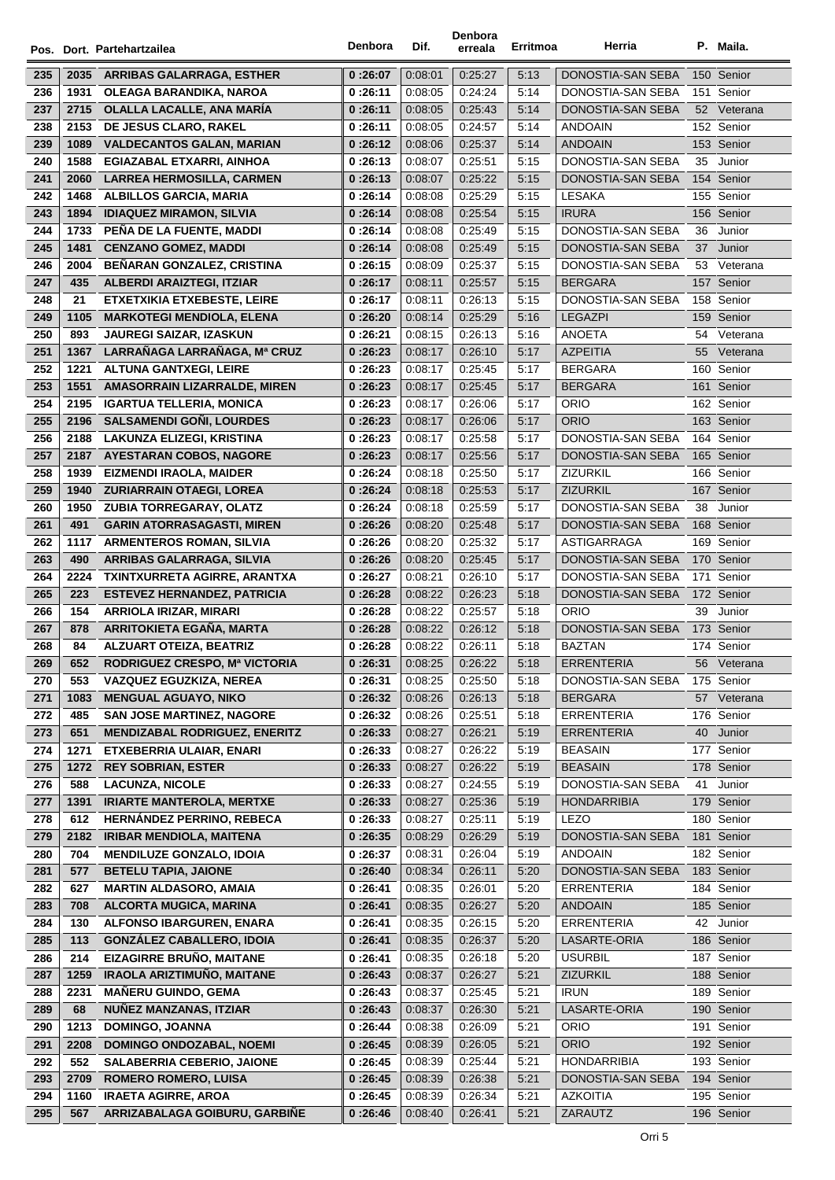|     |      | Pos. Dort. Partehartzailea           | Denbora  | Dif.               | Denbora<br>erreala | Erritmoa     | Herria                        |    | P. Maila.   |
|-----|------|--------------------------------------|----------|--------------------|--------------------|--------------|-------------------------------|----|-------------|
| 235 | 2035 | <b>ARRIBAS GALARRAGA, ESTHER</b>     | 0:26:07  | 0:08:01            | 0:25:27            | 5:13         | DONOSTIA-SAN SEBA             |    | 150 Senior  |
| 236 | 1931 | <b>OLEAGA BARANDIKA, NAROA</b>       | 0:26:11  | 0:08:05            | 0:24:24            | 5:14         | DONOSTIA-SAN SEBA             |    | 151 Senior  |
| 237 | 2715 | <b>OLALLA LACALLE, ANA MARÍA</b>     | 0:26:11  | 0.08.05            | 0.25.43            | 5:14         | DONOSTIA-SAN SEBA             |    | 52 Veterana |
| 238 | 2153 | DE JESUS CLARO, RAKEL                | 0 :26:11 | 0:08:05            | 0:24:57            | 5:14         | <b>ANDOAIN</b>                |    | 152 Senior  |
| 239 | 1089 | <b>VALDECANTOS GALAN, MARIAN</b>     | 0 :26:12 | 0:08:06            | 0:25:37            | 5:14         | <b>ANDOAIN</b>                |    | 153 Senior  |
| 240 | 1588 | EGIAZABAL ETXARRI, AINHOA            | 0:26:13  | 0:08:07            | 0:25:51            | 5:15         | DONOSTIA-SAN SEBA             | 35 | Junior      |
| 241 | 2060 | <b>LARREA HERMOSILLA, CARMEN</b>     | 0:26:13  | 0:08:07            | 0.25.22            | 5:15         | DONOSTIA-SAN SEBA             |    | 154 Senior  |
| 242 | 1468 | ALBILLOS GARCIA, MARIA               | 0 :26:14 | 0.08.08            | 0:25:29            | 5:15         | LESAKA                        |    | 155 Senior  |
| 243 | 1894 | <b>IDIAQUEZ MIRAMON, SILVIA</b>      | 0:26:14  | 0:08:08            | 0:25:54            | 5:15         | <b>IRURA</b>                  |    | 156 Senior  |
| 244 | 1733 | PEÑA DE LA FUENTE. MADDI             | 0 :26:14 | 0:08:08            | 0:25:49            | 5:15         | DONOSTIA-SAN SEBA             | 36 | Junior      |
| 245 | 1481 | <b>CENZANO GOMEZ, MADDI</b>          | 0:26:14  | 0:08:08            | 0:25:49            | 5:15         | DONOSTIA-SAN SEBA             |    | 37 Junior   |
| 246 | 2004 | BEÑARAN GONZALEZ, CRISTINA           | 0 :26:15 | 0:08:09            | 0:25:37            | 5:15         | DONOSTIA-SAN SEBA             |    | 53 Veterana |
| 247 | 435  | <b>ALBERDI ARAIZTEGI, ITZIAR</b>     | 0 :26:17 | 0:08:11            | 0:25:57            | 5:15         | <b>BERGARA</b>                |    | 157 Senior  |
| 248 | 21   | <b>ETXETXIKIA ETXEBESTE, LEIRE</b>   | 0 :26:17 | 0:08:11            | 0:26:13            | 5:15         | DONOSTIA-SAN SEBA             |    | 158 Senior  |
| 249 | 1105 | <b>MARKOTEGI MENDIOLA, ELENA</b>     |          | 0.08:14            | 0.25.29            | 5:16         | <b>LEGAZPI</b>                |    | 159 Senior  |
| 250 |      |                                      | 0:26:20  |                    |                    |              |                               |    |             |
|     | 893  | <b>JAUREGI SAIZAR, IZASKUN</b>       | 0 :26:21 | 0.08.15            | 0:26:13            | 5:16<br>5:17 | ANOETA                        | 54 | Veterana    |
| 251 | 1367 | LARRAÑAGA LARRAÑAGA, Mª CRUZ         | 0:26:23  | 0.08.17            | 0.26:10<br>0:25:45 |              | <b>AZPEITIA</b>               | 55 | Veterana    |
| 252 | 1221 | <b>ALTUNA GANTXEGI, LEIRE</b>        | 0:26:23  | 0:08:17<br>0:08:17 |                    | 5:17         | BERGARA                       |    | 160 Senior  |
| 253 | 1551 | AMASORRAIN LIZARRALDE, MIREN         | 0:26:23  |                    | 0:25:45            | 5:17<br>5:17 | <b>BERGARA</b><br><b>ORIO</b> |    | 161 Senior  |
| 254 | 2195 | <b>IGARTUA TELLERIA, MONICA</b>      | 0:26:23  | 0:08:17            | 0:26:06            |              | <b>ORIO</b>                   |    | 162 Senior  |
| 255 | 2196 | <b>SALSAMENDI GOÑI, LOURDES</b>      | 0:26:23  | 0.08:17            | 0:26:06            | 5:17         |                               |    | 163 Senior  |
| 256 | 2188 | <b>LAKUNZA ELIZEGI, KRISTINA</b>     | 0:26:23  | 0:08:17            | 0:25:58            | 5:17         | DONOSTIA-SAN SEBA             |    | 164 Senior  |
| 257 | 2187 | <b>AYESTARAN COBOS, NAGORE</b>       | 0:26:23  | 0.08:17            | 0:25:56            | 5:17         | DONOSTIA-SAN SEBA             |    | 165 Senior  |
| 258 | 1939 | <b>EIZMENDI IRAOLA, MAIDER</b>       | 0 :26:24 | 0.08.18            | 0:25:50            | 5:17         | <b>ZIZURKIL</b>               |    | 166 Senior  |
| 259 | 1940 | <b>ZURIARRAIN OTAEGI, LOREA</b>      | 0:26:24  | 0.08.18            | 0:25:53            | 5:17         | <b>ZIZURKIL</b>               |    | 167 Senior  |
| 260 | 1950 | <b>ZUBIA TORREGARAY, OLATZ</b>       | 0 :26:24 | 0:08:18            | 0:25:59            | 5:17         | DONOSTIA-SAN SEBA             | 38 | Junior      |
| 261 | 491  | <b>GARIN ATORRASAGASTI, MIREN</b>    | 0:26:26  | 0:08:20            | 0.25.48            | 5:17         | DONOSTIA-SAN SEBA             |    | 168 Senior  |
| 262 | 1117 | ARMENTEROS ROMAN, SILVIA             | 0:26:26  | 0:08:20            | 0:25:32            | 5:17         | ASTIGARRAGA                   |    | 169 Senior  |
| 263 | 490  | ARRIBAS GALARRAGA, SILVIA            | 0:26:26  | 0:08:20            | 0:25:45            | 5:17         | DONOSTIA-SAN SEBA             |    | 170 Senior  |
| 264 | 2224 | TXINTXURRETA AGIRRE, ARANTXA         | 0 :26:27 | 0:08:21            | 0:26:10            | 5:17         | DONOSTIA-SAN SEBA             |    | 171 Senior  |
| 265 | 223  | <b>ESTEVEZ HERNANDEZ, PATRICIA</b>   | 0:26:28  | 0.08.22            | 0:26:23            | 5:18         | DONOSTIA-SAN SEBA             |    | 172 Senior  |
| 266 | 154  | ARRIOLA IRIZAR, MIRARI               | 0:26:28  | 0:08:22            | 0:25:57            | 5:18         | ORIO                          | 39 | Junior      |
| 267 | 878  | ARRITOKIETA EGAÑA, MARTA             | 0:26:28  | 0.08.22            | 0:26:12            | 5:18         | DONOSTIA-SAN SEBA             |    | 173 Senior  |
| 268 | 84   | <b>ALZUART OTEIZA, BEATRIZ</b>       | 0 :26:28 | 0:08:22            | 0:26:11            | 5:18         | BAZTAN                        |    | 174 Senior  |
| 269 | 652  | RODRIGUEZ CRESPO, Mª VICTORIA        | 0:26:31  | 0:08:25            | 0:26:22            | 5:18         | ERRENTERIA                    | 56 | Veterana    |
| 270 | 553  | <b>VAZQUEZ EGUZKIZA, NEREA</b>       | 0 :26:31 | 0:08:25            | 0.25.50            | 5:18         | DONOSTIA-SAN SEBA             |    | 175 Senior  |
| 271 | 1083 | <b>MENGUAL AGUAYO, NIKO</b>          | 0:26:32  | 0.08.26            | 0.26.13            | 5:18         | <b>BERGARA</b>                |    | 57 Veterana |
| 272 | 485  | <b>SAN JOSE MARTINEZ, NAGORE</b>     | 0:26:32  | 0:08:26            | 0:25:51            | 5:18         | <b>ERRENTERIA</b>             |    | 176 Senior  |
| 273 | 651  | <b>MENDIZABAL RODRIGUEZ, ENERITZ</b> | 0:26:33  | 0:08:27            | 0:26:21            | 5:19         | <b>ERRENTERIA</b>             | 40 | Junior      |
| 274 | 1271 | ETXEBERRIA ULAIAR, ENARI             | 0:26:33  | 0:08:27            | 0.26.22            | 5:19         | <b>BEASAIN</b>                |    | 177 Senior  |
| 275 | 1272 | <b>REY SOBRIAN, ESTER</b>            | 0:26:33  | 0.08.27            | 0:26:22            | 5:19         | <b>BEASAIN</b>                |    | 178 Senior  |
| 276 | 588  | <b>LACUNZA, NICOLE</b>               | 0:26:33  | 0:08:27            | 0:24:55            | 5:19         | DONOSTIA-SAN SEBA             | 41 | Junior      |
| 277 | 1391 | <b>IRIARTE MANTEROLA, MERTXE</b>     | 0:26:33  | 0:08:27            | 0.25.36            | 5:19         | <b>HONDARRIBIA</b>            |    | 179 Senior  |
| 278 | 612  | HERNÁNDEZ PERRINO, REBECA            | 0:26:33  | 0:08:27            | 0.25:11            | 5:19         | LEZO                          |    | 180 Senior  |
| 279 | 2182 | <b>IRIBAR MENDIOLA, MAITENA</b>      | 0:26:35  | 0:08:29            | 0:26:29            | 5:19         | DONOSTIA-SAN SEBA             |    | 181 Senior  |
| 280 | 704  | <b>MENDILUZE GONZALO, IDOIA</b>      | 0:26:37  | 0:08:31            | 0:26:04            | 5:19         | <b>ANDOAIN</b>                |    | 182 Senior  |
| 281 | 577  | <b>BETELU TAPIA, JAIONE</b>          | 0:26:40  | 0:08:34            | 0:26:11            | 5:20         | DONOSTIA-SAN SEBA             |    | 183 Senior  |
| 282 | 627  | <b>MARTIN ALDASORO, AMAIA</b>        | 0:26:41  | 0:08:35            | 0:26:01            | 5:20         | <b>ERRENTERIA</b>             |    | 184 Senior  |
| 283 | 708  | ALCORTA MUGICA, MARINA               | 0:26:41  | 0:08:35            | 0:26:27            | 5:20         | <b>ANDOAIN</b>                |    | 185 Senior  |
| 284 | 130  | ALFONSO IBARGUREN, ENARA             | 0:26:41  | 0:08:35            | 0:26:15            | 5:20         | <b>ERRENTERIA</b>             |    | 42 Junior   |
| 285 | 113  | <b>GONZÁLEZ CABALLERO, IDOIA</b>     | 0:26:41  | 0.08.35            | 0.26.37            | 5:20         | LASARTE-ORIA                  |    | 186 Senior  |
| 286 | 214  | EIZAGIRRE BRUÑO, MAITANE             | 0:26:41  | 0:08:35            | 0.26.18            | 5:20         | <b>USURBIL</b>                |    | 187 Senior  |
| 287 | 1259 | IRAOLA ARIZTIMUÑO, MAITANE           | 0:26:43  | 0:08:37            | 0.26.27            | 5:21         | <b>ZIZURKIL</b>               |    | 188 Senior  |
| 288 | 2231 | <b>MAÑERU GUINDO, GEMA</b>           | 0:26:43  | 0:08:37            | 0.25.45            | 5:21         | <b>IRUN</b>                   |    | 189 Senior  |
| 289 | 68   | <b>NUÑEZ MANZANAS, ITZIAR</b>        | 0:26:43  | 0:08:37            | 0:26:30            | 5:21         | LASARTE-ORIA                  |    | 190 Senior  |
| 290 | 1213 | <b>DOMINGO, JOANNA</b>               | 0:26:44  | 0:08:38            | 0.26.09            | 5:21         | <b>ORIO</b>                   |    | 191 Senior  |
| 291 | 2208 | <b>DOMINGO ONDOZABAL, NOEMI</b>      | 0:26:45  | 0:08:39            | 0.26:05            | 5:21         | <b>ORIO</b>                   |    | 192 Senior  |
| 292 | 552  | <b>SALABERRIA CEBERIO, JAIONE</b>    | 0 :26:45 | 0:08:39            | 0.25.44            | 5:21         | <b>HONDARRIBIA</b>            |    | 193 Senior  |
| 293 | 2709 | <b>ROMERO ROMERO, LUISA</b>          | 0:26:45  | 0:08:39            | 0:26:38            | 5:21         | DONOSTIA-SAN SEBA             |    | 194 Senior  |
| 294 | 1160 | <b>IRAETA AGIRRE, AROA</b>           | 0 :26:45 | 0:08:39            | 0:26:34            | 5:21         | AZKOITIA                      |    | 195 Senior  |
| 295 | 567  | ARRIZABALAGA GOIBURU, GARBIÑE        | 0:26:46  | 0:08:40            | 0:26:41            | 5:21         | ZARAUTZ                       |    | 196 Senior  |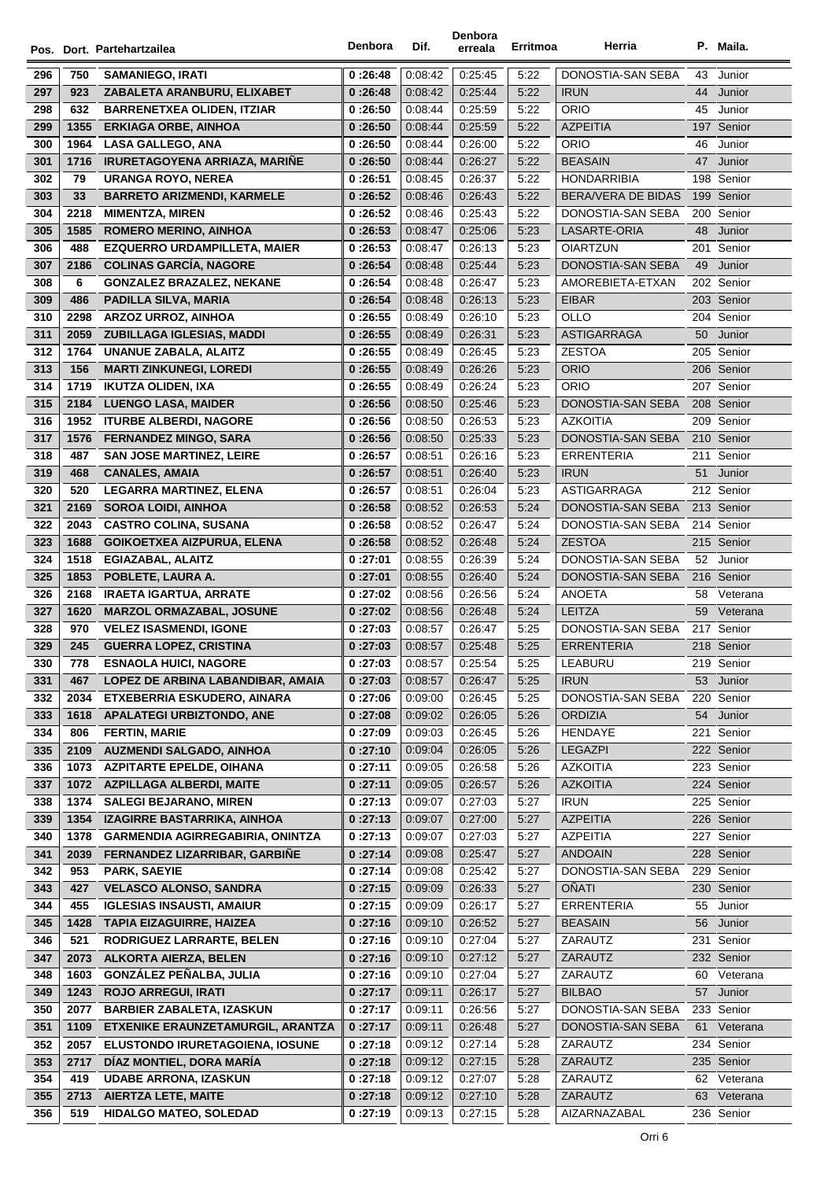|            |              | Pos. Dort. Partehartzailea                                        | <b>Denbora</b>     | Dif.               | Denbora<br>erreala | Erritmoa     | Herria                                          |     | P. Maila.                |
|------------|--------------|-------------------------------------------------------------------|--------------------|--------------------|--------------------|--------------|-------------------------------------------------|-----|--------------------------|
|            |              |                                                                   |                    |                    |                    |              |                                                 |     |                          |
| 296        | 750          | <b>SAMANIEGO, IRATI</b>                                           | 0:26:48            | 0.08.42            | 0:25:45            | 5:22         | DONOSTIA-SAN SEBA                               | 43  | Junior                   |
| 297        | 923          | ZABALETA ARANBURU, ELIXABET                                       | 0:26:48            | 0:08:42            | 0:25:44            | 5:22         | <b>IRUN</b>                                     | 44  | Junior                   |
| 298        | 632          | <b>BARRENETXEA OLIDEN, ITZIAR</b>                                 | 0:26:50            | 0.08:44            | 0:25:59            | 5:22         | <b>ORIO</b>                                     | 45  | Junior                   |
| 299        | 1355         | <b>ERKIAGA ORBE, AINHOA</b>                                       | 0:26:50            | 0.08.44            | 0:25:59            | 5:22         | <b>AZPEITIA</b>                                 |     | 197 Senior               |
| 300        | 1964         | <b>LASA GALLEGO, ANA</b>                                          | 0:26:50            | 0.08:44            | 0:26:00            | 5:22         | <b>ORIO</b>                                     | 46  | Junior                   |
| 301        | 1716         | <b>IRURETAGOYENA ARRIAZA, MARIÑE</b>                              | 0:26:50            | 0.08.44            | 0:26:27            | 5:22         | <b>BEASAIN</b>                                  | 47  | Junior                   |
| 302        | 79           | <b>URANGA ROYO, NEREA</b>                                         | 0:26:51            | 0:08:45            | 0:26:37            | 5:22         | <b>HONDARRIBIA</b><br><b>BERA/VERA DE BIDAS</b> |     | 198 Senior<br>199 Senior |
| 303        | 33           | <b>BARRETO ARIZMENDI, KARMELE</b>                                 | 0:26:52            | 0.08.46            | 0:26:43            | 5:22<br>5:22 |                                                 |     |                          |
| 304<br>305 | 2218<br>1585 | <b>MIMENTZA, MIREN</b><br><b>ROMERO MERINO, AINHOA</b>            | 0:26:52<br>0:26:53 | 0.08.46<br>0:08:47 | 0:25:43<br>0:25:06 | 5:23         | DONOSTIA-SAN SEBA<br>LASARTE-ORIA               | 48  | 200 Senior<br>Junior     |
| 306        | 488          | <b>EZQUERRO URDAMPILLETA, MAIER</b>                               | 0:26:53            | 0:08:47            | 0:26:13            | 5:23         | <b>OIARTZUN</b>                                 |     | 201 Senior               |
| 307        | 2186         | <b>COLINAS GARCIA, NAGORE</b>                                     | 0:26:54            | 0:08:48            | 0:25:44            | 5:23         | DONOSTIA-SAN SEBA                               | 49  | Junior                   |
| 308        | 6            | <b>GONZALEZ BRAZALEZ, NEKANE</b>                                  | 0:26:54            | 0.08.48            | 0:26:47            | 5:23         | AMOREBIETA-ETXAN                                |     | 202 Senior               |
| 309        | 486          | <b>PADILLA SILVA, MARIA</b>                                       | 0:26:54            | 0:08:48            | 0:26:13            | 5:23         | <b>EIBAR</b>                                    |     | 203 Senior               |
| 310        | 2298         | <b>ARZOZ URROZ, AINHOA</b>                                        | 0:26:55            | 0:08:49            | 0:26:10            | 5:23         | OLLO                                            |     | 204 Senior               |
| 311        | 2059         | ZUBILLAGA IGLESIAS, MADDI                                         | 0:26:55            | 0.08.49            | 0:26:31            | 5:23         | <b>ASTIGARRAGA</b>                              | 50  | Junior                   |
| 312        | 1764         | <b>UNANUE ZABALA, ALAITZ</b>                                      | 0:26:55            | 0.08.49            | 0:26:45            | 5:23         | <b>ZESTOA</b>                                   |     | 205 Senior               |
| 313        | 156          | <b>MARTI ZINKUNEGI, LOREDI</b>                                    | 0:26:55            | 0.08.49            | 0:26:26            | 5:23         | <b>ORIO</b>                                     |     | 206 Senior               |
| 314        | 1719         | <b>IKUTZA OLIDEN, IXA</b>                                         | 0:26:55            | 0:08:49            | 0:26:24            | 5:23         | <b>ORIO</b>                                     |     | 207 Senior               |
| 315        | 2184         | <b>LUENGO LASA, MAIDER</b>                                        | 0:26:56            | 0:08:50            | 0.25.46            | 5:23         | DONOSTIA-SAN SEBA                               |     | 208 Senior               |
| 316        | 1952         | <b>ITURBE ALBERDI, NAGORE</b>                                     | 0:26:56            | 0:08:50            | 0:26:53            | 5:23         | <b>AZKOITIA</b>                                 |     | 209 Senior               |
| 317        | 1576         | <b>FERNANDEZ MINGO, SARA</b>                                      | 0:26:56            | 0.08.50            | 0:25:33            | 5:23         | <b>DONOSTIA-SAN SEBA</b>                        |     | 210 Senior               |
| 318        | 487          | <b>SAN JOSE MARTINEZ, LEIRE</b>                                   | 0:26:57            | 0:08:51            | 0:26:16            | 5:23         | <b>ERRENTERIA</b>                               |     | 211 Senior               |
| 319        | 468          | <b>CANALES, AMAIA</b>                                             | 0:26:57            | 0:08:51            | 0:26:40            | 5:23         | <b>IRUN</b>                                     | 51  | Junior                   |
| 320        | 520          | <b>LEGARRA MARTINEZ, ELENA</b>                                    | 0:26:57            | 0:08:51            | 0:26:04            | 5:23         | <b>ASTIGARRAGA</b>                              |     | 212 Senior               |
| 321        | 2169         | <b>SOROA LOIDI, AINHOA</b>                                        | 0:26:58            | 0.08.52            | 0:26:53            | 5:24         | DONOSTIA-SAN SEBA                               |     | 213 Senior               |
| 322        | 2043         | <b>CASTRO COLINA, SUSANA</b>                                      | 0:26:58            | 0:08:52            | 0:26:47            | 5:24         | DONOSTIA-SAN SEBA                               |     | 214 Senior               |
| 323        | 1688         | GOIKOETXEA AIZPURUA, ELENA                                        | 0:26:58            | 0:08:52            | 0:26:48            | 5:24         | <b>ZESTOA</b>                                   |     | 215 Senior               |
| 324        | 1518         | EGIAZABAL, ALAITZ                                                 | 0:27:01            | 0:08:55            | 0:26:39            | 5:24         | DONOSTIA-SAN SEBA                               |     | 52 Junior                |
| 325        | 1853         | POBLETE, LAURA A.                                                 | 0:27:01            | 0.08.55            | 0:26:40            | 5:24         | DONOSTIA-SAN SEBA                               |     | 216 Senior               |
| 326        | 2168         | <b>IRAETA IGARTUA, ARRATE</b>                                     | 0:27:02            | 0:08:56            | 0:26:56            | 5:24         | ANOETA                                          | 58  | Veterana                 |
| 327        | 1620         | <b>MARZOL ORMAZABAL, JOSUNE</b>                                   | 0:27:02            | 0.08.56            | 0:26:48            | 5:24         | <b>LEITZA</b>                                   |     | 59 Veterana              |
| 328        | 970          | <b>VELEZ ISASMENDI, IGONE</b>                                     | 0:27:03            | 0:08:57            | 0:26:47            | 5:25         | DONOSTIA-SAN SEBA                               |     | 217 Senior               |
| 329        | 245          | <b>GUERRA LOPEZ, CRISTINA</b>                                     | 0:27:03            | 0.08.57            | 0:25:48            | 5:25         | <b>ERRENTERIA</b>                               |     | 218 Senior               |
| 330        | 778          | <b>ESNAOLA HUICI, NAGORE</b>                                      | 0:27:03            | 0:08:57            | 0:25:54            | 5:25         | LEABURU                                         |     | 219 Senior               |
| 331        | 467          | LOPEZ DE ARBINA LABANDIBAR, AMAIA                                 | 0:27:03            | 0:08:57            | 0:26:47            | 5:25         | <b>IRUN</b>                                     | 53  | Junior                   |
| 332        | 2034         | ETXEBERRIA ESKUDERO, AINARA                                       | 0:27:06            | 0.09:00            | 0:26:45            | 5:25         | DONOSTIA-SAN SEBA                               |     | 220 Senior               |
| 333        | 1618         | <b>APALATEGI URBIZTONDO, ANE</b>                                  | 0:27:08            | 0.09.02            | 0:26:05            | 5:26         | <b>ORDIZIA</b>                                  | 54  | Junior                   |
| 334        | 806          | <b>FERTIN, MARIE</b>                                              | 0:27:09            | 0.09.03            | 0:26:45            | 5:26         | HENDAYE                                         | 221 | Senior                   |
| 335        | 2109         | <b>AUZMENDI SALGADO, AINHOA</b>                                   | 0:27:10            | 0.09.04            | 0:26:05            | 5:26         | <b>LEGAZPI</b>                                  |     | 222 Senior               |
| 336        | 1073         | <b>AZPITARTE EPELDE, OIHANA</b>                                   | 0:27:11            | 0:09:05            | 0:26:58            | 5:26         | <b>AZKOITIA</b>                                 |     | 223 Senior               |
| 337        | 1072         | <b>AZPILLAGA ALBERDI, MAITE</b>                                   | 0:27:11            | 0:09:05            | 0:26:57            | 5:26         | <b>AZKOITIA</b>                                 |     | 224 Senior               |
| 338        | 1374         | <b>SALEGI BEJARANO, MIREN</b>                                     | 0:27:13            | 0.09.07            | 0:27:03            | 5:27         | <b>IRUN</b>                                     |     | 225 Senior               |
| 339        | 1354         | IZAGIRRE BASTARRIKA, AINHOA                                       | 0:27:13            | 0.09.07            | 0:27:00            | 5:27         | <b>AZPEITIA</b>                                 |     | 226 Senior               |
| 340        | 1378         | <b>GARMENDIA AGIRREGABIRIA, ONINTZA</b>                           | 0:27:13            | 0:09:07            | 0:27:03            | 5:27         | <b>AZPEITIA</b>                                 |     | 227 Senior               |
| 341<br>342 | 2039<br>953  | FERNANDEZ LIZARRIBAR, GARBIÑE                                     | 0:27:14            | 0.09.08            | 0:25:47            | 5:27         | <b>ANDOAIN</b>                                  |     | 228 Senior               |
| 343        |              | <b>PARK, SAEYIE</b>                                               | 0:27:14            | 0.09.08            | 0:25:42            | 5:27<br>5:27 | DONOSTIA-SAN SEBA<br><b>OÑATI</b>               |     | 229 Senior               |
| 344        | 427<br>455   | <b>VELASCO ALONSO, SANDRA</b><br><b>IGLESIAS INSAUSTI, AMAIUR</b> | 0:27:15<br>0:27:15 | 0:09:09<br>0.09.09 | 0:26:33<br>0:26:17 | 5:27         | <b>ERRENTERIA</b>                               | 55  | 230 Senior<br>Junior     |
| 345        | 1428         | <b>TAPIA EIZAGUIRRE, HAIZEA</b>                                   | 0:27:16            | 0.09.10            | 0:26:52            | 5:27         | <b>BEASAIN</b>                                  | 56  | Junior                   |
| 346        | 521          | RODRIGUEZ LARRARTE, BELEN                                         | 0:27:16            | 0.09.10            | 0:27:04            | 5:27         | ZARAUTZ                                         |     | 231 Senior               |
| 347        | 2073         | <b>ALKORTA AIERZA, BELEN</b>                                      | 0:27:16            | 0.09.10            | 0.27:12            | 5:27         | ZARAUTZ                                         |     | 232 Senior               |
| 348        | 1603         | GONZÁLEZ PEÑALBA, JULIA                                           | 0:27:16            | 0:09:10            | 0:27:04            | 5:27         | ZARAUTZ                                         | 60  | Veterana                 |
| 349        | 1243         | <b>ROJO ARREGUI, IRATI</b>                                        | 0:27:17            | 0:09:11            | 0:26:17            | 5:27         | <b>BILBAO</b>                                   | 57  | Junior                   |
| 350        | 2077         | <b>BARBIER ZABALETA, IZASKUN</b>                                  | 0:27:17            | 0.09.11            | 0:26:56            | 5:27         | DONOSTIA-SAN SEBA                               |     | 233 Senior               |
| 351        | 1109         | ETXENIKE ERAUNZETAMURGIL, ARANTZA                                 | 0:27:17            | 0.09.11            | 0:26:48            | 5:27         | DONOSTIA-SAN SEBA                               | 61  | Veterana                 |
| 352        | 2057         | ELUSTONDO IRURETAGOIENA, IOSUNE                                   | 0:27:18            | 0.09.12            | 0:27:14            | 5:28         | ZARAUTZ                                         |     | 234 Senior               |
| 353        | 2717         | DÍAZ MONTIEL, DORA MARÍA                                          | 0:27:18            | 0.09.12            | 0:27:15            | 5:28         | ZARAUTZ                                         |     | 235 Senior               |
| 354        | 419          | <b>UDABE ARRONA, IZASKUN</b>                                      | 0:27:18            | 0.09.12            | 0.27:07            | 5:28         | ZARAUTZ                                         | 62  | Veterana                 |
| 355        | 2713         | <b>AIERTZA LETE, MAITE</b>                                        | 0:27:18            | 0:09:12            | 0:27:10            | 5:28         | ZARAUTZ                                         | 63  | Veterana                 |
| 356        | 519          | <b>HIDALGO MATEO, SOLEDAD</b>                                     | 0:27:19            | 0:09:13            | 0:27:15            | 5:28         | AIZARNAZABAL                                    |     | 236 Senior               |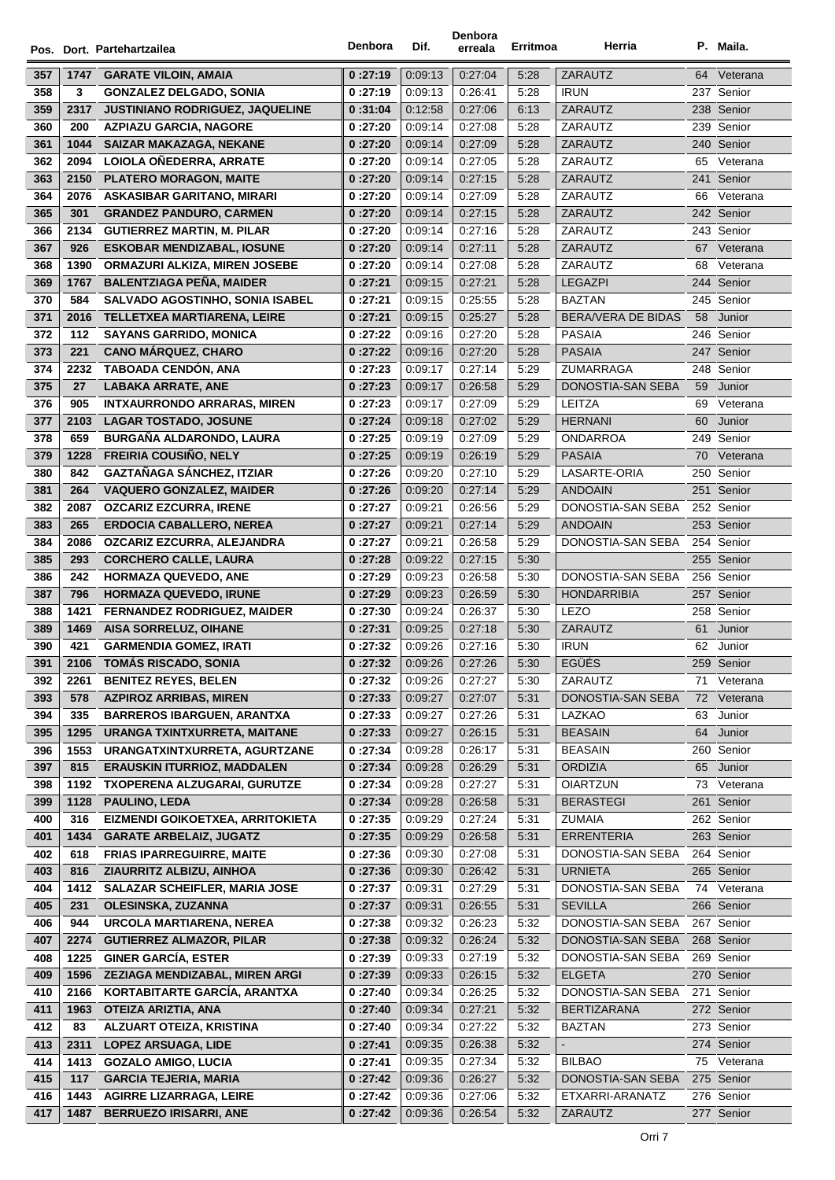|     |      | Pos. Dort. Partehartzailea             | Denbora  | Dif.    | <b>Denbora</b><br>erreala | Erritmoa | Herria                    |     | P. Maila.   |
|-----|------|----------------------------------------|----------|---------|---------------------------|----------|---------------------------|-----|-------------|
| 357 | 1747 | <b>GARATE VILOIN, AMAIA</b>            | 0:27:19  | 0:09:13 | 0:27:04                   | 5:28     | ZARAUTZ                   |     | 64 Veterana |
| 358 | 3    | <b>GONZALEZ DELGADO, SONIA</b>         | 0:27:19  | 0.09.13 | 0.26.41                   | 5:28     | <b>IRUN</b>               |     | 237 Senior  |
| 359 | 2317 | <b>JUSTINIANO RODRIGUEZ, JAQUELINE</b> | 0:31:04  | 0:12:58 | 0:27:06                   | 6:13     | ZARAUTZ                   |     | 238 Senior  |
| 360 | 200  | <b>AZPIAZU GARCIA, NAGORE</b>          | 0:27:20  | 0.09.14 | 0:27:08                   | 5:28     | ZARAUTZ                   |     | 239 Senior  |
| 361 | 1044 | <b>SAIZAR MAKAZAGA, NEKANE</b>         | 0:27:20  | 0.09.14 | 0:27:09                   | 5:28     | ZARAUTZ                   |     | 240 Senior  |
| 362 | 2094 | LOIOLA ONEDERRA, ARRATE                | 0:27:20  | 0:09:14 | 0:27:05                   | 5:28     | ZARAUTZ                   | 65  | Veterana    |
| 363 | 2150 | <b>PLATERO MORAGON, MAITE</b>          | 0:27:20  | 0:09:14 | 0:27:15                   | 5:28     | ZARAUTZ                   | 241 | Senior      |
| 364 | 2076 | ASKASIBAR GARITANO, MIRARI             | 0:27:20  | 0:09:14 | 0:27:09                   | 5:28     | ZARAUTZ                   | 66  | Veterana    |
| 365 | 301  | <b>GRANDEZ PANDURO, CARMEN</b>         | 0:27:20  | 0:09:14 | 0:27:15                   | 5:28     | ZARAUTZ                   |     | 242 Senior  |
| 366 | 2134 | <b>GUTIERREZ MARTIN, M. PILAR</b>      | 0:27:20  | 0:09:14 | 0:27:16                   | 5:28     | ZARAUTZ                   |     | 243 Senior  |
| 367 | 926  | <b>ESKOBAR MENDIZABAL, IOSUNE</b>      | 0:27:20  | 0:09:14 | 0.27.11                   | 5:28     | ZARAUTZ                   | 67  | Veterana    |
| 368 | 1390 | ORMAZURI ALKIZA, MIREN JOSEBE          | 0:27:20  | 0:09:14 | 0:27:08                   | 5:28     | ZARAUTZ                   | 68  | Veterana    |
| 369 | 1767 | <b>BALENTZIAGA PEÑA, MAIDER</b>        | 0:27:21  | 0:09:15 | 0.27.21                   | 5:28     | <b>LEGAZPI</b>            |     | 244 Senior  |
| 370 | 584  | SALVADO AGOSTINHO, SONIA ISABEL        | 0:27:21  | 0.09.15 | 0:25:55                   | 5:28     | <b>BAZTAN</b>             |     | 245 Senior  |
| 371 | 2016 | <b>TELLETXEA MARTIARENA, LEIRE</b>     | 0:27:21  | 0:09:15 | 0.25.27                   |          | <b>BERA/VERA DE BIDAS</b> | 58  |             |
| 372 |      | <b>SAYANS GARRIDO, MONICA</b>          |          |         |                           | 5:28     |                           |     | Junior      |
|     | 112  |                                        | 0:27:22  | 0:09:16 | 0:27:20                   | 5:28     | <b>PASAIA</b>             |     | 246 Senior  |
| 373 | 221  | <b>CANO MÁRQUEZ, CHARO</b>             | 0:27:22  | 0.09:16 | 0:27:20                   | 5:28     | <b>PASAIA</b>             |     | 247 Senior  |
| 374 | 2232 | <b>TABOADA CENDÓN, ANA</b>             | 0:27:23  | 0:09:17 | 0:27:14                   | 5:29     | ZUMARRAGA                 |     | 248 Senior  |
| 375 | 27   | <b>LABAKA ARRATE, ANE</b>              | 0:27:23  | 0:09:17 | 0:26:58                   | 5:29     | DONOSTIA-SAN SEBA         | 59  | Junior      |
| 376 | 905  | <b>INTXAURRONDO ARRARAS, MIREN</b>     | 0:27:23  | 0:09:17 | 0:27:09                   | 5:29     | LEITZA                    | 69  | Veterana    |
| 377 | 2103 | <b>LAGAR TOSTADO, JOSUNE</b>           | 0:27:24  | 0:09:18 | 0:27:02                   | 5:29     | <b>HERNANI</b>            | 60  | Junior      |
| 378 | 659  | BURGAÑA ALDARONDO, LAURA               | 0:27:25  | 0:09:19 | 0:27:09                   | 5:29     | <b>ONDARROA</b>           | 249 | Senior      |
| 379 | 1228 | <b>FREIRIA COUSIÑO, NELY</b>           | 0:27:25  | 0:09:19 | 0:26:19                   | 5:29     | <b>PASAIA</b>             | 70  | Veterana    |
| 380 | 842  | <b>GAZTAÑAGA SÁNCHEZ, ITZIAR</b>       | 0:27:26  | 0:09:20 | 0:27:10                   | 5:29     | LASARTE-ORIA              | 250 | Senior      |
| 381 | 264  | <b>VAQUERO GONZALEZ, MAIDER</b>        | 0:27:26  | 0:09:20 | 0:27:14                   | 5:29     | <b>ANDOAIN</b>            |     | 251 Senior  |
| 382 | 2087 | <b>OZCARIZ EZCURRA, IRENE</b>          | 0:27:27  | 0:09:21 | 0:26:56                   | 5:29     | DONOSTIA-SAN SEBA         |     | 252 Senior  |
| 383 | 265  | <b>ERDOCIA CABALLERO, NEREA</b>        | 0:27:27  | 0:09:21 | 0:27:14                   | 5:29     | <b>ANDOAIN</b>            |     | 253 Senior  |
| 384 | 2086 | OZCARIZ EZCURRA, ALEJANDRA             | 0:27:27  | 0:09:21 | 0:26:58                   | 5:29     | DONOSTIA-SAN SEBA         |     | 254 Senior  |
| 385 | 293  | <b>CORCHERO CALLE, LAURA</b>           | 0:27:28  | 0:09:22 | 0:27:15                   | 5:30     |                           |     | 255 Senior  |
| 386 | 242  | <b>HORMAZA QUEVEDO, ANE</b>            | 0:27:29  | 0:09:23 | 0:26:58                   | 5:30     | DONOSTIA-SAN SEBA         |     | 256 Senior  |
| 387 | 796  | <b>HORMAZA QUEVEDO, IRUNE</b>          | 0:27:29  | 0:09:23 | 0:26:59                   | 5:30     | <b>HONDARRIBIA</b>        |     | 257 Senior  |
| 388 | 1421 | <b>FERNANDEZ RODRIGUEZ, MAIDER</b>     | 0:27:30  | 0:09:24 | 0:26:37                   | 5:30     | LEZO                      |     | 258 Senior  |
| 389 | 1469 | <b>AISA SORRELUZ, OIHANE</b>           | 0:27:31  | 0:09:25 | 0:27:18                   | 5:30     | <b>ZARAUTZ</b>            | 61  | Junior      |
| 390 | 421  | <b>GARMENDIA GOMEZ, IRATI</b>          | 0:27:32  | 0:09:26 | 0:27:16                   | 5:30     | <b>IRUN</b>               |     | 62 Junior   |
| 391 | 2106 | <b>TOMÁS RISCADO, SONIA</b>            | 0:27:32  | 0:09:26 | 0:27:26                   | 5:30     | EGÜÉS                     |     | 259 Senior  |
| 392 | 2261 | <b>BENITEZ REYES, BELEN</b>            | 0:27:32  | 0:09:26 | 0:27:27                   | 5:30     | ZARAUTZ                   | 71  | Veterana    |
| 393 | 578  | <b>AZPIROZ ARRIBAS, MIREN</b>          | 0:27:33  | 0:09:27 | 0:27:07                   | 5:31     | DONOSTIA-SAN SEBA         | 72  | Veterana    |
| 394 | 335  | <b>BARREROS IBARGUEN, ARANTXA</b>      | 0:27:33  | 0:09:27 | 0:27:26                   | 5:31     | LAZKAO                    | 63  | Junior      |
| 395 | 1295 | URANGA TXINTXURRETA, MAITANE           | 0:27:33  | 0:09:27 | 0:26:15                   | 5:31     | <b>BEASAIN</b>            | 64  | Junior      |
| 396 | 1553 | URANGATXINTXURRETA, AGURTZANE          | 0:27:34  | 0:09:28 | 0:26:17                   | 5:31     | <b>BEASAIN</b>            | 260 | Senior      |
| 397 | 815  | <b>ERAUSKIN ITURRIOZ, MADDALEN</b>     | 0:27:34  | 0:09:28 | 0:26:29                   | 5:31     | <b>ORDIZIA</b>            | 65  | Junior      |
| 398 | 1192 | <b>TXOPERENA ALZUGARAI, GURUTZE</b>    | 0:27:34  | 0:09:28 | 0:27:27                   | 5:31     | <b>OIARTZUN</b>           | 73  | Veterana    |
| 399 | 1128 | <b>PAULINO, LEDA</b>                   | 0:27:34  | 0:09:28 | 0:26:58                   | 5:31     | <b>BERASTEGI</b>          |     | 261 Senior  |
| 400 | 316  | EIZMENDI GOIKOETXEA, ARRITOKIETA       | 0:27:35  | 0:09:29 | 0:27:24                   | 5:31     | ZUMAIA                    |     | 262 Senior  |
| 401 | 1434 | <b>GARATE ARBELAIZ, JUGATZ</b>         | 0:27:35  | 0:09:29 | 0:26:58                   | 5:31     | <b>ERRENTERIA</b>         |     | 263 Senior  |
| 402 | 618  | <b>FRIAS IPARREGUIRRE, MAITE</b>       | 0:27:36  | 0:09:30 | 0:27:08                   | 5:31     | DONOSTIA-SAN SEBA         |     | 264 Senior  |
| 403 | 816  | ZIAURRITZ ALBIZU, AINHOA               | 0:27:36  | 0:09:30 | 0:26:42                   | 5:31     | <b>URNIETA</b>            |     | 265 Senior  |
| 404 | 1412 | <b>SALAZAR SCHEIFLER, MARIA JOSE</b>   | 0:27:37  | 0:09:31 | 0.27.29                   | 5:31     | DONOSTIA-SAN SEBA         |     | 74 Veterana |
| 405 | 231  | <b>OLESINSKA, ZUZANNA</b>              | 0:27:37  | 0:09:31 | 0:26:55                   | 5:31     | <b>SEVILLA</b>            |     | 266 Senior  |
| 406 | 944  | <b>URCOLA MARTIARENA, NEREA</b>        | 0:27:38  | 0:09:32 | 0:26:23                   | 5:32     | DONOSTIA-SAN SEBA         |     | 267 Senior  |
| 407 | 2274 | <b>GUTIERREZ ALMAZOR, PILAR</b>        | 0:27:38  | 0:09:32 | 0:26:24                   | 5:32     | DONOSTIA-SAN SEBA         |     | 268 Senior  |
| 408 | 1225 | <b>GINER GARCÍA, ESTER</b>             | 0:27:39  | 0:09:33 | 0:27:19                   | 5:32     | DONOSTIA-SAN SEBA         |     | 269 Senior  |
| 409 | 1596 | <b>ZEZIAGA MENDIZABAL, MIREN ARGI</b>  | 0:27:39  | 0:09:33 | 0:26:15                   | 5:32     | <b>ELGETA</b>             |     | 270 Senior  |
| 410 | 2166 | KORTABITARTE GARCÍA, ARANTXA           | 0:27:40  | 0:09:34 | 0:26:25                   | 5:32     | DONOSTIA-SAN SEBA         |     | 271 Senior  |
| 411 | 1963 | OTEIZA ARIZTIA, ANA                    | 0:27:40  | 0:09:34 | 0:27:21                   | 5:32     | <b>BERTIZARANA</b>        |     | 272 Senior  |
| 412 | 83   | <b>ALZUART OTEIZA, KRISTINA</b>        | 0:27:40  | 0:09:34 | 0:27:22                   | 5:32     | <b>BAZTAN</b>             |     | 273 Senior  |
| 413 | 2311 | <b>LOPEZ ARSUAGA, LIDE</b>             | 0:27:41  | 0:09:35 | 0:26:38                   | 5:32     | $\blacksquare$            |     | 274 Senior  |
| 414 | 1413 | <b>GOZALO AMIGO, LUCIA</b>             | 0 :27:41 | 0:09:35 | 0:27:34                   | 5:32     | <b>BILBAO</b>             | 75  | Veterana    |
| 415 | 117  | <b>GARCIA TEJERIA, MARIA</b>           | 0:27:42  | 0:09:36 | 0:26:27                   | 5:32     | DONOSTIA-SAN SEBA         |     | 275 Senior  |
| 416 | 1443 | <b>AGIRRE LIZARRAGA, LEIRE</b>         | 0:27:42  | 0:09:36 | 0:27:06                   | 5:32     | ETXARRI-ARANATZ           |     | 276 Senior  |
| 417 | 1487 | <b>BERRUEZO IRISARRI, ANE</b>          | 0:27:42  | 0:09:36 | 0:26:54                   | 5:32     | ZARAUTZ                   |     | 277 Senior  |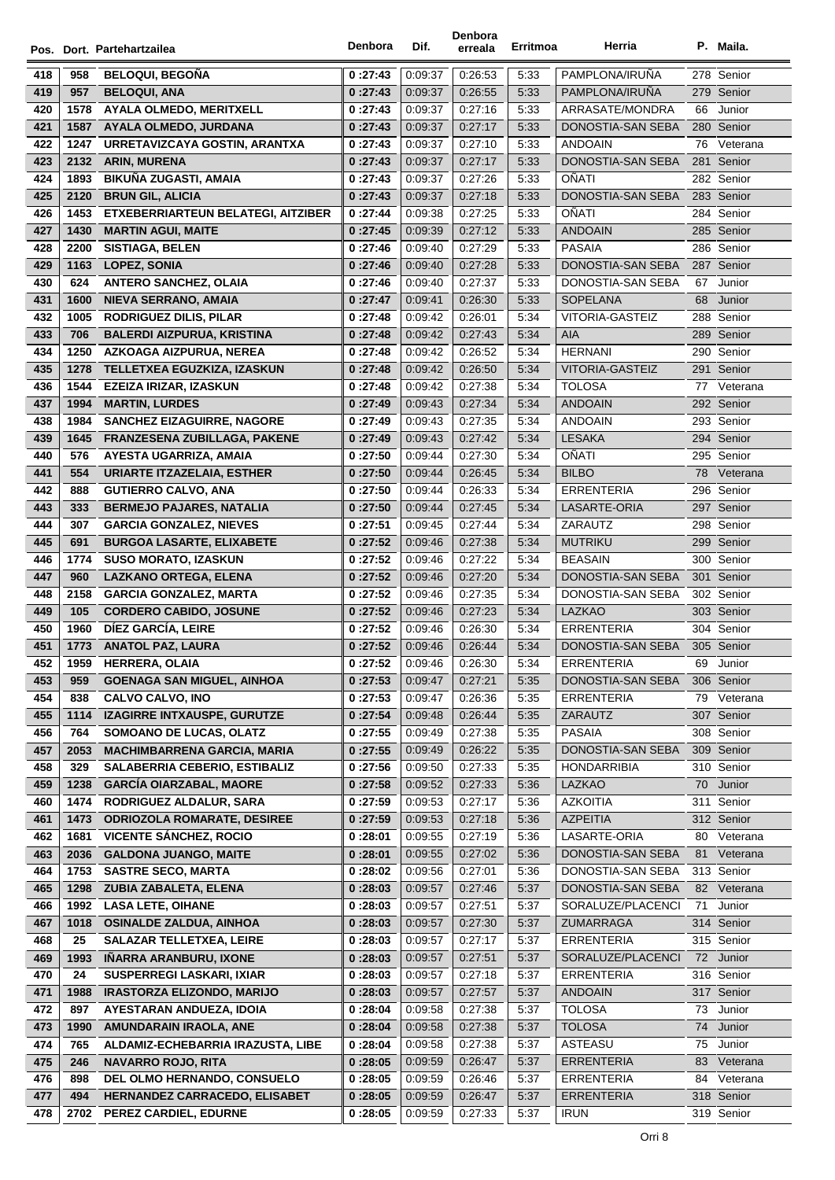|     |      | Pos. Dort. Partehartzailea                | Denbora  | Dif.    | Denbora<br>erreala | Erritmoa | Herria                 |     | P. Maila.   |
|-----|------|-------------------------------------------|----------|---------|--------------------|----------|------------------------|-----|-------------|
| 418 | 958  | <b>BELOQUI, BEGONA</b>                    | 0:27:43  | 0:09:37 | 0:26:53            | 5:33     | PAMPLONA/IRUÑA         |     | 278 Senior  |
| 419 | 957  | <b>BELOQUI, ANA</b>                       | 0:27:43  | 0:09:37 | 0:26:55            | 5:33     | PAMPLONA/IRUNA         |     | 279 Senior  |
| 420 | 1578 | <b>AYALA OLMEDO, MERITXELL</b>            | 0:27:43  | 0:09:37 | 0:27:16            | 5:33     | ARRASATE/MONDRA        | 66  | Junior      |
| 421 | 1587 | AYALA OLMEDO, JURDANA                     | 0:27:43  | 0:09:37 | 0:27:17            | 5:33     | DONOSTIA-SAN SEBA      |     | 280 Senior  |
| 422 | 1247 | URRETAVIZCAYA GOSTIN, ARANTXA             | 0:27:43  | 0:09:37 | 0:27:10            | 5:33     | <b>ANDOAIN</b>         |     | 76 Veterana |
| 423 | 2132 | <b>ARIN, MURENA</b>                       | 0:27:43  | 0:09:37 | 0:27:17            | 5:33     | DONOSTIA-SAN SEBA      |     | 281 Senior  |
| 424 | 1893 | BIKUÑA ZUGASTI, AMAIA                     | 0:27:43  | 0:09:37 | 0:27:26            | 5:33     | <b>OÑATI</b>           |     | 282 Senior  |
| 425 | 2120 | <b>BRUN GIL, ALICIA</b>                   | 0:27:43  | 0:09:37 | 0:27:18            | 5:33     | DONOSTIA-SAN SEBA      |     | 283 Senior  |
| 426 | 1453 | <b>ETXEBERRIARTEUN BELATEGI, AITZIBER</b> | 0:27:44  | 0:09:38 | 0:27:25            | 5:33     | OÑATI                  |     | 284 Senior  |
| 427 | 1430 | <b>MARTIN AGUI, MAITE</b>                 | 0:27:45  | 0:09:39 | 0:27:12            | 5:33     | <b>ANDOAIN</b>         |     | 285 Senior  |
| 428 | 2200 | <b>SISTIAGA, BELEN</b>                    | 0:27:46  | 0.09:40 | 0:27:29            | 5:33     | <b>PASAIA</b>          |     | 286 Senior  |
| 429 | 1163 | <b>LOPEZ, SONIA</b>                       | 0:27:46  | 0:09:40 | 0:27:28            | 5:33     | DONOSTIA-SAN SEBA      |     | 287 Senior  |
| 430 | 624  | <b>ANTERO SANCHEZ, OLAIA</b>              | 0:27:46  | 0:09:40 | 0:27:37            | 5:33     | DONOSTIA-SAN SEBA      | 67  | Junior      |
| 431 | 1600 | <b>NIEVA SERRANO, AMAIA</b>               | 0:27:47  | 0:09:41 | 0:26:30            | 5:33     | SOPELANA               | 68  | Junior      |
| 432 | 1005 | <b>RODRIGUEZ DILIS, PILAR</b>             | 0:27:48  | 0:09:42 | 0.26:01            | 5:34     | VITORIA-GASTEIZ        |     | 288 Senior  |
| 433 | 706  | <b>BALERDI AIZPURUA, KRISTINA</b>         | 0:27:48  | 0.09.42 | 0:27:43            | 5:34     | AIA                    |     | 289 Senior  |
| 434 | 1250 | AZKOAGA AIZPURUA, NEREA                   | 0:27:48  | 0:09:42 | 0:26:52            | 5:34     | <b>HERNANI</b>         |     | 290 Senior  |
| 435 | 1278 | TELLETXEA EGUZKIZA, IZASKUN               | 0:27:48  | 0.09.42 | 0:26:50            | 5:34     | <b>VITORIA-GASTEIZ</b> |     | 291 Senior  |
| 436 | 1544 | EZEIZA IRIZAR, IZASKUN                    | 0:27:48  | 0:09:42 | 0:27:38            | 5:34     | <b>TOLOSA</b>          | 77  | Veterana    |
| 437 | 1994 | <b>MARTIN, LURDES</b>                     | 0:27:49  | 0:09:43 | 0.27.34            | 5:34     | <b>ANDOAIN</b>         |     | 292 Senior  |
| 438 | 1984 | <b>SANCHEZ EIZAGUIRRE, NAGORE</b>         | 0:27:49  | 0:09:43 | 0:27:35            | 5:34     | <b>ANDOAIN</b>         |     | 293 Senior  |
| 439 | 1645 | FRANZESENA ZUBILLAGA, PAKENE              | 0:27:49  | 0.09.43 | 0:27:42            | 5:34     | <b>LESAKA</b>          |     | 294 Senior  |
| 440 | 576  | AYESTA UGARRIZA, AMAIA                    | 0:27:50  | 0.09.44 | 0:27:30            | 5:34     | OÑATI                  |     | 295 Senior  |
| 441 | 554  | <b>URIARTE ITZAZELAIA, ESTHER</b>         | 0:27:50  | 0.09.44 | 0:26:45            | 5:34     | <b>BILBO</b>           |     | 78 Veterana |
| 442 | 888  | <b>GUTIERRO CALVO, ANA</b>                | 0:27:50  | 0.09.44 | 0:26:33            | 5:34     | <b>ERRENTERIA</b>      | 296 | Senior      |
| 443 | 333  | <b>BERMEJO PAJARES, NATALIA</b>           | 0:27:50  | 0.09.44 | 0:27:45            | 5:34     | LASARTE-ORIA           |     | 297 Senior  |
| 444 | 307  | <b>GARCIA GONZALEZ, NIEVES</b>            | 0:27:51  | 0:09:45 | 0.27:44            | 5:34     | ZARAUTZ                |     | 298 Senior  |
| 445 | 691  | <b>BURGOA LASARTE, ELIXABETE</b>          | 0:27:52  | 0.09:46 | 0.27.38            | 5:34     | <b>MUTRIKU</b>         |     | 299 Senior  |
| 446 | 1774 | <b>SUSO MORATO, IZASKUN</b>               | 0:27:52  | 0:09:46 | 0:27:22            | 5:34     | <b>BEASAIN</b>         |     | 300 Senior  |
| 447 | 960  | LAZKANO ORTEGA, ELENA                     | 0:27:52  | 0.09.46 | 0:27:20            | 5:34     | DONOSTIA-SAN SEBA      |     | 301 Senior  |
| 448 | 2158 | <b>GARCIA GONZALEZ, MARTA</b>             | 0:27:52  | 0.09:46 | 0:27:35            | 5:34     | DONOSTIA-SAN SEBA      |     | 302 Senior  |
| 449 | 105  | <b>CORDERO CABIDO, JOSUNE</b>             | 0:27:52  | 0.09.46 | 0:27:23            | 5:34     | LAZKAO                 |     | 303 Senior  |
| 450 | 1960 | DÍEZ GARCÍA, LEIRE                        | 0:27:52  | 0:09:46 | 0:26:30            | 5:34     | <b>ERRENTERIA</b>      |     | 304 Senior  |
| 451 | 1773 | <b>ANATOL PAZ, LAURA</b>                  | 0:27:52  | 0.09:46 | 0:26:44            | 5:34     | DONOSTIA-SAN SEBA      |     | 305 Senior  |
| 452 | 1959 | HERRERA, OLAIA                            | 0 :27:52 | 0:09:46 | 0.26.30            | 5:34     | ERRENTERIA             | 69  | Junior      |
| 453 | 959  | <b>GOENAGA SAN MIGUEL, AINHOA</b>         | 0:27:53  | 0.09:47 | 0:27:21            | 5:35     | DONOSTIA-SAN SEBA      |     | 306 Senior  |
| 454 | 838  | <b>CALVO CALVO, INO</b>                   | 0:27:53  | 0:09:47 | 0:26:36            | 5:35     | <b>ERRENTERIA</b>      |     | 79 Veterana |
| 455 | 1114 | <b>IZAGIRRE INTXAUSPE, GURUTZE</b>        | 0:27:54  | 0:09:48 | 0:26:44            | 5:35     | ZARAUTZ                |     | 307 Senior  |
| 456 | 764  | SOMOANO DE LUCAS, OLATZ                   | 0:27:55  | 0:09:49 | 0:27:38            | 5:35     | PASAIA                 |     | 308 Senior  |
| 457 | 2053 | <b>MACHIMBARRENA GARCIA, MARIA</b>        | 0:27:55  | 0:09:49 | 0:26:22            | 5:35     | DONOSTIA-SAN SEBA      |     | 309 Senior  |
| 458 | 329  | <b>SALABERRIA CEBERIO, ESTIBALIZ</b>      | 0:27:56  | 0:09:50 | 0:27:33            | 5:35     | <b>HONDARRIBIA</b>     |     | 310 Senior  |
| 459 | 1238 | <b>GARCÍA OIARZABAL, MAORE</b>            | 0:27:58  | 0.09.52 | 0:27:33            | 5:36     | <b>LAZKAO</b>          | 70  | Junior      |
| 460 | 1474 | RODRIGUEZ ALDALUR, SARA                   | 0:27:59  | 0:09:53 | 0:27:17            | 5:36     | <b>AZKOITIA</b>        | 311 | Senior      |
| 461 | 1473 | <b>ODRIOZOLA ROMARATE, DESIREE</b>        | 0:27:59  | 0:09:53 | 0:27:18            | 5:36     | <b>AZPEITIA</b>        |     | 312 Senior  |
| 462 | 1681 | <b>VICENTE SÁNCHEZ, ROCIO</b>             | 0 :28:01 | 0:09:55 | 0:27:19            | 5:36     | LASARTE-ORIA           | 80  | Veterana    |
| 463 | 2036 | <b>GALDONA JUANGO, MAITE</b>              | 0:28:01  | 0:09:55 | 0:27:02            | 5:36     | DONOSTIA-SAN SEBA      | 81  | Veterana    |
| 464 | 1753 | <b>SASTRE SECO, MARTA</b>                 | 0:28:02  | 0:09:56 | 0:27:01            | 5:36     | DONOSTIA-SAN SEBA      |     | 313 Senior  |
| 465 | 1298 | <b>ZUBIA ZABALETA, ELENA</b>              | 0:28:03  | 0:09:57 | 0:27:46            | 5:37     | DONOSTIA-SAN SEBA      |     | 82 Veterana |
| 466 | 1992 | <b>LASA LETE, OIHANE</b>                  | 0:28:03  | 0:09:57 | 0:27:51            | 5:37     | SORALUZE/PLACENCI      | 71  | Junior      |
| 467 | 1018 | <b>OSINALDE ZALDUA, AINHOA</b>            | 0:28:03  | 0:09:57 | 0:27:30            | 5:37     | ZUMARRAGA              |     | 314 Senior  |
| 468 | 25   | <b>SALAZAR TELLETXEA, LEIRE</b>           | 0 :28:03 | 0:09:57 | 0:27:17            | 5:37     | <b>ERRENTERIA</b>      |     | 315 Senior  |
| 469 | 1993 | IÑARRA ARANBURU, IXONE                    | 0:28:03  | 0:09:57 | 0:27:51            | 5:37     | SORALUZE/PLACENCI      |     | 72 Junior   |
| 470 | 24   | <b>SUSPERREGI LASKARI, IXIAR</b>          | 0:28:03  | 0:09:57 | 0:27:18            | 5:37     | ERRENTERIA             |     | 316 Senior  |
| 471 | 1988 | <b>IRASTORZA ELIZONDO, MARIJO</b>         | 0:28:03  | 0:09:57 | 0:27:57            | 5:37     | <b>ANDOAIN</b>         |     | 317 Senior  |
| 472 | 897  | AYESTARAN ANDUEZA, IDOIA                  | 0:28:04  | 0:09:58 | 0:27:38            | 5:37     | <b>TOLOSA</b>          | 73  | Junior      |
| 473 | 1990 | AMUNDARAIN IRAOLA, ANE                    | 0:28:04  | 0:09:58 | 0:27:38            | 5:37     | <b>TOLOSA</b>          | 74  | Junior      |
| 474 | 765  | ALDAMIZ-ECHEBARRIA IRAZUSTA, LIBE         | 0:28:04  | 0:09:58 | 0:27:38            | 5:37     | ASTEASU                | 75  | Junior      |
| 475 | 246  | <b>NAVARRO ROJO, RITA</b>                 | 0:28:05  | 0:09:59 | 0:26:47            | 5:37     | <b>ERRENTERIA</b>      | 83  | Veterana    |
| 476 | 898  | DEL OLMO HERNANDO, CONSUELO               | 0:28:05  | 0:09:59 | 0:26:46            | 5:37     | <b>ERRENTERIA</b>      | 84  | Veterana    |
| 477 | 494  | HERNANDEZ CARRACEDO, ELISABET             | 0:28:05  | 0:09:59 | 0:26:47            | 5:37     | <b>ERRENTERIA</b>      |     | 318 Senior  |
| 478 | 2702 | PEREZ CARDIEL, EDURNE                     | 0:28:05  | 0:09:59 | 0:27:33            | 5:37     | <b>IRUN</b>            |     | 319 Senior  |
|     |      |                                           |          |         |                    |          |                        |     |             |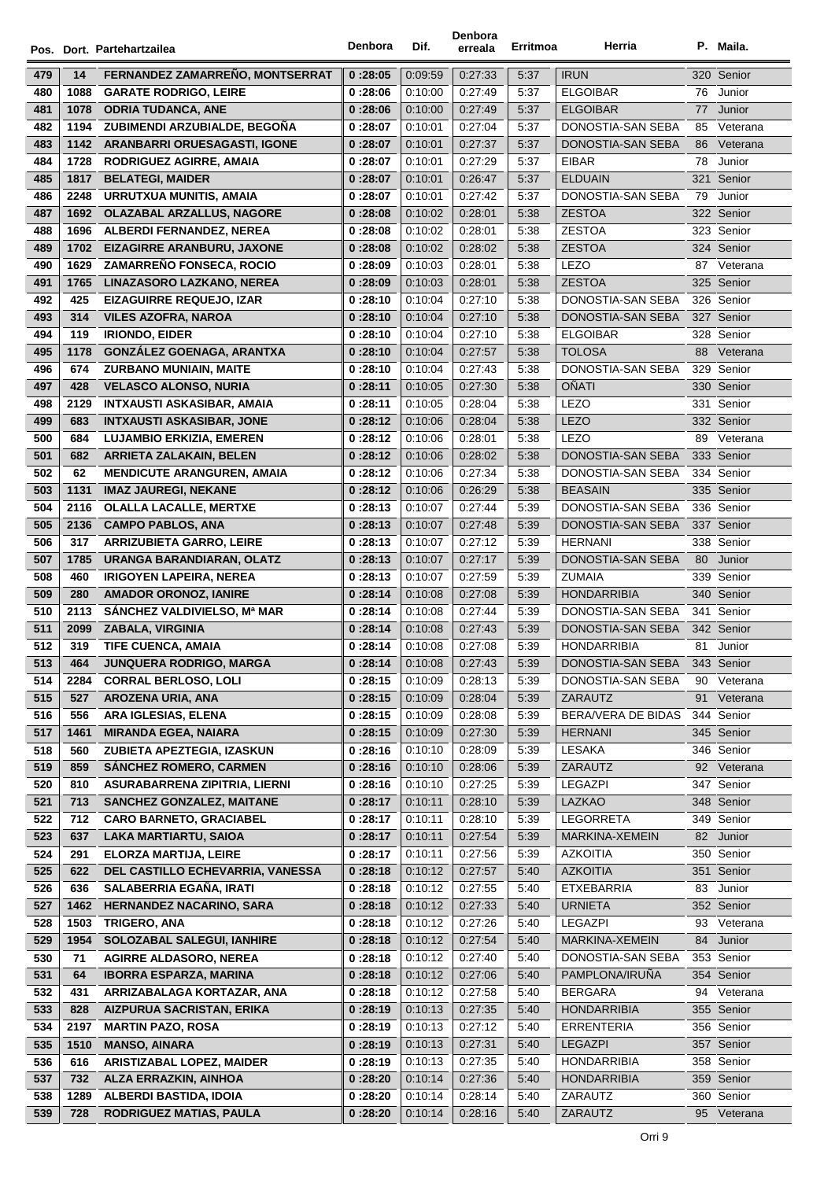|            |      | Pos. Dort. Partehartzailea          | Denbora | Dif.               | Denbora<br>erreala | Erritmoa     | Herria                            |     | P. Maila.                |
|------------|------|-------------------------------------|---------|--------------------|--------------------|--------------|-----------------------------------|-----|--------------------------|
| 479        | 14   | FERNANDEZ ZAMARREÑO, MONTSERRAT     | 0:28:05 | 0:09:59            | 0:27:33            | 5:37         | <b>IRUN</b>                       |     | 320 Senior               |
| 480        | 1088 | <b>GARATE RODRIGO, LEIRE</b>        | 0:28:06 | 0:10:00            | 0:27:49            | 5:37         | <b>ELGOIBAR</b>                   | 76  | Junior                   |
| 481        | 1078 | <b>ODRIA TUDANCA, ANE</b>           | 0:28:06 | 0:10:00            | 0:27:49            | 5:37         | <b>ELGOIBAR</b>                   | 77  | Junior                   |
| 482        | 1194 | ZUBIMENDI ARZUBIALDE, BEGOÑA        | 0:28:07 | 0:10:01            | 0:27:04            | 5:37         | DONOSTIA-SAN SEBA                 | 85  | Veterana                 |
| 483        | 1142 | <b>ARANBARRI ORUESAGASTI, IGONE</b> | 0:28:07 | 0:10:01            | 0:27:37            | 5:37         | DONOSTIA-SAN SEBA                 | 86  | Veterana                 |
| 484        | 1728 | <b>RODRIGUEZ AGIRRE, AMAIA</b>      | 0:28:07 | 0:10:01            | 0:27:29            | 5:37         | <b>EIBAR</b>                      | 78  | Junior                   |
| 485        | 1817 | <b>BELATEGI, MAIDER</b>             | 0:28:07 | 0:10:01            | 0:26:47            | 5:37         | <b>ELDUAIN</b>                    |     | 321 Senior               |
| 486        | 2248 | URRUTXUA MUNITIS, AMAIA             | 0:28:07 | 0:10:01            | 0.27.42            | 5:37         | DONOSTIA-SAN SEBA                 | 79  | Junior                   |
| 487        | 1692 | <b>OLAZABAL ARZALLUS, NAGORE</b>    | 0:28:08 | 0:10:02            | 0:28:01            | 5:38         | <b>ZESTOA</b>                     |     | 322 Senior               |
| 488        | 1696 | ALBERDI FERNANDEZ, NEREA            | 0:28:08 | 0.10.02            | 0:28:01            | 5:38         | <b>ZESTOA</b>                     |     | 323 Senior               |
| 489        | 1702 | EIZAGIRRE ARANBURU, JAXONE          | 0:28:08 | 0.10:02            | 0:28:02            | 5:38         | <b>ZESTOA</b>                     |     | 324 Senior               |
| 490        | 1629 | <b>ZAMARREÑO FONSECA, ROCIO</b>     | 0:28:09 | 0:10:03            | 0:28:01            | 5:38         | LEZO                              |     | 87 Veterana              |
| 491        | 1765 | LINAZASORO LAZKANO, NEREA           | 0:28:09 | 0:10:03            | 0:28:01            | 5:38         | <b>ZESTOA</b>                     |     | 325 Senior               |
| 492        | 425  | <b>EIZAGUIRRE REQUEJO, IZAR</b>     | 0:28:10 | 0:10:04            | 0:27:10            | 5:38         | DONOSTIA-SAN SEBA                 |     | 326 Senior               |
| 493        | 314  | <b>VILES AZOFRA, NAROA</b>          | 0:28:10 | 0.10.04            | 0:27:10            | 5:38         | DONOSTIA-SAN SEBA                 |     | 327 Senior               |
| 494        | 119  | <b>IRIONDO, EIDER</b>               | 0:28:10 | 0:10:04            | 0:27:10            | 5:38         | <b>ELGOIBAR</b>                   |     | 328 Senior               |
|            |      | <b>GONZÁLEZ GOENAGA, ARANTXA</b>    |         | 0.10.04            | 0:27:57            | 5:38         | <b>TOLOSA</b>                     |     | 88 Veterana              |
| 495        | 1178 |                                     | 0:28:10 |                    |                    |              |                                   |     |                          |
| 496<br>497 | 674  | <b>ZURBANO MUNIAIN, MAITE</b>       | 0:28:10 | 0.10.04<br>0:10:05 | 0:27:43<br>0:27:30 | 5:38<br>5:38 | DONOSTIA-SAN SEBA<br><b>OÑATI</b> |     | 329 Senior<br>330 Senior |
|            | 428  | <b>VELASCO ALONSO, NURIA</b>        | 0:28:11 |                    |                    |              | LEZO                              |     | Senior                   |
| 498        | 2129 | <b>INTXAUSTI ASKASIBAR, AMAIA</b>   | 0:28:11 | 0:10:05            | 0:28:04            | 5:38         |                                   | 331 |                          |
| 499        | 683  | <b>INTXAUSTI ASKASIBAR, JONE</b>    | 0:28:12 | 0:10:06            | 0:28:04            | 5:38         | <b>LEZO</b>                       |     | 332 Senior               |
| 500        | 684  | <b>LUJAMBIO ERKIZIA, EMEREN</b>     | 0:28:12 | 0.10.06            | 0:28:01            | 5:38         | <b>LEZO</b>                       | 89  | Veterana                 |
| 501        | 682  | <b>ARRIETA ZALAKAIN, BELEN</b>      | 0:28:12 | 0:10:06            | 0:28:02            | 5:38         | DONOSTIA-SAN SEBA                 |     | 333 Senior               |
| 502        | 62   | <b>MENDICUTE ARANGUREN, AMAIA</b>   | 0:28:12 | 0:10:06            | 0:27:34            | 5:38         | DONOSTIA-SAN SEBA                 |     | 334 Senior               |
| 503        | 1131 | <b>IMAZ JAUREGI, NEKANE</b>         | 0:28:12 | 0.10:06            | 0:26:29            | 5:38         | <b>BEASAIN</b>                    |     | 335 Senior               |
| 504        | 2116 | <b>OLALLA LACALLE, MERTXE</b>       | 0:28:13 | 0:10:07            | 0.27.44            | 5:39         | DONOSTIA-SAN SEBA                 |     | 336 Senior               |
| 505        | 2136 | <b>CAMPO PABLOS, ANA</b>            | 0:28:13 | 0.10:07            | 0.27.48            | 5:39         | DONOSTIA-SAN SEBA                 |     | 337 Senior               |
| 506        | 317  | <b>ARRIZUBIETA GARRO, LEIRE</b>     | 0:28:13 | 0:10:07            | 0.27:12            | 5:39         | <b>HERNANI</b>                    |     | 338 Senior               |
| 507        | 1785 | URANGA BARANDIARAN, OLATZ           | 0:28:13 | 0.10:07            | 0:27:17            | 5:39         | DONOSTIA-SAN SEBA                 | 80  | Junior                   |
| 508        | 460  | <b>IRIGOYEN LAPEIRA, NEREA</b>      | 0:28:13 | 0:10:07            | 0:27:59            | 5:39         | ZUMAIA                            |     | 339 Senior               |
| 509        | 280  | <b>AMADOR ORONOZ, IANIRE</b>        | 0:28:14 | 0:10:08            | 0:27:08            | 5:39         | <b>HONDARRIBIA</b>                |     | 340 Senior               |
| 510        | 2113 | SÁNCHEZ VALDIVIELSO, Mª MAR         | 0:28:14 | 0:10:08            | 0.27.44            | 5:39         | DONOSTIA-SAN SEBA                 |     | 341 Senior               |
| 511        | 2099 | <b>ZABALA, VIRGINIA</b>             | 0:28:14 | 0.10:08            | 0.27.43            | 5:39         | DONOSTIA-SAN SEBA                 |     | 342 Senior               |
| 512        | 319  | <b>TIFE CUENCA, AMAIA</b>           | 0:28:14 | 0:10:08            | 0.27:08            | 5.39         | <b>HONDARRIBIA</b>                |     | 81 Junior                |
| 513        | 464  | JUNQUERA RODRIGO, MARGA             | 0:28:14 | 0:10:08            | 0:27:43            | 5:39         | DONOSTIA-SAN SEBA                 |     | 343 Senior               |
| 514        | 2284 | <b>CORRAL BERLOSO, LOLI</b>         | 0:28:15 | 0.10.09            | 0:28:13            | 5:39         | DONOSTIA-SAN SEBA                 | 90  | Veterana                 |
| 515        | 527  | AROZENA URIA, ANA                   | 0:28:15 | 0:10:09            | 0:28:04            | 5:39         | ZARAUTZ                           | 91  | Veterana                 |
| 516        | 556  | ARA IGLESIAS, ELENA                 | 0:28:15 | 0:10:09            | 0:28:08            | 5:39         | BERA/VERA DE BIDAS                |     | 344 Senior               |
| 517        | 1461 | <b>MIRANDA EGEA, NAIARA</b>         | 0:28:15 | 0:10:09            | 0.27.30            | 5:39         | <b>HERNANI</b>                    |     | 345 Senior               |
| 518        | 560  | ZUBIETA APEZTEGIA, IZASKUN          | 0:28:16 | 0.10.10            | 0:28:09            | 5:39         | LESAKA                            |     | 346 Senior               |
| 519        | 859  | <b>SÁNCHEZ ROMERO, CARMEN</b>       | 0:28:16 | 0:10:10            | 0:28:06            | 5:39         | ZARAUTZ                           |     | 92 Veterana              |
| 520        | 810  | ASURABARRENA ZIPITRIA, LIERNI       | 0:28:16 | 0:10:10            | 0:27:25            | 5:39         | LEGAZPI                           |     | 347 Senior               |
| 521        | 713  | <b>SANCHEZ GONZALEZ, MAITANE</b>    | 0:28:17 | 0:10:11            | 0:28:10            | 5:39         | LAZKAO                            |     | 348 Senior               |
| 522        | 712  | <b>CARO BARNETO, GRACIABEL</b>      | 0:28:17 | 0:10:11            | 0:28:10            | 5:39         | LEGORRETA                         |     | 349 Senior               |
| 523        | 637  | <b>LAKA MARTIARTU, SAIOA</b>        | 0:28:17 | 0:10:11            | 0:27:54            | 5:39         | MARKINA-XEMEIN                    |     | 82 Junior                |
| 524        | 291  | <b>ELORZA MARTIJA, LEIRE</b>        | 0:28:17 | 0:10:11            | 0:27:56            | 5:39         | <b>AZKOITIA</b>                   |     | 350 Senior               |
| 525        | 622  | DEL CASTILLO ECHEVARRIA, VANESSA    | 0:28:18 | 0:10:12            | 0.27.57            | 5:40         | <b>AZKOITIA</b>                   |     | 351 Senior               |
| 526        | 636  | SALABERRIA EGAÑA, IRATI             | 0:28:18 | 0.10.12            | 0.27:55            | 5:40         | <b>ETXEBARRIA</b>                 | 83  | Junior                   |
| 527        | 1462 | <b>HERNANDEZ NACARINO, SARA</b>     | 0:28:18 | 0.10.12            | 0:27:33            | 5:40         | <b>URNIETA</b>                    |     | 352 Senior               |
| 528        | 1503 | <b>TRIGERO, ANA</b>                 | 0:28:18 | 0.10.12            | 0.27.26            | 5:40         | LEGAZPI                           | 93  | Veterana                 |
| 529        | 1954 | <b>SOLOZABAL SALEGUI, IANHIRE</b>   | 0:28:18 | 0:10:12            | 0:27:54            | 5:40         | MARKINA-XEMEIN                    | 84  | Junior                   |
| 530        | 71   | <b>AGIRRE ALDASORO, NEREA</b>       | 0:28:18 | 0.10.12            | 0.27:40            | 5:40         | DONOSTIA-SAN SEBA                 |     | 353 Senior               |
| 531        | 64   | <b>IBORRA ESPARZA, MARINA</b>       | 0:28:18 | 0:10:12            | 0:27:06            | 5:40         | PAMPLONA/IRUÑA                    |     | 354 Senior               |
| 532        | 431  | ARRIZABALAGA KORTAZAR, ANA          | 0:28:18 | 0:10:12            | 0:27:58            | 5:40         | <b>BERGARA</b>                    | 94  | Veterana                 |
| 533        | 828  | AIZPURUA SACRISTAN, ERIKA           | 0:28:19 | 0:10:13            | 0:27:35            | 5:40         | <b>HONDARRIBIA</b>                |     | 355 Senior               |
| 534        | 2197 | <b>MARTIN PAZO, ROSA</b>            | 0:28:19 | 0:10:13            | 0:27:12            | 5:40         | <b>ERRENTERIA</b>                 |     | 356 Senior               |
| 535        | 1510 | <b>MANSO, AINARA</b>                | 0:28:19 | 0.10.13            | 0.27.31            | 5:40         | <b>LEGAZPI</b>                    |     | 357 Senior               |
| 536        | 616  | <b>ARISTIZABAL LOPEZ, MAIDER</b>    | 0:28:19 | 0.10.13            | 0:27:35            | 5:40         | <b>HONDARRIBIA</b>                |     | 358 Senior               |
| 537        | 732  | ALZA ERRAZKIN, AINHOA               | 0:28:20 | 0:10:14            | 0:27:36            | 5:40         | <b>HONDARRIBIA</b>                |     | 359 Senior               |
| 538        | 1289 | ALBERDI BASTIDA, IDOIA              | 0:28:20 | 0:10:14            | 0:28:14            | 5:40         | ZARAUTZ                           |     | 360 Senior               |
| 539        | 728  | <b>RODRIGUEZ MATIAS, PAULA</b>      | 0:28:20 | 0:10:14            | 0:28:16            | 5:40         | ZARAUTZ                           |     | 95 Veterana              |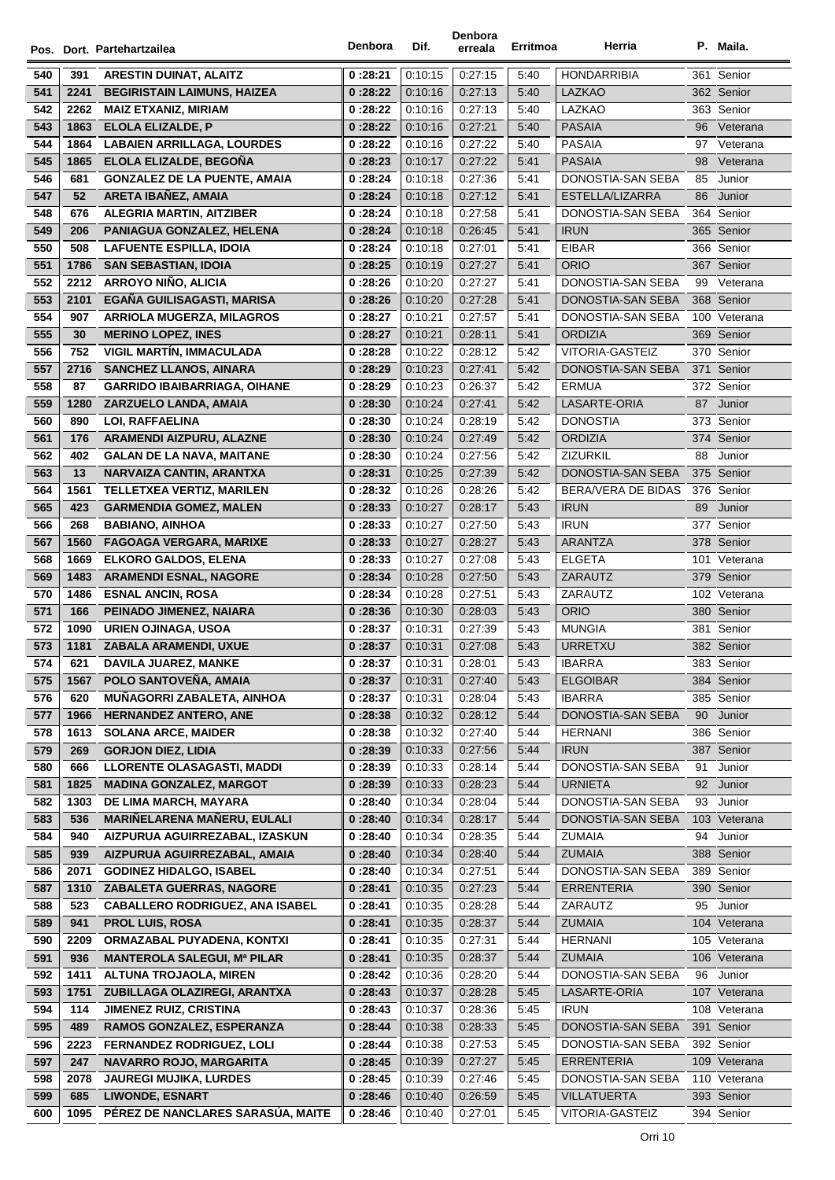|            |             | Pos. Dort. Partehartzailea                                    | Denbora            | Dif.               | Denbora<br>erreala | Erritmoa     | Herria                                  |          | P. Maila.                  |
|------------|-------------|---------------------------------------------------------------|--------------------|--------------------|--------------------|--------------|-----------------------------------------|----------|----------------------------|
|            |             |                                                               |                    |                    |                    |              |                                         |          |                            |
| 540        | 391         | <b>ARESTIN DUINAT, ALAITZ</b>                                 | 0:28:21            | 0.10.15            | 0:27:15            | 5:40         | <b>HONDARRIBIA</b>                      |          | 361 Senior                 |
| 541        | 2241        | <b>BEGIRISTAIN LAIMUNS, HAIZEA</b>                            | 0:28:22            | 0:10:16            | 0:27:13            | 5:40         | LAZKAO                                  |          | 362 Senior                 |
| 542        | 2262        | <b>MAIZ ETXANIZ, MIRIAM</b>                                   | 0:28:22            | 0:10:16            | 0.27:13            | 5:40         | LAZKAO                                  |          | 363 Senior                 |
| 543        | 1863        | ELOLA ELIZALDE, P                                             | 0:28:22            | 0:10:16            | 0.27.21            | 5:40         | <b>PASAIA</b>                           |          | 96 Veterana                |
| 544        | 1864        | <b>LABAIEN ARRILLAGA, LOURDES</b>                             | 0:28:22            | 0:10:16            | 0.27:22            | 5:40         | <b>PASAIA</b><br><b>PASAIA</b>          |          | 97 Veterana                |
| 545<br>546 | 1865<br>681 | ELOLA ELIZALDE, BEGOÑA<br><b>GONZALEZ DE LA PUENTE, AMAIA</b> | 0:28:23            | 0.10.17<br>0:10:18 | 0:27:22<br>0:27:36 | 5:41<br>5:41 | DONOSTIA-SAN SEBA                       | 98<br>85 | Veterana<br>Junior         |
| 547        | 52          | ARETA IBAÑEZ, AMAIA                                           | 0:28:24<br>0:28:24 | 0:10:18            | 0:27:12            | 5:41         | ESTELLA/LIZARRA                         | 86       | Junior                     |
| 548        | 676         | <b>ALEGRIA MARTIN, AITZIBER</b>                               | 0:28:24            | 0:10:18            | 0:27:58            | 5:41         | DONOSTIA-SAN SEBA                       | 364      | Senior                     |
| 549        | 206         | PANIAGUA GONZALEZ, HELENA                                     | 0:28:24            | 0:10:18            | 0:26:45            | 5:41         | <b>IRUN</b>                             |          | 365 Senior                 |
| 550        | 508         | <b>LAFUENTE ESPILLA, IDOIA</b>                                | 0:28:24            | 0:10:18            | 0:27:01            | 5:41         | <b>EIBAR</b>                            |          | 366 Senior                 |
| 551        | 1786        | <b>SAN SEBASTIAN, IDOIA</b>                                   | 0:28:25            | 0:10:19            | 0:27:27            | 5:41         | <b>ORIO</b>                             |          | 367 Senior                 |
| 552        | 2212        | ARROYO NIÑO, ALICIA                                           | 0:28:26            | 0:10:20            | 0:27:27            | 5:41         | DONOSTIA-SAN SEBA                       |          | 99 Veterana                |
| 553        | 2101        | EGAÑA GUILISAGASTI, MARISA                                    | 0:28:26            | 0:10:20            | 0:27:28            | 5:41         | DONOSTIA-SAN SEBA                       |          | 368 Senior                 |
| 554        | 907         | <b>ARRIOLA MUGERZA, MILAGROS</b>                              | 0 :28:27           | 0.10.21            | 0.27:57            | 5:41         | DONOSTIA-SAN SEBA                       |          | 100 Veterana               |
| 555        | 30          | <b>MERINO LOPEZ, INES</b>                                     | 0:28:27            | 0:10:21            | 0.28.11            | 5:41         | <b>ORDIZIA</b>                          |          | 369 Senior                 |
| 556        | 752         | <b>VIGIL MARTÍN, IMMACULADA</b>                               | 0 :28:28           | 0.10.22            | 0:28:12            | 5:42         | VITORIA-GASTEIZ                         |          | 370 Senior                 |
| 557        | 2716        | <b>SANCHEZ LLANOS, AINARA</b>                                 | 0:28:29            | 0.10.23            | 0.27.41            | 5:42         | <b>DONOSTIA-SAN SEBA</b>                |          | 371 Senior                 |
| 558        | 87          | <b>GARRIDO IBAIBARRIAGA, OIHANE</b>                           | 0:28:29            | 0:10:23            | 0:26:37            | 5:42         | ERMUA                                   |          | 372 Senior                 |
| 559        | 1280        | ZARZUELO LANDA, AMAIA                                         | 0:28:30            | 0:10:24            | 0.27:41            | 5:42         | <b>LASARTE-ORIA</b>                     | 87       | Junior                     |
| 560        | 890         | <b>LOI, RAFFAELINA</b>                                        | 0:28:30            | 0:10:24            | 0:28:19            | 5:42         | <b>DONOSTIA</b>                         |          | 373 Senior                 |
| 561        | 176         | ARAMENDI AIZPURU, ALAZNE                                      | 0:28:30            | 0:10:24            | 0:27:49            | 5:42         | <b>ORDIZIA</b>                          |          | 374 Senior                 |
| 562        | 402         | <b>GALAN DE LA NAVA, MAITANE</b>                              | 0:28:30            | 0.10.24            | 0:27:56            | 5:42         | ZIZURKIL                                | 88       | Junior                     |
| 563        | 13          | NARVAIZA CANTIN, ARANTXA                                      | 0:28:31            | 0:10:25            | 0:27:39            | 5:42         | DONOSTIA-SAN SEBA                       |          | 375 Senior                 |
| 564        | 1561        | <b>TELLETXEA VERTIZ, MARILEN</b>                              | 0:28:32            | 0.10.26            | 0:28:26            | 5:42         | <b>BERA/VERA DE BIDAS</b>               |          | 376 Senior                 |
| 565        | 423         | <b>GARMENDIA GOMEZ, MALEN</b>                                 | 0:28:33            | 0.10.27            | 0:28:17            | 5:43         | <b>IRUN</b>                             | 89       | Junior                     |
| 566        | 268         | <b>BABIANO, AINHOA</b>                                        | 0:28:33            | 0:10:27            | 0:27:50            | 5:43         | <b>IRUN</b>                             |          | 377 Senior                 |
| 567        | 1560        | <b>FAGOAGA VERGARA, MARIXE</b>                                | 0:28:33            | 0:10:27            | 0:28:27            | 5:43         | <b>ARANTZA</b>                          |          | 378 Senior                 |
| 568        | 1669        | <b>ELKORO GALDOS, ELENA</b>                                   | 0:28:33            | 0:10:27            | 0:27:08            | 5:43         | <b>ELGETA</b>                           |          | 101 Veterana               |
| 569        | 1483        | <b>ARAMENDI ESNAL, NAGORE</b>                                 | 0:28:34            | 0:10:28            | 0:27:50            | 5:43         | ZARAUTZ                                 |          | 379 Senior                 |
| 570        | 1486        | <b>ESNAL ANCIN, ROSA</b>                                      | 0:28:34            | 0:10:28            | 0.27:51            | 5:43         | ZARAUTZ                                 |          | 102 Veterana               |
| 571        | 166         | PEINADO JIMENEZ, NAIARA                                       | 0:28:36            | 0.10.30            | 0:28:03            | 5:43         | <b>ORIO</b>                             |          | 380 Senior                 |
| 572        | 1090        | <b>URIEN OJINAGA, USOA</b>                                    | 0:28:37            | 0:10:31            | 0:27:39            | 5:43         | <b>MUNGIA</b>                           |          | 381 Senior                 |
| 573        | 1181        | ZABALA ARAMENDI, UXUE                                         | 0:28:37            | 0:10:31            | 0:27:08            | 5:43         | <b>URRETXU</b>                          |          | 382 Senior                 |
| 574        | 621         | DAVILA JUAREZ, MANKE<br>POLO SANTOVEÑA, AMAIA                 | 0 :28:37           | 0.10.31<br>0:10:31 | 0.28.01<br>0:27:40 | 5:43<br>5:43 | <b>IBARRA</b><br><b>ELGOIBAR</b>        |          | 383 Senior<br>384 Senior   |
| 575<br>576 | 1567<br>620 | MUÑAGORRI ZABALETA, AINHOA                                    | 0:28:37<br>0:28:37 | 0.10.31            | 0:28:04            | 5:43         | <b>IBARRA</b>                           |          | 385 Senior                 |
| 577        | 1966        | <b>HERNANDEZ ANTERO, ANE</b>                                  | 0:28:38            | 0.10.32            | 0:28:12            | 5:44         | DONOSTIA-SAN SEBA                       | 90       | Junior                     |
| 578        | 1613        | <b>SOLANA ARCE, MAIDER</b>                                    | 0:28:38            | 0:10:32            | 0:27:40            | 5:44         | <b>HERNANI</b>                          |          | 386 Senior                 |
| 579        | 269         | <b>GORJON DIEZ, LIDIA</b>                                     | 0:28:39            | 0:10:33            | 0:27:56            | 5:44         | <b>IRUN</b>                             |          | 387 Senior                 |
| 580        | 666         | LLORENTE OLASAGASTI, MADDI                                    | 0:28:39            | 0.10.33            | 0:28:14            | 5:44         | DONOSTIA-SAN SEBA                       | 91       | Junior                     |
| 581        | 1825        | <b>MADINA GONZALEZ, MARGOT</b>                                | 0:28:39            | 0:10:33            | 0:28:23            | 5:44         | <b>URNIETA</b>                          | 92       | Junior                     |
| 582        | 1303        | DE LIMA MARCH, MAYARA                                         | 0 :28:40           | 0:10:34            | 0:28:04            | 5:44         | DONOSTIA-SAN SEBA                       | 93       | Junior                     |
| 583        | 536         | MARIÑELARENA MAÑERU, EULALI                                   | 0:28:40            | 0:10:34            | 0:28:17            | 5:44         | DONOSTIA-SAN SEBA                       |          | 103 Veterana               |
| 584        | 940         | AIZPURUA AGUIRREZABAL, IZASKUN                                | 0:28:40            | 0:10:34            | 0:28:35            | 5:44         | <b>ZUMAIA</b>                           | 94       | Junior                     |
| 585        | 939         | AIZPURUA AGUIRREZABAL, AMAIA                                  | 0:28:40            | 0.10.34            | 0:28:40            | 5:44         | <b>ZUMAIA</b>                           |          | 388 Senior                 |
| 586        | 2071        | <b>GODINEZ HIDALGO, ISABEL</b>                                | 0:28:40            | 0:10:34            | 0:27:51            | 5:44         | DONOSTIA-SAN SEBA                       |          | 389 Senior                 |
| 587        | 1310        | <b>ZABALETA GUERRAS, NAGORE</b>                               | 0:28:41            | 0:10:35            | 0:27:23            | 5:44         | <b>ERRENTERIA</b>                       |          | 390 Senior                 |
| 588        | 523         | <b>CABALLERO RODRIGUEZ, ANA ISABEL</b>                        | 0:28:41            | 0.10.35            | 0:28:28            | 5:44         | ZARAUTZ                                 |          | 95 Junior                  |
| 589        | 941         | <b>PROL LUIS, ROSA</b>                                        | 0:28:41            | 0:10:35            | 0:28:37            | 5:44         | ZUMAIA                                  |          | 104 Veterana               |
| 590        | 2209        | ORMAZABAL PUYADENA, KONTXI                                    | 0:28:41            | 0:10:35            | 0:27:31            | 5:44         | <b>HERNANI</b>                          |          | 105 Veterana               |
| 591        | 936         | <b>MANTEROLA SALEGUI, Mª PILAR</b>                            | 0:28:41            | 0:10:35            | 0:28:37            | 5:44         | <b>ZUMAIA</b>                           |          | 106 Veterana               |
| 592        | 1411        | <b>ALTUNA TROJAOLA, MIREN</b>                                 | 0 :28:42           | 0:10:36            | 0:28:20            | 5:44         | DONOSTIA-SAN SEBA                       |          | 96 Junior                  |
| 593        | 1751        | ZUBILLAGA OLAZIREGI, ARANTXA                                  | 0:28:43            | 0:10:37            | 0:28:28            | 5:45         | LASARTE-ORIA                            |          | 107 Veterana               |
| 594        | 114         | <b>JIMENEZ RUIZ, CRISTINA</b>                                 | 0 :28:43           | 0.10.37            | 0:28:36            | 5:45         | <b>IRUN</b>                             |          | 108 Veterana               |
| 595        | 489         | RAMOS GONZALEZ, ESPERANZA                                     | 0:28:44            | 0:10:38            | 0:28:33            | 5:45         | DONOSTIA-SAN SEBA                       |          | 391 Senior                 |
| 596        | 2223        | <b>FERNANDEZ RODRIGUEZ, LOLI</b>                              | 0:28:44            | 0:10:38            | 0:27:53            | 5:45         | DONOSTIA-SAN SEBA                       |          | 392 Senior                 |
| 597        | 247         | NAVARRO ROJO, MARGARITA                                       | 0:28:45            | 0:10:39            | 0:27:27            | 5:45         | <b>ERRENTERIA</b>                       |          | 109 Veterana               |
| 598<br>599 | 2078<br>685 | <b>JAUREGI MUJIKA, LURDES</b><br><b>LIWONDE, ESNART</b>       | 0:28:45            | 0:10:39<br>0:10:40 | 0:27:46<br>0:26:59 | 5:45<br>5:45 | DONOSTIA-SAN SEBA<br><b>VILLATUERTA</b> |          | 110 Veterana<br>393 Senior |
| 600        | 1095        | PÉREZ DE NANCLARES SARASÚA, MAITE                             | 0:28:46<br>0:28:46 | 0:10:40            | 0:27:01            | 5:45         | <b>VITORIA-GASTEIZ</b>                  |          | 394 Senior                 |
|            |             |                                                               |                    |                    |                    |              |                                         |          |                            |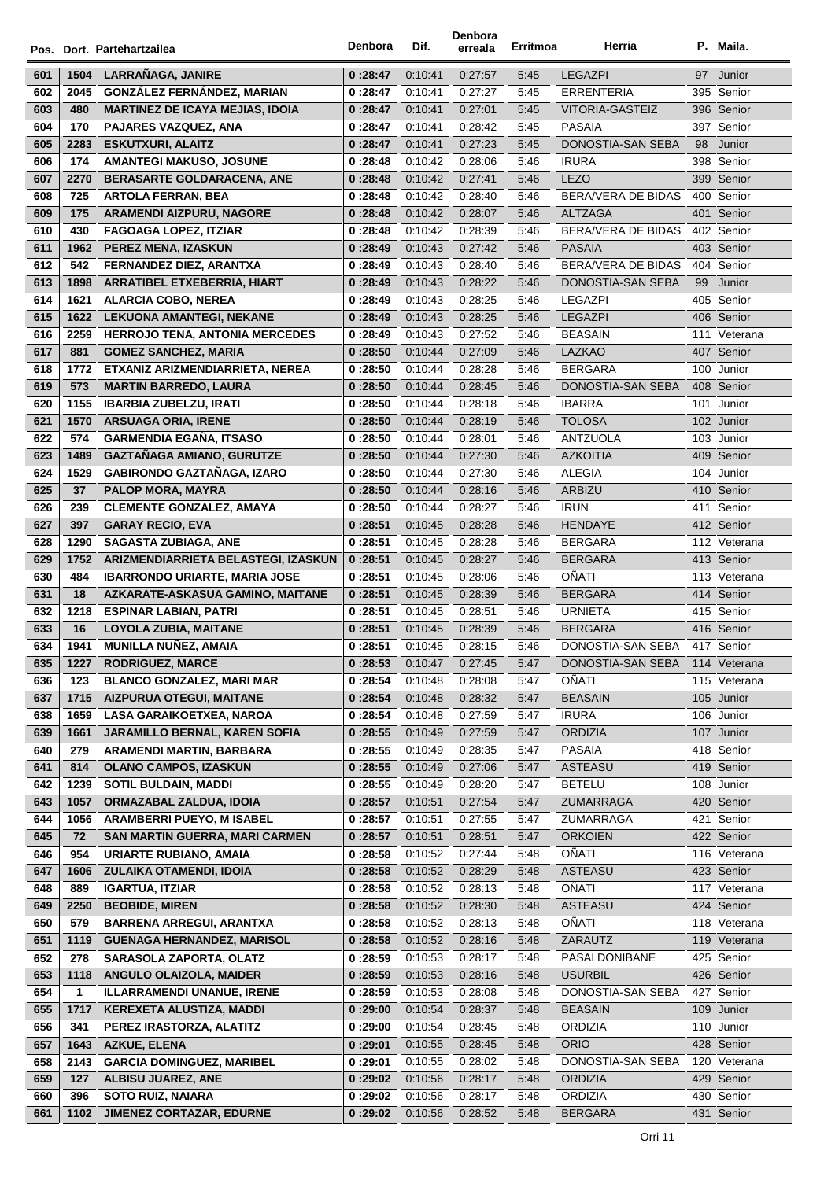|     |      | Pos. Dort. Partehartzailea             | Denbora  | Dif.    | Denbora<br>erreala | Erritmoa | Herria                              |     | P. Maila.    |
|-----|------|----------------------------------------|----------|---------|--------------------|----------|-------------------------------------|-----|--------------|
| 601 | 1504 | LARRAÑAGA, JANIRE                      | 0:28:47  | 0:10:41 | 0.27.57            | 5:45     | <b>LEGAZPI</b>                      | 97  | Junior       |
| 602 | 2045 | <b>GONZÁLEZ FERNÁNDEZ, MARIAN</b>      | 0:28:47  | 0:10:41 | 0:27:27            | 5:45     | <b>ERRENTERIA</b>                   |     | 395 Senior   |
| 603 | 480  | <b>MARTINEZ DE ICAYA MEJIAS, IDOIA</b> | 0:28:47  | 0:10:41 | 0:27:01            | 5:45     | VITORIA-GASTEIZ                     |     | 396 Senior   |
| 604 | 170  | PAJARES VAZQUEZ, ANA                   | 0:28:47  | 0.10.41 | 0:28:42            | 5:45     | <b>PASAIA</b>                       |     | 397 Senior   |
| 605 | 2283 | <b>ESKUTXURI, ALAITZ</b>               | 0 :28:47 | 0:10:41 | 0:27:23            | 5:45     | DONOSTIA-SAN SEBA                   | 98  | Junior       |
| 606 | 174  | AMANTEGI MAKUSO, JOSUNE                | 0:28:48  | 0:10:42 | 0:28:06            | 5:46     | <b>IRURA</b>                        |     | 398 Senior   |
| 607 | 2270 | BERASARTE GOLDARACENA, ANE             | 0:28:48  | 0:10:42 | 0:27:41            | 5:46     | <b>LEZO</b>                         |     | 399 Senior   |
| 608 | 725  | <b>ARTOLA FERRAN, BEA</b>              | 0:28:48  | 0:10:42 | 0:28:40            | 5:46     | BERA/VERA DE BIDAS                  |     | 400 Senior   |
| 609 | 175  | <b>ARAMENDI AIZPURU, NAGORE</b>        | 0:28:48  | 0:10:42 | 0:28:07            | 5:46     | <b>ALTZAGA</b>                      |     | 401 Senior   |
| 610 | 430  | <b>FAGOAGA LOPEZ, ITZIAR</b>           | 0:28:48  | 0:10:42 | 0:28:39            | 5:46     | BERA/VERA DE BIDAS                  |     | 402 Senior   |
| 611 | 1962 | PEREZ MENA, IZASKUN                    | 0:28:49  | 0:10:43 | 0:27:42            | 5:46     | <b>PASAIA</b>                       |     | 403 Senior   |
| 612 | 542  | FERNANDEZ DIEZ, ARANTXA                | 0:28:49  | 0.10.43 | 0:28:40            | 5:46     | BERA/VERA DE BIDAS                  |     | 404 Senior   |
| 613 | 1898 | <b>ARRATIBEL ETXEBERRIA, HIART</b>     | 0:28:49  | 0.10.43 | 0:28:22            | 5:46     | DONOSTIA-SAN SEBA                   | 99  | Junior       |
| 614 | 1621 | <b>ALARCIA COBO, NEREA</b>             | 0 :28:49 | 0.10.43 | 0:28:25            | 5:46     | LEGAZPI                             |     | 405 Senior   |
| 615 | 1622 | <b>LEKUONA AMANTEGI, NEKANE</b>        | 0:28:49  | 0:10:43 | 0:28:25            | 5:46     | <b>LEGAZPI</b>                      |     | 406 Senior   |
|     |      |                                        | 0:28:49  |         |                    |          | <b>BEASAIN</b>                      |     |              |
| 616 | 2259 | <b>HERROJO TENA, ANTONIA MERCEDES</b>  |          | 0:10:43 | 0:27:52            | 5:46     |                                     |     | 111 Veterana |
| 617 | 881  | <b>GOMEZ SANCHEZ, MARIA</b>            | 0:28:50  | 0:10:44 | 0:27:09            | 5:46     | LAZKAO                              |     | 407 Senior   |
| 618 | 1772 | ETXANIZ ARIZMENDIARRIETA, NEREA        | 0:28:50  | 0:10:44 | 0:28:28            | 5:46     | <b>BERGARA</b><br>DONOSTIA-SAN SEBA |     | 100 Junior   |
| 619 | 573  | <b>MARTIN BARREDO, LAURA</b>           | 0:28:50  | 0:10:44 | 0:28:45            | 5:46     |                                     |     | 408 Senior   |
| 620 | 1155 | <b>IBARBIA ZUBELZU. IRATI</b>          | 0:28:50  | 0:10:44 | 0:28:18            | 5:46     | <b>IBARRA</b>                       |     | 101 Junior   |
| 621 | 1570 | <b>ARSUAGA ORIA, IRENE</b>             | 0:28:50  | 0.10.44 | 0:28:19            | 5:46     | <b>TOLOSA</b>                       |     | 102 Junior   |
| 622 | 574  | <b>GARMENDIA EGAÑA, ITSASO</b>         | 0:28:50  | 0:10:44 | 0:28:01            | 5:46     | <b>ANTZUOLA</b>                     |     | 103 Junior   |
| 623 | 1489 | GAZTAÑAGA AMIANO, GURUTZE              | 0:28:50  | 0.10.44 | 0:27:30            | 5:46     | <b>AZKOITIA</b>                     | 409 | Senior       |
| 624 | 1529 | <b>GABIRONDO GAZTAÑAGA, IZARO</b>      | 0:28:50  | 0:10:44 | 0:27:30            | 5:46     | <b>ALEGIA</b>                       | 104 | Junior       |
| 625 | 37   | PALOP MORA, MAYRA                      | 0:28:50  | 0:10:44 | 0:28:16            | 5:46     | ARBIZU                              | 410 | Senior       |
| 626 | 239  | <b>CLEMENTE GONZALEZ, AMAYA</b>        | 0:28:50  | 0:10:44 | 0:28:27            | 5:46     | <b>IRUN</b>                         |     | 411 Senior   |
| 627 | 397  | <b>GARAY RECIO, EVA</b>                | 0:28:51  | 0:10:45 | 0:28:28            | 5:46     | <b>HENDAYE</b>                      |     | 412 Senior   |
| 628 | 1290 | <b>SAGASTA ZUBIAGA, ANE</b>            | 0:28:51  | 0:10:45 | 0:28:28            | 5:46     | <b>BERGARA</b>                      |     | 112 Veterana |
| 629 | 1752 | ARIZMENDIARRIETA BELASTEGI, IZASKUN    | 0:28:51  | 0.10.45 | 0:28:27            | 5:46     | <b>BERGARA</b>                      |     | 413 Senior   |
| 630 | 484  | <b>IBARRONDO URIARTE, MARIA JOSE</b>   | 0:28:51  | 0.10.45 | 0:28:06            | 5:46     | OÑATI                               |     | 113 Veterana |
| 631 | 18   | AZKARATE-ASKASUA GAMINO, MAITANE       | 0:28:51  | 0.10.45 | 0:28:39            | 5:46     | <b>BERGARA</b>                      |     | 414 Senior   |
| 632 | 1218 | <b>ESPINAR LABIAN, PATRI</b>           | 0 :28:51 | 0:10:45 | 0:28:51            | 5:46     | <b>URNIETA</b>                      |     | 415 Senior   |
| 633 | 16   | LOYOLA ZUBIA, MAITANE                  | 0:28:51  | 0:10:45 | 0:28:39            | 5:46     | <b>BERGARA</b>                      |     | 416 Senior   |
| 634 | 1941 | <b>MUNILLA NUÑEZ, AMAIA</b>            | 0:28:51  | 0:10:45 | 0:28:15            | 5:46     | DONOSTIA-SAN SEBA                   |     | 417 Senior   |
| 635 | 1227 | <b>RODRIGUEZ, MARCE</b>                | 0:28:53  | 0:10:47 | 0:27:45            | 5:47     | DONOSTIA-SAN SEBA                   |     | 114 Veterana |
| 636 | 123  | <b>BLANCO GONZALEZ, MARI MAR</b>       | 0:28:54  | 0.10.48 | 0:28:08            | 5:47     | OÑATI                               |     | 115 Veterana |
| 637 | 1715 | <b>AIZPURUA OTEGUI, MAITANE</b>        | 0:28:54  | 0:10:48 | 0:28:32            | 5:47     | <b>BEASAIN</b>                      |     | 105 Junior   |
| 638 | 1659 | <b>LASA GARAIKOETXEA, NAROA</b>        | 0:28:54  | 0.10.48 | 0:27:59            | 5:47     | <b>IRURA</b>                        |     | 106 Junior   |
| 639 | 1661 | JARAMILLO BERNAL, KAREN SOFIA          | 0:28:55  | 0.10.49 | 0:27:59            | 5:47     | <b>ORDIZIA</b>                      |     | 107 Junior   |
| 640 | 279  | ARAMENDI MARTIN, BARBARA               | 0 :28:55 | 0:10:49 | 0:28:35            | 5:47     | PASAIA                              |     | 418 Senior   |
| 641 | 814  | <b>OLANO CAMPOS, IZASKUN</b>           | 0:28:55  | 0:10:49 | 0:27:06            | 5:47     | ASTEASU                             |     | 419 Senior   |
| 642 | 1239 | <b>SOTIL BULDAIN, MADDI</b>            | 0:28:55  | 0:10:49 | 0:28:20            | 5:47     | <b>BETELU</b>                       |     | 108 Junior   |
| 643 | 1057 | ORMAZABAL ZALDUA, IDOIA                | 0:28:57  | 0:10:51 | 0:27:54            | 5:47     | ZUMARRAGA                           |     | 420 Senior   |
| 644 | 1056 | <b>ARAMBERRI PUEYO, M ISABEL</b>       | 0:28:57  | 0:10:51 | 0:27:55            | 5:47     | ZUMARRAGA                           |     | 421 Senior   |
| 645 | 72   | <b>SAN MARTIN GUERRA, MARI CARMEN</b>  | 0:28:57  | 0:10:51 | 0:28:51            | 5:47     | <b>ORKOIEN</b>                      |     | 422 Senior   |
| 646 | 954  | URIARTE RUBIANO, AMAIA                 | 0:28:58  | 0.10.52 | 0:27:44            | 5:48     | <b>OÑATI</b>                        |     | 116 Veterana |
| 647 | 1606 | ZULAIKA OTAMENDI, IDOIA                | 0:28:58  | 0:10:52 | 0:28:29            | 5:48     | ASTEASU                             |     | 423 Senior   |
| 648 | 889  | <b>IGARTUA, ITZIAR</b>                 | 0:28:58  | 0:10:52 | 0:28:13            | 5:48     | <b>OÑATI</b>                        |     | 117 Veterana |
| 649 | 2250 | <b>BEOBIDE, MIREN</b>                  | 0:28:58  | 0.10.52 | 0:28:30            | 5:48     | ASTEASU                             |     | 424 Senior   |
| 650 | 579  | <b>BARRENA ARREGUI, ARANTXA</b>        | 0:28:58  | 0.10.52 | 0:28:13            | 5:48     | OÑATI                               |     | 118 Veterana |
| 651 | 1119 | <b>GUENAGA HERNANDEZ, MARISOL</b>      | 0:28:58  | 0.10.52 | 0:28:16            | 5:48     | ZARAUTZ                             |     | 119 Veterana |
| 652 | 278  | <b>SARASOLA ZAPORTA, OLATZ</b>         | 0 :28:59 | 0:10:53 | 0:28:17            | 5:48     | PASAI DONIBANE                      |     | 425 Senior   |
| 653 | 1118 | ANGULO OLAIZOLA, MAIDER                | 0:28:59  | 0:10:53 | 0:28:16            | 5:48     | <b>USURBIL</b>                      |     | 426 Senior   |
| 654 | 1    | <b>ILLARRAMENDI UNANUE, IRENE</b>      | 0:28:59  | 0:10:53 | 0:28:08            | 5:48     | DONOSTIA-SAN SEBA                   |     | 427 Senior   |
| 655 | 1717 | KEREXETA ALUSTIZA, MADDI               | 0:29:00  | 0.10:54 | 0:28:37            | 5:48     | <b>BEASAIN</b>                      |     | 109 Junior   |
| 656 | 341  | PEREZ IRASTORZA, ALATITZ               | 0:29:00  | 0.10:54 | 0:28:45            | 5:48     | <b>ORDIZIA</b>                      |     | 110 Junior   |
| 657 | 1643 | <b>AZKUE, ELENA</b>                    | 0 :29:01 | 0:10:55 | 0:28:45            | 5:48     | <b>ORIO</b>                         |     | 428 Senior   |
| 658 | 2143 | <b>GARCIA DOMINGUEZ, MARIBEL</b>       | 0 :29:01 | 0:10:55 | 0:28:02            | 5:48     | DONOSTIA-SAN SEBA                   |     | 120 Veterana |
| 659 | 127  | <b>ALBISU JUAREZ, ANE</b>              | 0:29:02  | 0:10:56 | 0:28:17            | 5:48     | <b>ORDIZIA</b>                      |     | 429 Senior   |
| 660 | 396  | <b>SOTO RUIZ, NAIARA</b>               | 0:29:02  | 0:10:56 | 0:28:17            | 5:48     | <b>ORDIZIA</b>                      |     | 430 Senior   |
| 661 | 1102 | <b>JIMENEZ CORTAZAR, EDURNE</b>        | 0:29:02  | 0:10:56 | 0:28:52            | 5:48     | <b>BERGARA</b>                      |     | 431 Senior   |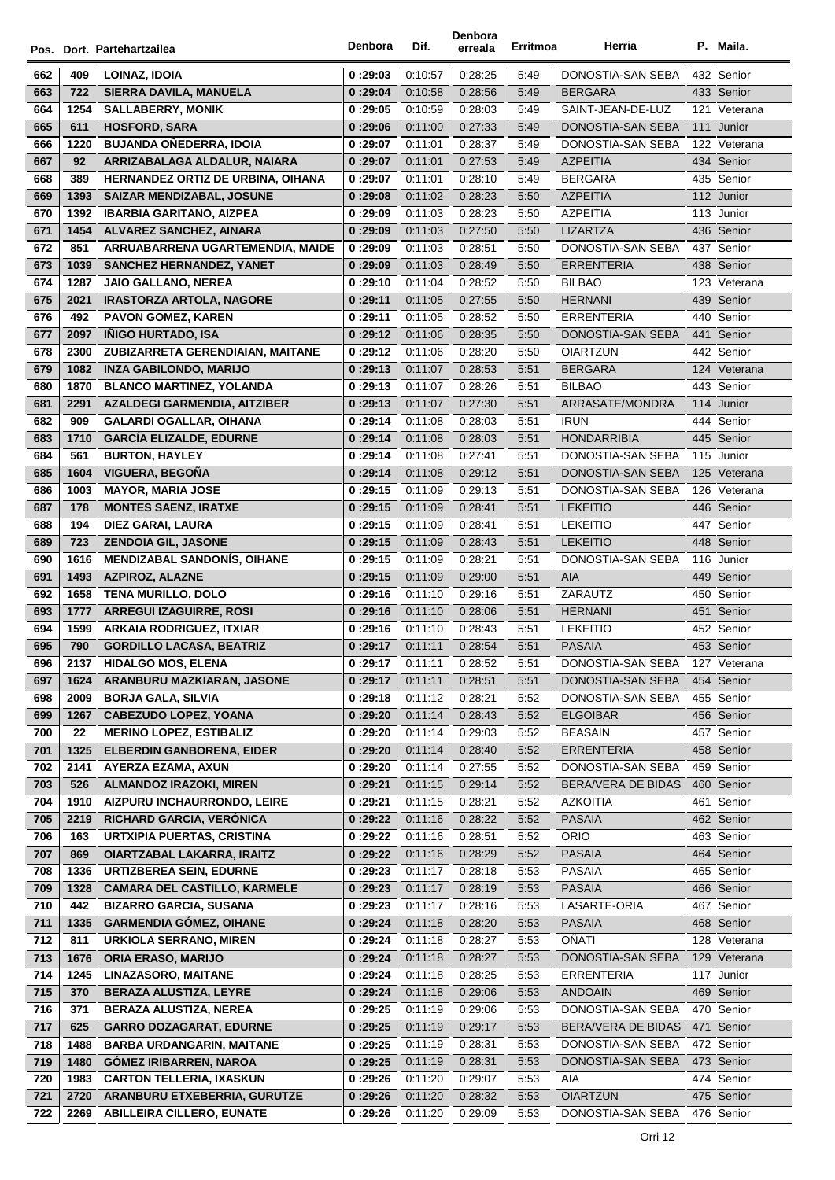|            |             | Pos. Dort. Partehartzailea                                  | Denbora             | Dif.               | Denbora<br>erreala | Erritmoa     | Herria                       |     | P. Maila.                  |
|------------|-------------|-------------------------------------------------------------|---------------------|--------------------|--------------------|--------------|------------------------------|-----|----------------------------|
| 662        | 409         | LOINAZ, IDOIA                                               | 0:29:03             | 0:10:57            | 0:28:25            | 5:49         | DONOSTIA-SAN SEBA            |     | 432 Senior                 |
| 663        | 722         | SIERRA DAVILA, MANUELA                                      | 0:29:04             | 0:10:58            | 0.28.56            | 5:49         | <b>BERGARA</b>               |     | 433 Senior                 |
| 664        | 1254        | <b>SALLABERRY, MONIK</b>                                    | 0:29:05             | 0:10:59            | 0:28:03            | 5:49         | SAINT-JEAN-DE-LUZ            |     | 121 Veterana               |
| 665        | 611         | <b>HOSFORD, SARA</b>                                        | 0:29:06             | 0:11:00            | 0:27:33            | 5:49         | DONOSTIA-SAN SEBA            |     | 111 Junior                 |
| 666        | 1220        | <b>BUJANDA OÑEDERRA, IDOIA</b>                              | 0:29:07             | 0:11:01            | 0:28:37            | 5:49         | DONOSTIA-SAN SEBA            |     | 122 Veterana               |
| 667        | 92          | ARRIZABALAGA ALDALUR, NAIARA                                | 0:29:07             | 0:11:01            | 0:27:53            | 5:49         | <b>AZPEITIA</b>              |     | 434 Senior                 |
| 668        | 389         | HERNANDEZ ORTIZ DE URBINA, OIHANA                           | 0:29:07             | 0:11:01            | 0:28:10            | 5:49         | <b>BERGARA</b>               |     | 435 Senior                 |
| 669        | 1393        | <b>SAIZAR MENDIZABAL, JOSUNE</b>                            | 0:29:08             | 0:11:02            | 0:28:23            | 5:50         | <b>AZPEITIA</b>              |     | 112 Junior                 |
| 670        | 1392        | <b>IBARBIA GARITANO, AIZPEA</b>                             | 0:29:09             | 0:11:03            | 0:28:23            | 5:50         | <b>AZPEITIA</b>              |     | 113 Junior                 |
| 671        | 1454        | ALVAREZ SANCHEZ, AINARA                                     | 0:29:09             | 0:11:03            | 0:27:50            | 5:50         | <b>LIZARTZA</b>              |     | 436 Senior                 |
| 672        | 851         | ARRUABARRENA UGARTEMENDIA, MAIDE                            | 0:29:09             | 0:11:03            | 0.28.51            | 5:50         | DONOSTIA-SAN SEBA            |     | 437 Senior                 |
| 673        | 1039        | <b>SANCHEZ HERNANDEZ, YANET</b>                             | 0:29:09             | 0:11:03            | 0.28.49            | 5:50         | <b>ERRENTERIA</b>            |     | 438 Senior                 |
| 674        | 1287        | <b>JAIO GALLANO, NEREA</b>                                  | 0:29:10             | 0:11:04            | 0:28:52            | 5:50         | <b>BILBAO</b>                |     | 123 Veterana               |
| 675        | 2021        | <b>IRASTORZA ARTOLA, NAGORE</b>                             | 0:29:11             | 0:11:05            | 0:27:55            | 5:50         | <b>HERNANI</b>               |     | 439 Senior                 |
| 676        | 492         | <b>PAVON GOMEZ, KAREN</b>                                   | 0:29:11             | 0:11:05            | 0:28:52            | 5:50         | <b>ERRENTERIA</b>            |     | 440 Senior                 |
| 677        | 2097        | <b>IÑIGO HURTADO, ISA</b>                                   | 0:29:12             | 0:11:06            | 0:28:35            | 5:50         | DONOSTIA-SAN SEBA            |     | 441 Senior                 |
| 678        | 2300        | ZUBIZARRETA GERENDIAIAN, MAITANE                            | 0:29:12             | 0:11:06            | 0:28:20            | 5:50         | <b>OIARTZUN</b>              |     | 442 Senior                 |
| 679        | 1082        | <b>INZA GABILONDO, MARIJO</b>                               | 0:29:13             | 0:11:07            | 0:28:53            | 5:51         | <b>BERGARA</b>               |     | 124 Veterana               |
| 680        | 1870        | <b>BLANCO MARTINEZ, YOLANDA</b>                             | 0:29:13             | 0:11:07            | 0:28:26            | 5:51         | <b>BILBAO</b>                |     | 443 Senior                 |
| 681        | 2291        | <b>AZALDEGI GARMENDIA, AITZIBER</b>                         | 0:29:13             | 0:11:07            | 0:27:30            | 5:51         | ARRASATE/MONDRA              |     | 114 Junior                 |
| 682        | 909         | <b>GALARDI OGALLAR, OIHANA</b>                              | 0:29:14             | 0:11:08            | 0:28:03            | 5:51         | <b>IRUN</b>                  |     | 444 Senior                 |
| 683        | 1710        | <b>GARCÍA ELIZALDE, EDURNE</b>                              | 0:29:14             | 0:11:08            | 0:28:03            | 5:51         | <b>HONDARRIBIA</b>           |     | 445 Senior                 |
| 684        | 561         | <b>BURTON, HAYLEY</b>                                       | 0:29:14             | 0:11:08            | 0.27:41            | 5:51         | DONOSTIA-SAN SEBA            |     | 115 Junior                 |
| 685        | 1604        | VIGUERA, BEGOÑA                                             | 0:29:14             | 0:11:08            | 0:29:12            | 5:51         | DONOSTIA-SAN SEBA            |     | 125 Veterana               |
| 686        | 1003        | <b>MAYOR, MARIA JOSE</b>                                    | 0:29:15             | 0:11:09            | 0:29:13            | 5:51         | DONOSTIA-SAN SEBA            |     | 126 Veterana               |
| 687        | 178         | <b>MONTES SAENZ, IRATXE</b>                                 | 0:29:15             | 0:11:09            | 0.28.41            | 5:51         | <b>LEKEITIO</b>              |     | 446 Senior                 |
| 688        | 194         | <b>DIEZ GARAI, LAURA</b>                                    | 0:29:15             | 0.11.09            | 0.28:41            | 5:51         | <b>LEKEITIO</b>              |     | 447 Senior                 |
| 689        | 723         | <b>ZENDOIA GIL, JASONE</b>                                  | 0:29:15             | 0:11:09            | 0.28.43            | 5:51         | <b>LEKEITIO</b>              |     | 448 Senior                 |
| 690        | 1616        | <b>MENDIZABAL SANDONIS, OIHANE</b>                          | 0:29:15             | 0.11.09            | 0:28:21            | 5:51         | DONOSTIA-SAN SEBA            |     | 116 Junior                 |
| 691        | 1493        | <b>AZPIROZ, ALAZNE</b>                                      | 0:29:15             | 0:11:09            | 0:29:00            | 5:51         | <b>AIA</b>                   |     | 449 Senior                 |
| 692        | 1658        | <b>TENA MURILLO, DOLO</b>                                   | 0:29:16             | 0:11:10            | 0:29:16            | 5:51         | ZARAUTZ                      |     | 450 Senior                 |
| 693        | 1777        | <b>ARREGUI IZAGUIRRE, ROSI</b>                              | 0:29:16             | 0:11:10            | 0:28:06            | 5:51         | <b>HERNANI</b>               |     | 451 Senior                 |
| 694        | 1599        | <b>ARKAIA RODRIGUEZ, ITXIAR</b>                             | 0:29:16             | 0:11:10            | 0:28:43            | 5:51         | <b>LEKEITIO</b>              |     | 452 Senior                 |
| 695        | 790         | <b>GORDILLO LACASA, BEATRIZ</b>                             | 0:29:17             | 0:11:11            | 0:28:54            | 5:51         | <b>PASAIA</b>                |     | 453 Senior                 |
| 696        | 2137        | <b>HIDALGO MOS, ELENA</b>                                   | 0 :29:17            | 0:11:11            | 0.28.52            | 5:51         | DONOSTIA-SAN SEBA            |     | 127 Veterana               |
| 697        | 1624        | ARANBURU MAZKIARAN, JASONE                                  | 0 :29:17            | 0:11:11            | 0:28:51            | 5:51         | DONOSTIA-SAN SEBA            |     | 454 Senior                 |
| 698        | 2009        | <b>BORJA GALA, SILVIA</b>                                   | 0:29:18             | 0:11:12            | 0:28:21            | 5:52         | DONOSTIA-SAN SEBA            |     | 455 Senior                 |
| 699        | 1267        | <b>CABEZUDO LOPEZ, YOANA</b>                                | 0:29:20             | 0:11:14            | 0:28:43            | 5:52         | <b>ELGOIBAR</b>              |     | 456 Senior                 |
| 700        | 22          | <b>MERINO LOPEZ, ESTIBALIZ</b>                              | 0:29:20             | 0:11:14            | 0:29:03            | 5:52         | <b>BEASAIN</b>               |     | 457 Senior                 |
| 701        | 1325        | <b>ELBERDIN GANBORENA, EIDER</b>                            | 0:29:20             | 0:11:14            | 0:28:40            | 5:52         | <b>ERRENTERIA</b>            |     | 458 Senior                 |
| 702        | 2141        | AYERZA EZAMA, AXUN                                          | 0:29:20             | 0:11:14            | 0.27:55            | 5:52         | DONOSTIA-SAN SEBA            |     | 459 Senior                 |
| 703        | 526         | <b>ALMANDOZ IRAZOKI, MIREN</b>                              | 0:29:21             | 0:11:15            | 0:29:14            | 5:52         | <b>BERA/VERA DE BIDAS</b>    | 460 | Senior                     |
| 704        | 1910        | AIZPURU INCHAURRONDO, LEIRE                                 | 0:29:21             | 0:11:15            | 0:28:21            | 5:52         | <b>AZKOITIA</b>              | 461 | Senior                     |
| 705        | 2219        | RICHARD GARCIA, VERÓNICA                                    | 0:29:22             | 0:11:16            | 0:28:22            | 5:52         | <b>PASAIA</b>                |     | 462 Senior                 |
| 706        | 163         | <b>URTXIPIA PUERTAS, CRISTINA</b>                           | 0:29:22             | 0:11:16            | 0:28:51            | 5:52         | <b>ORIO</b>                  |     | 463 Senior                 |
| 707        | 869         | <b>OIARTZABAL LAKARRA, IRAITZ</b>                           | 0:29:22             | 0:11:16            | 0:28:29            | 5:52         | <b>PASAIA</b>                |     | 464 Senior                 |
| 708        | 1336        | <b>URTIZBEREA SEIN, EDURNE</b>                              | 0:29:23             | 0:11:17            | 0:28:18            | 5:53         | PASAIA                       |     | 465 Senior                 |
| 709        | 1328        | <b>CAMARA DEL CASTILLO, KARMELE</b>                         | 0:29:23             | 0:11:17            | 0:28:19            | 5:53         | <b>PASAIA</b>                |     | 466 Senior                 |
| 710        | 442         | <b>BIZARRO GARCIA, SUSANA</b>                               | 0:29:23             | 0:11:17            | 0:28:16            | 5:53         | LASARTE-ORIA                 |     | 467 Senior                 |
| 711        | 1335        | <b>GARMENDIA GÓMEZ, OIHANE</b>                              | 0:29:24             | 0:11:18            | 0:28:20            | 5:53         | <b>PASAIA</b>                |     | 468 Senior                 |
| 712        | 811         | URKIOLA SERRANO, MIREN                                      | 0:29:24             | 0:11:18            | 0:28:27            | 5:53         | OÑATI                        |     | 128 Veterana               |
| 713        | 1676        | <b>ORIA ERASO, MARIJO</b>                                   | 0:29:24             | 0:11:18            | 0.28.27            | 5:53         | DONOSTIA-SAN SEBA            |     | 129 Veterana<br>117 Junior |
| 714<br>715 | 1245<br>370 | <b>LINAZASORO, MAITANE</b><br><b>BERAZA ALUSTIZA, LEYRE</b> | 0:29:24             | 0:11:18<br>0:11:18 | 0:28:25<br>0:29:06 | 5:53<br>5:53 | ERRENTERIA<br><b>ANDOAIN</b> |     | 469 Senior                 |
| 716        | 371         | <b>BERAZA ALUSTIZA, NEREA</b>                               | 0 :29:24<br>0:29:25 | 0:11:19            | 0:29:06            | 5:53         | DONOSTIA-SAN SEBA            |     | 470 Senior                 |
| 717        | 625         | <b>GARRO DOZAGARAT, EDURNE</b>                              |                     | 0:11:19            | 0:29:17            | 5:53         | BERA/VERA DE BIDAS           |     | 471 Senior                 |
| 718        | 1488        | <b>BARBA URDANGARIN, MAITANE</b>                            | 0:29:25<br>0:29:25  | 0:11:19            | 0:28:31            | 5:53         | DONOSTIA-SAN SEBA            |     | 472 Senior                 |
| 719        | 1480        | <b>GÓMEZ IRIBARREN, NAROA</b>                               | 0:29:25             | 0:11:19            | 0:28:31            | 5:53         | DONOSTIA-SAN SEBA            |     | 473 Senior                 |
| 720        | 1983        | <b>CARTON TELLERIA, IXASKUN</b>                             | 0:29:26             | 0:11:20            | 0:29:07            | 5:53         | AIA                          |     | 474 Senior                 |
| 721        | 2720        | ARANBURU ETXEBERRIA, GURUTZE                                | 0:29:26             | 0:11:20            | 0:28:32            | 5:53         | <b>OIARTZUN</b>              |     | 475 Senior                 |
| 722        | 2269        | <b>ABILLEIRA CILLERO, EUNATE</b>                            | 0:29:26             | 0:11:20            | 0:29:09            | 5:53         | DONOSTIA-SAN SEBA            |     | 476 Senior                 |
|            |             |                                                             |                     |                    |                    |              |                              |     |                            |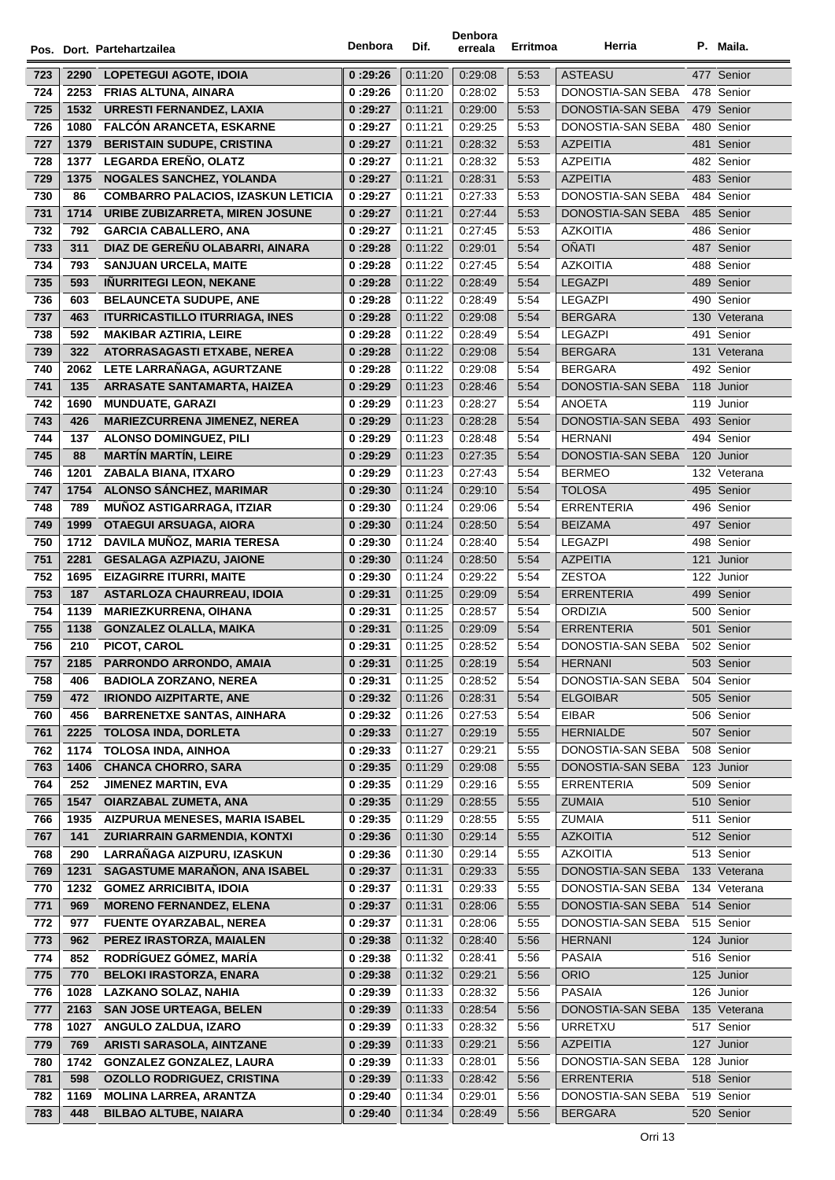|     |      | Pos. Dort. Partehartzailea                | Denbora  | Dif.    | Denbora<br>erreala | Erritmoa | Herria                    |     | P. Maila.    |
|-----|------|-------------------------------------------|----------|---------|--------------------|----------|---------------------------|-----|--------------|
| 723 | 2290 | LOPETEGUI AGOTE, IDOIA                    | 0:29:26  | 0.11.20 | 0:29:08            | 5:53     | <b>ASTEASU</b>            |     | 477 Senior   |
| 724 | 2253 | <b>FRIAS ALTUNA, AINARA</b>               | 0:29:26  | 0:11:20 | 0:28:02            | 5:53     | DONOSTIA-SAN SEBA         |     | 478 Senior   |
| 725 | 1532 | URRESTI FERNANDEZ, LAXIA                  | 0:29:27  | 0:11:21 | 0.29:00            | 5:53     | DONOSTIA-SAN SEBA         |     | 479 Senior   |
| 726 | 1080 | <b>FALCÓN ARANCETA, ESKARNE</b>           | 0:29:27  | 0:11.21 | 0.29.25            | 5:53     | DONOSTIA-SAN SEBA         |     | 480 Senior   |
| 727 | 1379 | <b>BERISTAIN SUDUPE, CRISTINA</b>         | 0:29:27  | 0:11:21 | 0:28:32            | 5:53     | <b>AZPEITIA</b>           |     | 481 Senior   |
| 728 | 1377 | LEGARDA EREÑO, OLATZ                      | 0 :29:27 | 0:11.21 | 0:28:32            | 5:53     | <b>AZPEITIA</b>           |     | 482 Senior   |
| 729 | 1375 | <b>NOGALES SANCHEZ, YOLANDA</b>           | 0:29:27  | 0:11:21 | 0:28:31            | 5:53     | <b>AZPEITIA</b>           |     | 483 Senior   |
| 730 | 86   | <b>COMBARRO PALACIOS, IZASKUN LETICIA</b> | 0:29:27  | 0:11:21 | 0:27:33            | 5:53     | DONOSTIA-SAN SEBA         |     | 484 Senior   |
| 731 | 1714 | URIBE ZUBIZARRETA, MIREN JOSUNE           | 0:29:27  | 0:11:21 | 0.27.44            | 5:53     | DONOSTIA-SAN SEBA         |     | 485 Senior   |
| 732 | 792  | <b>GARCIA CABALLERO, ANA</b>              | 0 :29:27 | 0.11.21 | 0:27:45            | 5:53     | <b>AZKOITIA</b>           |     | 486 Senior   |
| 733 | 311  | DIAZ DE GEREÑU OLABARRI, AINARA           | 0:29:28  | 0.11.22 | 0:29:01            | 5:54     | OÑATI                     |     | 487 Senior   |
| 734 | 793  | <b>SANJUAN URCELA, MAITE</b>              | 0:29:28  | 0:11:22 | 0:27:45            | 5:54     | <b>AZKOITIA</b>           |     | 488 Senior   |
| 735 | 593  | <b>INURRITEGI LEON, NEKANE</b>            | 0:29:28  | 0.11.22 | 0:28:49            | 5:54     | <b>LEGAZPI</b>            |     | 489 Senior   |
| 736 | 603  | <b>BELAUNCETA SUDUPE, ANE</b>             |          | 0.11.22 | 0:28:49            | 5:54     | <b>LEGAZPI</b>            |     | 490 Senior   |
|     |      | <b>ITURRICASTILLO ITURRIAGA, INES</b>     | 0 :29:28 |         |                    |          | <b>BERGARA</b>            |     |              |
| 737 | 463  |                                           | 0:29:28  | 0:11:22 | 0:29:08            | 5:54     |                           |     | 130 Veterana |
| 738 | 592  | <b>MAKIBAR AZTIRIA, LEIRE</b>             | 0:29:28  | 0:11:22 | 0:28:49            | 5:54     | LEGAZPI<br><b>BERGARA</b> | 491 | Senior       |
| 739 | 322  | ATORRASAGASTI ETXABE, NEREA               | 0:29:28  | 0:11:22 | 0:29:08            | 5:54     | <b>BERGARA</b>            |     | 131 Veterana |
| 740 | 2062 | LETE LARRAÑAGA, AGURTZANE                 | 0:29:28  | 0:11:22 | 0:29:08            | 5:54     |                           |     | 492 Senior   |
| 741 | 135  | <b>ARRASATE SANTAMARTA, HAIZEA</b>        | 0:29:29  | 0:11:23 | 0:28:46            | 5:54     | DONOSTIA-SAN SEBA         |     | 118 Junior   |
| 742 | 1690 | <b>MUNDUATE, GARAZI</b>                   | 0:29:29  | 0:11:23 | 0:28:27            | 5:54     | <b>ANOETA</b>             |     | 119 Junior   |
| 743 | 426  | <b>MARIEZCURRENA JIMENEZ, NEREA</b>       | 0:29:29  | 0.11.23 | 0:28:28            | 5:54     | DONOSTIA-SAN SEBA         |     | 493 Senior   |
| 744 | 137  | <b>ALONSO DOMINGUEZ, PILI</b>             | 0:29:29  | 0:11:23 | 0:28:48            | 5:54     | <b>HERNANI</b>            |     | 494 Senior   |
| 745 | 88   | <b>MARTIN MARTIN, LEIRE</b>               | 0:29:29  | 0.11.23 | 0:27:35            | 5:54     | DONOSTIA-SAN SEBA         |     | 120 Junior   |
| 746 | 1201 | ZABALA BIANA, ITXARO                      | 0:29:29  | 0.11.23 | 0:27:43            | 5:54     | <b>BERMEO</b>             |     | 132 Veterana |
| 747 | 1754 | <b>ALONSO SÁNCHEZ, MARIMAR</b>            | 0:29:30  | 0:11:24 | 0:29:10            | 5:54     | <b>TOLOSA</b>             |     | 495 Senior   |
| 748 | 789  | MUÑOZ ASTIGARRAGA, ITZIAR                 | 0:29:30  | 0.11.24 | 0:29:06            | 5:54     | <b>ERRENTERIA</b>         |     | 496 Senior   |
| 749 | 1999 | <b>OTAEGUI ARSUAGA, AIORA</b>             | 0:29:30  | 0.11.24 | 0:28:50            | 5:54     | <b>BEIZAMA</b>            |     | 497 Senior   |
| 750 | 1712 | DAVILA MUÑOZ, MARIA TERESA                | 0:29:30  | 0.11.24 | 0:28:40            | 5:54     | <b>LEGAZPI</b>            |     | 498 Senior   |
| 751 | 2281 | <b>GESALAGA AZPIAZU, JAIONE</b>           | 0:29:30  | 0.11.24 | 0:28:50            | 5:54     | <b>AZPEITIA</b>           |     | 121 Junior   |
| 752 | 1695 | <b>EIZAGIRRE ITURRI, MAITE</b>            | 0:29:30  | 0.11.24 | 0:29:22            | 5:54     | <b>ZESTOA</b>             |     | 122 Junior   |
| 753 | 187  | <b>ASTARLOZA CHAURREAU, IDOIA</b>         | 0:29:31  | 0.11.25 | 0:29:09            | 5:54     | <b>ERRENTERIA</b>         |     | 499 Senior   |
| 754 | 1139 | <b>MARIEZKURRENA, OIHANA</b>              | 0 :29:31 | 0:11:25 | 0:28:57            | 5:54     | <b>ORDIZIA</b>            |     | 500 Senior   |
| 755 | 1138 | <b>GONZALEZ OLALLA, MAIKA</b>             | 0:29:31  | 0:11:25 | 0:29:09            | 5:54     | <b>ERRENTERIA</b>         |     | 501 Senior   |
| 756 | 210  | PICOT, CAROL                              | 0:29:31  | 0:11:25 | 0:28:52            | 5:54     | DONOSTIA-SAN SEBA         |     | 502 Senior   |
| 757 | 2185 | PARRONDO ARRONDO, AMAIA                   | 0:29:31  | 0:11:25 | 0:28:19            | 5:54     | <b>HERNANI</b>            |     | 503 Senior   |
| 758 | 406  | <b>BADIOLA ZORZANO, NEREA</b>             | 0 :29:31 | 0.11.25 | 0:28:52            | 5:54     | DONOSTIA-SAN SEBA         |     | 504 Senior   |
| 759 | 472  | <b>IRIONDO AIZPITARTE, ANE</b>            | 0:29:32  | 0:11:26 | 0:28:31            | 5:54     | <b>ELGOIBAR</b>           |     | 505 Senior   |
| 760 | 456  | <b>BARRENETXE SANTAS, AINHARA</b>         | 0:29:32  | 0:11:26 | 0:27:53            | 5:54     | EIBAR                     |     | 506 Senior   |
| 761 | 2225 | <b>TOLOSA INDA, DORLETA</b>               | 0:29:33  | 0:11:27 | 0:29:19            | 5:55     | <b>HERNIALDE</b>          |     | 507 Senior   |
| 762 | 1174 | <b>TOLOSA INDA, AINHOA</b>                | 0:29:33  | 0.11.27 | 0:29:21            | 5:55     | DONOSTIA-SAN SEBA         |     | 508 Senior   |
| 763 | 1406 | <b>CHANCA CHORRO, SARA</b>                | 0:29:35  | 0:11:29 | 0:29:08            | 5:55     | DONOSTIA-SAN SEBA         |     | 123 Junior   |
| 764 | 252  | <b>JIMENEZ MARTIN, EVA</b>                | 0:29:35  | 0.11.29 | 0.29.16            | 5:55     | <b>ERRENTERIA</b>         |     | 509 Senior   |
| 765 | 1547 | <b>OIARZABAL ZUMETA, ANA</b>              | 0:29:35  | 0:11:29 | 0:28:55            | 5:55     | <b>ZUMAIA</b>             |     | 510 Senior   |
| 766 | 1935 | AIZPURUA MENESES, MARIA ISABEL            | 0:29:35  | 0.11.29 | 0:28:55            | 5:55     | ZUMAIA                    |     | 511 Senior   |
| 767 | 141  | <b>ZURIARRAIN GARMENDIA, KONTXI</b>       | 0:29:36  | 0:11:30 | 0:29:14            | 5:55     | <b>AZKOITIA</b>           |     | 512 Senior   |
| 768 | 290  | LARRAÑAGA AIZPURU, IZASKUN                | 0:29:36  | 0:11:30 | 0:29:14            | 5:55     | <b>AZKOITIA</b>           |     | 513 Senior   |
| 769 | 1231 | SAGASTUME MARAÑON, ANA ISABEL             | 0:29:37  | 0:11:31 | 0:29:33            | 5:55     | DONOSTIA-SAN SEBA         |     | 133 Veterana |
| 770 | 1232 | <b>GOMEZ ARRICIBITA, IDOIA</b>            | 0:29:37  | 0:11:31 | 0.29.33            | 5:55     | DONOSTIA-SAN SEBA         |     | 134 Veterana |
| 771 | 969  | <b>MORENO FERNANDEZ, ELENA</b>            | 0:29:37  | 0:11:31 | 0:28:06            | 5:55     | DONOSTIA-SAN SEBA         |     | 514 Senior   |
| 772 | 977  | <b>FUENTE OYARZABAL, NEREA</b>            | 0:29:37  | 0.11.31 | 0.28:06            | 5:55     | DONOSTIA-SAN SEBA         |     | 515 Senior   |
| 773 | 962  | PEREZ IRASTORZA, MAIALEN                  | 0:29:38  | 0:11:32 | 0:28:40            | 5:56     | <b>HERNANI</b>            |     | 124 Junior   |
| 774 | 852  | RODRÍGUEZ GÓMEZ, MARÍA                    | 0:29:38  | 0:11:32 | 0:28:41            | 5:56     | PASAIA                    |     | 516 Senior   |
| 775 | 770  | <b>BELOKI IRASTORZA, ENARA</b>            | 0:29:38  | 0:11:32 | 0:29:21            | 5:56     | <b>ORIO</b>               |     | 125 Junior   |
| 776 | 1028 | <b>LAZKANO SOLAZ, NAHIA</b>               | 0:29:39  | 0:11:33 | 0:28:32            | 5:56     | <b>PASAIA</b>             |     | 126 Junior   |
| 777 | 2163 | <b>SAN JOSE URTEAGA, BELEN</b>            | 0:29:39  | 0:11:33 | 0:28:54            | 5:56     | DONOSTIA-SAN SEBA         |     | 135 Veterana |
| 778 | 1027 | ANGULO ZALDUA, IZARO                      | 0:29:39  | 0:11:33 | 0.28.32            | 5:56     | URRETXU                   |     | 517 Senior   |
| 779 | 769  | ARISTI SARASOLA, AINTZANE                 | 0:29:39  | 0:11:33 | 0:29:21            | 5:56     | <b>AZPEITIA</b>           |     | 127 Junior   |
| 780 | 1742 | <b>GONZALEZ GONZALEZ, LAURA</b>           | 0:29:39  | 0:11:33 | 0:28:01            | 5:56     | DONOSTIA-SAN SEBA         |     | 128 Junior   |
| 781 | 598  | <b>OZOLLO RODRIGUEZ, CRISTINA</b>         | 0:29:39  | 0.11.33 | 0.28.42            | 5:56     | ERRENTERIA                |     | 518 Senior   |
| 782 | 1169 | <b>MOLINA LARREA, ARANTZA</b>             | 0 :29:40 | 0:11:34 | 0:29:01            | 5:56     | DONOSTIA-SAN SEBA         |     | 519 Senior   |
| 783 | 448  | <b>BILBAO ALTUBE, NAIARA</b>              | 0:29:40  | 0:11:34 | 0:28:49            | 5:56     | <b>BERGARA</b>            |     | 520 Senior   |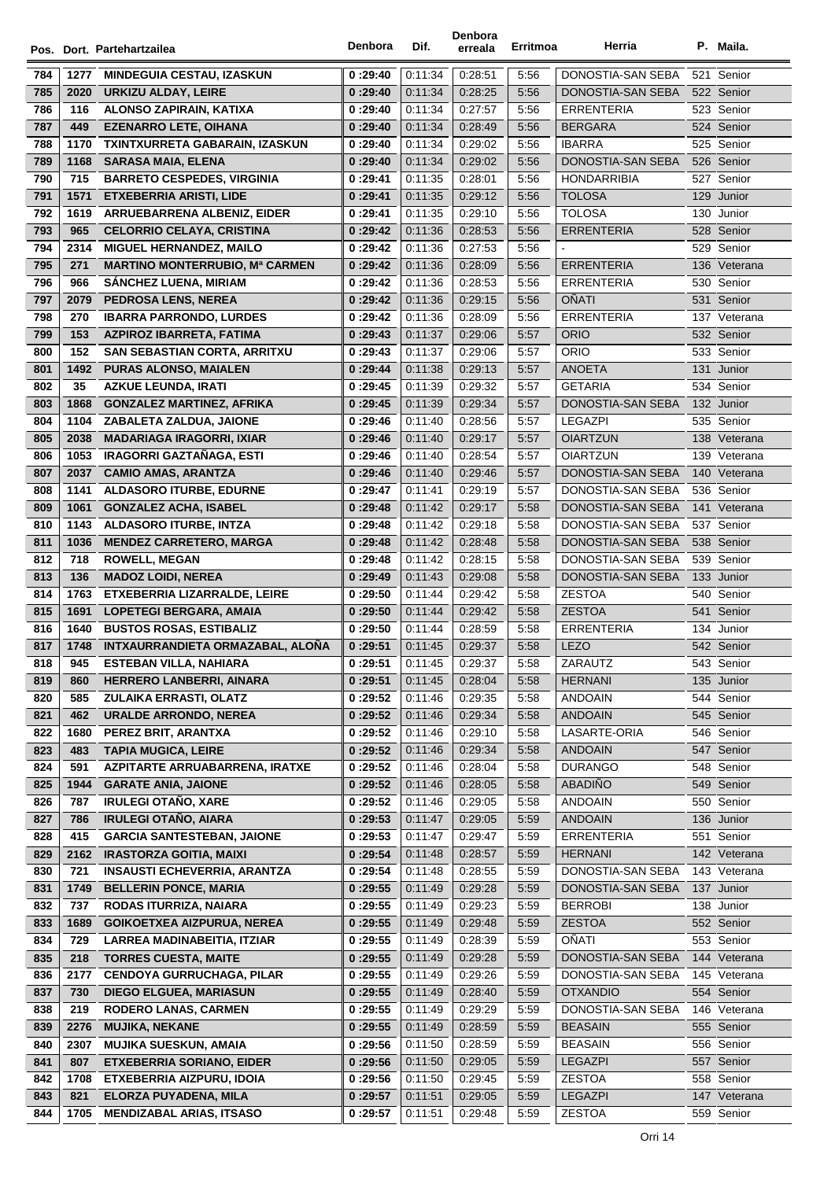|     |              | Pos. Dort. Partehartzailea                                          | Denbora  | Dif.    | Denbora<br>erreala | Erritmoa     | Herria                                 | P. Maila.    |
|-----|--------------|---------------------------------------------------------------------|----------|---------|--------------------|--------------|----------------------------------------|--------------|
| 784 | 1277         | <b>MINDEGUIA CESTAU, IZASKUN</b>                                    | 0:29:40  | 0:11:34 | 0:28:51            | 5:56         | DONOSTIA-SAN SEBA                      | 521 Senior   |
| 785 | 2020         | <b>URKIZU ALDAY, LEIRE</b>                                          | 0:29:40  | 0:11:34 | 0.28.25            | 5:56         | DONOSTIA-SAN SEBA                      | 522 Senior   |
| 786 | 116          | <b>ALONSO ZAPIRAIN, KATIXA</b>                                      | 0:29:40  | 0:11:34 | 0:27:57            | 5:56         | <b>ERRENTERIA</b>                      | 523 Senior   |
| 787 | 449          | <b>EZENARRO LETE, OIHANA</b>                                        | 0:29:40  | 0.11.34 | 0:28:49            | 5:56         | <b>BERGARA</b>                         | 524 Senior   |
| 788 | 1170         | TXINTXURRETA GABARAIN, IZASKUN                                      | 0:29:40  | 0:11:34 | 0:29:02            | 5:56         | <b>IBARRA</b>                          | 525 Senior   |
| 789 | 1168         | <b>SARASA MAIA, ELENA</b>                                           | 0:29:40  | 0.11.34 | 0:29:02            | 5:56         | DONOSTIA-SAN SEBA                      | 526 Senior   |
| 790 | 715          | <b>BARRETO CESPEDES, VIRGINIA</b>                                   | 0:29:41  | 0:11:35 | 0:28:01            | 5:56         | <b>HONDARRIBIA</b>                     | 527 Senior   |
| 791 | 1571         | <b>ETXEBERRIA ARISTI, LIDE</b>                                      | 0:29:41  | 0.11.35 | 0:29:12            | 5:56         | <b>TOLOSA</b>                          | 129 Junior   |
| 792 | 1619         | ARRUEBARRENA ALBENIZ, EIDER                                         | 0:29:41  | 0:11:35 | 0:29:10            | 5:56         | <b>TOLOSA</b>                          | 130 Junior   |
| 793 | 965          | <b>CELORRIO CELAYA, CRISTINA</b>                                    | 0:29:42  | 0:11:36 | 0:28:53            | 5:56         | <b>ERRENTERIA</b>                      | 528 Senior   |
| 794 | 2314         | <b>MIGUEL HERNANDEZ, MAILO</b>                                      | 0:29:42  | 0:11:36 | 0.27:53            | 5:56         |                                        | 529 Senior   |
| 795 | 271          | <b>MARTINO MONTERRUBIO, Mª CARMEN</b>                               | 0:29:42  | 0.11.36 | 0:28:09            | 5:56         | <b>ERRENTERIA</b>                      | 136 Veterana |
| 796 | 966          | <b>SANCHEZ LUENA, MIRIAM</b>                                        | 0:29:42  | 0:11:36 | 0:28:53            | 5:56         | <b>ERRENTERIA</b>                      | 530 Senior   |
| 797 | 2079         | <b>PEDROSA LENS, NEREA</b>                                          | 0:29:42  | 0.11.36 | 0:29:15            | 5:56         | <b>OÑATI</b>                           | 531 Senior   |
| 798 | 270          | <b>IBARRA PARRONDO, LURDES</b>                                      | 0:29:42  | 0:11:36 | 0:28:09            | 5:56         | <b>ERRENTERIA</b>                      | 137 Veterana |
| 799 | 153          | AZPIROZ IBARRETA, FATIMA                                            | 0:29:43  | 0.11.37 | 0:29:06            | 5:57         | <b>ORIO</b>                            | 532 Senior   |
| 800 | 152          | <b>SAN SEBASTIAN CORTA, ARRITXU</b>                                 | 0:29:43  | 0:11:37 | 0:29:06            | 5:57         | ORIO                                   | 533 Senior   |
| 801 | 1492         | <b>PURAS ALONSO, MAIALEN</b>                                        | 0:29:44  | 0:11:38 | 0:29:13            | 5:57         | ANOETA                                 | 131 Junior   |
| 802 | 35           | <b>AZKUE LEUNDA, IRATI</b>                                          | 0:29:45  | 0:11:39 | 0.29.32            | 5:57         | <b>GETARIA</b>                         | 534 Senior   |
| 803 | 1868         | <b>GONZALEZ MARTINEZ, AFRIKA</b>                                    | 0:29:45  | 0.11.39 | 0:29:34            | 5:57         | DONOSTIA-SAN SEBA                      | 132 Junior   |
| 804 | 1104         | ZABALETA ZALDUA, JAIONE                                             | 0:29:46  | 0:11:40 | 0:28:56            | 5:57         | <b>LEGAZPI</b>                         | 535 Senior   |
| 805 |              |                                                                     |          | 0.11.40 | 0:29:17            | 5:57         | <b>OIARTZUN</b>                        | 138 Veterana |
| 806 | 2038<br>1053 | <b>MADARIAGA IRAGORRI, IXIAR</b><br><b>IRAGORRI GAZTAÑAGA, ESTI</b> | 0:29:46  | 0:11:40 | 0:28:54            | 5:57         | <b>OIARTZUN</b>                        | 139 Veterana |
|     |              |                                                                     | 0:29:46  |         |                    |              |                                        |              |
| 807 | 2037         | <b>CAMIO AMAS, ARANTZA</b>                                          | 0:29:46  | 0.11.40 | 0:29:46            | 5:57<br>5:57 | DONOSTIA-SAN SEBA                      | 140 Veterana |
| 808 | 1141         | <b>ALDASORO ITURBE, EDURNE</b>                                      | 0:29:47  | 0.11.41 | 0:29:19            |              | DONOSTIA-SAN SEBA<br>DONOSTIA-SAN SEBA | 536 Senior   |
| 809 | 1061         | <b>GONZALEZ ACHA, ISABEL</b>                                        | 0:29:48  | 0:11:42 | 0.29.17            | 5:58<br>5:58 |                                        | 141 Veterana |
| 810 | 1143         | <b>ALDASORO ITURBE, INTZA</b>                                       | 0:29:48  | 0:11:42 | 0.29.18            |              | DONOSTIA-SAN SEBA                      | 537 Senior   |
| 811 | 1036         | <b>MENDEZ CARRETERO, MARGA</b>                                      | 0:29:48  | 0.11.42 | 0:28:48            | 5:58         | DONOSTIA-SAN SEBA                      | 538 Senior   |
| 812 | 718          | <b>ROWELL, MEGAN</b>                                                | 0:29:48  | 0:11:42 | 0:28:15            | 5:58         | DONOSTIA-SAN SEBA                      | 539 Senior   |
| 813 | 136          | <b>MADOZ LOIDI, NEREA</b>                                           | 0:29:49  | 0.11.43 | 0:29:08            | 5:58         | DONOSTIA-SAN SEBA                      | 133 Junior   |
| 814 | 1763         | <b>ETXEBERRIA LIZARRALDE, LEIRE</b>                                 | 0:29:50  | 0:11:44 | 0:29:42            | 5:58         | <b>ZESTOA</b>                          | 540 Senior   |
| 815 | 1691         | <b>LOPETEGI BERGARA, AMAIA</b>                                      | 0:29:50  | 0.11.44 | 0:29:42            | 5:58         | <b>ZESTOA</b>                          | 541 Senior   |
| 816 | 1640         | <b>BUSTOS ROSAS, ESTIBALIZ</b>                                      | 0:29:50  | 0.11.44 | 0:28:59            | 5:58         | <b>ERRENTERIA</b>                      | 134 Junior   |
| 817 | 1748         | INTXAURRANDIETA ORMAZABAL, ALOÑA                                    | 0:29:51  | 0:11:45 | 0:29:37            | 5:58         | <b>LEZO</b>                            | 542 Senior   |
| 818 | 945          | <b>ESTEBAN VILLA, NAHIARA</b>                                       | 0:29:51  | 0:11:45 | 0:29:37            | 5.58         | ZARAUTZ                                | 543 Senior   |
| 819 | 860          | <b>HERRERO LANBERRI, AINARA</b>                                     | 0 :29:51 | 0:11:45 | 0:28:04            | 5:58         | <b>HERNANI</b>                         | 135 Junior   |
| 820 | 585          | <b>ZULAIKA ERRASTI, OLATZ</b>                                       | 0:29:52  | 0.11.46 | 0:29:35            | 5:58         | <b>ANDOAIN</b>                         | 544 Senior   |
| 821 | 462          | <b>URALDE ARRONDO, NEREA</b>                                        | 0 :29:52 | 0:11:46 | 0.29.34            | 5:58         | <b>ANDOAIN</b>                         | 545 Senior   |
| 822 | 1680         | PEREZ BRIT, ARANTXA                                                 | 0:29:52  | 0.11.46 | 0.29.10            | 5:58         | LASARTE-ORIA                           | 546 Senior   |
| 823 | 483          | <b>TAPIA MUGICA, LEIRE</b>                                          | 0:29:52  | 0.11.46 | 0:29:34            | 5:58         | <b>ANDOAIN</b>                         | 547 Senior   |
| 824 | 591          | AZPITARTE ARRUABARRENA, IRATXE                                      | 0:29:52  | 0.11.46 | 0.28:04            | 5:58         | <b>DURANGO</b>                         | 548 Senior   |
| 825 | 1944         | <b>GARATE ANIA, JAIONE</b>                                          | 0:29:52  | 0:11:46 | 0:28:05            | 5:58         | <b>ABADIÑO</b>                         | 549 Senior   |
| 826 | 787          | <b>IRULEGI OTAÑO, XARE</b>                                          | 0 :29:52 | 0:11:46 | 0:29:05            | 5:58         | <b>ANDOAIN</b>                         | 550 Senior   |
| 827 | 786          | <b>IRULEGI OTAÑO, AIARA</b>                                         | 0:29:53  | 0.11.47 | 0.29:05            | 5:59         | <b>ANDOAIN</b>                         | 136 Junior   |
| 828 | 415          | <b>GARCIA SANTESTEBAN, JAIONE</b>                                   | 0:29:53  | 0.11.47 | 0:29:47            | 5:59         | <b>ERRENTERIA</b>                      | 551 Senior   |
| 829 | 2162         | <b>IRASTORZA GOITIA, MAIXI</b>                                      | 0:29:54  | 0:11:48 | 0:28:57            | 5:59         | <b>HERNANI</b>                         | 142 Veterana |
| 830 | 721          | <b>INSAUSTI ECHEVERRIA, ARANTZA</b>                                 | 0:29:54  | 0:11:48 | 0:28:55            | 5:59         | DONOSTIA-SAN SEBA                      | 143 Veterana |
| 831 | 1749         | <b>BELLERIN PONCE, MARIA</b>                                        | 0:29:55  | 0:11:49 | 0:29:28            | 5:59         | DONOSTIA-SAN SEBA                      | 137 Junior   |
| 832 | 737          | RODAS ITURRIZA, NAIARA                                              | 0:29:55  | 0:11:49 | 0.29.23            | 5:59         | <b>BERROBI</b>                         | 138 Junior   |
| 833 | 1689         | <b>GOIKOETXEA AIZPURUA, NEREA</b>                                   | 0:29:55  | 0:11:49 | 0:29:48            | 5:59         | <b>ZESTOA</b>                          | 552 Senior   |
| 834 | 729          | LARREA MADINABEITIA, ITZIAR                                         | 0:29:55  | 0:11:49 | 0:28:39            | 5:59         | OÑATI                                  | 553 Senior   |
| 835 | 218          | <b>TORRES CUESTA, MAITE</b>                                         | 0:29:55  | 0.11.49 | 0.29.28            | 5:59         | DONOSTIA-SAN SEBA                      | 144 Veterana |
| 836 | 2177         | <b>CENDOYA GURRUCHAGA, PILAR</b>                                    | 0:29:55  | 0.11.49 | 0:29:26            | 5:59         | DONOSTIA-SAN SEBA                      | 145 Veterana |
| 837 | 730          | <b>DIEGO ELGUEA, MARIASUN</b>                                       | 0:29:55  | 0:11:49 | 0.28:40            | 5:59         | <b>OTXANDIO</b>                        | 554 Senior   |
| 838 | 219          | <b>RODERO LANAS, CARMEN</b>                                         | 0:29:55  | 0.11.49 | 0.29.29            | 5:59         | DONOSTIA-SAN SEBA                      | 146 Veterana |
| 839 | 2276         | <b>MUJIKA, NEKANE</b>                                               | 0:29:55  | 0:11:49 | 0:28:59            | 5:59         | <b>BEASAIN</b>                         | 555 Senior   |
| 840 | 2307         | <b>MUJIKA SUESKUN, AMAIA</b>                                        | 0:29:56  | 0:11:50 | 0.28.59            | 5:59         | <b>BEASAIN</b>                         | 556 Senior   |
| 841 | 807          | <b>ETXEBERRIA SORIANO, EIDER</b>                                    | 0:29:56  | 0:11:50 | 0:29:05            | 5:59         | <b>LEGAZPI</b>                         | 557 Senior   |
| 842 | 1708         | ETXEBERRIA AIZPURU, IDOIA                                           | 0 :29:56 | 0:11:50 | 0.29.45            | 5:59         | <b>ZESTOA</b>                          | 558 Senior   |
| 843 | 821          | ELORZA PUYADENA, MILA                                               | 0:29:57  | 0:11:51 | 0:29:05            | 5:59         | <b>LEGAZPI</b>                         | 147 Veterana |
| 844 | 1705         | <b>MENDIZABAL ARIAS, ITSASO</b>                                     | 0:29:57  | 0:11:51 | 0:29:48            | 5:59         | <b>ZESTOA</b>                          | 559 Senior   |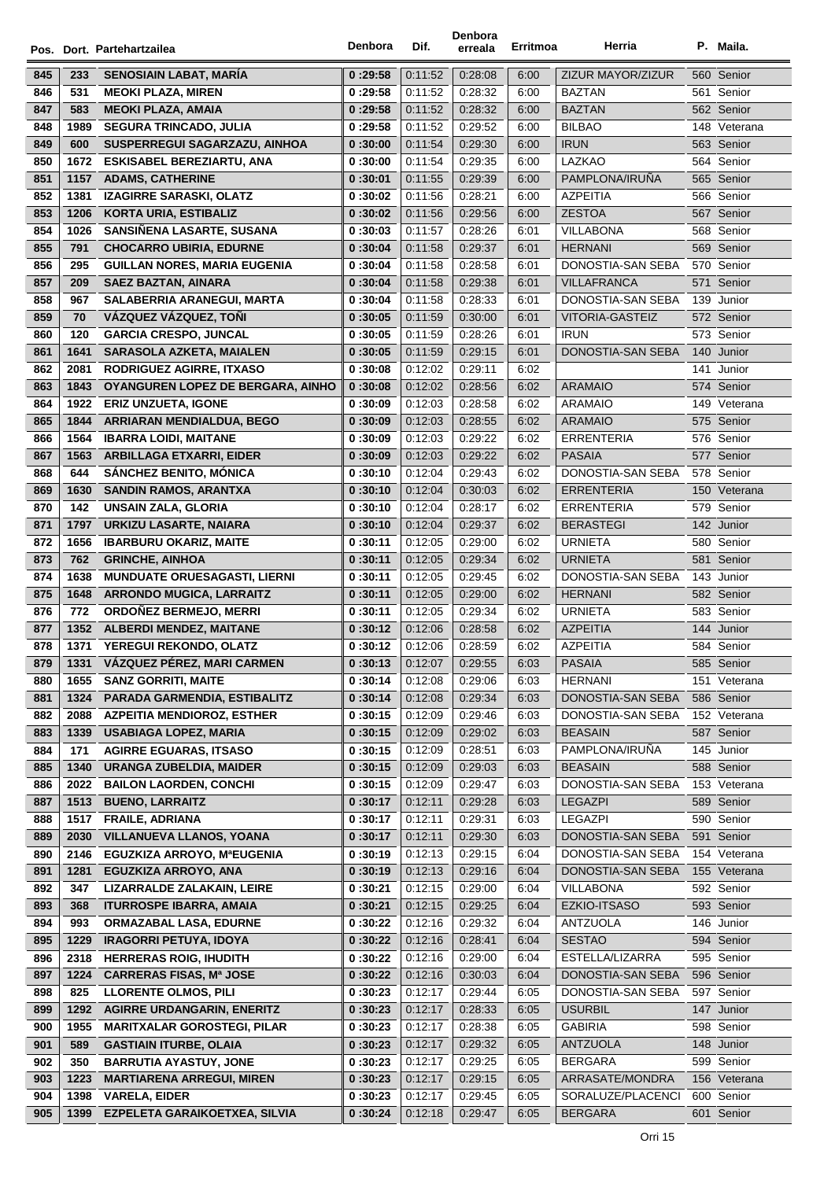|     |      | Pos. Dort. Partehartzailea                                      | Denbora  | Dif.               | Denbora<br>erreala | Erritmoa     | Herria                   |     | P. Maila.                  |
|-----|------|-----------------------------------------------------------------|----------|--------------------|--------------------|--------------|--------------------------|-----|----------------------------|
| 845 | 233  | SENOSIAIN LABAT, MARÍA                                          | 0:29:58  | 0:11:52            | 0:28:08            | 6:00         | <b>ZIZUR MAYOR/ZIZUR</b> |     | 560 Senior                 |
| 846 | 531  | <b>MEOKI PLAZA, MIREN</b>                                       | 0:29:58  | 0:11:52            | 0:28:32            | 6:00         | <b>BAZTAN</b>            |     | 561 Senior                 |
| 847 | 583  | <b>MEOKI PLAZA, AMAIA</b>                                       | 0:29:58  | 0:11:52            | 0:28:32            | 6:00         | <b>BAZTAN</b>            |     | 562 Senior                 |
| 848 | 1989 | <b>SEGURA TRINCADO, JULIA</b>                                   | 0:29:58  | 0.11.52            | 0:29:52            | 6:00         | <b>BILBAO</b>            |     | 148 Veterana               |
| 849 | 600  | SUSPERREGUI SAGARZAZU, AINHOA                                   | 0:30:00  | 0:11:54            | 0:29:30            | 6:00         | <b>IRUN</b>              |     | 563 Senior                 |
| 850 | 1672 | <b>ESKISABEL BEREZIARTU, ANA</b>                                | 0:30:00  | 0:11:54            | 0:29:35            | 6:00         | LAZKAO                   |     | 564 Senior                 |
| 851 | 1157 | <b>ADAMS, CATHERINE</b>                                         | 0:30:01  | 0:11:55            | 0:29:39            | 6:00         | PAMPLONA/IRUÑA           |     | 565 Senior                 |
| 852 | 1381 | <b>IZAGIRRE SARASKI, OLATZ</b>                                  | 0:30:02  | 0:11:56            | 0:28:21            | 6:00         | <b>AZPEITIA</b>          |     | 566 Senior                 |
| 853 | 1206 | <b>KORTA URIA, ESTIBALIZ</b>                                    | 0:30:02  | 0:11:56            | 0:29:56            | 6:00         | <b>ZESTOA</b>            |     | 567 Senior                 |
| 854 | 1026 | SANSIÑENA LASARTE, SUSANA                                       | 0:30:03  | 0:11:57            | 0.28.26            | 6:01         | VILLABONA                |     | 568 Senior                 |
| 855 | 791  | <b>CHOCARRO UBIRIA, EDURNE</b>                                  | 0:30:04  | 0:11:58            | 0:29:37            | 6:01         | <b>HERNANI</b>           |     | 569 Senior                 |
| 856 | 295  | <b>GUILLAN NORES, MARIA EUGENIA</b>                             | 0:30:04  | 0:11:58            | 0:28:58            | 6:01         | DONOSTIA-SAN SEBA        |     | 570 Senior                 |
| 857 | 209  | <b>SAEZ BAZTAN, AINARA</b>                                      | 0:30:04  | 0:11:58            | 0:29:38            | 6:01         | <b>VILLAFRANCA</b>       |     | 571 Senior                 |
| 858 | 967  | SALABERRIA ARANEGUI, MARTA                                      | 0:30:04  | 0:11:58            | 0:28:33            | 6:01         | DONOSTIA-SAN SEBA        |     | 139 Junior                 |
| 859 | 70   | VÁZQUEZ VÁZQUEZ, TOÑI                                           | 0:30:05  | 0:11:59            | 0:30:00            | 6:01         | VITORIA-GASTEIZ          |     | 572 Senior                 |
| 860 |      |                                                                 |          |                    |                    |              | <b>IRUN</b>              |     |                            |
|     | 120  | <b>GARCIA CRESPO, JUNCAL</b><br><b>SARASOLA AZKETA, MAIALEN</b> | 0:30:05  | 0:11:59<br>0:11:59 | 0.28.26<br>0:29:15 | 6:01<br>6:01 | DONOSTIA-SAN SEBA        |     | 573 Senior                 |
| 861 | 1641 |                                                                 | 0:30:05  |                    |                    |              |                          |     | 140 Junior                 |
| 862 | 2081 | <b>RODRIGUEZ AGIRRE, ITXASO</b>                                 | 0:30:08  | 0:12:02<br>0:12:02 | 0.29.11<br>0:28:56 | 6:02<br>6:02 | <b>ARAMAIO</b>           | 141 | Junior<br>574 Senior       |
| 863 | 1843 | OYANGUREN LOPEZ DE BERGARA, AINHO                               | 0:30:08  |                    |                    |              |                          |     |                            |
| 864 | 1922 | <b>ERIZ UNZUETA, IGONE</b>                                      | 0:30:09  | 0.12:03            | 0:28:58            | 6:02         | <b>ARAMAIO</b>           |     | 149 Veterana<br>575 Senior |
| 865 | 1844 | <b>ARRIARAN MENDIALDUA, BEGO</b>                                | 0:30:09  | 0:12:03            | 0:28:55            | 6:02         | <b>ARAMAIO</b>           |     |                            |
| 866 | 1564 | <b>IBARRA LOIDI, MAITANE</b>                                    | 0:30:09  | 0:12:03            | 0:29:22            | 6:02         | <b>ERRENTERIA</b>        |     | 576 Senior                 |
| 867 | 1563 | <b>ARBILLAGA ETXARRI, EIDER</b>                                 | 0:30:09  | 0:12:03            | 0:29:22            | 6:02         | <b>PASAIA</b>            |     | 577 Senior                 |
| 868 | 644  | <b>SÁNCHEZ BENITO, MÓNICA</b>                                   | 0:30:10  | 0:12:04            | 0:29:43            | 6:02         | DONOSTIA-SAN SEBA        |     | 578 Senior                 |
| 869 | 1630 | <b>SANDIN RAMOS, ARANTXA</b>                                    | 0:30:10  | 0:12:04            | 0:30:03            | 6:02         | <b>ERRENTERIA</b>        |     | 150 Veterana               |
| 870 | 142  | <b>UNSAIN ZALA, GLORIA</b>                                      | 0:30:10  | 0:12:04            | 0:28:17            | 6:02         | <b>ERRENTERIA</b>        |     | 579 Senior                 |
| 871 | 1797 | URKIZU LASARTE, NAIARA                                          | 0:30:10  | 0:12:04            | 0:29:37            | 6:02         | <b>BERASTEGI</b>         |     | 142 Junior                 |
| 872 | 1656 | <b>IBARBURU OKARIZ, MAITE</b>                                   | 0:30:11  | 0:12:05            | 0:29:00            | 6:02         | <b>URNIETA</b>           |     | 580 Senior                 |
| 873 | 762  | <b>GRINCHE, AINHOA</b>                                          | 0:30:11  | 0:12:05            | 0:29:34            | 6:02         | <b>URNIETA</b>           |     | 581 Senior                 |
| 874 | 1638 | <b>MUNDUATE ORUESAGASTI, LIERNI</b>                             | 0:30:11  | 0:12:05            | 0:29:45            | 6:02         | DONOSTIA-SAN SEBA        |     | 143 Junior                 |
| 875 | 1648 | <b>ARRONDO MUGICA, LARRAITZ</b>                                 | 0:30:11  | 0:12:05            | 0:29:00            | 6:02         | <b>HERNANI</b>           |     | 582 Senior                 |
| 876 | 772  | ORDOÑEZ BERMEJO, MERRI                                          | 0:30:11  | 0:12:05            | 0:29:34            | 6:02         | <b>URNIETA</b>           |     | 583 Senior                 |
| 877 | 1352 | <b>ALBERDI MENDEZ, MAITANE</b>                                  | 0:30:12  | 0:12:06            | 0:28:58            | 6:02         | <b>AZPEITIA</b>          |     | 144 Junior                 |
| 878 |      | 1371 YEREGUI REKONDO, OLATZ                                     | 0:30:12  | 0:12:06            | 0.28.59            | 6:02         | <b>AZPEITIA</b>          |     | 584 Senior                 |
| 879 | 1331 | VÁZQUEZ PÉREZ, MARI CARMEN                                      | 0:30:13  | 0:12:07            | 0:29:55            | 6:03         | PASAIA                   |     | 585 Senior                 |
| 880 | 1655 | <b>SANZ GORRITI, MAITE</b>                                      | 0:30:14  | 0:12:08            | 0:29:06            | 6:03         | <b>HERNANI</b>           |     | 151 Veterana               |
| 881 | 1324 | PARADA GARMENDIA, ESTIBALITZ                                    | 0:30:14  | 0:12:08            | 0:29:34            | 6:03         | DONOSTIA-SAN SEBA        |     | 586 Senior                 |
| 882 | 2088 | <b>AZPEITIA MENDIOROZ, ESTHER</b>                               | 0:30:15  | 0:12:09            | 0:29:46            | 6:03         | DONOSTIA-SAN SEBA        |     | 152 Veterana               |
| 883 | 1339 | <b>USABIAGA LOPEZ, MARIA</b>                                    | 0:30:15  | 0:12:09            | 0:29:02            | 6:03         | <b>BEASAIN</b>           |     | 587 Senior                 |
| 884 | 171  | <b>AGIRRE EGUARAS, ITSASO</b>                                   | 0:30:15  | 0:12:09            | 0:28:51            | 6:03         | PAMPLONA/IRUÑA           |     | 145 Junior                 |
| 885 | 1340 | <b>URANGA ZUBELDIA, MAIDER</b>                                  | 0:30:15  | 0:12:09            | 0:29:03            | 6:03         | <b>BEASAIN</b>           |     | 588 Senior                 |
| 886 | 2022 | <b>BAILON LAORDEN, CONCHI</b>                                   | 0:30:15  | 0:12:09            | 0:29:47            | 6:03         | DONOSTIA-SAN SEBA        |     | 153 Veterana               |
| 887 | 1513 | <b>BUENO, LARRAITZ</b>                                          | 0:30:17  | 0:12:11            | 0:29:28            | 6:03         | <b>LEGAZPI</b>           |     | 589 Senior                 |
| 888 | 1517 | <b>FRAILE, ADRIANA</b>                                          | 0:30:17  | 0:12:11            | 0:29:31            | 6:03         | LEGAZPI                  |     | 590 Senior                 |
| 889 | 2030 | <b>VILLANUEVA LLANOS, YOANA</b>                                 | 0:30:17  | 0:12:11            | 0:29:30            | 6:03         | DONOSTIA-SAN SEBA        |     | 591 Senior                 |
| 890 | 2146 | <b>EGUZKIZA ARROYO, MªEUGENIA</b>                               | 0:30:19  | 0:12:13            | 0:29:15            | 6:04         | DONOSTIA-SAN SEBA        |     | 154 Veterana               |
| 891 | 1281 | <b>EGUZKIZA ARROYO, ANA</b>                                     | 0:30:19  | 0:12:13            | 0:29:16            | 6:04         | DONOSTIA-SAN SEBA        |     | 155 Veterana               |
| 892 | 347  | LIZARRALDE ZALAKAIN, LEIRE                                      | 0 :30:21 | 0:12:15            | 0:29:00            | 6:04         | <b>VILLABONA</b>         |     | 592 Senior                 |
| 893 | 368  | <b>ITURROSPE IBARRA, AMAIA</b>                                  | 0:30:21  | 0:12:15            | 0:29:25            | 6:04         | EZKIO-ITSASO             |     | 593 Senior                 |
| 894 | 993  | <b>ORMAZABAL LASA, EDURNE</b>                                   | 0 :30:22 | 0:12:16            | 0:29:32            | 6:04         | ANTZUOLA                 |     | 146 Junior                 |
| 895 | 1229 | <b>IRAGORRI PETUYA, IDOYA</b>                                   | 0:30:22  | 0:12:16            | 0:28:41            | 6:04         | <b>SESTAO</b>            |     | 594 Senior                 |
| 896 | 2318 | <b>HERRERAS ROIG, IHUDITH</b>                                   | 0:30:22  | 0:12:16            | 0:29:00            | 6:04         | ESTELLA/LIZARRA          |     | 595 Senior                 |
| 897 | 1224 | <b>CARRERAS FISAS, Mª JOSE</b>                                  | 0:30:22  | 0:12:16            | 0:30:03            | 6:04         | DONOSTIA-SAN SEBA        |     | 596 Senior                 |
| 898 | 825  | <b>LLORENTE OLMOS, PILI</b>                                     | 0:30:23  | 0:12:17            | 0:29:44            | 6:05         | DONOSTIA-SAN SEBA        |     | 597 Senior                 |
| 899 | 1292 | <b>AGIRRE URDANGARIN, ENERITZ</b>                               | 0:30:23  | 0:12:17            | 0:28:33            | 6:05         | <b>USURBIL</b>           |     | 147 Junior                 |
| 900 | 1955 | <b>MARITXALAR GOROSTEGI, PILAR</b>                              | 0:30:23  | 0:12:17            | 0:28:38            | 6:05         | <b>GABIRIA</b>           |     | 598 Senior                 |
| 901 | 589  | <b>GASTIAIN ITURBE, OLAIA</b>                                   | 0:30:23  | 0:12:17            | 0:29:32            | 6:05         | <b>ANTZUOLA</b>          |     | 148 Junior                 |
| 902 | 350  | <b>BARRUTIA AYASTUY, JONE</b>                                   | 0:30:23  | 0:12:17            | 0:29:25            | 6:05         | <b>BERGARA</b>           |     | 599 Senior                 |
| 903 | 1223 | <b>MARTIARENA ARREGUI, MIREN</b>                                | 0:30:23  | 0:12:17            | 0:29:15            | 6:05         | ARRASATE/MONDRA          |     | 156 Veterana               |
| 904 | 1398 | <b>VARELA, EIDER</b>                                            | 0:30:23  | 0:12:17            | 0:29:45            | 6:05         | SORALUZE/PLACENCI        |     | 600 Senior                 |
| 905 | 1399 | EZPELETA GARAIKOETXEA, SILVIA                                   | 0:30:24  | 0:12:18            | 0:29:47            | 6:05         | <b>BERGARA</b>           |     | 601 Senior                 |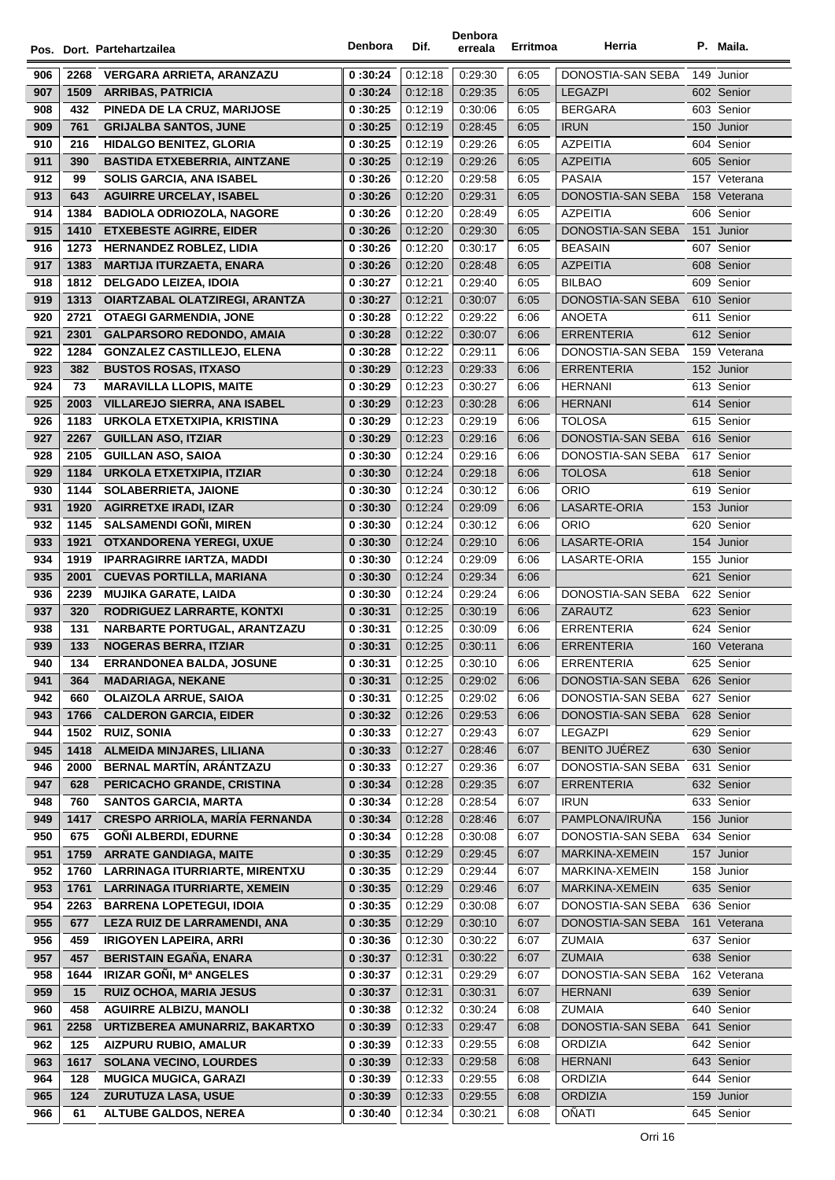|     |      | Pos. Dort. Partehartzailea            | Denbora  | Dif.    | Denbora<br>erreala | Erritmoa | Herria               |     | P. Maila.    |
|-----|------|---------------------------------------|----------|---------|--------------------|----------|----------------------|-----|--------------|
| 906 | 2268 | <b>VERGARA ARRIETA, ARANZAZU</b>      | 0:30:24  | 0:12:18 | 0:29:30            | 6:05     | DONOSTIA-SAN SEBA    |     | 149 Junior   |
| 907 | 1509 | <b>ARRIBAS, PATRICIA</b>              | 0:30:24  | 0.12:18 | 0:29:35            | 6:05     | <b>LEGAZPI</b>       |     | 602 Senior   |
| 908 | 432  | <b>PINEDA DE LA CRUZ. MARIJOSE</b>    | 0:30:25  | 0:12:19 | 0:30:06            | 6:05     | <b>BERGARA</b>       |     | 603 Senior   |
| 909 | 761  | <b>GRIJALBA SANTOS, JUNE</b>          | 0:30:25  | 0.12:19 | 0:28:45            | 6:05     | <b>IRUN</b>          |     | 150 Junior   |
| 910 | 216  | <b>HIDALGO BENITEZ, GLORIA</b>        | 0:30:25  | 0:12:19 | 0:29:26            | 6:05     | <b>AZPEITIA</b>      |     | 604 Senior   |
| 911 | 390  | <b>BASTIDA ETXEBERRIA, AINTZANE</b>   | 0:30:25  | 0.12:19 | 0:29:26            | 6:05     | <b>AZPEITIA</b>      |     | 605 Senior   |
| 912 | 99   | <b>SOLIS GARCIA, ANA ISABEL</b>       | 0:30:26  | 0:12:20 | 0:29:58            | 6:05     | <b>PASAIA</b>        |     | 157 Veterana |
| 913 | 643  | <b>AGUIRRE URCELAY, ISABEL</b>        | 0:30:26  | 0:12:20 | 0:29:31            | 6:05     | DONOSTIA-SAN SEBA    |     | 158 Veterana |
| 914 | 1384 | <b>BADIOLA ODRIOZOLA, NAGORE</b>      | 0:30:26  | 0:12:20 | 0:28:49            | 6:05     | <b>AZPEITIA</b>      |     | 606 Senior   |
| 915 | 1410 | <b>ETXEBESTE AGIRRE, EIDER</b>        | 0:30:26  | 0.12:20 | 0:29:30            | 6:05     | DONOSTIA-SAN SEBA    |     | 151 Junior   |
| 916 | 1273 | <b>HERNANDEZ ROBLEZ, LIDIA</b>        | 0:30:26  | 0:12:20 | 0:30:17            | 6:05     | <b>BEASAIN</b>       |     | 607 Senior   |
| 917 | 1383 | <b>MARTIJA ITURZAETA, ENARA</b>       | 0:30:26  | 0.12:20 | 0:28:48            | 6:05     | <b>AZPEITIA</b>      |     | 608 Senior   |
| 918 | 1812 | <b>DELGADO LEIZEA, IDOIA</b>          | 0:30:27  | 0:12:21 | 0:29:40            | 6:05     | <b>BILBAO</b>        |     | 609 Senior   |
| 919 | 1313 | OIARTZABAL OLATZIREGI, ARANTZA        | 0:30:27  | 0:12:21 | 0:30:07            | 6:05     | DONOSTIA-SAN SEBA    |     | 610 Senior   |
| 920 | 2721 | <b>OTAEGI GARMENDIA, JONE</b>         | 0:30:28  | 0.12.22 | 0:29:22            | 6:06     | ANOETA               |     | 611 Senior   |
| 921 | 2301 | <b>GALPARSORO REDONDO, AMAIA</b>      | 0:30:28  | 0:12:22 | 0:30:07            | 6:06     | <b>ERRENTERIA</b>    |     | 612 Senior   |
| 922 | 1284 | <b>GONZALEZ CASTILLEJO, ELENA</b>     | 0:30:28  | 0:12:22 | 0.29.11            | 6:06     | DONOSTIA-SAN SEBA    |     | 159 Veterana |
| 923 | 382  | <b>BUSTOS ROSAS, ITXASO</b>           | 0:30:29  | 0:12:23 | 0:29:33            | 6:06     | <b>ERRENTERIA</b>    |     | 152 Junior   |
| 924 | 73   | <b>MARAVILLA LLOPIS, MAITE</b>        | 0:30:29  | 0:12:23 | 0:30:27            | 6:06     | <b>HERNANI</b>       |     | 613 Senior   |
| 925 | 2003 | <b>VILLAREJO SIERRA, ANA ISABEL</b>   | 0:30:29  | 0:12:23 | 0:30:28            | 6:06     | <b>HERNANI</b>       |     | 614 Senior   |
| 926 | 1183 | URKOLA ETXETXIPIA, KRISTINA           | 0:30:29  | 0.12:23 | 0:29:19            | 6:06     | <b>TOLOSA</b>        |     | 615 Senior   |
| 927 | 2267 | <b>GUILLAN ASO, ITZIAR</b>            | 0:30:29  | 0.12.23 | 0.29.16            | 6:06     | DONOSTIA-SAN SEBA    |     | 616 Senior   |
| 928 | 2105 | <b>GUILLAN ASO, SAIOA</b>             | 0:30:30  | 0:12:24 | 0:29:16            | 6:06     | DONOSTIA-SAN SEBA    |     | 617 Senior   |
| 929 | 1184 | <b>URKOLA ETXETXIPIA, ITZIAR</b>      | 0:30:30  | 0.12.24 | 0:29:18            | 6:06     | <b>TOLOSA</b>        |     | 618 Senior   |
| 930 | 1144 | <b>SOLABERRIETA, JAIONE</b>           | 0:30:30  | 0:12:24 | 0:30:12            | 6:06     | ORIO                 |     | 619 Senior   |
| 931 | 1920 | <b>AGIRRETXE IRADI, IZAR</b>          | 0:30:30  | 0:12:24 | 0:29:09            | 6:06     | LASARTE-ORIA         |     | 153 Junior   |
| 932 | 1145 | <b>SALSAMENDI GONI, MIREN</b>         | 0:30:30  | 0:12:24 | 0:30:12            | 6:06     | ORIO                 |     | 620 Senior   |
| 933 | 1921 | OTXANDORENA YEREGI, UXUE              | 0:30:30  | 0.12.24 | 0:29:10            | 6:06     | LASARTE-ORIA         |     | 154 Junior   |
| 934 | 1919 | <b>IPARRAGIRRE IARTZA, MADDI</b>      | 0:30:30  | 0:12:24 | 0:29:09            | 6:06     | LASARTE-ORIA         |     | 155 Junior   |
| 935 | 2001 | <b>CUEVAS PORTILLA, MARIANA</b>       | 0:30:30  | 0.12.24 | 0:29:34            | 6:06     |                      |     | 621 Senior   |
| 936 | 2239 | <b>MUJIKA GARATE, LAIDA</b>           | 0:30:30  | 0:12:24 | 0:29:24            | 6:06     | DONOSTIA-SAN SEBA    |     | 622 Senior   |
| 937 | 320  | RODRIGUEZ LARRARTE, KONTXI            | 0:30:31  | 0.12.25 | 0:30:19            | 6:06     | ZARAUTZ              |     | 623 Senior   |
| 938 | 131  | NARBARTE PORTUGAL, ARANTZAZU          | 0 :30:31 | 0:12:25 | 0:30:09            | 6:06     | ERRENTERIA           |     | 624 Senior   |
| 939 | 133  | <b>NOGERAS BERRA, ITZIAR</b>          | 0:30:31  | 0:12:25 | 0:30:11            | 6:06     | ERRENTERIA           |     | 160 Veterana |
| 940 | 134  | <b>ERRANDONEA BALDA, JOSUNE</b>       | 0:30:31  | 0:12:25 | 0:30:10            | 6:06     | ERRENTERIA           |     | 625 Senior   |
| 941 | 364  | <b>MADARIAGA, NEKANE</b>              | 0:30:31  | 0.12.25 | 0:29:02            | 6:06     | DONOSTIA-SAN SEBA    |     | 626 Senior   |
| 942 | 660  | <b>OLAIZOLA ARRUE, SAIOA</b>          | 0:30:31  | 0.12.25 | 0.29:02            | 6:06     | DONOSTIA-SAN SEBA    |     | 627 Senior   |
| 943 | 1766 | <b>CALDERON GARCIA, EIDER</b>         | 0:30:32  | 0:12:26 | 0.29.53            | 6:06     | DONOSTIA-SAN SEBA    |     | 628 Senior   |
| 944 | 1502 | <b>RUIZ, SONIA</b>                    | 0:30:33  | 0.12.27 | 0.29.43            | 6:07     | <b>LEGAZPI</b>       |     | 629 Senior   |
| 945 | 1418 | ALMEIDA MINJARES, LILIANA             | 0:30:33  | 0:12:27 | 0.28.46            | 6:07     | <b>BENITO JUÉREZ</b> |     | 630 Senior   |
| 946 | 2000 | BERNAL MARTÍN, ARÁNTZAZU              | 0:30:33  | 0:12:27 | 0:29:36            | 6:07     | DONOSTIA-SAN SEBA    | 631 | Senior       |
| 947 | 628  | PERICACHO GRANDE, CRISTINA            | 0:30:34  | 0.12.28 | 0:29:35            | 6:07     | <b>ERRENTERIA</b>    |     | 632 Senior   |
| 948 | 760  | <b>SANTOS GARCIA, MARTA</b>           | 0:30:34  | 0.12.28 | 0.28.54            | 6:07     | <b>IRUN</b>          |     | 633 Senior   |
| 949 | 1417 | <b>CRESPO ARRIOLA, MARÍA FERNANDA</b> | 0:30:34  | 0.12.28 | 0:28:46            | 6:07     | PAMPLONA/IRUÑA       |     | 156 Junior   |
| 950 | 675  | <b>GONI ALBERDI, EDURNE</b>           | 0:30:34  | 0:12:28 | 0:30:08            | 6:07     | DONOSTIA-SAN SEBA    |     | 634 Senior   |
| 951 | 1759 | <b>ARRATE GANDIAGA, MAITE</b>         | 0:30:35  | 0:12:29 | 0:29:45            | 6:07     | MARKINA-XEMEIN       |     | 157 Junior   |
| 952 | 1760 | <b>LARRINAGA ITURRIARTE, MIRENTXU</b> | 0:30:35  | 0:12:29 | 0.29.44            | 6:07     | MARKINA-XEMEIN       |     | 158 Junior   |
| 953 | 1761 | <b>LARRINAGA ITURRIARTE, XEMEIN</b>   | 0:30:35  | 0:12:29 | 0:29:46            | 6:07     | MARKINA-XEMEIN       |     | 635 Senior   |
| 954 | 2263 | <b>BARRENA LOPETEGUI, IDOIA</b>       | 0:30:35  | 0:12:29 | 0:30:08            | 6:07     | DONOSTIA-SAN SEBA    |     | 636 Senior   |
| 955 | 677  | LEZA RUIZ DE LARRAMENDI, ANA          | 0:30:35  | 0:12:29 | 0.30.10            | 6:07     | DONOSTIA-SAN SEBA    |     | 161 Veterana |
| 956 | 459  | <b>IRIGOYEN LAPEIRA, ARRI</b>         | 0:30:36  | 0.12:30 | 0:30:22            | 6:07     | <b>ZUMAIA</b>        |     | 637 Senior   |
| 957 | 457  | BERISTAIN EGAÑA, ENARA                | 0:30:37  | 0.12.31 | 0:30:22            | 6:07     | <b>ZUMAIA</b>        |     | 638 Senior   |
| 958 | 1644 | IRIZAR GOÑI, Mª ANGELES               | 0:30:37  | 0:12:31 | 0:29:29            | 6:07     | DONOSTIA-SAN SEBA    |     | 162 Veterana |
| 959 | 15   | <b>RUIZ OCHOA, MARIA JESUS</b>        | 0:30:37  | 0:12:31 | 0:30:31            | 6:07     | <b>HERNANI</b>       |     | 639 Senior   |
| 960 | 458  | <b>AGUIRRE ALBIZU, MANOLI</b>         | 0:30:38  | 0:12:32 | 0.30.24            | 6:08     | ZUMAIA               |     | 640 Senior   |
| 961 | 2258 | URTIZBEREA AMUNARRIZ, BAKARTXO        | 0:30:39  | 0:12:33 | 0:29:47            | 6:08     | DONOSTIA-SAN SEBA    |     | 641 Senior   |
| 962 | 125  | <b>AIZPURU RUBIO, AMALUR</b>          | 0:30:39  | 0:12:33 | 0:29:55            | 6:08     | <b>ORDIZIA</b>       |     | 642 Senior   |
| 963 | 1617 | <b>SOLANA VECINO, LOURDES</b>         | 0:30:39  | 0:12:33 | 0:29:58            | 6:08     | <b>HERNANI</b>       |     | 643 Senior   |
| 964 | 128  | <b>MUGICA MUGICA, GARAZI</b>          | 0:30:39  | 0:12:33 | 0:29:55            | 6:08     | ORDIZIA              |     | 644 Senior   |
| 965 | 124  | <b>ZURUTUZA LASA, USUE</b>            | 0:30:39  | 0.12.33 | 0.29.55            | 6:08     | <b>ORDIZIA</b>       |     | 159 Junior   |
| 966 | 61   | <b>ALTUBE GALDOS, NEREA</b>           | 0:30:40  | 0:12:34 | 0:30:21            | 6:08     | OÑATI                |     | 645 Senior   |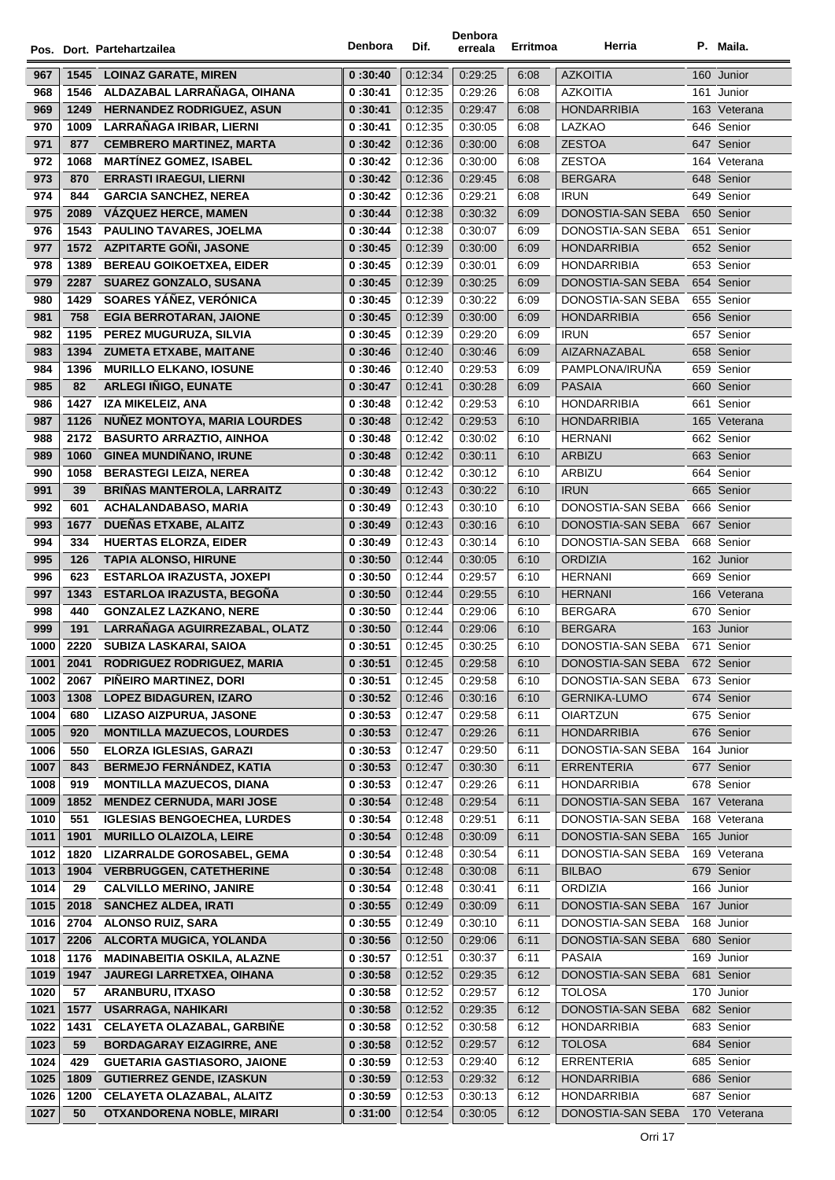|              |              | Pos. Dort. Partehartzailea                                   | Denbora            | Dif.               | Denbora<br>erreala | Erritmoa     | Herria                                 |     | P. Maila.                |
|--------------|--------------|--------------------------------------------------------------|--------------------|--------------------|--------------------|--------------|----------------------------------------|-----|--------------------------|
|              |              |                                                              |                    | 0:12:34            | 0:29:25            |              | <b>AZKOITIA</b>                        |     | 160 Junior               |
| 967<br>968   | 1545<br>1546 | <b>LOINAZ GARATE, MIREN</b><br>ALDAZABAL LARRAÑAGA, OIHANA   | 0:30:40<br>0:30:41 | 0:12:35            | 0:29:26            | 6:08<br>6:08 | AZKOITIA                               |     | 161 Junior               |
| 969          | 1249         | <b>HERNANDEZ RODRIGUEZ, ASUN</b>                             | 0:30:41            | 0:12:35            | 0:29:47            | 6:08         | <b>HONDARRIBIA</b>                     |     | 163 Veterana             |
| 970          | 1009         | LARRAÑAGA IRIBAR, LIERNI                                     | 0:30:41            | 0:12:35            | 0:30:05            | 6:08         | LAZKAO                                 |     | 646 Senior               |
| 971          | 877          | <b>CEMBRERO MARTINEZ, MARTA</b>                              | 0:30:42            | 0:12:36            | 0:30:00            | 6:08         | <b>ZESTOA</b>                          |     | 647 Senior               |
| 972          | 1068         | <b>MARTINEZ GOMEZ, ISABEL</b>                                | 0:30:42            | 0:12:36            | 0:30:00            | 6:08         | <b>ZESTOA</b>                          |     | 164 Veterana             |
| 973          | 870          | <b>ERRASTI IRAEGUI, LIERNI</b>                               | 0:30:42            | 0:12:36            | 0:29:45            | 6:08         | <b>BERGARA</b>                         |     | 648 Senior               |
| 974          | 844          | <b>GARCIA SANCHEZ, NEREA</b>                                 | 0:30:42            | 0:12:36            | 0:29:21            | 6:08         | <b>IRUN</b>                            |     | 649 Senior               |
| 975          | 2089         | <b>VÁZQUEZ HERCE, MAMEN</b>                                  | 0:30:44            | 0:12:38            | 0:30:32            | 6:09         | DONOSTIA-SAN SEBA                      |     | 650 Senior               |
| 976          | 1543         | PAULINO TAVARES, JOELMA                                      | 0:30:44            | 0:12:38            | 0:30:07            | 6:09         | DONOSTIA-SAN SEBA                      |     | 651 Senior               |
| 977          | 1572         | <b>AZPITARTE GONI, JASONE</b>                                | 0:30:45            | 0:12:39            | 0:30:00            | 6:09         | <b>HONDARRIBIA</b>                     |     | 652 Senior               |
| 978          | 1389         | <b>BEREAU GOIKOETXEA, EIDER</b>                              | 0:30:45            | 0:12:39            | 0:30:01            | 6:09         | <b>HONDARRIBIA</b>                     |     | 653 Senior               |
| 979          | 2287         | <b>SUAREZ GONZALO, SUSANA</b>                                | 0:30:45            | 0:12:39            | 0:30:25            | 6:09         | DONOSTIA-SAN SEBA                      |     | 654 Senior               |
| 980          | 1429         | SOARES YÁÑEZ, VERÓNICA                                       | 0:30:45            | 0:12:39            | 0:30:22            | 6:09         | DONOSTIA-SAN SEBA                      |     | 655 Senior               |
| 981          | 758          | <b>EGIA BERROTARAN, JAIONE</b>                               | 0:30:45            | 0:12:39            | 0:30:00            | 6:09         | <b>HONDARRIBIA</b>                     |     | 656 Senior               |
| 982          | 1195         | PEREZ MUGURUZA, SILVIA                                       | 0:30:45            | 0:12:39            | 0:29:20            | 6:09         | <b>IRUN</b>                            |     | 657 Senior               |
| 983          | 1394         | <b>ZUMETA ETXABE, MAITANE</b>                                | 0:30:46            | 0:12:40            | 0.30.46            | 6:09         | AIZARNAZABAL                           |     | 658 Senior               |
| 984          | 1396         | <b>MURILLO ELKANO, IOSUNE</b>                                | 0:30:46            | 0.12.40            | 0:29:53            | 6:09         | PAMPLONA/IRUÑA                         |     | 659 Senior               |
| 985          | 82           | <b>ARLEGI IÑIGO, EUNATE</b>                                  | 0:30:47            | 0.12.41            | 0:30:28            | 6:09         | <b>PASAIA</b>                          |     | 660 Senior               |
| 986          | 1427         | IZA MIKELEIZ, ANA                                            | 0:30:48            | 0:12:42            | 0:29:53            | 6:10         | <b>HONDARRIBIA</b>                     | 661 | Senior                   |
| 987          | 1126         | NUÑEZ MONTOYA, MARIA LOURDES                                 | 0:30:48            | 0:12:42            | 0:29:53            | 6:10         | <b>HONDARRIBIA</b>                     |     | 165 Veterana             |
| 988          | 2172         | <b>BASURTO ARRAZTIO, AINHOA</b>                              | 0:30:48            | 0:12:42            | 0:30:02            | 6:10         | <b>HERNANI</b>                         |     | 662 Senior               |
| 989          | 1060         | <b>GINEA MUNDIÑANO, IRUNE</b>                                | 0:30:48            | 0:12:42            | 0:30:11            | 6:10         | <b>ARBIZU</b>                          |     | 663 Senior               |
| 990          | 1058         | <b>BERASTEGI LEIZA, NEREA</b>                                | 0:30:48            | 0:12:42            | 0:30:12            | 6:10         | ARBIZU                                 |     | 664 Senior               |
| 991          | 39           | <b>BRIÑAS MANTEROLA, LARRAITZ</b>                            | 0:30:49            | 0:12:43            | 0:30:22            | 6:10         | <b>IRUN</b>                            |     | 665 Senior               |
| 992          | 601          | ACHALANDABASO, MARIA                                         | 0:30:49            | 0:12:43            | 0:30:10            | 6:10         | DONOSTIA-SAN SEBA                      |     | 666 Senior               |
| 993          | 1677         | <b>DUEÑAS ETXABE, ALAITZ</b>                                 | 0:30:49            | 0:12:43            | 0:30:16            | 6:10         | DONOSTIA-SAN SEBA                      |     | 667 Senior               |
| 994          | 334          | <b>HUERTAS ELORZA, EIDER</b>                                 | 0:30:49            | 0:12:43            | 0.30.14            | 6:10         | DONOSTIA-SAN SEBA                      |     | 668 Senior               |
| 995          | 126          | <b>TAPIA ALONSO, HIRUNE</b>                                  | 0:30:50            | 0:12:44            | 0:30:05            | 6:10         | <b>ORDIZIA</b>                         |     | 162 Junior               |
| 996          | 623          | <b>ESTARLOA IRAZUSTA, JOXEPI</b>                             | 0:30:50            | 0:12:44            | 0:29:57            | 6:10         | HERNANI                                |     | 669 Senior               |
| 997          | 1343         | <b>ESTARLOA IRAZUSTA, BEGOÑA</b>                             | 0:30:50            | 0:12:44            | 0:29:55            | 6:10         | <b>HERNANI</b>                         |     | 166 Veterana             |
| 998          | 440          | <b>GONZALEZ LAZKANO, NERE</b>                                | 0:30:50            | 0:12:44            | 0:29:06            | 6:10         | <b>BERGARA</b>                         |     | 670 Senior               |
| 999          | 191          | LARRAÑAGA AGUIRREZABAL, OLATZ                                | 0:30:50            | 0:12:44            | 0:29:06            | 6:10         | BERGARA                                |     | 163 Junior               |
| 1000         | 2220         | <b>SUBIZA LASKARAI, SAIOA</b>                                | 0:30:51            | 0.12.45            | 0:30:25            | 6:10         | DONOSTIA-SAN SEBA                      |     | 671 Senior               |
| 1001         | 2041         | RODRIGUEZ RODRIGUEZ, MARIA                                   | 0:30:51            | 0:12:45            | 0:29:58            | 6:10         | DONOSTIA-SAN SEBA                      |     | 672 Senior               |
| 1002         | 2067         | PIÑEIRO MARTINEZ, DORI                                       | 0:30:51            | 0:12:45            | 0:29:58            | 6:10         | DONOSTIA-SAN SEBA                      |     | 673 Senior               |
| 1003         | 1308         | <b>LOPEZ BIDAGUREN, IZARO</b>                                | 0:30:52            | 0:12:46            | 0:30:16            | 6:10         | <b>GERNIKA-LUMO</b><br><b>OIARTZUN</b> |     | 674 Senior               |
| 1004         | 680          | LIZASO AIZPURUA, JASONE<br><b>MONTILLA MAZUECOS, LOURDES</b> | 0:30:53            | 0:12:47<br>0:12:47 | 0:29:58            | 6:11         | <b>HONDARRIBIA</b>                     |     | 675 Senior<br>676 Senior |
| 1005<br>1006 | 920<br>550   | ELORZA IGLESIAS, GARAZI                                      | 0:30:53<br>0:30:53 | 0:12:47            | 0:29:26<br>0:29:50 | 6:11<br>6:11 | DONOSTIA-SAN SEBA                      |     | 164 Junior               |
| 1007         | 843          | <b>BERMEJO FERNÁNDEZ, KATIA</b>                              | 0:30:53            | 0:12:47            | 0:30:30            | 6:11         | <b>ERRENTERIA</b>                      |     | 677 Senior               |
| 1008         | 919          | <b>MONTILLA MAZUECOS, DIANA</b>                              | 0:30:53            | 0:12:47            | 0:29:26            | 6:11         | <b>HONDARRIBIA</b>                     |     | 678 Senior               |
| 1009         | 1852         | <b>MENDEZ CERNUDA, MARI JOSE</b>                             | 0:30:54            | 0:12:48            | 0:29:54            | 6:11         | DONOSTIA-SAN SEBA                      |     | 167 Veterana             |
| 1010         | 551          | <b>IGLESIAS BENGOECHEA, LURDES</b>                           | 0:30:54            | 0:12:48            | 0:29:51            | 6:11         | DONOSTIA-SAN SEBA                      |     | 168 Veterana             |
| 1011         | 1901         | <b>MURILLO OLAIZOLA, LEIRE</b>                               | 0:30:54            | 0:12:48            | 0.30.09            | 6:11         | DONOSTIA-SAN SEBA                      |     | 165 Junior               |
| 1012         | 1820         | LIZARRALDE GOROSABEL, GEMA                                   | 0 :30:54           | 0:12:48            | 0:30:54            | 6:11         | DONOSTIA-SAN SEBA                      |     | 169 Veterana             |
| 1013         | 1904         | <b>VERBRUGGEN, CATETHERINE</b>                               | 0:30:54            | 0:12:48            | 0:30:08            | 6:11         | <b>BILBAO</b>                          |     | 679 Senior               |
| 1014         | 29           | <b>CALVILLO MERINO, JANIRE</b>                               | 0:30:54            | 0:12:48            | 0:30:41            | 6:11         | ORDIZIA                                |     | 166 Junior               |
| 1015         | 2018         | <b>SANCHEZ ALDEA, IRATI</b>                                  | 0:30:55            | 0:12:49            | 0:30:09            | 6:11         | DONOSTIA-SAN SEBA                      |     | 167 Junior               |
| 1016         | 2704         | <b>ALONSO RUIZ, SARA</b>                                     | 0 :30:55           | 0:12:49            | 0.30.10            | 6:11         | DONOSTIA-SAN SEBA                      |     | 168 Junior               |
| 1017         | 2206         | ALCORTA MUGICA, YOLANDA                                      | 0:30:56            | 0:12:50            | 0:29:06            | 6:11         | DONOSTIA-SAN SEBA                      |     | 680 Senior               |
| 1018         | 1176         | <b>MADINABEITIA OSKILA, ALAZNE</b>                           | 0:30:57            | 0:12:51            | 0:30:37            | 6:11         | PASAIA                                 |     | 169 Junior               |
| 1019         | 1947         | JAUREGI LARRETXEA, OIHANA                                    | 0:30:58            | 0:12:52            | 0:29:35            | 6:12         | DONOSTIA-SAN SEBA                      |     | 681 Senior               |
| 1020         | 57           | <b>ARANBURU, ITXASO</b>                                      | 0:30:58            | 0:12:52            | 0:29:57            | 6:12         | <b>TOLOSA</b>                          |     | 170 Junior               |
| 1021         | 1577         | <b>USARRAGA, NAHIKARI</b>                                    | 0:30:58            | 0:12:52            | 0:29:35            | 6:12         | DONOSTIA-SAN SEBA                      |     | 682 Senior               |
| 1022         | 1431         | <b>CELAYETA OLAZABAL, GARBIÑE</b>                            | 0:30:58            | 0:12:52            | 0:30:58            | 6:12         | HONDARRIBIA                            |     | 683 Senior               |
| 1023         | 59           | <b>BORDAGARAY EIZAGIRRE, ANE</b>                             | 0:30:58            | 0:12:52            | 0:29:57            | 6:12         | <b>TOLOSA</b>                          |     | 684 Senior               |
| 1024         | 429          | <b>GUETARIA GASTIASORO, JAIONE</b>                           | 0:30:59            | 0:12:53            | 0:29:40            | 6:12         | <b>ERRENTERIA</b>                      |     | 685 Senior               |
| 1025         | 1809         | <b>GUTIERREZ GENDE, IZASKUN</b>                              | 0:30:59            | 0:12:53            | 0:29:32            | 6:12         | <b>HONDARRIBIA</b>                     |     | 686 Senior               |
| 1026         | 1200         | <b>CELAYETA OLAZABAL, ALAITZ</b>                             | 0:30:59            | 0:12:53            | 0:30:13            | 6:12         | <b>HONDARRIBIA</b>                     |     | 687 Senior               |
| 1027         | 50           | OTXANDORENA NOBLE, MIRARI                                    | 0:31:00            | 0:12:54            | 0:30:05            | 6:12         | DONOSTIA-SAN SEBA                      |     | 170 Veterana             |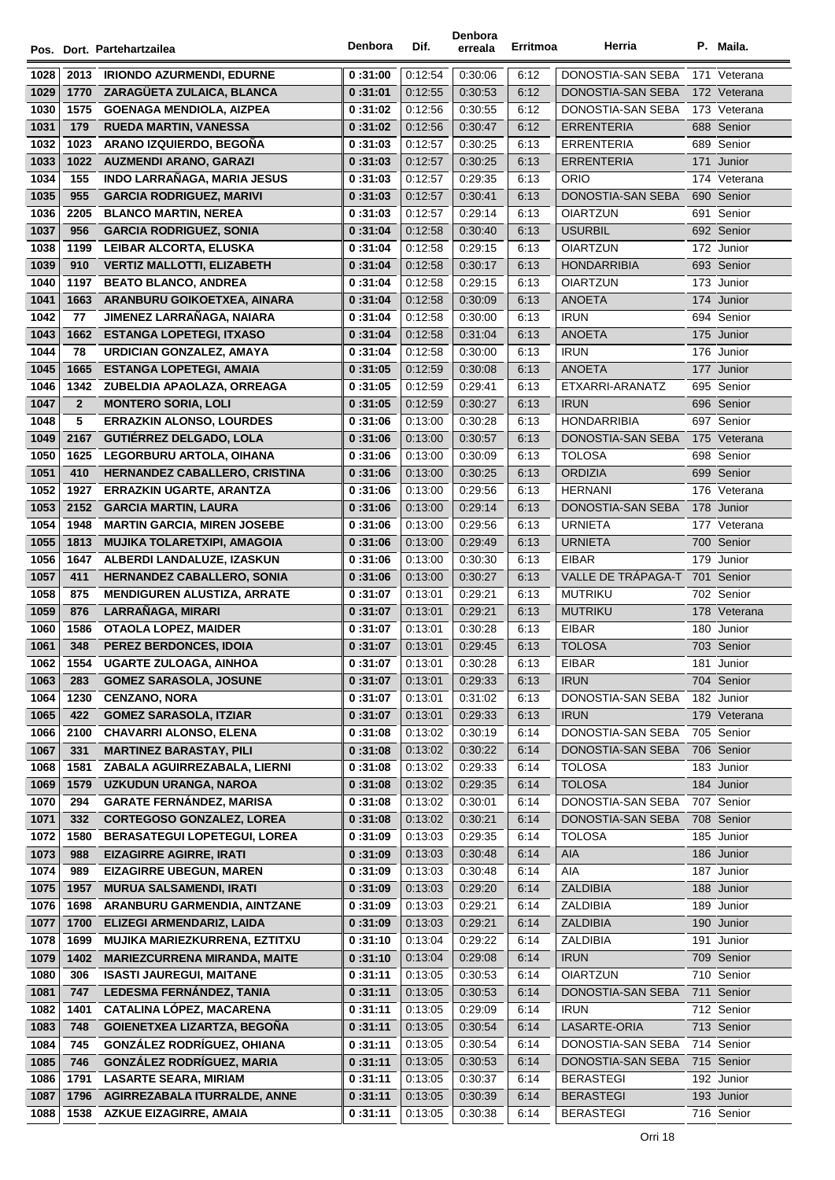|      |                |                                     | Denbora  |         | Denbora |                 | Herria             |              |
|------|----------------|-------------------------------------|----------|---------|---------|-----------------|--------------------|--------------|
|      |                | Pos. Dort. Partehartzailea          |          | Dif.    | erreala | <b>Erritmoa</b> |                    | P. Maila.    |
| 1028 | 2013           | <b>IRIONDO AZURMENDI, EDURNE</b>    | 0:31:00  | 0:12:54 | 0:30:06 | 6:12            | DONOSTIA-SAN SEBA  | 171 Veterana |
| 1029 | 1770           | ZARAGÜETA ZULAICA, BLANCA           | 0:31:01  | 0:12:55 | 0:30:53 | 6:12            | DONOSTIA-SAN SEBA  | 172 Veterana |
| 1030 | 1575           | <b>GOENAGA MENDIOLA, AIZPEA</b>     | 0:31:02  | 0:12:56 | 0:30:55 | 6:12            | DONOSTIA-SAN SEBA  | 173 Veterana |
| 1031 | 179            | <b>RUEDA MARTIN, VANESSA</b>        |          | 0:12:56 | 0:30:47 | 6:12            | <b>ERRENTERIA</b>  | 688 Senior   |
|      |                |                                     | 0:31:02  |         |         |                 |                    | 689 Senior   |
| 1032 | 1023           | <b>ARANO IZQUIERDO, BEGONA</b>      | 0:31:03  | 0:12:57 | 0:30:25 | 6:13            | <b>ERRENTERIA</b>  |              |
| 1033 | 1022           | <b>AUZMENDI ARANO, GARAZI</b>       | 0:31:03  | 0:12:57 | 0:30:25 | 6:13            | <b>ERRENTERIA</b>  | 171 Junior   |
| 1034 | 155            | INDO LARRAÑAGA, MARIA JESUS         | 0:31:03  | 0.12.57 | 0:29:35 | 6:13            | <b>ORIO</b>        | 174 Veterana |
| 1035 | 955            | <b>GARCIA RODRIGUEZ, MARIVI</b>     | 0:31:03  | 0:12:57 | 0:30:41 | 6:13            | DONOSTIA-SAN SEBA  | 690 Senior   |
| 1036 | 2205           | <b>BLANCO MARTIN, NEREA</b>         | 0:31:03  | 0:12:57 | 0:29:14 | 6:13            | OIARTZUN           | 691 Senior   |
| 1037 | 956            | <b>GARCIA RODRIGUEZ, SONIA</b>      | 0:31:04  | 0:12:58 | 0:30:40 | 6:13            | <b>USURBIL</b>     | 692 Senior   |
| 1038 | 1199           | LEIBAR ALCORTA, ELUSKA              | 0:31:04  | 0:12:58 | 0.29.15 | 6:13            | <b>OIARTZUN</b>    | 172 Junior   |
| 1039 | 910            | <b>VERTIZ MALLOTTI, ELIZABETH</b>   | 0:31:04  | 0:12:58 | 0:30:17 | 6:13            | HONDARRIBIA        | 693 Senior   |
| 1040 | 1197           | <b>BEATO BLANCO, ANDREA</b>         | 0:31:04  | 0:12:58 | 0.29.15 | 6:13            | <b>OIARTZUN</b>    | 173 Junior   |
| 1041 | 1663           | ARANBURU GOIKOETXEA, AINARA         | 0:31:04  | 0:12:58 | 0:30:09 | 6:13            | ANOETA             | 174 Junior   |
| 1042 | 77             | JIMENEZ LARRAÑAGA, NAIARA           | 0:31:04  | 0:12:58 | 0:30:00 | 6:13            | <b>IRUN</b>        | 694 Senior   |
| 1043 | 1662           | <b>ESTANGA LOPETEGI, ITXASO</b>     | 0:31:04  | 0:12:58 | 0:31:04 | 6:13            | <b>ANOETA</b>      | 175 Junior   |
| 1044 | 78             |                                     |          | 0:12:58 | 0:30:00 | 6:13            | <b>IRUN</b>        | 176 Junior   |
|      |                | URDICIAN GONZALEZ, AMAYA            | 0:31:04  |         |         |                 |                    |              |
| 1045 | 1665           | <b>ESTANGA LOPETEGI, AMAIA</b>      | 0:31:05  | 0:12:59 | 0:30:08 | 6:13            | <b>ANOETA</b>      | 177 Junior   |
| 1046 | 1342           | ZUBELDIA APAOLAZA, ORREAGA          | 0:31:05  | 0:12:59 | 0:29:41 | 6:13            | ETXARRI-ARANATZ    | 695 Senior   |
| 1047 | $\overline{2}$ | <b>MONTERO SORIA, LOLI</b>          | 0:31:05  | 0:12:59 | 0:30:27 | 6:13            | <b>IRUN</b>        | 696 Senior   |
| 1048 | 5              | <b>ERRAZKIN ALONSO, LOURDES</b>     | 0:31:06  | 0:13:00 | 0:30:28 | 6:13            | <b>HONDARRIBIA</b> | 697 Senior   |
| 1049 | 2167           | GUTIÉRREZ DELGADO, LOLA             | 0:31:06  | 0:13:00 | 0:30:57 | 6:13            | DONOSTIA-SAN SEBA  | 175 Veterana |
| 1050 | 1625           | LEGORBURU ARTOLA, OIHANA            | 0:31:06  | 0:13:00 | 0:30:09 | 6:13            | <b>TOLOSA</b>      | 698 Senior   |
| 1051 | 410            | HERNANDEZ CABALLERO, CRISTINA       | 0:31:06  | 0:13:00 | 0:30:25 | 6:13            | <b>ORDIZIA</b>     | 699 Senior   |
| 1052 | 1927           | <b>ERRAZKIN UGARTE, ARANTZA</b>     | 0:31:06  | 0:13:00 | 0:29:56 | 6:13            | <b>HERNANI</b>     | 176 Veterana |
| 1053 | 2152           | <b>GARCIA MARTIN, LAURA</b>         | 0:31:06  | 0:13:00 | 0.29.14 | 6:13            | DONOSTIA-SAN SEBA  | 178 Junior   |
| 1054 | 1948           | <b>MARTIN GARCIA, MIREN JOSEBE</b>  | 0:31:06  | 0:13:00 | 0:29:56 | 6:13            | <b>URNIETA</b>     | 177 Veterana |
| 1055 | 1813           | <b>MUJIKA TOLARETXIPI, AMAGOIA</b>  | 0:31:06  | 0.13:00 | 0:29:49 | 6:13            | <b>URNIETA</b>     | 700 Senior   |
| 1056 | 1647           | ALBERDI LANDALUZE, IZASKUN          | 0:31:06  | 0:13:00 | 0:30:30 | 6:13            | <b>EIBAR</b>       | 179 Junior   |
| 1057 | 411            | <b>HERNANDEZ CABALLERO, SONIA</b>   | 0:31:06  | 0:13:00 | 0:30:27 | 6:13            | VALLE DE TRÁPAGA-T | 701 Senior   |
| 1058 | 875            | <b>MENDIGUREN ALUSTIZA, ARRATE</b>  | 0:31:07  | 0.13:01 | 0:29:21 | 6:13            | <b>MUTRIKU</b>     | 702 Senior   |
|      |                |                                     |          |         |         |                 |                    |              |
| 1059 | 876            | LARRAÑAGA, MIRARI                   | 0:31:07  | 0.13.01 | 0:29:21 | 6:13            | <b>MUTRIKU</b>     | 178 Veterana |
| 1060 | 1586           | <b>OTAOLA LOPEZ, MAIDER</b>         | 0:31:07  | 0.13.01 | 0:30:28 | 6:13            | <b>EIBAR</b>       | 180 Junior   |
| 1061 | 348            | PEREZ BERDONCES, IDOIA              | 0:31:07  | 0:13:01 | 0.29.45 | 6:13            | <b>TOLOSA</b>      | 703 Senior   |
| 1062 | 1554           | UGARTE ZULOAGA, AINHOA              | 0 :31:07 | 0.13.01 | 0.30.28 | 6:13            | EIBAR              | 181 Junior   |
| 1063 | 283            | <b>GOMEZ SARASOLA, JOSUNE</b>       | 0:31:07  | 0:13:01 | 0:29:33 | 6:13            | <b>IRUN</b>        | 704 Senior   |
| 1064 | 1230           | <b>CENZANO, NORA</b>                | 0:31:07  | 0:13:01 | 0:31:02 | 6:13            | DONOSTIA-SAN SEBA  | 182 Junior   |
| 1065 | 422            | <b>GOMEZ SARASOLA, ITZIAR</b>       | 0:31:07  | 0:13:01 | 0.29.33 | 6:13            | <b>IRUN</b>        | 179 Veterana |
| 1066 | 2100           | <b>CHAVARRI ALONSO, ELENA</b>       | 0:31:08  | 0:13:02 | 0:30:19 | 6:14            | DONOSTIA-SAN SEBA  | 705 Senior   |
| 1067 | 331            | <b>MARTINEZ BARASTAY, PILI</b>      | 0:31:08  | 0:13:02 | 0:30:22 | 6:14            | DONOSTIA-SAN SEBA  | 706 Senior   |
| 1068 | 1581           | ZABALA AGUIRREZABALA, LIERNI        | 0:31:08  | 0:13:02 | 0:29:33 | 6:14            | <b>TOLOSA</b>      | 183 Junior   |
| 1069 | 1579           | UZKUDUN URANGA, NAROA               | 0:31:08  | 0:13:02 | 0:29:35 | 6:14            | <b>TOLOSA</b>      | 184 Junior   |
| 1070 | 294            | <b>GARATE FERNÁNDEZ, MARISA</b>     | 0:31:08  | 0:13:02 | 0:30:01 | 6:14            | DONOSTIA-SAN SEBA  | 707 Senior   |
| 1071 | 332            | <b>CORTEGOSO GONZALEZ, LOREA</b>    | 0:31:08  | 0:13:02 | 0:30:21 | 6:14            | DONOSTIA-SAN SEBA  | 708 Senior   |
| 1072 | 1580           | <b>BERASATEGUI LOPETEGUI. LOREA</b> | 0:31:09  | 0:13:03 | 0:29:35 | 6:14            | <b>TOLOSA</b>      | 185 Junior   |
| 1073 | 988            | <b>EIZAGIRRE AGIRRE, IRATI</b>      | 0:31:09  | 0:13:03 | 0:30:48 | 6:14            | <b>AIA</b>         | 186 Junior   |
| 1074 | 989            | <b>EIZAGIRRE UBEGUN, MAREN</b>      | 0:31:09  | 0:13:03 | 0:30:48 | 6:14            | AIA                | 187 Junior   |
| 1075 | 1957           | <b>MURUA SALSAMENDI, IRATI</b>      | 0:31:09  | 0:13:03 | 0:29:20 | 6:14            | ZALDIBIA           | 188 Junior   |
| 1076 | 1698           | ARANBURU GARMENDIA, AINTZANE        | 0:31:09  | 0:13:03 |         | 6:14            | ZALDIBIA           | 189 Junior   |
|      |                |                                     |          |         | 0:29:21 |                 |                    |              |
| 1077 | 1700           | ELIZEGI ARMENDARIZ, LAIDA           | 0:31:09  | 0:13:03 | 0:29:21 | 6:14            | ZALDIBIA           | 190 Junior   |
| 1078 | 1699           | MUJIKA MARIEZKURRENA, EZTITXU       | 0:31:10  | 0:13:04 | 0.29.22 | 6:14            | ZALDIBIA           | 191 Junior   |
| 1079 | 1402           | <b>MARIEZCURRENA MIRANDA, MAITE</b> | 0:31:10  | 0:13:04 | 0.29:08 | 6:14            | <b>IRUN</b>        | 709 Senior   |
| 1080 | 306            | <b>ISASTI JAUREGUI, MAITANE</b>     | 0:31:11  | 0:13:05 | 0:30:53 | 6:14            | <b>OIARTZUN</b>    | 710 Senior   |
| 1081 | 747            | LEDESMA FERNÁNDEZ, TANIA            | 0:31:11  | 0:13:05 | 0.30.53 | 6:14            | DONOSTIA-SAN SEBA  | 711 Senior   |
| 1082 | 1401           | <b>CATALINA LÓPEZ, MACARENA</b>     | 0:31:11  | 0:13:05 | 0:29:09 | 6:14            | <b>IRUN</b>        | 712 Senior   |
| 1083 | 748            | GOIENETXEA LIZARTZA, BEGOÑA         | 0:31:11  | 0:13:05 | 0.30.54 | 6:14            | LASARTE-ORIA       | 713 Senior   |
| 1084 | 745            | <b>GONZÁLEZ RODRÍGUEZ, OHIANA</b>   | 0:31:11  | 0:13:05 | 0:30:54 | 6:14            | DONOSTIA-SAN SEBA  | 714 Senior   |
| 1085 | 746            | <b>GONZÁLEZ RODRÍGUEZ, MARIA</b>    | 0:31:11  | 0:13:05 | 0:30:53 | 6:14            | DONOSTIA-SAN SEBA  | 715 Senior   |
| 1086 | 1791           | <b>LASARTE SEARA, MIRIAM</b>        | 0:31:11  | 0:13:05 | 0:30:37 | 6:14            | <b>BERASTEGI</b>   | 192 Junior   |
| 1087 | 1796           | AGIRREZABALA ITURRALDE, ANNE        | 0:31:11  | 0:13:05 | 0:30:39 | 6:14            | <b>BERASTEGI</b>   | 193 Junior   |
| 1088 | 1538           | <b>AZKUE EIZAGIRRE, AMAIA</b>       | 0:31:11  | 0:13:05 | 0:30:38 | 6:14            | <b>BERASTEGI</b>   | 716 Senior   |
|      |                |                                     |          |         |         |                 |                    |              |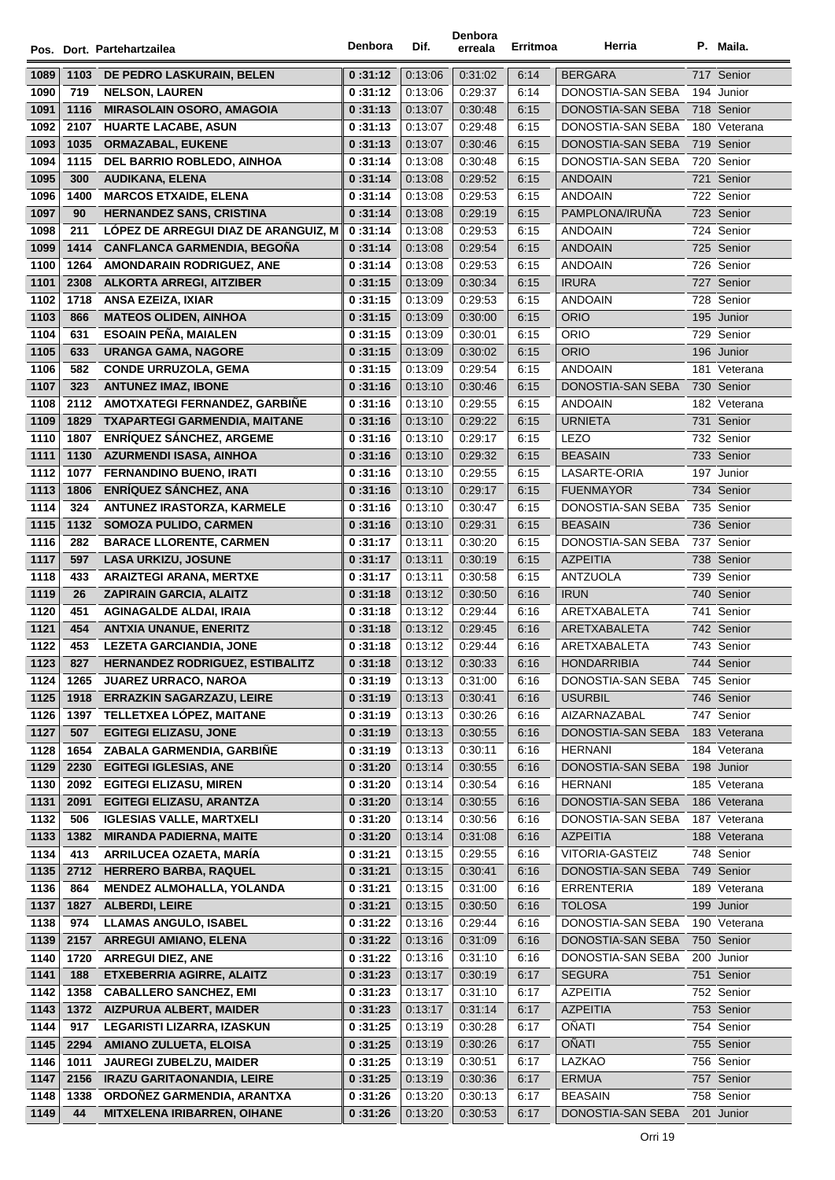|              |      | Pos. Dort. Partehartzailea           | Denbora | Dif.               | Denbora<br>erreala | Erritmoa     | Herria                                 | P. Maila.                  |
|--------------|------|--------------------------------------|---------|--------------------|--------------------|--------------|----------------------------------------|----------------------------|
|              |      |                                      |         |                    |                    |              | <b>BERGARA</b>                         |                            |
| 1089         | 1103 | DE PEDRO LASKURAIN, BELEN            | 0:31:12 | 0:13:06            | 0:31:02            | 6:14         |                                        | 717 Senior                 |
| 1090         | 719  | <b>NELSON, LAUREN</b>                | 0:31:12 | 0:13:06            | 0:29:37            | 6:14         | DONOSTIA-SAN SEBA<br>DONOSTIA-SAN SEBA | 194 Junior                 |
| 1091         | 1116 | <b>MIRASOLAIN OSORO, AMAGOIA</b>     | 0:31:13 | 0:13:07            | 0.30.48<br>0:29:48 | 6:15<br>6:15 |                                        | 718 Senior                 |
| 1092<br>1093 | 2107 | <b>HUARTE LACABE, ASUN</b>           | 0:31:13 | 0:13:07<br>0:13:07 | 0:30:46            | 6:15         | DONOSTIA-SAN SEBA<br>DONOSTIA-SAN SEBA | 180 Veterana<br>719 Senior |
|              | 1035 | <b>ORMAZABAL, EUKENE</b>             | 0:31:13 | 0:13:08            | 0:30:48            |              | DONOSTIA-SAN SEBA                      | 720 Senior                 |
| 1094<br>1095 | 1115 | DEL BARRIO ROBLEDO, AINHOA           | 0:31:14 |                    |                    | 6:15         | <b>ANDOAIN</b>                         |                            |
|              | 300  | <b>AUDIKANA, ELENA</b>               | 0:31:14 | 0:13:08            | 0:29:52            | 6:15         |                                        | 721 Senior                 |
| 1096         | 1400 | <b>MARCOS ETXAIDE, ELENA</b>         | 0:31:14 | 0:13:08            | 0:29:53            | 6:15         | <b>ANDOAIN</b>                         | 722 Senior                 |
| 1097         | 90   | <b>HERNANDEZ SANS, CRISTINA</b>      | 0:31:14 | 0:13:08            | 0:29:19            | 6:15         | PAMPLONA/IRUÑA                         | 723 Senior                 |
| 1098         | 211  | LOPEZ DE ARREGUI DIAZ DE ARANGUIZ, M | 0:31:14 | 0:13:08            | 0:29:53            | 6:15         | <b>ANDOAIN</b>                         | 724 Senior                 |
| 1099         | 1414 | <b>CANFLANCA GARMENDIA, BEGOÑA</b>   | 0:31:14 | 0:13:08            | 0:29:54            | 6:15         | <b>ANDOAIN</b>                         | 725 Senior                 |
| 1100         | 1264 | AMONDARAIN RODRIGUEZ, ANE            | 0:31:14 | 0:13:08            | 0:29:53            | 6:15         | <b>ANDOAIN</b>                         | 726 Senior                 |
| 1101         |      | 2308 ALKORTA ARREGI, AITZIBER        | 0:31:15 | 0:13:09            | 0:30:34            | 6:15         | <b>IRURA</b>                           | 727 Senior                 |
| 1102         | 1718 | ANSA EZEIZA, IXIAR                   | 0:31:15 | 0:13:09            | 0:29:53            | 6:15         | <b>ANDOAIN</b>                         | 728 Senior                 |
| 1103         | 866  | <b>MATEOS OLIDEN, AINHOA</b>         | 0:31:15 | 0:13:09            | 0:30:00            | 6:15         | <b>ORIO</b>                            | 195 Junior                 |
| 1104         | 631  | <b>ESOAIN PEÑA, MAIALEN</b>          | 0:31:15 | 0:13:09            | 0:30:01            | 6:15         | <b>ORIO</b>                            | 729 Senior                 |
| 1105         | 633  | <b>URANGA GAMA, NAGORE</b>           | 0:31:15 | 0:13:09            | 0:30:02            | 6:15         | <b>ORIO</b>                            | 196 Junior                 |
| 1106         | 582  | <b>CONDE URRUZOLA, GEMA</b>          | 0:31:15 | 0:13:09            | 0:29:54            | 6:15         | <b>ANDOAIN</b>                         | 181 Veterana               |
| 1107         | 323  | <b>ANTUNEZ IMAZ, IBONE</b>           | 0:31:16 | 0:13:10            | 0:30:46            | 6:15         | DONOSTIA-SAN SEBA                      | 730 Senior                 |
| 1108         | 2112 | AMOTXATEGI FERNANDEZ, GARBIÑE        | 0:31:16 | 0:13:10            | 0:29:55            | 6:15         | <b>ANDOAIN</b>                         | 182 Veterana               |
| 1109         | 1829 | <b>TXAPARTEGI GARMENDIA, MAITANE</b> | 0:31:16 | 0:13:10            | 0:29:22            | 6:15         | <b>URNIETA</b>                         | 731 Senior                 |
| 1110         | 1807 | <b>ENRIQUEZ SANCHEZ, ARGEME</b>      | 0:31:16 | 0:13:10            | 0:29:17            | 6:15         | <b>LEZO</b>                            | 732 Senior                 |
| 1111         | 1130 | <b>AZURMENDI ISASA, AINHOA</b>       | 0:31:16 | 0:13:10            | 0:29:32            | 6:15         | <b>BEASAIN</b>                         | 733 Senior                 |
| 1112         | 1077 | FERNANDINO BUENO, IRATI              | 0:31:16 | 0:13:10            | 0:29:55            | 6:15         | LASARTE-ORIA                           | 197 Junior                 |
| 1113         | 1806 | <b>ENRÍQUEZ SÁNCHEZ, ANA</b>         | 0:31:16 | 0:13:10            | 0:29:17            | 6:15         | <b>FUENMAYOR</b>                       | 734 Senior                 |
| 1114         | 324  | ANTUNEZ IRASTORZA, KARMELE           | 0:31:16 | 0:13:10            | 0:30:47            | 6:15         | DONOSTIA-SAN SEBA                      | 735 Senior                 |
| 1115         | 1132 | <b>SOMOZA PULIDO, CARMEN</b>         | 0:31:16 | 0:13:10            | 0:29:31            | 6:15         | <b>BEASAIN</b>                         | 736 Senior                 |
| 1116         | 282  | <b>BARACE LLORENTE, CARMEN</b>       | 0:31:17 | 0:13:11            | 0:30:20            | 6:15         | DONOSTIA-SAN SEBA                      | 737 Senior                 |
| 1117         | 597  | <b>LASA URKIZU, JOSUNE</b>           | 0:31:17 | 0:13:11            | 0:30:19            | 6:15         | <b>AZPEITIA</b>                        | 738 Senior                 |
| 1118         | 433  | <b>ARAIZTEGI ARANA, MERTXE</b>       | 0:31:17 | 0:13:11            | 0:30:58            | 6:15         | <b>ANTZUOLA</b>                        | 739 Senior                 |
| 1119         | 26   | <b>ZAPIRAIN GARCIA, ALAITZ</b>       | 0:31:18 | 0:13:12            | 0:30:50            | 6:16         | <b>IRUN</b>                            | 740 Senior                 |
| 1120         | 451  | <b>AGINAGALDE ALDAI, IRAIA</b>       | 0:31:18 | 0:13:12            | 0:29:44            | 6:16         | ARETXABALETA                           | 741 Senior                 |
| 1121         | 454  | <b>ANTXIA UNANUE, ENERITZ</b>        | 0:31:18 | 0:13:12            | 0:29:45            | 6:16         | ARETXABALETA                           | 742 Senior                 |
| 1122         | 453  | <b>LEZETA GARCIANDIA, JONE</b>       | 0:31:18 | 0:13:12            | 0:29:44            | 6:16         | ARETXABALETA                           | 743 Senior                 |
| 1123         | 827  | HERNANDEZ RODRIGUEZ, ESTIBALITZ      | 0:31:18 | 0:13:12            | 0:30:33            | 6:16         | <b>HONDARRIBIA</b>                     | 744 Senior                 |
| 1124         | 1265 | <b>JUAREZ URRACO, NAROA</b>          | 0:31:19 | 0:13:13            | 0:31:00            | 6:16         | DONOSTIA-SAN SEBA                      | 745 Senior                 |
| 1125         | 1918 | <b>ERRAZKIN SAGARZAZU, LEIRE</b>     | 0:31:19 | 0:13:13            | 0:30:41            | 6:16         | <b>USURBIL</b>                         | 746 Senior                 |
| 1126         | 1397 | TELLETXEA LÓPEZ, MAITANE             | 0:31:19 | 0:13:13            | 0:30:26            | 6:16         | AIZARNAZABAL                           | 747 Senior                 |
| 1127         | 507  | <b>EGITEGI ELIZASU, JONE</b>         | 0:31:19 | 0:13:13            | 0:30:55            | 6:16         | DONOSTIA-SAN SEBA                      | 183 Veterana               |
| 1128         | 1654 | ZABALA GARMENDIA, GARBIÑE            | 0:31:19 | 0:13:13            | 0:30:11            | 6:16         | <b>HERNANI</b>                         | 184 Veterana               |
| 1129         | 2230 | <b>EGITEGI IGLESIAS, ANE</b>         | 0:31:20 | 0:13:14            | 0:30:55            | 6:16         | DONOSTIA-SAN SEBA                      | 198 Junior                 |
| 1130         | 2092 | <b>EGITEGI ELIZASU, MIREN</b>        | 0:31:20 | 0:13:14            | 0:30:54            | 6:16         | <b>HERNANI</b>                         | 185 Veterana               |
| 1131         | 2091 | <b>EGITEGI ELIZASU, ARANTZA</b>      | 0:31:20 | 0:13:14            | 0:30:55            | 6:16         | DONOSTIA-SAN SEBA                      | 186 Veterana               |
| 1132         | 506  | <b>IGLESIAS VALLE, MARTXELI</b>      | 0:31:20 | 0:13:14            | 0:30:56            | 6:16         | DONOSTIA-SAN SEBA                      | 187 Veterana               |
| 1133         | 1382 | <b>MIRANDA PADIERNA, MAITE</b>       | 0:31:20 | 0:13:14            | 0:31:08            | 6:16         | <b>AZPEITIA</b>                        | 188 Veterana               |
| 1134         | 413  | ARRILUCEA OZAETA, MARÍA              | 0:31:21 | 0:13:15            | 0:29:55            | 6:16         | VITORIA-GASTEIZ                        | 748 Senior                 |
| 1135         | 2712 | <b>HERRERO BARBA, RAQUEL</b>         | 0:31:21 | 0:13:15            | 0:30:41            | 6:16         | DONOSTIA-SAN SEBA                      | 749 Senior                 |
| 1136         | 864  | <b>MENDEZ ALMOHALLA, YOLANDA</b>     | 0:31:21 | 0:13:15            | 0:31:00            | 6:16         | <b>ERRENTERIA</b>                      | 189 Veterana               |
| 1137         | 1827 | <b>ALBERDI, LEIRE</b>                | 0:31:21 | 0:13:15            | 0:30:50            | 6:16         | <b>TOLOSA</b>                          | 199 Junior                 |
| 1138         | 974  | <b>LLAMAS ANGULO, ISABEL</b>         | 0:31:22 | 0:13:16            | 0:29:44            | 6:16         | DONOSTIA-SAN SEBA                      | 190 Veterana               |
| 1139         | 2157 | <b>ARREGUI AMIANO, ELENA</b>         | 0:31:22 | 0:13:16            | 0:31:09            | 6:16         | DONOSTIA-SAN SEBA                      | 750 Senior                 |
| 1140         | 1720 | <b>ARREGUI DIEZ, ANE</b>             | 0:31:22 | 0:13:16            | 0:31:10            | 6:16         | DONOSTIA-SAN SEBA                      | 200 Junior                 |
| 1141         | 188  | ETXEBERRIA AGIRRE, ALAITZ            | 0:31:23 | 0:13:17            | 0:30:19            | 6:17         | <b>SEGURA</b>                          | 751 Senior                 |
| 1142         | 1358 | <b>CABALLERO SANCHEZ, EMI</b>        | 0:31:23 | 0:13:17            | 0.31.10            | 6:17         | <b>AZPEITIA</b>                        | 752 Senior                 |
| 1143         | 1372 | <b>AIZPURUA ALBERT, MAIDER</b>       | 0:31:23 | 0:13:17            | 0.31.14            | 6:17         | <b>AZPEITIA</b>                        | 753 Senior                 |
| 1144         | 917  | LEGARISTI LIZARRA, IZASKUN           | 0:31:25 | 0:13:19            | 0:30:28            | 6:17         | OÑATI                                  | 754 Senior                 |
| 1145         | 2294 | AMIANO ZULUETA, ELOISA               | 0:31:25 | 0:13:19            | 0:30:26            | 6:17         | <b>OÑATI</b>                           | 755 Senior                 |
| 1146         | 1011 | <b>JAUREGI ZUBELZU, MAIDER</b>       | 0:31:25 | 0:13:19            | 0:30:51            | 6:17         | LAZKAO                                 | 756 Senior                 |
| 1147         | 2156 | <b>IRAZU GARITAONANDIA, LEIRE</b>    | 0:31:25 | 0:13:19            | 0:30:36            | 6:17         | <b>ERMUA</b>                           | 757 Senior                 |
| 1148         | 1338 | ORDOÑEZ GARMENDIA, ARANTXA           | 0:31:26 | 0:13:20            | 0:30:13            | 6:17         | <b>BEASAIN</b>                         | 758 Senior                 |
| 1149         | 44   | <b>MITXELENA IRIBARREN, OIHANE</b>   | 0:31:26 | 0:13:20            | 0:30:53            | 6:17         | DONOSTIA-SAN SEBA                      | 201 Junior                 |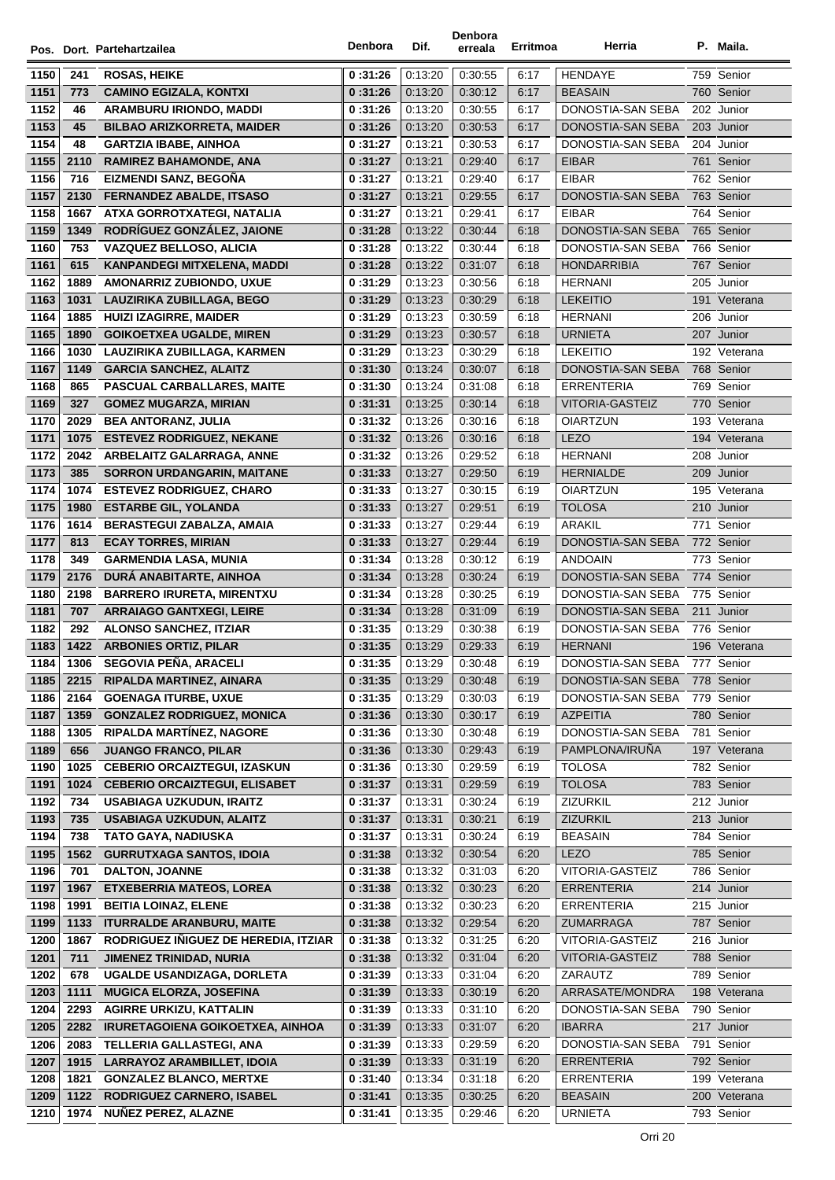|      |      |                                         | Denbora  | Dif.    | Denbora | Erritmoa | Herria                 | P. Maila.    |
|------|------|-----------------------------------------|----------|---------|---------|----------|------------------------|--------------|
|      |      | Pos. Dort. Partehartzailea              |          |         | erreala |          |                        |              |
| 1150 | 241  | <b>ROSAS, HEIKE</b>                     | 0:31:26  | 0:13:20 | 0:30:55 | 6:17     | <b>HENDAYE</b>         | 759 Senior   |
| 1151 | 773  | <b>CAMINO EGIZALA, KONTXI</b>           | 0:31:26  | 0:13:20 | 0:30:12 | 6:17     | <b>BEASAIN</b>         | 760 Senior   |
| 1152 | 46   | ARAMBURU IRIONDO, MADDI                 | 0:31:26  | 0.13.20 | 0:30:55 | 6:17     | DONOSTIA-SAN SEBA      | 202 Junior   |
| 1153 | 45   | <b>BILBAO ARIZKORRETA, MAIDER</b>       | 0:31:26  | 0:13:20 | 0:30:53 | 6:17     | DONOSTIA-SAN SEBA      | 203 Junior   |
| 1154 | 48   | <b>GARTZIA IBABE, AINHOA</b>            | 0:31:27  | 0:13:21 | 0:30:53 | 6:17     | DONOSTIA-SAN SEBA      | 204 Junior   |
| 1155 | 2110 | <b>RAMIREZ BAHAMONDE, ANA</b>           | 0:31:27  | 0:13:21 | 0:29:40 | 6:17     | <b>EIBAR</b>           | 761 Senior   |
| 1156 | 716  | EIZMENDI SANZ, BEGOÑA                   | 0:31:27  | 0:13:21 | 0:29:40 | 6:17     | <b>EIBAR</b>           | 762 Senior   |
| 1157 | 2130 | <b>FERNANDEZ ABALDE, ITSASO</b>         | 0 :31:27 | 0:13:21 | 0:29:55 | 6:17     | DONOSTIA-SAN SEBA      | 763 Senior   |
| 1158 | 1667 | ATXA GORROTXATEGI, NATALIA              | 0:31:27  | 0:13:21 | 0.29.41 | 6:17     | <b>EIBAR</b>           | 764 Senior   |
| 1159 | 1349 | RODRÍGUEZ GONZÁLEZ. JAIONE              | 0:31:28  | 0:13:22 | 0:30:44 | 6:18     | DONOSTIA-SAN SEBA      | 765 Senior   |
| 1160 | 753  | VAZQUEZ BELLOSO, ALICIA                 | 0:31:28  | 0:13:22 | 0:30:44 | 6:18     | DONOSTIA-SAN SEBA      | 766 Senior   |
| 1161 | 615  | KANPANDEGI MITXELENA, MADDI             | 0:31:28  | 0:13:22 | 0:31:07 | 6:18     | <b>HONDARRIBIA</b>     | 767 Senior   |
| 1162 | 1889 | AMONARRIZ ZUBIONDO, UXUE                | 0:31:29  | 0:13:23 | 0:30:56 | 6:18     | <b>HERNANI</b>         | 205 Junior   |
| 1163 | 1031 | LAUZIRIKA ZUBILLAGA, BEGO               | 0:31:29  | 0:13:23 | 0:30:29 | 6:18     | <b>LEKEITIO</b>        | 191 Veterana |
| 1164 | 1885 | <b>HUIZI IZAGIRRE, MAIDER</b>           | 0:31:29  | 0.13.23 | 0:30:59 | 6:18     | <b>HERNANI</b>         | 206 Junior   |
| 1165 | 1890 | <b>GOIKOETXEA UGALDE, MIREN</b>         | 0:31:29  | 0.13.23 | 0:30:57 | 6:18     | <b>URNIETA</b>         | 207 Junior   |
| 1166 | 1030 | LAUZIRIKA ZUBILLAGA, KARMEN             | 0:31:29  | 0.13.23 | 0:30:29 | 6:18     | <b>LEKEITIO</b>        | 192 Veterana |
| 1167 | 1149 | <b>GARCIA SANCHEZ, ALAITZ</b>           | 0:31:30  | 0.13.24 | 0:30:07 | 6:18     | DONOSTIA-SAN SEBA      | 768 Senior   |
| 1168 | 865  | PASCUAL CARBALLARES, MAITE              | 0:31:30  | 0:13:24 | 0:31:08 | 6:18     | <b>ERRENTERIA</b>      | 769 Senior   |
| 1169 | 327  | <b>GOMEZ MUGARZA, MIRIAN</b>            | 0:31:31  | 0:13:25 | 0:30:14 | 6:18     | <b>VITORIA-GASTEIZ</b> | 770 Senior   |
| 1170 | 2029 | <b>BEA ANTORANZ, JULIA</b>              | 0:31:32  | 0:13:26 | 0.30.16 | 6:18     | <b>OIARTZUN</b>        | 193 Veterana |
| 1171 | 1075 | <b>ESTEVEZ RODRIGUEZ, NEKANE</b>        | 0:31:32  | 0:13:26 | 0:30:16 | 6:18     | <b>LEZO</b>            | 194 Veterana |
| 1172 | 2042 | ARBELAITZ GALARRAGA, ANNE               | 0:31:32  | 0:13:26 | 0:29:52 | 6:18     | <b>HERNANI</b>         | 208 Junior   |
| 1173 | 385  | <b>SORRON URDANGARIN, MAITANE</b>       | 0:31:33  | 0:13:27 | 0:29:50 | 6:19     | <b>HERNIALDE</b>       | 209 Junior   |
| 1174 | 1074 | <b>ESTEVEZ RODRIGUEZ, CHARO</b>         | 0:31:33  | 0:13:27 | 0:30:15 | 6:19     | <b>OIARTZUN</b>        | 195 Veterana |
| 1175 | 1980 | <b>ESTARBE GIL, YOLANDA</b>             | 0:31:33  | 0:13:27 | 0.29.51 | 6:19     | <b>TOLOSA</b>          | 210 Junior   |
| 1176 | 1614 | BERASTEGUI ZABALZA, AMAIA               | 0:31:33  | 0:13:27 | 0:29:44 | 6:19     | ARAKIL                 | 771 Senior   |
| 1177 | 813  | <b>ECAY TORRES, MIRIAN</b>              | 0:31:33  | 0:13:27 | 0:29:44 | 6:19     | DONOSTIA-SAN SEBA      | 772 Senior   |
| 1178 | 349  | <b>GARMENDIA LASA, MUNIA</b>            | 0:31:34  | 0:13:28 | 0:30:12 | 6:19     | <b>ANDOAIN</b>         | 773 Senior   |
| 1179 | 2176 | DURA ANABITARTE, AINHOA                 | 0:31:34  | 0:13:28 | 0:30:24 | 6:19     | DONOSTIA-SAN SEBA      | 774 Senior   |
| 1180 | 2198 | <b>BARRERO IRURETA, MIRENTXU</b>        | 0:31:34  | 0:13:28 | 0:30:25 | 6:19     | DONOSTIA-SAN SEBA      | 775 Senior   |
| 1181 | 707  | <b>ARRAIAGO GANTXEGI, LEIRE</b>         | 0:31:34  | 0:13:28 | 0:31:09 | 6:19     | DONOSTIA-SAN SEBA      | 211 Junior   |
| 1182 | 292  | <b>ALONSO SANCHEZ, ITZIAR</b>           | 0:31:35  | 0:13:29 | 0:30:38 | 6:19     | DONOSTIA-SAN SEBA      | 776 Senior   |
| 1183 |      | 1422 ARBONIES ORTIZ, PILAR              | 0:31:35  | 0.13.29 | 0:29:33 | 6:19     | <b>HERNANI</b>         | 196 Veterana |
| 1184 | 1306 | <b>SEGOVIA PENA, ARACELI</b>            | 0 :31:35 | 0:13:29 | 0:30:48 | 6:19     | DONOSTIA-SAN SEBA      | 777 Senior   |
| 1185 | 2215 | RIPALDA MARTINEZ, AINARA                | 0:31:35  | 0:13:29 | 0:30:48 | 6:19     | DONOSTIA-SAN SEBA      | 778 Senior   |
| 1186 | 2164 | <b>GOENAGA ITURBE, UXUE</b>             | 0:31:35  | 0.13.29 | 0:30:03 | 6:19     | DONOSTIA-SAN SEBA      | 779 Senior   |
| 1187 | 1359 | <b>GONZALEZ RODRIGUEZ, MONICA</b>       | 0:31:36  | 0.13.30 | 0:30:17 | 6:19     | <b>AZPEITIA</b>        | 780 Senior   |
| 1188 | 1305 | <b>RIPALDA MARTINEZ, NAGORE</b>         | 0:31:36  | 0:13:30 | 0:30:48 | 6:19     | DONOSTIA-SAN SEBA      | 781 Senior   |
| 1189 | 656  | <b>JUANGO FRANCO, PILAR</b>             | 0:31:36  | 0:13:30 | 0:29:43 | 6:19     | PAMPLONA/IRUÑA         | 197 Veterana |
| 1190 | 1025 | <b>CEBERIO ORCAIZTEGUI, IZASKUN</b>     | 0:31:36  | 0.13:30 | 0:29:59 | 6:19     | <b>TOLOSA</b>          | 782 Senior   |
| 1191 | 1024 | <b>CEBERIO ORCAIZTEGUI, ELISABET</b>    | 0:31:37  | 0:13:31 | 0:29:59 | 6:19     | <b>TOLOSA</b>          | 783 Senior   |
| 1192 | 734  | <b>USABIAGA UZKUDUN, IRAITZ</b>         | 0 :31:37 | 0:13:31 | 0:30:24 | 6:19     | ZIZURKIL               | 212 Junior   |
| 1193 | 735  | USABIAGA UZKUDUN, ALAITZ                | 0:31:37  | 0:13:31 | 0:30:21 | 6:19     | ZIZURKIL               | 213 Junior   |
| 1194 | 738  | TATO GAYA, NADIUSKA                     | 0:31:37  | 0:13:31 | 0:30:24 | 6:19     | <b>BEASAIN</b>         | 784 Senior   |
| 1195 | 1562 | <b>GURRUTXAGA SANTOS, IDOIA</b>         | 0:31:38  | 0:13:32 | 0:30:54 | 6:20     | <b>LEZO</b>            | 785 Senior   |
| 1196 | 701  | DALTON, JOANNE                          | 0:31:38  | 0:13:32 | 0:31:03 | 6:20     | VITORIA-GASTEIZ        | 786 Senior   |
| 1197 | 1967 | <b>ETXEBERRIA MATEOS, LOREA</b>         | 0:31:38  | 0:13:32 | 0:30:23 | 6:20     | <b>ERRENTERIA</b>      | 214 Junior   |
| 1198 | 1991 | <b>BEITIA LOINAZ, ELENE</b>             | 0:31:38  | 0:13:32 | 0:30:23 | 6:20     | <b>ERRENTERIA</b>      | 215 Junior   |
| 1199 | 1133 | <b>ITURRALDE ARANBURU, MAITE</b>        | 0:31:38  | 0:13:32 | 0:29:54 | 6:20     | ZUMARRAGA              | 787 Senior   |
| 1200 | 1867 | RODRIGUEZ IÑIGUEZ DE HEREDIA, ITZIAR    | 0:31:38  | 0:13:32 | 0:31:25 | 6:20     | VITORIA-GASTEIZ        | 216 Junior   |
| 1201 | 711  | <b>JIMENEZ TRINIDAD, NURIA</b>          | 0:31:38  | 0.13.32 | 0:31:04 | 6:20     | VITORIA-GASTEIZ        | 788 Senior   |
| 1202 | 678  | UGALDE USANDIZAGA, DORLETA              | 0:31:39  | 0:13:33 | 0:31:04 | 6:20     | ZARAUTZ                | 789 Senior   |
| 1203 | 1111 | <b>MUGICA ELORZA, JOSEFINA</b>          | 0:31:39  | 0:13:33 | 0:30:19 | 6:20     | ARRASATE/MONDRA        | 198 Veterana |
| 1204 | 2293 | <b>AGIRRE URKIZU, KATTALIN</b>          | 0:31:39  | 0:13:33 | 0:31:10 | 6:20     | DONOSTIA-SAN SEBA      | 790 Senior   |
| 1205 | 2282 | <b>IRURETAGOIENA GOIKOETXEA, AINHOA</b> | 0:31:39  | 0:13:33 | 0:31:07 | 6:20     | <b>IBARRA</b>          | 217 Junior   |
| 1206 | 2083 | TELLERIA GALLASTEGI, ANA                | 0:31:39  | 0:13:33 | 0:29:59 | 6:20     | DONOSTIA-SAN SEBA      | 791 Senior   |
| 1207 | 1915 | LARRAYOZ ARAMBILLET, IDOIA              | 0:31:39  | 0:13:33 | 0:31:19 | 6:20     | <b>ERRENTERIA</b>      | 792 Senior   |
| 1208 | 1821 | <b>GONZALEZ BLANCO, MERTXE</b>          | 0:31:40  | 0:13:34 | 0:31:18 | 6:20     | <b>ERRENTERIA</b>      | 199 Veterana |
| 1209 | 1122 | RODRIGUEZ CARNERO, ISABEL               | 0:31:41  | 0:13:35 | 0:30:25 | 6:20     | <b>BEASAIN</b>         | 200 Veterana |
| 1210 | 1974 | <b>NUÑEZ PEREZ, ALAZNE</b>              | 0:31:41  | 0:13:35 | 0:29:46 | 6:20     | <b>URNIETA</b>         | 793 Senior   |
|      |      |                                         |          |         |         |          |                        |              |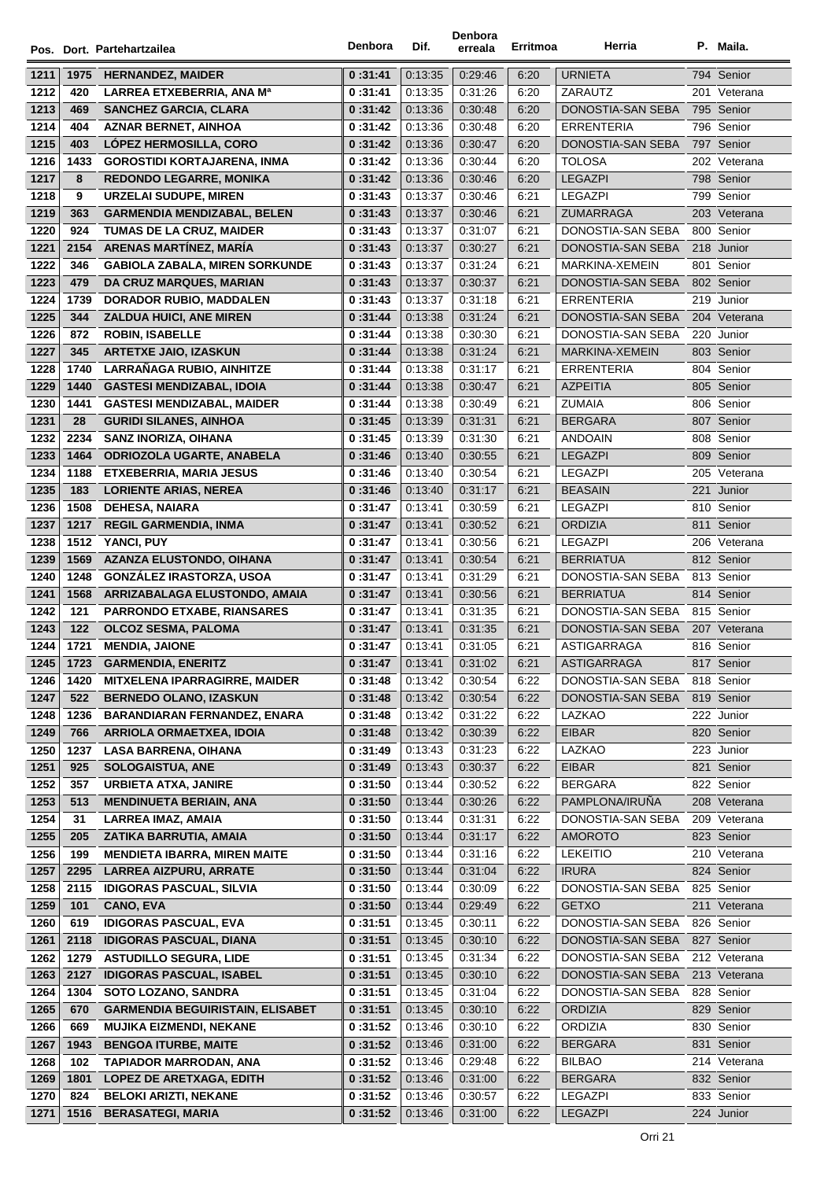|              |             | Pos. Dort. Partehartzailea                                         | Denbora            | Dif.               | Denbora<br>erreala | Erritmoa     | Herria                                | P. Maila.                |
|--------------|-------------|--------------------------------------------------------------------|--------------------|--------------------|--------------------|--------------|---------------------------------------|--------------------------|
| 1211         | 1975        | <b>HERNANDEZ, MAIDER</b>                                           | 0:31:41            | 0:13:35            | 0:29:46            | 6:20         | <b>URNIETA</b>                        | 794 Senior               |
| 1212         | 420         | LARREA ETXEBERRIA, ANA Mª                                          | 0:31:41            | 0:13:35            | 0:31:26            | 6:20         | ZARAUTZ                               | 201 Veterana             |
| 1213         | 469         | <b>SANCHEZ GARCIA, CLARA</b>                                       | 0:31:42            | 0:13:36            | 0:30:48            | 6:20         | DONOSTIA-SAN SEBA                     | 795 Senior               |
| 1214         | 404         | <b>AZNAR BERNET, AINHOA</b>                                        | 0:31:42            | 0:13:36            | 0:30:48            | 6:20         | <b>ERRENTERIA</b>                     | 796 Senior               |
| 1215         | 403         | LÓPEZ HERMOSILLA, CORO                                             | 0:31:42            | 0:13:36            | 0:30:47            | 6:20         | DONOSTIA-SAN SEBA                     | 797 Senior               |
| 1216         | 1433        | <b>GOROSTIDI KORTAJARENA, INMA</b>                                 | 0:31:42            | 0:13:36            | 0:30:44            | 6:20         | TOLOSA                                | 202 Veterana             |
| 1217         | 8           | <b>REDONDO LEGARRE, MONIKA</b>                                     | 0:31:42            | 0:13:36            | 0.30.46            | 6:20         | <b>LEGAZPI</b>                        | 798 Senior               |
| 1218         | 9           | URZELAI SUDUPE, MIREN                                              | 0:31:43            | 0:13:37            | 0:30:46            | 6:21         | LEGAZPI                               | 799 Senior               |
| 1219         | 363         | <b>GARMENDIA MENDIZABAL, BELEN</b>                                 | 0:31:43            | 0:13:37            | 0:30:46            | 6:21         | ZUMARRAGA                             | 203 Veterana             |
| 1220         | 924         | TUMAS DE LA CRUZ, MAIDER                                           | 0:31:43            | 0:13:37            | 0:31:07            | 6:21         | DONOSTIA-SAN SEBA                     | 800 Senior               |
| 1221         | 2154        | <b>ARENAS MARTINEZ, MARIA</b>                                      | 0:31:43            | 0:13:37            | 0:30:27            | 6:21         | DONOSTIA-SAN SEBA                     | 218 Junior               |
| 1222         | 346         | <b>GABIOLA ZABALA, MIREN SORKUNDE</b>                              | 0:31:43            | 0:13:37            | 0:31:24            | 6:21         | MARKINA-XEMEIN                        | 801 Senior               |
| 1223         | 479         | DA CRUZ MARQUES, MARIAN                                            | 0:31:43            | 0:13:37            | 0:30:37            | 6:21         | DONOSTIA-SAN SEBA                     | 802 Senior               |
| 1224         | 1739        | <b>DORADOR RUBIO, MADDALEN</b>                                     | 0:31:43            | 0:13:37            | 0:31:18            | 6:21         | ERRENTERIA                            | 219 Junior               |
| 1225         | 344         | <b>ZALDUA HUICI, ANE MIREN</b>                                     | 0:31:44            | 0:13:38            | 0:31:24            | 6:21         | DONOSTIA-SAN SEBA                     | 204 Veterana             |
| 1226         | 872         | <b>ROBIN, ISABELLE</b>                                             | 0:31:44            | 0:13:38            | 0:30:30            | 6:21         | DONOSTIA-SAN SEBA                     | 220 Junior               |
| 1227         | 345         | <b>ARTETXE JAIO, IZASKUN</b>                                       | 0:31:44            | 0:13:38            | 0:31:24            | 6:21         | MARKINA-XEMEIN                        | 803 Senior               |
| 1228         | 1740        | LARRAÑAGA RUBIO, AINHITZE                                          | 0:31:44            | 0:13:38            | 0:31:17            | 6:21         | ERRENTERIA                            | 804 Senior               |
| 1229         | 1440        | <b>GASTESI MENDIZABAL, IDOIA</b>                                   | 0:31:44            | 0:13:38            | 0:30:47            | 6:21         | <b>AZPEITIA</b>                       | 805 Senior               |
| 1230         | 1441        | <b>GASTESI MENDIZABAL, MAIDER</b>                                  | 0:31:44            | 0:13:38            | 0:30:49            | 6:21         | <b>ZUMAIA</b>                         | 806 Senior               |
| 1231         | 28          | <b>GURIDI SILANES, AINHOA</b>                                      | 0:31:45            | 0:13:39            | 0:31:31            | 6:21         | <b>BERGARA</b>                        | 807 Senior               |
| 1232         | 2234        | <b>SANZ INORIZA, OIHANA</b>                                        | 0:31:45            | 0:13:39            | 0:31:30            | 6:21         | <b>ANDOAIN</b>                        | 808 Senior               |
| 1233         | 1464        | <b>ODRIOZOLA UGARTE, ANABELA</b>                                   | 0:31:46            | 0:13:40            | 0:30:55            | 6:21         | <b>LEGAZPI</b>                        | 809 Senior               |
| 1234         | 1188        | ETXEBERRIA, MARIA JESUS                                            | 0:31:46            | 0:13:40            | 0:30:54            | 6:21         | <b>LEGAZPI</b>                        | 205 Veterana             |
| 1235         | 183         | <b>LORIENTE ARIAS, NEREA</b>                                       | 0:31:46            | 0:13:40            | 0:31:17            | 6:21         | <b>BEASAIN</b>                        | 221 Junior               |
| 1236         | 1508        | <b>DEHESA, NAIARA</b>                                              | 0:31:47            | 0.13.41            | 0:30:59            | 6:21         | <b>LEGAZPI</b>                        | 810 Senior               |
| 1237         | 1217        | REGIL GARMENDIA, INMA                                              | 0:31:47            | 0:13:41            | 0:30:52            | 6:21         | <b>ORDIZIA</b>                        | 811 Senior               |
| 1238         | 1512        | YANCI, PUY                                                         | 0:31:47            | 0:13:41            | 0:30:56            | 6:21         | <b>LEGAZPI</b>                        | 206 Veterana             |
| 1239         | 1569        | AZANZA ELUSTONDO, OIHANA                                           | 0:31:47            | 0:13:41            | 0:30:54            | 6:21         | <b>BERRIATUA</b>                      | 812 Senior               |
| 1240<br>1241 | 1248        | <b>GONZÁLEZ IRASTORZA, USOA</b>                                    | 0:31:47            | 0:13:41            | 0:31:29            | 6:21         | DONOSTIA-SAN SEBA                     | 813 Senior               |
| 1242         | 1568<br>121 | ARRIZABALAGA ELUSTONDO, AMAIA<br><b>PARRONDO ETXABE, RIANSARES</b> | 0:31:47            | 0:13:41<br>0:13:41 | 0:30:56<br>0:31:35 | 6:21<br>6:21 | <b>BERRIATUA</b><br>DONOSTIA-SAN SEBA | 814 Senior<br>815 Senior |
| 1243         | 122         | <b>OLCOZ SESMA, PALOMA</b>                                         | 0:31:47<br>0:31:47 | 0:13:41            | 0:31:35            | 6:21         | DONOSTIA-SAN SEBA                     | 207 Veterana             |
| 1244         | 1721        | <b>MENDIA, JAIONE</b>                                              | 0:31:47            | 0.13.41            | 0:31:05            | 6:21         | ASTIGARRAGA                           | 816 Senior               |
| 1245         | 1723        | <b>GARMENDIA, ENERITZ</b>                                          | 0:31:47            | 0:13:41            | 0:31:02            | 6:21         | ASTIGARRAGA                           | 817 Senior               |
| 1246         | 1420        | <b>MITXELENA IPARRAGIRRE, MAIDER</b>                               | 0:31:48            | 0:13:42            | 0:30:54            | 6:22         | DONOSTIA-SAN SEBA                     | 818 Senior               |
| 1247         | 522         | <b>BERNEDO OLANO, IZASKUN</b>                                      | 0:31:48            | 0:13:42            | 0:30:54            | 6:22         | DONOSTIA-SAN SEBA                     | 819 Senior               |
| 1248         | 1236        | BARANDIARAN FERNANDEZ, ENARA                                       | 0:31:48            | 0:13:42            | 0:31:22            | 6:22         | LAZKAO                                | 222 Junior               |
| 1249         | 766         | <b>ARRIOLA ORMAETXEA, IDOIA</b>                                    | 0:31:48            | 0:13:42            | 0:30:39            | 6:22         | <b>EIBAR</b>                          | 820 Senior               |
| 1250         | 1237        | LASA BARRENA, OIHANA                                               | 0:31:49            | 0:13:43            | 0:31:23            | 6:22         | LAZKAO                                | 223 Junior               |
| 1251         | 925         | <b>SOLOGAISTUA, ANE</b>                                            | 0:31:49            | 0:13:43            | 0:30:37            | 6:22         | <b>EIBAR</b>                          | 821 Senior               |
| 1252         | 357         | <b>URBIETA ATXA, JANIRE</b>                                        | 0:31:50            | 0:13:44            | 0:30:52            | 6:22         | <b>BERGARA</b>                        | 822 Senior               |
| 1253         | 513         | <b>MENDINUETA BERIAIN, ANA</b>                                     | 0:31:50            | 0:13:44            | 0:30:26            | 6:22         | PAMPLONA/IRUÑA                        | 208 Veterana             |
| 1254         | 31          | <b>LARREA IMAZ, AMAIA</b>                                          | 0:31:50            | 0:13:44            | 0:31:31            | 6:22         | DONOSTIA-SAN SEBA                     | 209 Veterana             |
| 1255         | 205         | ZATIKA BARRUTIA, AMAIA                                             | 0:31:50            | 0:13:44            | 0:31:17            | 6:22         | <b>AMOROTO</b>                        | 823 Senior               |
| 1256         | 199         | <b>MENDIETA IBARRA, MIREN MAITE</b>                                | 0:31:50            | 0:13:44            | 0:31:16            | 6:22         | <b>LEKEITIO</b>                       | 210 Veterana             |
| 1257         | 2295        | LARREA AIZPURU, ARRATE                                             | 0:31:50            | 0:13:44            | 0:31:04            | 6:22         | <b>IRURA</b>                          | 824 Senior               |
| 1258         | 2115        | <b>IDIGORAS PASCUAL, SILVIA</b>                                    | 0:31:50            | 0:13:44            | 0:30:09            | 6:22         | DONOSTIA-SAN SEBA                     | 825 Senior               |
| 1259         | 101         | <b>CANO, EVA</b>                                                   | 0:31:50            | 0:13:44            | 0.29.49            | 6:22         | <b>GETXO</b>                          | 211 Veterana             |
| 1260         | 619         | <b>IDIGORAS PASCUAL, EVA</b>                                       | 0:31:51            | 0:13:45            | 0:30:11            | 6:22         | DONOSTIA-SAN SEBA                     | 826 Senior               |
| 1261         | 2118        | <b>IDIGORAS PASCUAL, DIANA</b>                                     | 0:31:51            | 0:13:45            | 0:30:10            | 6:22         | DONOSTIA-SAN SEBA                     | 827 Senior               |
| 1262         | 1279        | <b>ASTUDILLO SEGURA, LIDE</b>                                      | 0:31:51            | 0:13:45            | 0:31:34            | 6:22         | DONOSTIA-SAN SEBA                     | 212 Veterana             |
| 1263         | 2127        | <b>IDIGORAS PASCUAL, ISABEL</b>                                    | 0:31:51            | 0:13:45            | 0:30:10            | 6:22         | DONOSTIA-SAN SEBA                     | 213 Veterana             |
| 1264         | 1304        | <b>SOTO LOZANO, SANDRA</b>                                         | 0:31:51            | 0:13:45            | 0:31:04            | 6:22         | DONOSTIA-SAN SEBA                     | 828 Senior               |
| 1265         | 670         | <b>GARMENDIA BEGUIRISTAIN, ELISABET</b>                            | 0:31:51            | 0:13:45            | 0:30:10            | 6:22         | <b>ORDIZIA</b>                        | 829 Senior               |
| 1266         | 669         | <b>MUJIKA EIZMENDI, NEKANE</b>                                     | 0:31:52            | 0:13:46            | 0:30:10            | 6:22         | ORDIZIA                               | 830 Senior               |
| 1267         | 1943        | <b>BENGOA ITURBE, MAITE</b>                                        | 0:31:52            | 0:13:46            | 0:31:00            | 6:22         | <b>BERGARA</b>                        | 831 Senior               |
| 1268         | 102         | <b>TAPIADOR MARRODAN, ANA</b>                                      | 0:31:52            | 0:13:46            | 0:29:48            | 6:22         | <b>BILBAO</b>                         | 214 Veterana             |
| 1269         | 1801        | LOPEZ DE ARETXAGA, EDITH                                           | 0:31:52            | 0:13:46            | 0:31:00            | 6:22         | <b>BERGARA</b>                        | 832 Senior               |
| 1270         | 824         | <b>BELOKI ARIZTI, NEKANE</b>                                       | 0:31:52            | 0:13:46            | 0:30:57            | 6:22         | <b>LEGAZPI</b>                        | 833 Senior               |
| 1271         | 1516        | <b>BERASATEGI, MARIA</b>                                           | 0:31:52            | 0:13:46            | 0:31:00            | 6:22         | LEGAZPI                               | 224 Junior               |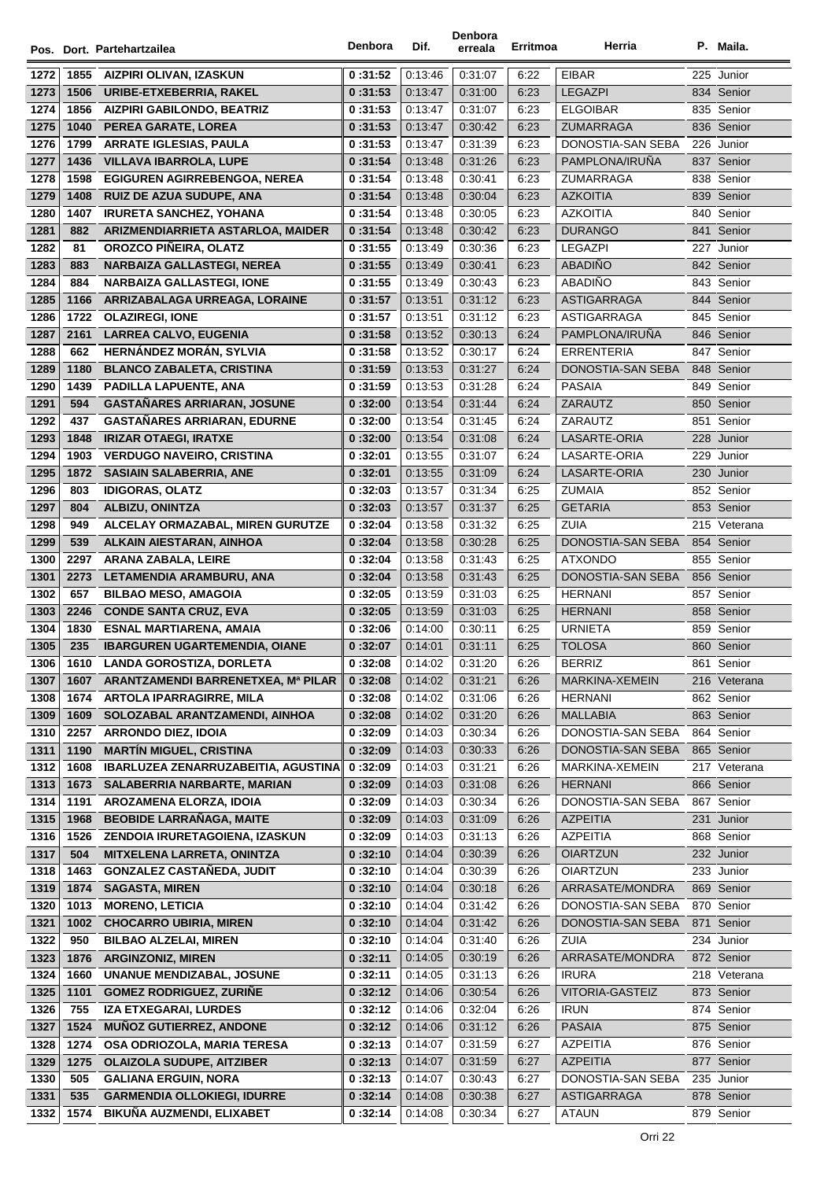|      |      |                                      | Denbora | Dif.    | Denbora | Erritmoa | Herria                 | P. Maila.    |
|------|------|--------------------------------------|---------|---------|---------|----------|------------------------|--------------|
|      |      | Pos. Dort. Partehartzailea           |         |         | erreala |          |                        |              |
| 1272 |      | 1855 AIZPIRI OLIVAN, IZASKUN         | 0:31:52 | 0:13:46 | 0:31:07 | 6:22     | <b>EIBAR</b>           | 225 Junior   |
| 1273 | 1506 | URIBE-ETXEBERRIA, RAKEL              | 0:31:53 | 0:13:47 | 0.31:00 | 6:23     | <b>LEGAZPI</b>         | 834 Senior   |
| 1274 | 1856 | <b>AIZPIRI GABILONDO, BEATRIZ</b>    | 0:31:53 | 0:13:47 | 0:31:07 | 6:23     | <b>ELGOIBAR</b>        | 835 Senior   |
| 1275 | 1040 | PEREA GARATE, LOREA                  | 0:31:53 | 0:13:47 | 0:30:42 | 6:23     | ZUMARRAGA              | 836 Senior   |
| 1276 | 1799 | <b>ARRATE IGLESIAS, PAULA</b>        | 0:31:53 | 0:13:47 | 0:31:39 | 6:23     | DONOSTIA-SAN SEBA      | 226 Junior   |
| 1277 | 1436 | <b>VILLAVA IBARROLA, LUPE</b>        | 0:31:54 | 0:13:48 | 0:31:26 | 6:23     | PAMPLONA/IRUNA         | 837 Senior   |
| 1278 | 1598 | EGIGUREN AGIRREBENGOA, NEREA         | 0:31:54 | 0:13:48 | 0.30.41 | 6:23     | <b>ZUMARRAGA</b>       | 838 Senior   |
| 1279 | 1408 | <b>RUIZ DE AZUA SUDUPE, ANA</b>      | 0:31:54 | 0:13:48 | 0:30:04 | 6:23     | <b>AZKOITIA</b>        | 839 Senior   |
| 1280 | 1407 | <b>IRURETA SANCHEZ, YOHANA</b>       | 0:31:54 | 0:13:48 | 0:30:05 | 6:23     | <b>AZKOITIA</b>        | 840 Senior   |
| 1281 | 882  | ARIZMENDIARRIETA ASTARLOA, MAIDER    | 0:31:54 | 0:13:48 | 0.30.42 | 6:23     | <b>DURANGO</b>         | 841 Senior   |
| 1282 | 81   | OROZCO PIÑEIRA, OLATZ                | 0:31:55 | 0.13.49 | 0:30:36 | 6:23     | <b>LEGAZPI</b>         | 227 Junior   |
| 1283 | 883  | NARBAIZA GALLASTEGI, NEREA           | 0:31:55 | 0.13.49 | 0:30:41 | 6:23     | <b>ABADIÑO</b>         | 842 Senior   |
| 1284 | 884  | <b>NARBAIZA GALLASTEGI, IONE</b>     | 0:31:55 | 0:13:49 | 0:30:43 | 6:23     | ABADIÑO                | 843 Senior   |
| 1285 | 1166 | ARRIZABALAGA URREAGA, LORAINE        | 0:31:57 | 0:13:51 | 0:31:12 | 6:23     | <b>ASTIGARRAGA</b>     | 844 Senior   |
| 1286 | 1722 | <b>OLAZIREGI, IONE</b>               | 0:31:57 | 0.13.51 | 0:31:12 | 6:23     | ASTIGARRAGA            | 845 Senior   |
| 1287 | 2161 | <b>LARREA CALVO, EUGENIA</b>         | 0:31:58 | 0:13:52 | 0:30:13 | 6:24     | PAMPLONA/IRUÑA         | 846 Senior   |
| 1288 | 662  | HERNÁNDEZ MORÁN, SYLVIA              | 0:31:58 | 0:13:52 | 0:30:17 | 6:24     | <b>ERRENTERIA</b>      | 847 Senior   |
| 1289 | 1180 | <b>BLANCO ZABALETA, CRISTINA</b>     | 0:31:59 | 0:13:53 | 0:31:27 | 6:24     | DONOSTIA-SAN SEBA      | 848 Senior   |
| 1290 | 1439 | PADILLA LAPUENTE, ANA                | 0:31:59 | 0:13:53 | 0:31:28 | 6:24     | <b>PASAIA</b>          | 849 Senior   |
| 1291 | 594  | <b>GASTAÑARES ARRIARAN, JOSUNE</b>   | 0:32:00 | 0:13:54 | 0:31:44 | 6:24     | <b>ZARAUTZ</b>         | 850 Senior   |
| 1292 | 437  | GASTAÑARES ARRIARAN, EDURNE          | 0:32:00 | 0:13:54 | 0:31:45 | 6:24     | ZARAUTZ                | 851 Senior   |
| 1293 | 1848 | <b>IRIZAR OTAEGI, IRATXE</b>         | 0:32:00 | 0:13:54 | 0:31:08 | 6:24     | LASARTE-ORIA           | 228 Junior   |
| 1294 | 1903 | <b>VERDUGO NAVEIRO, CRISTINA</b>     | 0:32:01 | 0:13:55 | 0:31:07 | 6:24     | LASARTE-ORIA           | 229 Junior   |
| 1295 | 1872 | <b>SASIAIN SALABERRIA, ANE</b>       | 0:32:01 | 0:13:55 | 0:31:09 | 6:24     | LASARTE-ORIA           | 230 Junior   |
| 1296 | 803  | <b>IDIGORAS, OLATZ</b>               | 0:32:03 | 0:13:57 | 0:31:34 | 6:25     | <b>ZUMAIA</b>          | 852 Senior   |
| 1297 | 804  | <b>ALBIZU, ONINTZA</b>               | 0:32:03 | 0:13:57 | 0:31:37 | 6:25     | <b>GETARIA</b>         | 853 Senior   |
| 1298 | 949  | ALCELAY ORMAZABAL, MIREN GURUTZE     | 0:32:04 | 0:13:58 | 0:31:32 | 6:25     | <b>ZUIA</b>            | 215 Veterana |
| 1299 | 539  | ALKAIN AIESTARAN, AINHOA             | 0:32:04 | 0:13:58 | 0:30:28 | 6:25     | DONOSTIA-SAN SEBA      | 854 Senior   |
| 1300 | 2297 | ARANA ZABALA, LEIRE                  | 0:32:04 | 0:13:58 | 0:31:43 | 6:25     | <b>ATXONDO</b>         | 855 Senior   |
| 1301 | 2273 | LETAMENDIA ARAMBURU, ANA             | 0:32:04 | 0:13:58 | 0:31:43 | 6:25     | DONOSTIA-SAN SEBA      | 856 Senior   |
| 1302 | 657  | <b>BILBAO MESO, AMAGOIA</b>          | 0:32:05 | 0:13:59 | 0:31:03 | 6:25     | <b>HERNANI</b>         | 857 Senior   |
| 1303 | 2246 | <b>CONDE SANTA CRUZ, EVA</b>         | 0:32:05 | 0:13:59 | 0:31:03 | 6:25     | <b>HERNANI</b>         | 858 Senior   |
| 1304 | 1830 | <b>ESNAL MARTIARENA, AMAIA</b>       | 0:32:06 | 0:14:00 | 0:30:11 | 6:25     | <b>URNIETA</b>         | 859 Senior   |
| 1305 | 235  | <b>IBARGUREN UGARTEMENDIA, OIANE</b> | 0:32:07 | 0:14:01 | 0:31:11 | 6:25     | <b>TOLOSA</b>          | 860 Senior   |
| 1306 | 1610 | LANDA GOROSTIZA, DORLETA             | 0:32:08 | 0.14.02 | 0:31:20 | 6:26     | BERRIZ                 | 861 Senior   |
| 1307 | 1607 | ARANTZAMENDI BARRENETXEA, Mª PILAR   | 0:32:08 | 0:14:02 | 0:31:21 | 6:26     | MARKINA-XEMEIN         | 216 Veterana |
| 1308 | 1674 | <b>ARTOLA IPARRAGIRRE, MILA</b>      | 0:32:08 | 0:14:02 | 0:31:06 | 6:26     | <b>HERNANI</b>         | 862 Senior   |
| 1309 | 1609 | SOLOZABAL ARANTZAMENDI, AINHOA       | 0:32:08 | 0:14:02 | 0:31:20 | 6:26     | <b>MALLABIA</b>        | 863 Senior   |
| 1310 | 2257 | <b>ARRONDO DIEZ, IDOIA</b>           | 0:32:09 | 0:14:03 | 0:30:34 | 6:26     | DONOSTIA-SAN SEBA      | 864 Senior   |
| 1311 | 1190 | <b>MARTÍN MIGUEL, CRISTINA</b>       | 0:32:09 | 0:14:03 | 0:30:33 | 6:26     | DONOSTIA-SAN SEBA      | 865 Senior   |
| 1312 | 1608 | IBARLUZEA ZENARRUZABEITIA, AGUSTINA  | 0:32:09 | 0:14:03 | 0:31:21 | 6:26     | MARKINA-XEMEIN         | 217 Veterana |
| 1313 | 1673 | SALABERRIA NARBARTE, MARIAN          | 0:32:09 | 0:14:03 | 0:31:08 | 6:26     | <b>HERNANI</b>         | 866 Senior   |
| 1314 | 1191 | AROZAMENA ELORZA, IDOIA              | 0:32:09 | 0:14:03 | 0:30:34 | 6:26     | DONOSTIA-SAN SEBA      | 867 Senior   |
| 1315 | 1968 | <b>BEOBIDE LARRAÑAGA, MAITE</b>      | 0:32:09 | 0:14:03 | 0:31:09 | 6:26     | <b>AZPEITIA</b>        | 231 Junior   |
| 1316 | 1526 | ZENDOIA IRURETAGOIENA, IZASKUN       | 0:32:09 | 0:14:03 | 0.31.13 | 6:26     | <b>AZPEITIA</b>        | 868 Senior   |
| 1317 | 504  | MITXELENA LARRETA, ONINTZA           | 0:32:10 | 0:14:04 | 0:30:39 | 6:26     | <b>OIARTZUN</b>        | 232 Junior   |
| 1318 | 1463 | <b>GONZALEZ CASTAÑEDA, JUDIT</b>     | 0:32:10 | 0:14:04 | 0:30:39 | 6:26     | <b>OIARTZUN</b>        | 233 Junior   |
| 1319 | 1874 | <b>SAGASTA, MIREN</b>                | 0:32:10 | 0:14:04 | 0:30:18 | 6:26     | ARRASATE/MONDRA        | 869 Senior   |
| 1320 | 1013 | <b>MORENO, LETICIA</b>               | 0:32:10 | 0:14:04 | 0:31:42 | 6:26     | DONOSTIA-SAN SEBA      | 870 Senior   |
| 1321 | 1002 | <b>CHOCARRO UBIRIA, MIREN</b>        | 0:32:10 | 0:14:04 | 0:31:42 | 6:26     | DONOSTIA-SAN SEBA      | 871 Senior   |
| 1322 | 950  | <b>BILBAO ALZELAI, MIREN</b>         | 0:32:10 | 0:14:04 | 0:31:40 | 6:26     | ZUIA                   | 234 Junior   |
| 1323 | 1876 | <b>ARGINZONIZ, MIREN</b>             | 0:32:11 | 0:14:05 | 0:30:19 | 6:26     | ARRASATE/MONDRA        | 872 Senior   |
| 1324 | 1660 | <b>UNANUE MENDIZABAL, JOSUNE</b>     | 0:32:11 | 0:14:05 | 0.31.13 | 6:26     | <b>IRURA</b>           | 218 Veterana |
| 1325 | 1101 | <b>GOMEZ RODRIGUEZ, ZURIÑE</b>       | 0:32:12 | 0:14:06 | 0:30:54 | 6:26     | <b>VITORIA-GASTEIZ</b> | 873 Senior   |
| 1326 | 755  | <b>IZA ETXEGARAI, LURDES</b>         | 0:32:12 | 0:14:06 | 0:32:04 | 6:26     | <b>IRUN</b>            | 874 Senior   |
| 1327 | 1524 | <b>MUÑOZ GUTIERREZ, ANDONE</b>       | 0:32:12 | 0.14.06 | 0:31:12 | 6:26     | <b>PASAIA</b>          | 875 Senior   |
| 1328 | 1274 | OSA ODRIOZOLA, MARIA TERESA          | 0:32:13 | 0:14:07 | 0:31:59 | 6:27     | <b>AZPEITIA</b>        | 876 Senior   |
| 1329 | 1275 | <b>OLAIZOLA SUDUPE, AITZIBER</b>     | 0:32:13 | 0:14:07 | 0:31:59 | 6:27     | <b>AZPEITIA</b>        | 877 Senior   |
| 1330 | 505  | <b>GALIANA ERGUIN, NORA</b>          | 0:32:13 | 0:14:07 | 0:30:43 | 6:27     | DONOSTIA-SAN SEBA      | 235 Junior   |
| 1331 | 535  | <b>GARMENDIA OLLOKIEGI, IDURRE</b>   | 0:32:14 | 0:14:08 | 0:30:38 | 6:27     | ASTIGARRAGA            | 878 Senior   |
| 1332 | 1574 | BIKUÑA AUZMENDI, ELIXABET            | 0:32:14 | 0:14:08 | 0:30:34 | 6:27     | <b>ATAUN</b>           | 879 Senior   |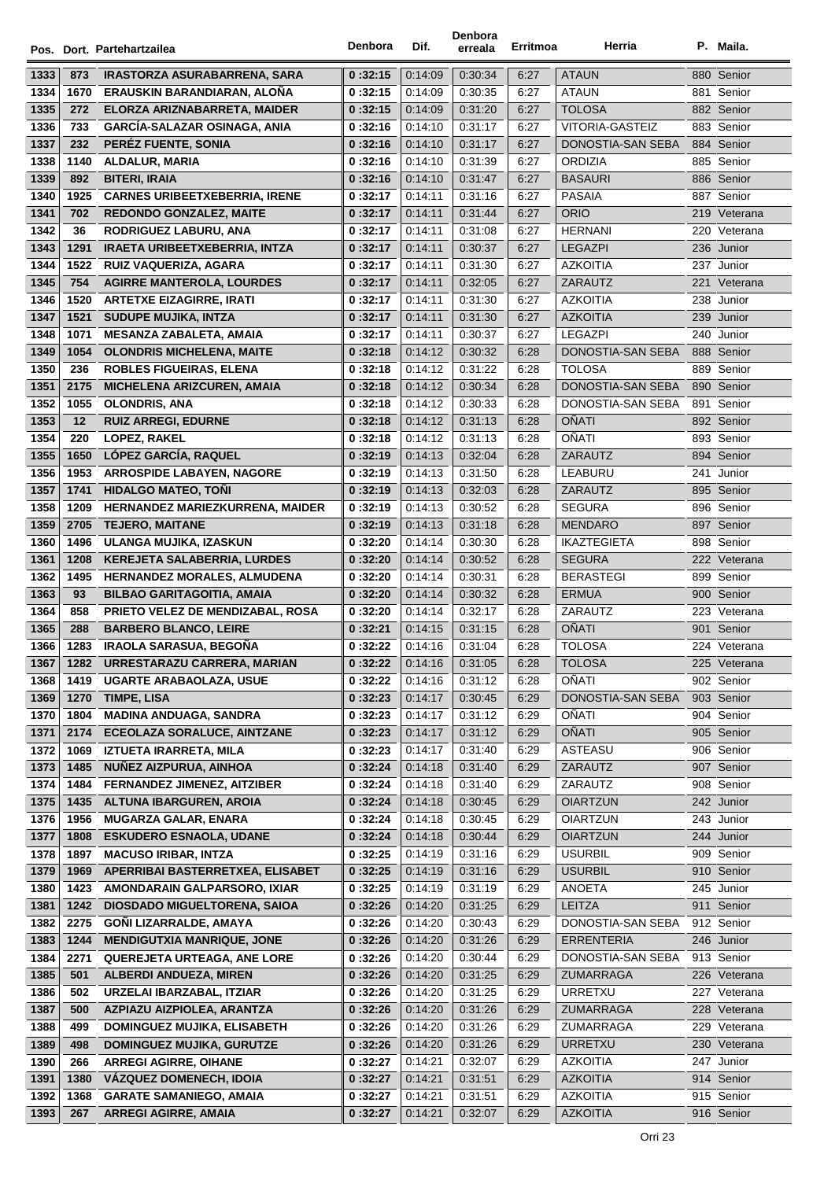|              |              | Pos. Dort. Partehartzailea                                          | Denbora            | Dif.               | Denbora<br>erreala | Erritmoa     | Herria                  |     | P. Maila.                |
|--------------|--------------|---------------------------------------------------------------------|--------------------|--------------------|--------------------|--------------|-------------------------|-----|--------------------------|
| 1333         | 873          | <b>IRASTORZA ASURABARRENA, SARA</b>                                 | 0:32:15            | 0:14:09            | 0:30:34            | 6:27         | <b>ATAUN</b>            |     | 880 Senior               |
| 1334         | 1670         | ERAUSKIN BARANDIARAN, ALOÑA                                         | 0:32:15            | 0:14:09            | 0:30:35            | 6:27         | <b>ATAUN</b>            |     | 881 Senior               |
| 1335         | 272          | ELORZA ARIZNABARRETA, MAIDER                                        | 0:32:15            | 0:14:09            | 0:31:20            | 6:27         | <b>TOLOSA</b>           |     | 882 Senior               |
| 1336         | 733          | <b>GARCÍA-SALAZAR OSINAGA, ANIA</b>                                 | 0:32:16            | 0:14:10            | 0:31:17            | 6:27         | VITORIA-GASTEIZ         |     | 883 Senior               |
| 1337         | 232          | PEREZ FUENTE, SONIA                                                 | 0:32:16            | 0:14:10            | 0:31:17            | 6:27         | DONOSTIA-SAN SEBA       |     | 884 Senior               |
| 1338         | 1140         | ALDALUR, MARIA                                                      | 0:32:16            | 0:14:10            | 0:31:39            | 6:27         | ORDIZIA                 |     | 885 Senior               |
| 1339         | 892          | <b>BITERI, IRAIA</b>                                                | 0:32:16            | 0:14:10            | 0:31:47            | 6:27         | <b>BASAURI</b>          |     | 886 Senior               |
| 1340         | 1925         | <b>CARNES URIBEETXEBERRIA, IRENE</b>                                | 0:32:17            | 0.14.11            | 0:31:16            | 6:27         | <b>PASAIA</b>           |     | 887 Senior               |
| 1341         | 702          | <b>REDONDO GONZALEZ, MAITE</b>                                      | 0:32:17            | 0:14:11            | 0:31:44            | 6:27         | <b>ORIO</b>             |     | 219 Veterana             |
| 1342         | 36           | RODRIGUEZ LABURU, ANA                                               | 0:32:17            | 0:14:11            | 0:31:08            | 6:27         | <b>HERNANI</b>          |     | 220 Veterana             |
| 1343         | 1291         | <b>IRAETA URIBEETXEBERRIA, INTZA</b>                                | 0:32:17            | 0:14:11            | 0:30:37            | 6:27         | <b>LEGAZPI</b>          |     | 236 Junior               |
| 1344         | 1522         | RUIZ VAQUERIZA, AGARA                                               | 0:32:17            | 0:14:11            | 0:31:30            | 6:27         | <b>AZKOITIA</b>         |     | 237 Junior               |
| 1345         | 754          | <b>AGIRRE MANTEROLA, LOURDES</b>                                    | 0:32:17            | 0:14:11            | 0:32:05            | 6:27         | ZARAUTZ                 |     | 221 Veterana             |
| 1346         | 1520         | <b>ARTETXE EIZAGIRRE, IRATI</b>                                     | 0:32:17            | 0:14:11            | 0:31:30            | 6:27         | <b>AZKOITIA</b>         |     | 238 Junior               |
| 1347         | 1521         | <b>SUDUPE MUJIKA, INTZA</b>                                         | 0:32:17            | 0:14:11            | 0:31:30            | 6:27         | <b>AZKOITIA</b>         |     | 239 Junior               |
| 1348         | 1071         | <b>MESANZA ZABALETA, AMAIA</b>                                      | 0:32:17            | 0:14:11            | 0:30:37            | 6:27         | <b>LEGAZPI</b>          |     | 240 Junior               |
| 1349         | 1054         | <b>OLONDRIS MICHELENA, MAITE</b>                                    | 0:32:18            | 0:14:12            | 0:30:32            | 6:28         | DONOSTIA-SAN SEBA       |     | 888 Senior               |
| 1350         | 236          | <b>ROBLES FIGUEIRAS, ELENA</b>                                      | 0:32:18            | 0:14:12            | 0:31:22            | 6:28         | <b>TOLOSA</b>           |     | 889 Senior               |
| 1351         | 2175         | MICHELENA ARIZCUREN, AMAIA                                          | 0:32:18            | 0:14:12            | 0:30:34            | 6:28         | DONOSTIA-SAN SEBA       |     | 890 Senior               |
| 1352         | 1055         | <b>OLONDRIS, ANA</b>                                                | 0:32:18            | 0:14:12            | 0:30:33            | 6:28         | DONOSTIA-SAN SEBA       | 891 | Senior                   |
| 1353         | 12           | <b>RUIZ ARREGI, EDURNE</b>                                          | 0:32:18            | 0:14:12            | 0:31:13            | 6:28         | <b>OÑATI</b>            |     | 892 Senior               |
| 1354         | 220          | LOPEZ, RAKEL                                                        | 0:32:18            | 0:14:12            | 0:31:13            | 6:28         | OÑATI                   |     | 893 Senior               |
| 1355         | 1650         | LÓPEZ GARCÍA, RAQUEL                                                | 0:32:19            | 0:14:13            | 0:32:04            | 6:28         | ZARAUTZ                 |     | 894 Senior               |
| 1356         | 1953         | <b>ARROSPIDE LABAYEN, NAGORE</b>                                    | 0:32:19            | 0:14:13            | 0:31:50            | 6:28         | LEABURU                 | 241 | Junior                   |
| 1357         | 1741         | <b>HIDALGO MATEO, TONI</b>                                          | 0:32:19            | 0:14:13            | 0:32:03            | 6:28         | ZARAUTZ                 |     | 895 Senior               |
| 1358         | 1209         | HERNANDEZ MARIEZKURRENA, MAIDER                                     | 0:32:19            | 0:14:13            | 0:30:52            | 6:28         | <b>SEGURA</b>           |     | 896 Senior               |
| 1359         | 2705         | <b>TEJERO, MAITANE</b>                                              | 0:32:19            | 0:14:13            | 0:31:18            | 6:28         | <b>MENDARO</b>          |     | 897 Senior               |
| 1360         | 1496         | ULANGA MUJIKA, IZASKUN                                              | 0:32:20            | 0.14.14            | 0:30:30            | 6:28         | <b>IKAZTEGIETA</b>      |     | 898 Senior               |
| 1361         | 1208         | KEREJETA SALABERRIA, LURDES                                         | 0:32:20            | 0:14:14            | 0:30:52            | 6:28         | <b>SEGURA</b>           |     | 222 Veterana             |
| 1362         | 1495         | <b>HERNANDEZ MORALES, ALMUDENA</b>                                  | 0:32:20            | 0.14.14            | 0:30:31            | 6:28         | <b>BERASTEGI</b>        |     | 899 Senior               |
| 1363         | 93           | <b>BILBAO GARITAGOITIA, AMAIA</b>                                   | 0:32:20            | 0:14:14            | 0:30:32            | 6:28         | <b>ERMUA</b>            |     | 900 Senior               |
| 1364         | 858          | <b>PRIETO VELEZ DE MENDIZABAL, ROSA</b>                             | 0:32:20            | 0:14:14            | 0:32:17            | 6:28         | ZARAUTZ                 |     | 223 Veterana             |
| 1365         | 288          | <b>BARBERO BLANCO, LEIRE</b>                                        | 0:32:21            | 0:14:15            | 0:31:15            | 6:28         | <b>OÑATI</b>            |     | 901 Senior               |
| 1366         | 1283         | <b>IRAOLA SARASUA, BEGOÑA</b>                                       | 0:32:22            | 0:14:16            | 0:31:04            | 6:28         | <b>TOLOSA</b>           |     | 224 Veterana             |
| 1367         | 1282         | URRESTARAZU CARRERA, MARIAN                                         | 0:32:22            | 0:14:16            | 0:31:05            | 6:28         | <b>TOLOSA</b>           |     | 225 Veterana             |
| 1368         | 1419         | <b>UGARTE ARABAOLAZA, USUE</b>                                      | 0:32:22            | 0:14:16            | 0.31.12            | 6:28         | OÑATI                   |     | 902 Senior               |
| 1369         | 1270         | TIMPE, LISA                                                         | 0:32:23            | 0:14:17            | 0:30:45            | 6:29         | DONOSTIA-SAN SEBA       |     | 903 Senior               |
| 1370         | 1804         | <b>MADINA ANDUAGA, SANDRA</b>                                       | 0:32:23            | 0:14:17            | 0:31:12            | 6:29         | OÑATI                   |     | 904 Senior               |
| 1371         | 2174         | ECEOLAZA SORALUCE, AINTZANE                                         | 0:32:23            | 0:14:17            | 0:31:12            | 6:29         | <b>OÑATI</b>            |     | 905 Senior               |
| 1372         | 1069         | <b>IZTUETA IRARRETA, MILA</b>                                       | 0:32:23            | 0:14:17            | 0:31:40            | 6:29         | ASTEASU                 |     | 906 Senior               |
| 1373         | 1485         | NUÑEZ AIZPURUA, AINHOA                                              | 0:32:24            | 0:14:18            | 0.31.40            | 6:29         | ZARAUTZ                 |     | 907 Senior               |
| 1374         | 1484         | <b>FERNANDEZ JIMENEZ, AITZIBER</b>                                  | 0:32:24            | 0:14:18            | 0:31:40            | 6:29         | ZARAUTZ                 |     | 908 Senior               |
| 1375         | 1435         | <b>ALTUNA IBARGUREN, AROIA</b>                                      | 0:32:24            | 0:14:18            | 0:30:45            | 6:29         | <b>OIARTZUN</b>         |     | 242 Junior               |
| 1376         | 1956         | <b>MUGARZA GALAR, ENARA</b>                                         | 0:32:24            | 0:14:18            | 0:30:45            | 6:29         | <b>OIARTZUN</b>         |     | 243 Junior               |
| 1377         | 1808         | <b>ESKUDERO ESNAOLA, UDANE</b>                                      | 0:32:24            | 0:14:18            | 0:30:44            | 6:29         | <b>OIARTZUN</b>         |     | 244 Junior               |
| 1378         | 1897         | <b>MACUSO IRIBAR, INTZA</b>                                         | 0:32:25            | 0:14:19            | 0:31:16            | 6:29         | <b>USURBIL</b>          |     | 909 Senior               |
| 1379         | 1969         | APERRIBAI BASTERRETXEA, ELISABET                                    | 0:32:25            | 0:14:19            | 0:31:16            | 6:29         | <b>USURBIL</b>          |     | 910 Senior               |
| 1380<br>1381 | 1423<br>1242 | AMONDARAIN GALPARSORO, IXIAR<br><b>DIOSDADO MIGUELTORENA, SAIOA</b> | 0:32:25<br>0:32:26 | 0:14:19<br>0:14:20 | 0:31:19<br>0.31.25 | 6:29<br>6:29 | ANOETA<br><b>LEITZA</b> |     | 245 Junior<br>911 Senior |
| 1382         | 2275         | GOÑI LIZARRALDE, AMAYA                                              |                    | 0.14.20            | 0:30:43            | 6:29         | DONOSTIA-SAN SEBA       |     | 912 Senior               |
| 1383         | 1244         | <b>MENDIGUTXIA MANRIQUE, JONE</b>                                   | 0:32:26<br>0:32:26 | 0:14:20            | 0:31:26            | 6:29         | <b>ERRENTERIA</b>       |     | 246 Junior               |
| 1384         | 2271         | <b>QUEREJETA URTEAGA, ANE LORE</b>                                  | 0:32:26            | 0:14:20            | 0:30:44            | 6:29         | DONOSTIA-SAN SEBA       |     | 913 Senior               |
| 1385         | 501          | <b>ALBERDI ANDUEZA, MIREN</b>                                       | 0:32:26            | 0:14:20            | 0:31:25            | 6:29         | ZUMARRAGA               |     | 226 Veterana             |
| 1386         | 502          | URZELAI IBARZABAL, ITZIAR                                           | 0:32:26            | 0:14:20            | 0:31:25            | 6:29         | <b>URRETXU</b>          |     | 227 Veterana             |
| 1387         | 500          | AZPIAZU AIZPIOLEA, ARANTZA                                          | 0:32:26            | 0:14:20            | 0:31:26            | 6:29         | ZUMARRAGA               |     | 228 Veterana             |
| 1388         | 499          | <b>DOMINGUEZ MUJIKA, ELISABETH</b>                                  | 0:32:26            | 0:14:20            | 0:31:26            | 6:29         | ZUMARRAGA               |     | 229 Veterana             |
| 1389         | 498          | <b>DOMINGUEZ MUJIKA, GURUTZE</b>                                    | 0:32:26            | 0:14:20            | 0:31:26            | 6:29         | <b>URRETXU</b>          |     | 230 Veterana             |
| 1390         | 266          | <b>ARREGI AGIRRE, OIHANE</b>                                        | 0:32:27            | 0:14:21            | 0:32:07            | 6:29         | <b>AZKOITIA</b>         |     | 247 Junior               |
| 1391         | 1380         | VÁZQUEZ DOMENECH, IDOIA                                             | 0:32:27            | 0:14:21            | 0:31:51            | 6:29         | <b>AZKOITIA</b>         |     | 914 Senior               |
| 1392         | 1368         | <b>GARATE SAMANIEGO, AMAIA</b>                                      | 0:32:27            | 0:14:21            | 0:31:51            | 6:29         | <b>AZKOITIA</b>         |     | 915 Senior               |
| 1393         | 267          | <b>ARREGI AGIRRE, AMAIA</b>                                         | 0:32:27            | 0:14:21            | 0.32:07            | 6:29         | <b>AZKOITIA</b>         |     | 916 Senior               |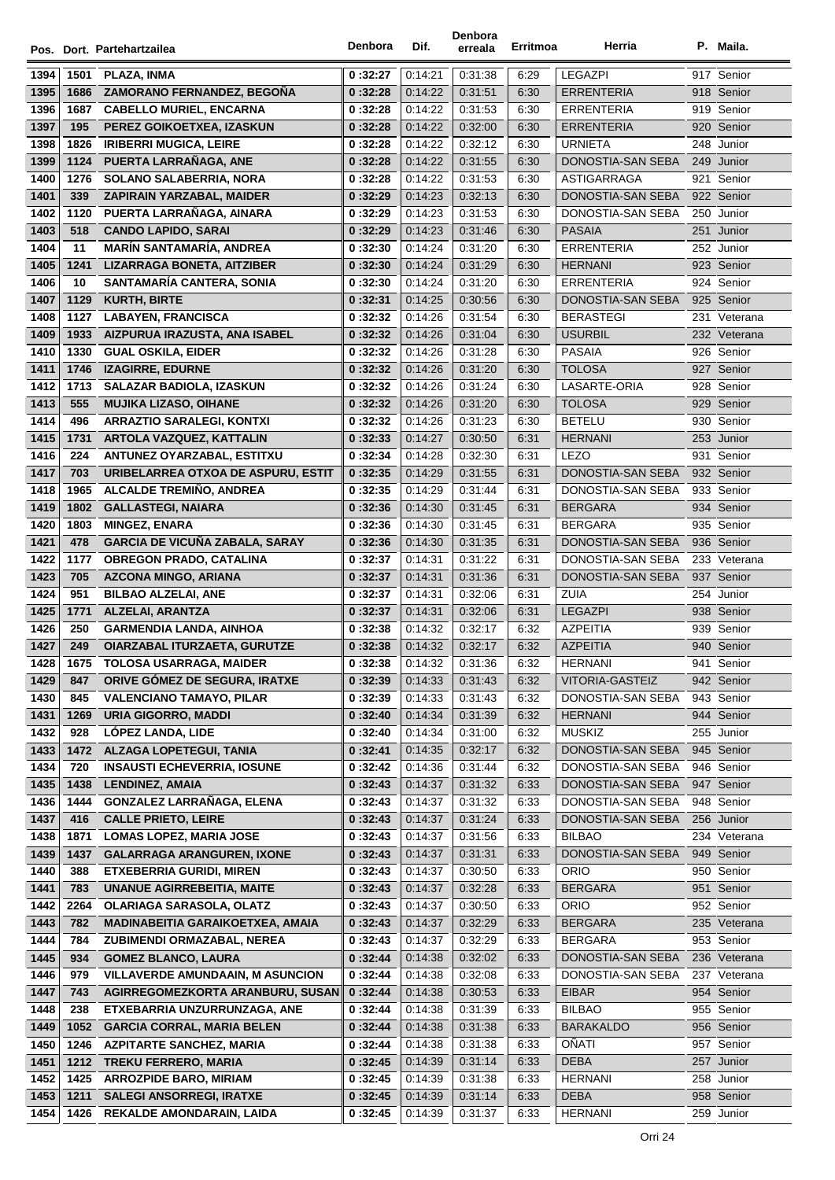|              |              | Pos. Dort. Partehartzailea                                          | Denbora            | Dif.               | Denbora<br>erreala | Erritmoa     | Herria                                 | P. Maila.                  |
|--------------|--------------|---------------------------------------------------------------------|--------------------|--------------------|--------------------|--------------|----------------------------------------|----------------------------|
|              |              |                                                                     |                    |                    |                    |              |                                        |                            |
| 1394         | 1501         | PLAZA, INMA                                                         | 0:32:27            | 0:14:21            | 0:31:38            | 6:29         | <b>LEGAZPI</b>                         | 917 Senior                 |
| 1395         | 1686         | <b>ZAMORANO FERNANDEZ, BEGONA</b>                                   | 0:32:28            | 0:14:22            | 0:31:51            | 6:30         | <b>ERRENTERIA</b>                      | 918 Senior                 |
| 1396         | 1687         | <b>CABELLO MURIEL, ENCARNA</b>                                      | 0:32:28            | 0:14:22            | 0:31:53            | 6:30         | <b>ERRENTERIA</b>                      | 919 Senior                 |
| 1397         | 195          | PEREZ GOIKOETXEA, IZASKUN                                           | 0:32:28            | 0:14:22            | 0:32:00            | 6:30         | <b>ERRENTERIA</b>                      | 920 Senior                 |
| 1398         | 1826         | <b>IRIBERRI MUGICA, LEIRE</b>                                       | 0:32:28            | 0.14.22            | 0:32:12            | 6:30         | <b>URNIETA</b>                         | 248 Junior                 |
| 1399         | 1124         | PUERTA LARRAÑAGA, ANE                                               | 0:32:28            | 0:14:22            | 0:31:55            | 6:30         | DONOSTIA-SAN SEBA                      | 249 Junior                 |
| 1400         | 1276         | SOLANO SALABERRIA, NORA                                             | 0:32:28            | 0:14:22            | 0:31:53            | 6:30         | ASTIGARRAGA                            | 921 Senior                 |
| 1401         | 339          | ZAPIRAIN YARZABAL, MAIDER                                           | 0:32:29            | 0:14:23            | 0.32:13            | 6:30         | DONOSTIA-SAN SEBA                      | 922 Senior                 |
| 1402         | 1120         | PUERTA LARRAÑAGA, AINARA                                            | 0:32:29            | 0.14.23            | 0:31:53            | 6:30         | DONOSTIA-SAN SEBA                      | 250 Junior                 |
| 1403         | 518          | <b>CANDO LAPIDO, SARAI</b>                                          | 0:32:29            | 0:14:23            | 0:31:46            | 6:30         | <b>PASAIA</b>                          | 251 Junior                 |
| 1404         | 11           | <b>MARÍN SANTAMARÍA, ANDREA</b>                                     | 0:32:30            | 0:14:24            | 0:31:20            | 6:30         | <b>ERRENTERIA</b>                      | 252 Junior                 |
| 1405         | 1241         | <b>LIZARRAGA BONETA, AITZIBER</b>                                   | 0:32:30            | 0:14:24            | 0:31:29            | 6:30         | <b>HERNANI</b>                         | 923 Senior                 |
| 1406         | 10           | SANTAMARÍA CANTERA, SONIA                                           | 0:32:30            | 0:14:24            | 0:31:20            | 6:30         | <b>ERRENTERIA</b>                      | 924 Senior                 |
| 1407         | 1129         | <b>KURTH, BIRTE</b>                                                 | 0:32:31            | 0:14:25            | 0:30:56            | 6:30         | DONOSTIA-SAN SEBA                      | 925 Senior                 |
| 1408         | 1127         | <b>LABAYEN, FRANCISCA</b>                                           | 0:32:32            | 0:14.26            | 0:31:54            | 6:30         | <b>BERASTEGI</b>                       | 231 Veterana               |
| 1409         | 1933         | AIZPURUA IRAZUSTA, ANA ISABEL                                       | 0:32:32            | 0:14.26            | 0:31:04            | 6:30         | <b>USURBIL</b>                         | 232 Veterana               |
| 1410         | 1330         | <b>GUAL OSKILA, EIDER</b>                                           | 0:32:32            | 0.14.26            | 0:31:28            | 6:30         | <b>PASAIA</b>                          | 926 Senior                 |
| 1411         | 1746         | <b>IZAGIRRE, EDURNE</b>                                             | 0:32:32            | 0:14:26            | 0:31:20            | 6:30         | <b>TOLOSA</b>                          | 927 Senior                 |
| 1412         | 1713         | <b>SALAZAR BADIOLA, IZASKUN</b>                                     | 0:32:32            | 0:14:26            | 0:31:24            | 6:30         | <b>LASARTE-ORIA</b>                    | 928 Senior                 |
| 1413         | 555          | <b>MUJIKA LIZASO, OIHANE</b>                                        | 0:32:32            | 0:14:26            | 0:31:20            | 6:30         | <b>TOLOSA</b>                          | 929 Senior                 |
| 1414         | 496          | <b>ARRAZTIO SARALEGI, KONTXI</b>                                    | 0:32:32            | 0:14.26            | 0:31:23            | 6:30         | <b>BETELU</b>                          | 930 Senior                 |
| 1415         | 1731         | ARTOLA VAZQUEZ, KATTALIN                                            | 0:32:33            | 0:14:27            | 0:30:50            | 6:31         | <b>HERNANI</b>                         | 253 Junior                 |
| 1416         | 224          | ANTUNEZ OYARZABAL, ESTITXU                                          | 0:32:34            | 0:14:28            | 0:32:30            | 6:31         | LEZO                                   | 931 Senior                 |
| 1417         | 703          | URIBELARREA OTXOA DE ASPURU, ESTIT                                  | 0:32:35            | 0:14:29            | 0:31:55            | 6:31         | DONOSTIA-SAN SEBA                      | 932 Senior                 |
| 1418         | 1965         | ALCALDE TREMIÑO, ANDREA                                             | 0:32:35            | 0:14:29            | 0:31:44            | 6:31         | DONOSTIA-SAN SEBA                      | 933 Senior                 |
| 1419         | 1802         | <b>GALLASTEGI, NAIARA</b>                                           | 0:32:36            | 0:14:30            | 0:31:45            | 6:31         | <b>BERGARA</b>                         | 934 Senior                 |
| 1420         | 1803         | <b>MINGEZ, ENARA</b>                                                | 0:32:36            | 0:14:30            | 0:31:45            | 6:31         | <b>BERGARA</b>                         | 935 Senior                 |
| 1421         | 478          | <b>GARCIA DE VICUÑA ZABALA, SARAY</b>                               | 0:32:36            | 0:14:30            | 0:31:35            | 6:31         | DONOSTIA-SAN SEBA                      | 936 Senior                 |
| 1422         | 1177         | <b>OBREGON PRADO, CATALINA</b>                                      | 0:32:37            | 0:14:31            | 0:31:22            | 6:31         | DONOSTIA-SAN SEBA                      | 233 Veterana               |
| 1423         | 705          | <b>AZCONA MINGO, ARIANA</b>                                         | 0:32:37            | 0:14:31            | 0:31:36            | 6:31         | DONOSTIA-SAN SEBA                      | 937 Senior                 |
| 1424         | 951          | <b>BILBAO ALZELAI, ANE</b>                                          | 0:32:37            | 0:14:31            | 0:32:06            | 6:31         | ZUIA                                   | 254 Junior                 |
| 1425         | 1771         | <b>ALZELAI, ARANTZA</b>                                             | 0:32:37            | 0:14:31            | 0:32:06            | 6:31         | <b>LEGAZPI</b>                         | 938 Senior                 |
| 1426         | 250          | <b>GARMENDIA LANDA, AINHOA</b>                                      | 0:32:38            | 0:14:32            | 0:32:17            | 6:32         | <b>AZPEITIA</b>                        | 939 Senior                 |
| 1427         | 249          | OIARZABAL ITURZAETA, GURUTZE                                        | 0:32:38            | 0:14:32            | 0:32:17            | 6:32         | <b>AZPEITIA</b>                        | 940 Senior                 |
| 1428         | 1675         | TOLOSA USARRAGA, MAIDER                                             | 0:32:38            | 0:14:32            | 0.31.36            | 6:32         | HERNANI                                | 941 Senior                 |
| 1429         | 847          | ORIVE GÓMEZ DE SEGURA, IRATXE                                       | 0:32:39            | 0:14:33            | 0:31:43            | 6:32         | VITORIA-GASTEIZ                        | 942 Senior                 |
| 1430         | 845          | <b>VALENCIANO TAMAYO, PILAR</b>                                     | 0:32:39            | 0:14:33            | 0:31:43            | 6:32         | DONOSTIA-SAN SEBA                      | 943 Senior                 |
| 1431         | 1269         | <b>URIA GIGORRO, MADDI</b>                                          | 0:32:40            | 0:14:34            | 0:31:39            | 6:32         | <b>HERNANI</b>                         | 944 Senior                 |
| 1432         | 928          | LÓPEZ LANDA, LIDE                                                   | 0:32:40            | 0:14:34            | 0:31:00            | 6:32         | <b>MUSKIZ</b><br>DONOSTIA-SAN SEBA     | 255 Junior                 |
| 1433         | 1472         | <b>ALZAGA LOPETEGUI, TANIA</b>                                      | 0:32:41            | 0:14:35            | 0.32:17            | 6:32         |                                        | 945 Senior                 |
| 1434         | 720          | <b>INSAUSTI ECHEVERRIA, IOSUNE</b>                                  | 0:32:42            | 0.14.36            | 0.31.44            | 6:32         | DONOSTIA-SAN SEBA                      | 946 Senior                 |
| 1435         | 1438         | <b>LENDINEZ, AMAIA</b>                                              | 0:32:43            | 0:14:37            | 0:31:32            | 6:33         | DONOSTIA-SAN SEBA<br>DONOSTIA-SAN SEBA | 947 Senior                 |
| 1436         | 1444         | GONZALEZ LARRAÑAGA, ELENA                                           | 0:32:43            | 0:14:37            | 0:31:32            | 6:33         |                                        | 948 Senior                 |
| 1437         | 416          | <b>CALLE PRIETO, LEIRE</b>                                          | 0:32:43            | 0:14:37            | 0:31:24<br>0:31:56 | 6:33<br>6:33 | DONOSTIA-SAN SEBA<br><b>BILBAO</b>     | 256 Junior<br>234 Veterana |
| 1438<br>1439 | 1871<br>1437 | <b>LOMAS LOPEZ, MARIA JOSE</b><br><b>GALARRAGA ARANGUREN, IXONE</b> | 0:32:43            | 0:14:37<br>0:14:37 | 0:31:31            | 6:33         | DONOSTIA-SAN SEBA                      | 949 Senior                 |
| 1440         | 388          | <b>ETXEBERRIA GURIDI, MIREN</b>                                     | 0:32:43<br>0:32:43 | 0:14:37            | 0:30:50            | 6:33         | <b>ORIO</b>                            | 950 Senior                 |
| 1441         | 783          | <b>UNANUE AGIRREBEITIA, MAITE</b>                                   | 0:32:43            | 0:14:37            | 0:32:28            | 6:33         | <b>BERGARA</b>                         | 951 Senior                 |
| 1442         | 2264         | <b>OLARIAGA SARASOLA, OLATZ</b>                                     | 0:32:43            | 0:14:37            | 0:30:50            | 6:33         | <b>ORIO</b>                            | 952 Senior                 |
| 1443         | 782          | <b>MADINABEITIA GARAIKOETXEA, AMAIA</b>                             | 0:32:43            | 0:14:37            | 0:32:29            | 6:33         | <b>BERGARA</b>                         | 235 Veterana               |
| 1444         | 784          | ZUBIMENDI ORMAZABAL, NEREA                                          | 0:32:43            | 0:14:37            | 0:32:29            | 6:33         | <b>BERGARA</b>                         | 953 Senior                 |
| 1445         | 934          | <b>GOMEZ BLANCO, LAURA</b>                                          | 0:32:44            | 0:14:38            | 0:32:02            | 6:33         | DONOSTIA-SAN SEBA                      | 236 Veterana               |
| 1446         | 979          | <b>VILLAVERDE AMUNDAAIN, M ASUNCION</b>                             | 0:32:44            | 0:14:38            | 0:32:08            | 6:33         | DONOSTIA-SAN SEBA                      | 237 Veterana               |
| 1447         | 743          | AGIRREGOMEZKORTA ARANBURU, SUSAN                                    | 0:32:44            | 0:14:38            | 0:30:53            | 6:33         | <b>EIBAR</b>                           | 954 Senior                 |
| 1448         | 238          | ETXEBARRIA UNZURRUNZAGA, ANE                                        | 0:32:44            | 0:14:38            | 0:31:39            | 6:33         | <b>BILBAO</b>                          | 955 Senior                 |
| 1449         | 1052         | <b>GARCIA CORRAL, MARIA BELEN</b>                                   | 0:32:44            | 0:14:38            | 0:31:38            | 6:33         | <b>BARAKALDO</b>                       | 956 Senior                 |
| 1450         | 1246         | <b>AZPITARTE SANCHEZ, MARIA</b>                                     | 0:32:44            | 0:14:38            | 0:31:38            | 6:33         | OÑATI                                  | 957 Senior                 |
| 1451         | 1212         | <b>TREKU FERRERO, MARIA</b>                                         | 0:32:45            | 0:14:39            | 0:31:14            | 6:33         | <b>DEBA</b>                            | 257 Junior                 |
| 1452         | 1425         | <b>ARROZPIDE BARO, MIRIAM</b>                                       | 0:32:45            | 0:14:39            | 0:31:38            | 6:33         | <b>HERNANI</b>                         | 258 Junior                 |
| 1453         | 1211         | <b>SALEGI ANSORREGI, IRATXE</b>                                     | 0:32:45            | 0:14:39            | 0:31:14            | 6:33         | <b>DEBA</b>                            | 958 Senior                 |
| 1454         | 1426         | <b>REKALDE AMONDARAIN, LAIDA</b>                                    | 0:32:45            | 0:14:39            | 0:31:37            | 6:33         | <b>HERNANI</b>                         | 259 Junior                 |
|              |              |                                                                     |                    |                    |                    |              |                                        |                            |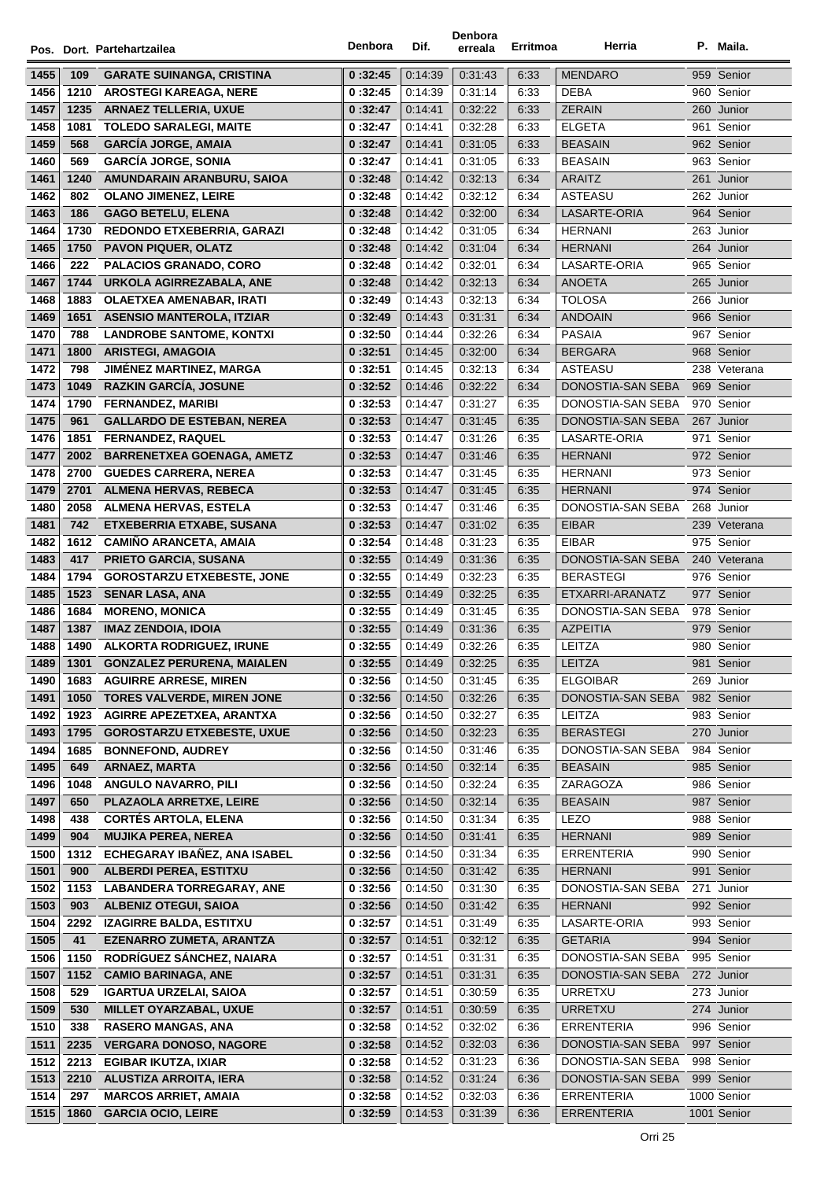|      |             | Pos. Dort. Partehartzailea        | Denbora  | Dif.    | Denbora<br>erreala | Erritmoa | Herria            | P. Maila.    |
|------|-------------|-----------------------------------|----------|---------|--------------------|----------|-------------------|--------------|
| 1455 |             | <b>GARATE SUINANGA, CRISTINA</b>  | 0:32:45  | 0.14.39 | 0:31:43            | 6:33     | <b>MENDARO</b>    | 959 Senior   |
| 1456 | 109<br>1210 | <b>AROSTEGI KAREAGA, NERE</b>     | 0:32:45  | 0:14:39 | 0:31:14            | 6:33     | <b>DEBA</b>       | 960 Senior   |
| 1457 | 1235        | <b>ARNAEZ TELLERIA, UXUE</b>      | 0:32:47  | 0:14:41 | 0:32:22            | 6:33     | <b>ZERAIN</b>     | 260 Junior   |
| 1458 | 1081        | <b>TOLEDO SARALEGI, MAITE</b>     | 0:32:47  | 0.14.41 | 0:32:28            | 6:33     | <b>ELGETA</b>     | 961 Senior   |
| 1459 | 568         | <b>GARCÍA JORGE, AMAIA</b>        | 0:32:47  | 0.14.41 | 0:31:05            | 6:33     | <b>BEASAIN</b>    | 962 Senior   |
| 1460 | 569         | <b>GARCÍA JORGE, SONIA</b>        | 0:32:47  | 0.14.41 | 0:31:05            | 6:33     | <b>BEASAIN</b>    | 963 Senior   |
| 1461 | 1240        | AMUNDARAIN ARANBURU, SAIOA        | 0:32:48  | 0.14.42 | 0:32:13            | 6:34     | <b>ARAITZ</b>     | 261 Junior   |
| 1462 | 802         | <b>OLANO JIMENEZ, LEIRE</b>       | 0:32:48  | 0.14.42 | 0:32:12            | 6:34     | <b>ASTEASU</b>    | 262 Junior   |
| 1463 | 186         | <b>GAGO BETELU, ELENA</b>         | 0:32:48  | 0.14.42 | 0:32:00            | 6:34     | LASARTE-ORIA      | 964 Senior   |
| 1464 | 1730        | REDONDO ETXEBERRIA, GARAZI        | 0:32:48  | 0:14:42 | 0:31:05            | 6:34     | HERNANI           | 263 Junior   |
| 1465 | 1750        | <b>PAVON PIQUER, OLATZ</b>        | 0:32:48  | 0.14.42 | 0:31:04            | 6:34     | <b>HERNANI</b>    | 264 Junior   |
| 1466 | 222         | <b>PALACIOS GRANADO, CORO</b>     | 0:32:48  | 0:14:42 | 0:32:01            | 6:34     | LASARTE-ORIA      | 965 Senior   |
| 1467 | 1744        | URKOLA AGIRREZABALA, ANE          | 0:32:48  | 0:14:42 | 0:32:13            | 6:34     | ANOETA            | 265 Junior   |
| 1468 | 1883        | <b>OLAETXEA AMENABAR, IRATI</b>   | 0:32:49  | 0:14:43 | 0:32:13            | 6:34     | <b>TOLOSA</b>     | 266 Junior   |
| 1469 | 1651        | <b>ASENSIO MANTEROLA, ITZIAR</b>  | 0:32:49  | 0.14.43 | 0:31:31            | 6:34     | <b>ANDOAIN</b>    | 966 Senior   |
| 1470 | 788         | <b>LANDROBE SANTOME, KONTXI</b>   | 0:32:50  | 0:14:44 | 0:32:26            | 6:34     | <b>PASAIA</b>     | 967 Senior   |
| 1471 | 1800        | <b>ARISTEGI, AMAGOIA</b>          | 0:32:51  | 0.14.45 | 0:32:00            | 6:34     | <b>BERGARA</b>    | 968 Senior   |
| 1472 | 798         | <b>JIMÉNEZ MARTINEZ, MARGA</b>    | 0 :32:51 | 0:14:45 | 0:32:13            | 6:34     | ASTEASU           | 238 Veterana |
| 1473 | 1049        | <b>RAZKIN GARCIA, JOSUNE</b>      | 0:32:52  | 0:14:46 | 0:32:22            | 6:34     | DONOSTIA-SAN SEBA | 969 Senior   |
| 1474 | 1790        | <b>FERNANDEZ, MARIBI</b>          | 0:32:53  | 0:14:47 | 0:31:27            | 6:35     | DONOSTIA-SAN SEBA | 970 Senior   |
| 1475 | 961         | <b>GALLARDO DE ESTEBAN, NEREA</b> | 0:32:53  | 0.14.47 | 0:31:45            | 6:35     | DONOSTIA-SAN SEBA | 267 Junior   |
| 1476 | 1851        | <b>FERNANDEZ, RAQUEL</b>          | 0:32:53  | 0:14:47 | 0:31:26            | 6:35     | LASARTE-ORIA      | 971 Senior   |
| 1477 | 2002        | <b>BARRENETXEA GOENAGA, AMETZ</b> | 0:32:53  | 0.14.47 | 0:31:46            | 6:35     | <b>HERNANI</b>    | 972 Senior   |
| 1478 | 2700        | <b>GUEDES CARRERA, NEREA</b>      | 0:32:53  | 0:14:47 | 0:31:45            | 6:35     | <b>HERNANI</b>    | 973 Senior   |
| 1479 | 2701        | <b>ALMENA HERVAS, REBECA</b>      | 0:32:53  | 0.14.47 | 0:31:45            | 6:35     | <b>HERNANI</b>    | 974 Senior   |
| 1480 | 2058        | <b>ALMENA HERVAS, ESTELA</b>      | 0:32:53  | 0.14.47 | 0:31:46            | 6:35     | DONOSTIA-SAN SEBA | 268 Junior   |
| 1481 | 742         | ETXEBERRIA ETXABE, SUSANA         | 0:32:53  | 0:14:47 | 0:31:02            | 6:35     | <b>EIBAR</b>      | 239 Veterana |
| 1482 | 1612        | <b>CAMIÑO ARANCETA, AMAIA</b>     | 0:32:54  | 0:14:48 | 0:31:23            | 6:35     | <b>EIBAR</b>      | 975 Senior   |
| 1483 | 417         | PRIETO GARCIA, SUSANA             | 0:32:55  | 0:14:49 | 0:31:36            | 6:35     | DONOSTIA-SAN SEBA | 240 Veterana |
| 1484 | 1794        | <b>GOROSTARZU ETXEBESTE, JONE</b> | 0:32:55  | 0:14:49 | 0:32:23            | 6:35     | <b>BERASTEGI</b>  | 976 Senior   |
| 1485 | 1523        | <b>SENAR LASA, ANA</b>            | 0:32:55  | 0:14:49 | 0:32:25            | 6:35     | ETXARRI-ARANATZ   | 977 Senior   |
| 1486 | 1684        | <b>MORENO, MONICA</b>             | 0:32:55  | 0:14:49 | 0:31:45            | 6:35     | DONOSTIA-SAN SEBA | 978 Senior   |
| 1487 | 1387        | <b>IMAZ ZENDOIA, IDOIA</b>        | 0:32:55  | 0.14.49 | 0:31:36            | 6:35     | <b>AZPEITIA</b>   | 979 Senior   |
| 1488 |             | 1490 ALKORTA RODRIGUEZ, IRUNE     | 0:32:55  | 0.14.49 | 0:32:26            | 6:35     | LEITZA            | 980 Senior   |
| 1489 | 1301        | <b>GONZALEZ PERURENA, MAIALEN</b> | 0:32:55  | 0:14:49 | 0:32:25            | 6:35     | LEITZA            | 981 Senior   |
| 1490 | 1683        | <b>AGUIRRE ARRESE, MIREN</b>      | 0:32:56  | 0:14:50 | 0:31:45            | 6:35     | <b>ELGOIBAR</b>   | 269 Junior   |
| 1491 | 1050        | <b>TORES VALVERDE, MIREN JONE</b> | 0:32:56  | 0:14:50 | 0:32:26            | 6:35     | DONOSTIA-SAN SEBA | 982 Senior   |
| 1492 | 1923        | AGIRRE APEZETXEA, ARANTXA         | 0:32:56  | 0.14.50 | 0:32:27            | 6:35     | LEITZA            | 983 Senior   |
| 1493 | 1795        | <b>GOROSTARZU ETXEBESTE, UXUE</b> | 0:32:56  | 0:14:50 | 0:32:23            | 6:35     | <b>BERASTEGI</b>  | 270 Junior   |
| 1494 | 1685        | <b>BONNEFOND, AUDREY</b>          | 0:32:56  | 0:14:50 | 0:31:46            | 6:35     | DONOSTIA-SAN SEBA | 984 Senior   |
| 1495 | 649         | <b>ARNAEZ, MARTA</b>              | 0:32:56  | 0:14:50 | 0:32:14            | 6:35     | <b>BEASAIN</b>    | 985 Senior   |
| 1496 | 1048        | <b>ANGULO NAVARRO, PILI</b>       | 0:32:56  | 0:14:50 | 0:32:24            | 6:35     | ZARAGOZA          | 986 Senior   |
| 1497 | 650         | PLAZAOLA ARRETXE, LEIRE           | 0:32:56  | 0:14:50 | 0:32:14            | 6:35     | <b>BEASAIN</b>    | 987 Senior   |
| 1498 | 438         | <b>CORTÉS ARTOLA, ELENA</b>       | 0:32:56  | 0:14:50 | 0:31:34            | 6:35     | <b>LEZO</b>       | 988 Senior   |
| 1499 | 904         | <b>MUJIKA PEREA, NEREA</b>        | 0:32:56  | 0:14:50 | 0:31:41            | 6:35     | <b>HERNANI</b>    | 989 Senior   |
| 1500 | 1312        | ECHEGARAY IBAÑEZ, ANA ISABEL      | 0:32:56  | 0:14:50 | 0:31:34            | 6:35     | <b>ERRENTERIA</b> | 990 Senior   |
| 1501 | 900         | <b>ALBERDI PEREA, ESTITXU</b>     | 0:32:56  | 0:14:50 | 0:31:42            | 6:35     | <b>HERNANI</b>    | 991 Senior   |
| 1502 | 1153        | <b>LABANDERA TORREGARAY, ANE</b>  | 0:32:56  | 0:14:50 | 0:31:30            | 6:35     | DONOSTIA-SAN SEBA | 271 Junior   |
| 1503 | 903         | <b>ALBENIZ OTEGUI, SAIOA</b>      | 0:32:56  | 0:14:50 | 0:31:42            | 6:35     | <b>HERNANI</b>    | 992 Senior   |
| 1504 | 2292        | <b>IZAGIRRE BALDA, ESTITXU</b>    | 0:32:57  | 0:14:51 | 0:31:49            | 6:35     | LASARTE-ORIA      | 993 Senior   |
| 1505 | 41          | <b>EZENARRO ZUMETA, ARANTZA</b>   | 0:32:57  | 0:14:51 | 0:32:12            | 6:35     | <b>GETARIA</b>    | 994 Senior   |
| 1506 | 1150        | RODRÍGUEZ SÁNCHEZ, NAIARA         | 0 :32:57 | 0:14:51 | 0:31:31            | 6:35     | DONOSTIA-SAN SEBA | 995 Senior   |
| 1507 | 1152        | <b>CAMIO BARINAGA, ANE</b>        | 0:32:57  | 0:14:51 | 0:31:31            | 6:35     | DONOSTIA-SAN SEBA | 272 Junior   |
| 1508 | 529         | <b>IGARTUA URZELAI, SAIOA</b>     | 0:32:57  | 0:14:51 | 0:30:59            | 6:35     | <b>URRETXU</b>    | 273 Junior   |
| 1509 | 530         | MILLET OYARZABAL, UXUE            | 0:32:57  | 0:14:51 | 0:30:59            | 6:35     | <b>URRETXU</b>    | 274 Junior   |
| 1510 | 338         | <b>RASERO MANGAS, ANA</b>         | 0:32:58  | 0.14.52 | 0:32:02            | 6:36     | <b>ERRENTERIA</b> | 996 Senior   |
| 1511 | 2235        | <b>VERGARA DONOSO, NAGORE</b>     | 0:32:58  | 0:14:52 | 0:32:03            | 6:36     | DONOSTIA-SAN SEBA | 997 Senior   |
| 1512 | 2213        | <b>EGIBAR IKUTZA, IXIAR</b>       | 0:32:58  | 0.14.52 | 0:31:23            | 6:36     | DONOSTIA-SAN SEBA | 998 Senior   |
| 1513 | 2210        | <b>ALUSTIZA ARROITA, IERA</b>     | 0:32:58  | 0:14:52 | 0:31:24            | 6:36     | DONOSTIA-SAN SEBA | 999 Senior   |
| 1514 | 297         | <b>MARCOS ARRIET, AMAIA</b>       | 0 :32:58 | 0:14:52 | 0:32:03            | 6:36     | ERRENTERIA        | 1000 Senior  |
| 1515 | 1860        | <b>GARCIA OCIO, LEIRE</b>         | 0:32:59  | 0:14:53 | 0:31:39            | 6:36     | <b>ERRENTERIA</b> | 1001 Senior  |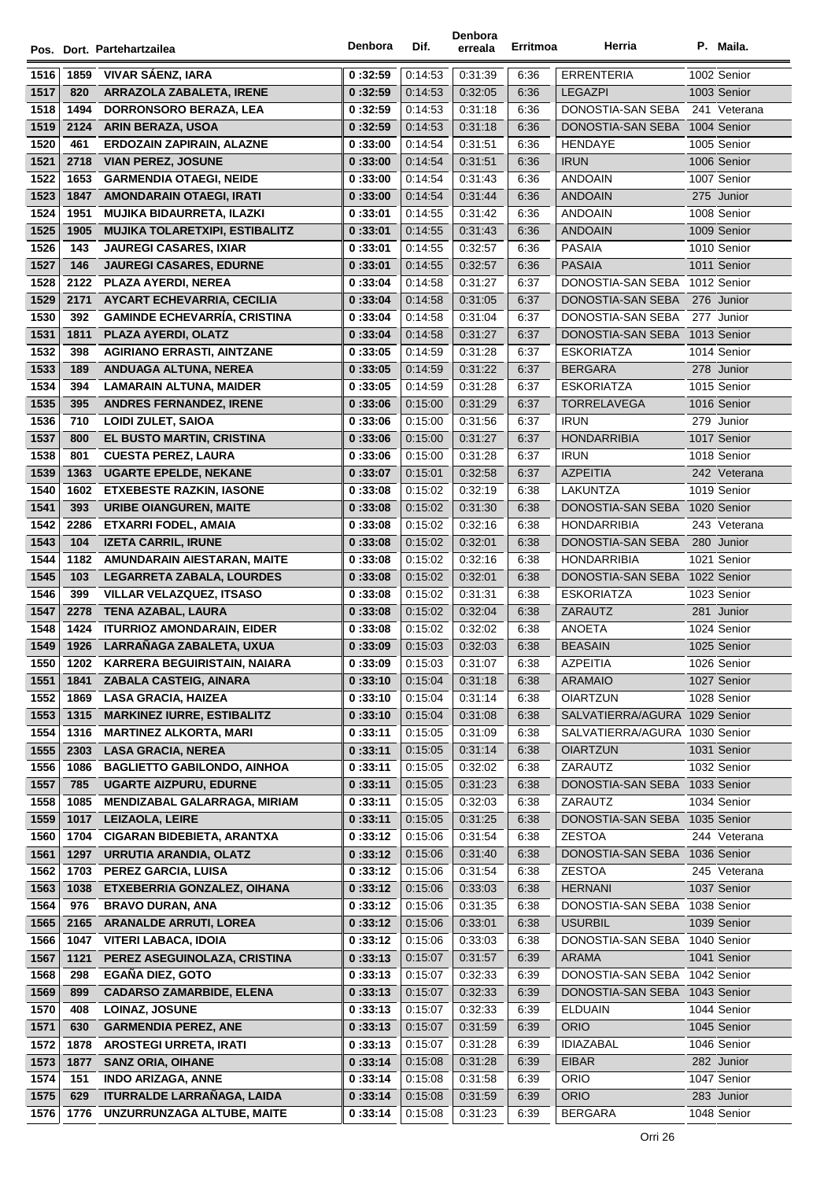|              |              | Pos. Dort. Partehartzailea                         | Denbora            | Dif.               | Denbora<br>erreala | Erritmoa     | Herria                          | P. Maila.                   |
|--------------|--------------|----------------------------------------------------|--------------------|--------------------|--------------------|--------------|---------------------------------|-----------------------------|
| 1516         | 1859         | <b>VIVAR SAENZ, IARA</b>                           | 0:32:59            | 0:14:53            | 0:31:39            | 6:36         | <b>ERRENTERIA</b>               | 1002 Senior                 |
| 1517         | 820          | <b>ARRAZOLA ZABALETA, IRENE</b>                    | 0:32:59            | 0:14:53            | 0:32:05            | 6:36         | <b>LEGAZPI</b>                  | 1003 Senior                 |
| 1518         | 1494         | <b>DORRONSORO BERAZA, LEA</b>                      | 0:32:59            | 0:14:53            | 0:31:18            | 6:36         | DONOSTIA-SAN SEBA               | 241 Veterana                |
| 1519         | 2124         | <b>ARIN BERAZA, USOA</b>                           | 0:32:59            | 0:14:53            | 0:31:18            | 6:36         | DONOSTIA-SAN SEBA               | 1004 Senior                 |
| 1520         | 461          | <b>ERDOZAIN ZAPIRAIN, ALAZNE</b>                   | 0:33:00            | 0:14:54            | 0.31.51            | 6:36         | <b>HENDAYE</b>                  | 1005 Senior                 |
| 1521         | 2718         | <b>VIAN PEREZ, JOSUNE</b>                          | 0:33:00            | 0:14:54            | 0:31:51            | 6:36         | <b>IRUN</b>                     | 1006 Senior                 |
| 1522         | 1653         | <b>GARMENDIA OTAEGI, NEIDE</b>                     | 0:33:00            | 0:14:54            | 0:31:43            | 6:36         | <b>ANDOAIN</b>                  | 1007 Senior                 |
| 1523         | 1847         | <b>AMONDARAIN OTAEGI, IRATI</b>                    | 0:33:00            | 0:14:54            | 0:31:44            | 6:36         | <b>ANDOAIN</b>                  | 275 Junior                  |
| 1524         | 1951         | <b>MUJIKA BIDAURRETA, ILAZKI</b>                   | 0:33:01            | 0:14:55            | 0:31:42            | 6:36         | <b>ANDOAIN</b>                  | 1008 Senior                 |
| 1525         | 1905         | <b>MUJIKA TOLARETXIPI, ESTIBALITZ</b>              | 0:33:01            | 0:14:55            | 0:31:43            | 6:36         | <b>ANDOAIN</b>                  | 1009 Senior                 |
| 1526         | 143          | <b>JAUREGI CASARES, IXIAR</b>                      | 0:33:01            | 0:14:55            | 0:32:57            | 6:36         | <b>PASAIA</b>                   | 1010 Senior                 |
| 1527         | 146          | <b>JAUREGI CASARES, EDURNE</b>                     | 0:33:01            | 0:14:55            | 0:32:57            | 6:36         | <b>PASAIA</b>                   | 1011 Senior                 |
| 1528         |              | 2122 PLAZA AYERDI, NEREA                           | 0:33:04            | 0:14:58            | 0:31:27            | 6:37         | DONOSTIA-SAN SEBA 1012 Senior   |                             |
| 1529         | 2171         | <b>AYCART ECHEVARRIA, CECILIA</b>                  | 0:33:04            | 0:14:58            | 0:31:05            | 6:37         | DONOSTIA-SAN SEBA               | 276 Junior                  |
| 1530         | 392          | <b>GAMINDE ECHEVARRÍA, CRISTINA</b>                | 0:33:04            | 0:14:58            | 0:31:04            | 6:37         | DONOSTIA-SAN SEBA               | 277 Junior                  |
| 1531         | 1811         | PLAZA AYERDI, OLATZ                                | 0:33:04            | 0:14:58            | 0:31:27            | 6:37         | DONOSTIA-SAN SEBA               | 1013 Senior                 |
| 1532         | 398          | <b>AGIRIANO ERRASTI, AINTZANE</b>                  | 0:33:05            | 0:14:59            | 0:31:28            | 6:37         | <b>ESKORIATZA</b>               | 1014 Senior                 |
| 1533         | 189          | <b>ANDUAGA ALTUNA, NEREA</b>                       | 0:33:05            | 0:14:59            | 0:31:22            | 6:37         | <b>BERGARA</b>                  | 278 Junior                  |
| 1534         | 394          | <b>LAMARAIN ALTUNA, MAIDER</b>                     | 0:33:05            | 0:14:59            | 0:31:28            | 6:37         | <b>ESKORIATZA</b>               | 1015 Senior                 |
| 1535         | 395          | <b>ANDRES FERNANDEZ, IRENE</b>                     | 0:33:06            | 0:15:00            | 0:31:29            | 6:37         | <b>TORRELAVEGA</b>              | 1016 Senior                 |
| 1536         | 710          | <b>LOIDI ZULET, SAIOA</b>                          | 0:33:06            | 0:15:00            | 0:31:56            | 6:37         | <b>IRUN</b>                     | 279 Junior                  |
| 1537         | 800          | EL BUSTO MARTIN, CRISTINA                          | 0:33:06            | 0:15:00            | 0:31:27            | 6:37         | <b>HONDARRIBIA</b>              | 1017 Senior                 |
| 1538         | 801          | <b>CUESTA PEREZ, LAURA</b>                         | 0:33:06            | 0:15:00            | 0:31:28            | 6:37         | <b>IRUN</b>                     | 1018 Senior                 |
| 1539         | 1363         | <b>UGARTE EPELDE, NEKANE</b>                       | 0:33:07            | 0:15:01            | 0:32:58            | 6:37         | <b>AZPEITIA</b>                 | 242 Veterana                |
| 1540         | 1602         | <b>ETXEBESTE RAZKIN, IASONE</b>                    | 0:33:08            | 0:15:02            | 0:32:19            | 6:38         | LAKUNTZA                        | 1019 Senior                 |
| 1541         | 393          | <b>URIBE OIANGUREN, MAITE</b>                      | 0:33:08            | 0:15:02            | 0:31:30            | 6:38         | DONOSTIA-SAN SEBA               | 1020 Senior                 |
| 1542         | 2286         | <b>ETXARRI FODEL, AMAIA</b>                        | 0:33:08            | 0:15:02            | 0.32:16            | 6:38         | <b>HONDARRIBIA</b>              | 243 Veterana                |
| 1543         | 104          | <b>IZETA CARRIL, IRUNE</b>                         | 0:33:08            | 0:15:02            | 0:32:01            | 6:38         | DONOSTIA-SAN SEBA               | 280 Junior                  |
| 1544         |              | 1182 AMUNDARAIN AIESTARAN, MAITE                   | 0:33:08            | 0:15:02            | 0:32:16            | 6:38         | <b>HONDARRIBIA</b>              | 1021 Senior                 |
| 1545         | 103          | LEGARRETA ZABALA, LOURDES                          | 0:33:08            | 0:15:02            | 0:32:01            | 6:38         | DONOSTIA-SAN SEBA 1022 Senior   |                             |
| 1546         | 399          | <b>VILLAR VELAZQUEZ, ITSASO</b>                    | 0:33:08            | 0:15:02            | 0.31.31            | 6:38         | <b>ESKORIATZA</b>               | 1023 Senior                 |
| 1547         | 2278         | <b>TENA AZABAL, LAURA</b>                          | 0:33:08            | 0:15:02            | 0:32:04            | 6:38         | ZARAUTZ                         | 281 Junior                  |
| 1548         | 1424         | <b>ITURRIOZ AMONDARAIN, EIDER</b>                  | 0:33:08            | 0:15:02            | 0:32:02            | 6:38         | ANOETA                          | 1024 Senior                 |
| 1549         |              | 1926 LARRAÑAGA ZABALETA, UXUA                      | 0:33:09            | 0:15:03            | 0:32:03            | 6:38         | <b>BEASAIN</b>                  | 1025 Senior                 |
| 1550         | 1202         | <b>KARRERA BEGUIRISTAIN, NAIARA</b>                | 0:33:09            | 0.15.03            | 0:31:07            | 6:38         | AZPEITIA                        | 1026 Senior                 |
| 1551         | 1841         | ZABALA CASTEIG, AINARA                             | 0:33:10            | 0:15:04            | 0.31.18            | 6:38         | <b>ARAMAIO</b>                  | 1027 Senior                 |
| 1552         | 1869         | <b>LASA GRACIA, HAIZEA</b>                         | 0:33:10            | 0:15:04            | 0:31:14            | 6:38         | <b>OIARTZUN</b>                 | 1028 Senior                 |
| 1553         | 1315         | <b>MARKINEZ IURRE, ESTIBALITZ</b>                  | 0:33:10            | 0:15:04            | 0:31:08            | 6:38         | SALVATIERRA/AGURA 1029 Senior   |                             |
| 1554         | 1316         | <b>MARTINEZ ALKORTA, MARI</b>                      | 0:33:11            | 0:15:05            | 0:31:09            | 6:38         | SALVATIERRA/AGURA 1030 Senior   |                             |
| 1555         | 2303         | <b>LASA GRACIA, NEREA</b>                          | 0:33:11            | 0:15:05            | 0:31:14            | 6:38         | <b>OIARTZUN</b>                 | 1031 Senior                 |
| 1556         | 1086         | <b>BAGLIETTO GABILONDO, AINHOA</b>                 | 0:33:11            | 0:15:05            | 0:32:02            | 6:38         | ZARAUTZ                         | 1032 Senior                 |
| 1557         | 785          | <b>UGARTE AIZPURU, EDURNE</b>                      | 0:33:11            | 0:15:05            | 0:31:23            | 6:38         | DONOSTIA-SAN SEBA               | 1033 Senior                 |
| 1558         | 1085         | <b>MENDIZABAL GALARRAGA, MIRIAM</b>                | 0:33:11            | 0:15:05            | 0:32:03            | 6:38         | ZARAUTZ                         | 1034 Senior                 |
| 1559         | 1017         | <b>LEIZAOLA, LEIRE</b>                             | 0:33:11            | 0:15:05            | 0:31:25            | 6:38         | DONOSTIA-SAN SEBA 1035 Senior   |                             |
| 1560         | 1704         | <b>CIGARAN BIDEBIETA, ARANTXA</b>                  | 0:33:12            | 0:15:06            | 0:31:54            | 6:38         | <b>ZESTOA</b>                   | 244 Veterana                |
| 1561         | 1297         | <b>URRUTIA ARANDIA, OLATZ</b>                      | 0:33:12            | 0:15:06            | 0:31:40            | 6:38         | DONOSTIA-SAN SEBA 1036 Senior   |                             |
| 1562         | 1703<br>1038 | PEREZ GARCIA, LUISA<br>ETXEBERRIA GONZALEZ, OIHANA | 0:33:12            | 0:15:06            | 0:31:54            | 6:38         | <b>ZESTOA</b><br><b>HERNANI</b> | 245 Veterana<br>1037 Senior |
| 1563<br>1564 | 976          | <b>BRAVO DURAN, ANA</b>                            | 0:33:12<br>0:33:12 | 0:15:06<br>0:15:06 | 0:33:03<br>0:31:35 | 6:38<br>6:38 | DONOSTIA-SAN SEBA 1038 Senior   |                             |
| 1565         | 2165         | <b>ARANALDE ARRUTI, LOREA</b>                      | 0:33:12            | 0:15:06            | 0:33:01            | 6:38         | <b>USURBIL</b>                  | 1039 Senior                 |
| 1566         | 1047         | <b>VITERI LABACA, IDOIA</b>                        | 0:33:12            | 0:15:06            | 0:33:03            | 6:38         | DONOSTIA-SAN SEBA 1040 Senior   |                             |
| 1567         | 1121         | PEREZ ASEGUINOLAZA, CRISTINA                       | 0:33:13            | 0:15:07            | 0:31:57            | 6:39         | <b>ARAMA</b>                    | 1041 Senior                 |
| 1568         | 298          | EGAÑA DIEZ, GOTO                                   | 0:33:13            | 0:15:07            | 0:32:33            | 6:39         | DONOSTIA-SAN SEBA 1042 Senior   |                             |
| 1569         | 899          | <b>CADARSO ZAMARBIDE, ELENA</b>                    | 0:33:13            | 0:15:07            | 0:32:33            | 6:39         | DONOSTIA-SAN SEBA 1043 Senior   |                             |
| 1570         | 408          | <b>LOINAZ, JOSUNE</b>                              | 0:33:13            | 0:15:07            | 0:32:33            | 6:39         | <b>ELDUAIN</b>                  | 1044 Senior                 |
| 1571         | 630          | <b>GARMENDIA PEREZ, ANE</b>                        | 0:33:13            | 0:15:07            | 0:31:59            | 6:39         | <b>ORIO</b>                     | 1045 Senior                 |
| 1572         | 1878         | <b>AROSTEGI URRETA, IRATI</b>                      | 0:33:13            | 0:15:07            | 0:31:28            | 6:39         | <b>IDIAZABAL</b>                | 1046 Senior                 |
| 1573         | 1877         | <b>SANZ ORIA, OIHANE</b>                           | 0:33:14            | 0:15:08            | 0:31:28            | 6:39         | <b>EIBAR</b>                    | 282 Junior                  |
| 1574         | 151          | <b>INDO ARIZAGA, ANNE</b>                          | 0:33:14            | 0:15:08            | 0:31:58            | 6:39         | <b>ORIO</b>                     | 1047 Senior                 |
| 1575         | 629          | <b>ITURRALDE LARRAÑAGA, LAIDA</b>                  | 0:33:14            | 0:15:08            | 0:31:59            | 6:39         | <b>ORIO</b>                     | 283 Junior                  |
| 1576         | 1776         | UNZURRUNZAGA ALTUBE, MAITE                         | 0:33:14            | 0:15:08            | 0:31:23            | 6:39         | <b>BERGARA</b>                  | 1048 Senior                 |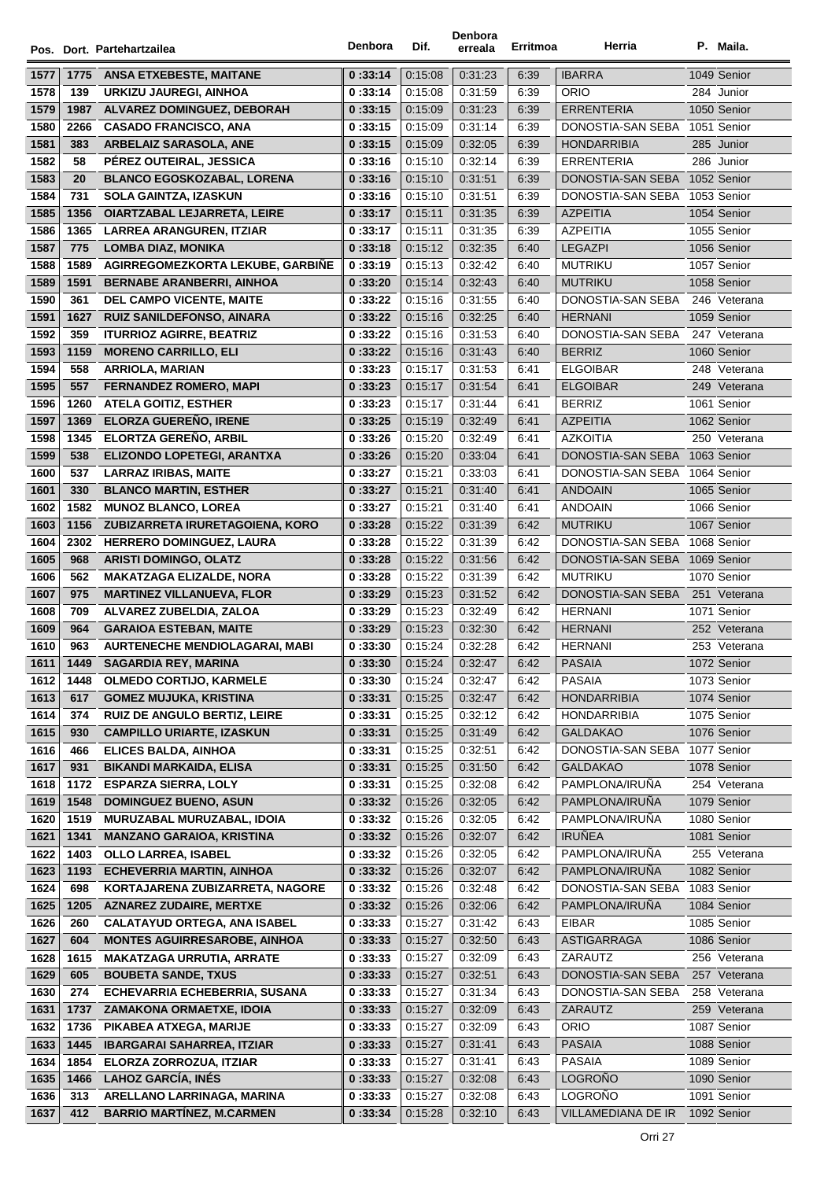|              |            | Pos. Dort. Partehartzailea                                              | Denbora            | Dif.               | Denbora<br>erreala | Erritmoa     | Herria                                   | P. Maila.                  |
|--------------|------------|-------------------------------------------------------------------------|--------------------|--------------------|--------------------|--------------|------------------------------------------|----------------------------|
| 1577         | 1775       | <b>ANSA ETXEBESTE, MAITANE</b>                                          | 0:33:14            | 0:15:08            | 0:31:23            | 6:39         | <b>IBARRA</b>                            | 1049 Senior                |
| 1578         | 139        | URKIZU JAUREGI, AINHOA                                                  | 0:33:14            | 0:15:08            | 0:31:59            | 6:39         | <b>ORIO</b>                              | 284 Junior                 |
| 1579         | 1987       | ALVAREZ DOMINGUEZ, DEBORAH                                              | 0:33:15            | 0:15:09            | 0:31:23            | 6:39         | <b>ERRENTERIA</b>                        | 1050 Senior                |
| 1580         | 2266       | <b>CASADO FRANCISCO, ANA</b>                                            | 0:33:15            | 0:15:09            | 0:31:14            | 6:39         | DONOSTIA-SAN SEBA                        | 1051 Senior                |
| 1581         | 383        | ARBELAIZ SARASOLA, ANE                                                  | 0:33:15            | 0:15:09            | 0:32:05            | 6:39         | <b>HONDARRIBIA</b>                       | 285 Junior                 |
| 1582         | 58         | PÉREZ OUTEIRAL, JESSICA                                                 | 0:33:16            | 0:15:10            | 0:32:14            | 6:39         | <b>ERRENTERIA</b>                        | 286 Junior                 |
| 1583         | 20         | <b>BLANCO EGOSKOZABAL, LORENA</b>                                       | 0:33:16            | 0:15:10            | 0:31:51            | 6:39         | DONOSTIA-SAN SEBA                        | 1052 Senior                |
| 1584         | 731        | <b>SOLA GAINTZA, IZASKUN</b>                                            | 0:33:16            | 0:15:10            | 0:31:51            | 6:39         | DONOSTIA-SAN SEBA                        | 1053 Senior                |
| 1585         | 1356       | OIARTZABAL LEJARRETA, LEIRE                                             | 0:33:17            | 0:15:11            | 0:31:35            | 6:39         | <b>AZPEITIA</b>                          | 1054 Senior                |
| 1586         | 1365       | LARREA ARANGUREN, ITZIAR                                                | 0:33:17            | 0:15:11            | 0:31:35            | 6:39         | <b>AZPEITIA</b>                          | 1055 Senior                |
| 1587         | 775        | LOMBA DIAZ, MONIKA                                                      | 0:33:18            | 0:15:12            | 0:32:35            | 6:40         | <b>LEGAZPI</b>                           | 1056 Senior                |
| 1588         | 1589       | AGIRREGOMEZKORTA LEKUBE, GARBIÑE                                        | 0:33:19            | 0:15:13            | 0:32:42            | 6:40         | <b>MUTRIKU</b>                           | 1057 Senior                |
| 1589         | 1591       | <b>BERNABE ARANBERRI, AINHOA</b>                                        | 0:33:20            | 0:15:14            | 0:32:43            | 6:40         | <b>MUTRIKU</b>                           | 1058 Senior                |
| 1590         | 361        | <b>DEL CAMPO VICENTE, MAITE</b>                                         | 0:33:22            | 0:15:16            | 0:31:55            | 6:40         | DONOSTIA-SAN SEBA                        | 246 Veterana               |
| 1591         | 1627       | <b>RUIZ SANILDEFONSO, AINARA</b>                                        | 0:33:22            | 0:15:16            | 0:32:25            | 6:40         | <b>HERNANI</b>                           | 1059 Senior                |
| 1592         | 359        | <b>ITURRIOZ AGIRRE, BEATRIZ</b>                                         | 0:33:22            | 0:15:16            | 0:31:53            | 6:40         | DONOSTIA-SAN SEBA                        | 247 Veterana               |
| 1593         | 1159       | <b>MORENO CARRILLO, ELI</b>                                             | 0:33:22            | 0:15:16            | 0:31:43            | 6:40         | <b>BERRIZ</b>                            | 1060 Senior                |
| 1594         | 558        | <b>ARRIOLA, MARIAN</b>                                                  | 0:33:23            | 0:15:17            | 0:31:53            | 6:41         | <b>ELGOIBAR</b>                          | 248 Veterana               |
| 1595         | 557        | <b>FERNANDEZ ROMERO, MAPI</b>                                           | 0:33:23            | 0:15:17            | 0:31:54            | 6:41         | <b>ELGOIBAR</b>                          | 249 Veterana               |
| 1596         | 1260       | <b>ATELA GOITIZ, ESTHER</b>                                             | 0:33:23            | 0:15:17            | 0:31:44            | 6:41         | <b>BERRIZ</b>                            | 1061 Senior                |
| 1597         | 1369       | <b>ELORZA GUEREÑO, IRENE</b>                                            | 0:33:25            | 0:15:19            | 0:32:49            | 6:41         | <b>AZPEITIA</b>                          | 1062 Senior                |
| 1598         | 1345       | ELORTZA GEREÑO, ARBIL                                                   | 0:33:26            | 0.15.20            | 0:32:49            | 6:41         | <b>AZKOITIA</b>                          | 250 Veterana               |
| 1599         | 538        | ELIZONDO LOPETEGI, ARANTXA                                              | 0:33:26            | 0:15:20            | 0:33:04            | 6:41         | DONOSTIA-SAN SEBA                        | 1063 Senior                |
| 1600         | 537        | <b>LARRAZ IRIBAS, MAITE</b>                                             | 0:33:27            | 0:15:21            | 0:33:03            | 6:41         | DONOSTIA-SAN SEBA                        | 1064 Senior                |
| 1601         | 330        | <b>BLANCO MARTIN, ESTHER</b>                                            | 0:33:27            | 0:15:21            | 0:31:40            | 6:41         | <b>ANDOAIN</b>                           | 1065 Senior                |
| 1602         | 1582       | <b>MUNOZ BLANCO, LOREA</b>                                              | 0:33:27            | 0:15:21            | 0:31:40            | 6:41         | <b>ANDOAIN</b>                           | 1066 Senior                |
| 1603         | 1156       | ZUBIZARRETA IRURETAGOIENA, KORO                                         | 0:33:28            | 0:15:22            | 0:31:39            | 6:42         | <b>MUTRIKU</b>                           | 1067 Senior                |
| 1604         | 2302       | HERRERO DOMINGUEZ, LAURA                                                | 0:33:28            | 0.15.22            | 0:31:39            | 6:42         | DONOSTIA-SAN SEBA 1068 Senior            |                            |
| 1605         | 968        | <b>ARISTI DOMINGO, OLATZ</b>                                            | 0:33:28            | 0:15:22            | 0:31:56            | 6:42         | DONOSTIA-SAN SEBA 1069 Senior            |                            |
| 1606         | 562        | <b>MAKATZAGA ELIZALDE, NORA</b>                                         | 0:33:28            | 0.15.22            | 0:31:39            | 6:42         | <b>MUTRIKU</b>                           | 1070 Senior                |
| 1607         | 975        | <b>MARTINEZ VILLANUEVA, FLOR</b>                                        | 0:33:29            | 0:15:23            | 0:31:52            | 6:42         | DONOSTIA-SAN SEBA                        | 251 Veterana               |
| 1608         | 709        | ALVAREZ ZUBELDIA, ZALOA                                                 | 0:33:29            | 0.15.23            | 0:32:49            | 6:42         | <b>HERNANI</b>                           | 1071 Senior                |
| 1609         | 964        | <b>GARAIOA ESTEBAN, MAITE</b>                                           | 0:33:29            | 0:15:23            | 0:32:30            | 6:42         | <b>HERNANI</b>                           | 252 Veterana               |
| 1610         | 963        | <b>AURTENECHE MENDIOLAGARAI, MABI</b>                                   | 0:33:30            | 0:15:24            | 0:32:28            | 6:42         | <b>HERNANI</b>                           | 253 Veterana               |
| 1611         | 1449       | <b>SAGARDIA REY, MARINA</b>                                             | 0:33:30            | 0:15:24            | 0:32:47            | 6:42         | <b>PASAIA</b>                            | 1072 Senior                |
| 1612         | 1448       | <b>OLMEDO CORTIJO, KARMELE</b>                                          | 0:33:30            | 0:15:24            | 0:32:47            | 6:42         | PASAIA                                   | 1073 Senior                |
| 1613         | 617        | <b>GOMEZ MUJUKA, KRISTINA</b>                                           | 0:33:31            | 0:15:25<br>0.15.25 | 0:32:47<br>0.32:12 | 6:42<br>6:42 | <b>HONDARRIBIA</b><br><b>HONDARRIBIA</b> | 1074 Senior<br>1075 Senior |
| 1614<br>1615 | 374<br>930 | <b>RUIZ DE ANGULO BERTIZ, LEIRE</b><br><b>CAMPILLO URIARTE, IZASKUN</b> | 0:33:31<br>0:33:31 | 0:15:25            | 0:31:49            | 6:42         | <b>GALDAKAO</b>                          | 1076 Senior                |
| 1616         | 466        | <b>ELICES BALDA, AINHOA</b>                                             | 0:33:31            | 0:15:25            | 0:32:51            | 6:42         | DONOSTIA-SAN SEBA                        | 1077 Senior                |
| 1617         | 931        | <b>BIKANDI MARKAIDA, ELISA</b>                                          | 0:33:31            | 0:15:25            | 0:31:50            | 6:42         | <b>GALDAKAO</b>                          | 1078 Senior                |
| 1618         | 1172       | <b>ESPARZA SIERRA, LOLY</b>                                             | 0:33:31            | 0:15:25            | 0:32:08            | 6:42         | PAMPLONA/IRUÑA                           | 254 Veterana               |
| 1619         | 1548       | <b>DOMINGUEZ BUENO, ASUN</b>                                            | 0:33:32            | 0:15:26            | 0:32:05            | 6:42         | PAMPLONA/IRUÑA                           | 1079 Senior                |
| 1620         | 1519       | <b>MURUZABAL MURUZABAL, IDOIA</b>                                       | 0:33:32            | 0.15.26            | 0:32:05            | 6:42         | PAMPLONA/IRUÑA                           | 1080 Senior                |
| 1621         | 1341       | <b>MANZANO GARAIOA, KRISTINA</b>                                        | 0:33:32            | 0:15:26            | 0:32:07            | 6:42         | <b>IRUÑEA</b>                            | 1081 Senior                |
| 1622         | 1403       | <b>OLLO LARREA, ISABEL</b>                                              | 0:33:32            | 0:15:26            | 0:32:05            | 6:42         | PAMPLONA/IRUÑA                           | 255 Veterana               |
| 1623         | 1193       | <b>ECHEVERRIA MARTIN, AINHOA</b>                                        | 0:33:32            | 0:15:26            | 0:32:07            | 6:42         | PAMPLONA/IRUÑA                           | 1082 Senior                |
| 1624         | 698        | KORTAJARENA ZUBIZARRETA, NAGORE                                         | 0:33:32            | 0:15:26            | 0:32:48            | 6:42         | DONOSTIA-SAN SEBA                        | 1083 Senior                |
| 1625         | 1205       | <b>AZNAREZ ZUDAIRE, MERTXE</b>                                          | 0:33:32            | 0:15:26            | 0:32:06            | 6:42         | PAMPLONA/IRUÑA                           | 1084 Senior                |
| 1626         | 260        | <b>CALATAYUD ORTEGA, ANA ISABEL</b>                                     | 0:33:33            | 0:15:27            | 0:31:42            | 6:43         | <b>EIBAR</b>                             | 1085 Senior                |
| 1627         | 604        | <b>MONTES AGUIRRESAROBE, AINHOA</b>                                     | 0:33:33            | 0:15:27            | 0.32.50            | 6:43         | <b>ASTIGARRAGA</b>                       | 1086 Senior                |
| 1628         | 1615       | <b>MAKATZAGA URRUTIA, ARRATE</b>                                        | 0:33:33            | 0.15.27            | 0:32:09            | 6:43         | ZARAUTZ                                  | 256 Veterana               |
| 1629         | 605        | <b>BOUBETA SANDE, TXUS</b>                                              | 0:33:33            | 0:15:27            | 0:32:51            | 6:43         | DONOSTIA-SAN SEBA                        | 257 Veterana               |
| 1630         | 274        | ECHEVARRIA ECHEBERRIA, SUSANA                                           | 0:33:33            | 0:15:27            | 0:31:34            | 6:43         | DONOSTIA-SAN SEBA                        | 258 Veterana               |
| 1631         | 1737       | ZAMAKONA ORMAETXE, IDOIA                                                | 0:33:33            | 0:15:27            | 0:32:09            | 6:43         | ZARAUTZ                                  | 259 Veterana               |
| 1632         | 1736       | PIKABEA ATXEGA, MARIJE                                                  | 0:33:33            | 0:15:27            | 0:32:09            | 6:43         | ORIO                                     | 1087 Senior                |
| 1633         | 1445       | <b>IBARGARAI SAHARREA, ITZIAR</b>                                       | 0:33:33            | 0:15:27            | 0:31:41            | 6:43         | <b>PASAIA</b>                            | 1088 Senior                |
| 1634         | 1854       | ELORZA ZORROZUA, ITZIAR                                                 | 0:33:33            | 0:15:27            | 0:31:41            | 6:43         | PASAIA                                   | 1089 Senior                |
| 1635         | 1466       | <b>LAHOZ GARCÍA, INÉS</b>                                               | 0:33:33            | 0:15:27            | 0:32:08            | 6:43         | <b>LOGROÑO</b>                           | 1090 Senior                |
| 1636         | 313        | ARELLANO LARRINAGA, MARINA                                              | 0:33:33            | 0:15:27            | 0:32:08            | 6:43         | LOGROÑO                                  | 1091 Senior                |
| 1637         | 412        | <b>BARRIO MARTÍNEZ, M.CARMEN</b>                                        | 0:33:34            | 0:15:28            | 0:32:10            | 6:43         | VILLAMEDIANA DE IR                       | 1092 Senior                |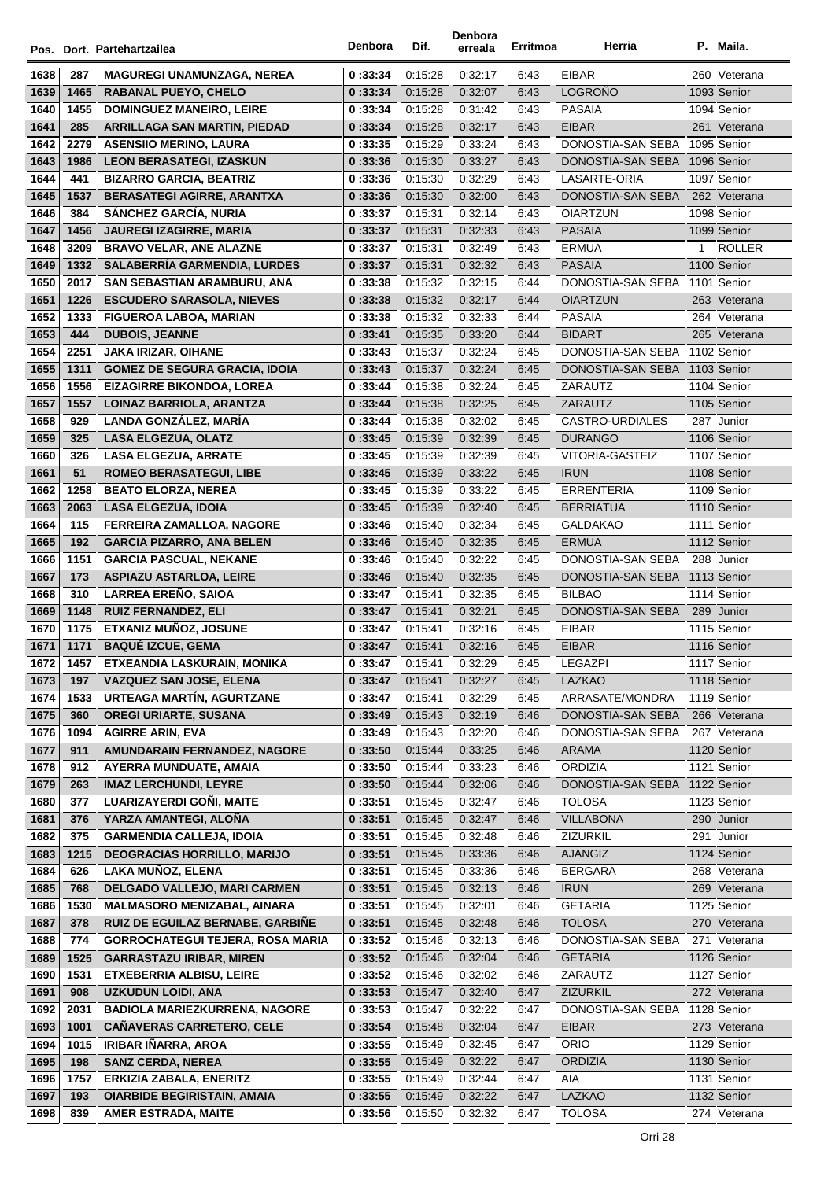|      |      | Pos. Dort. Partehartzailea              | Denbora | Dif.    | Denbora<br>erreala | Erritmoa | Herria                        |              | P. Maila.     |
|------|------|-----------------------------------------|---------|---------|--------------------|----------|-------------------------------|--------------|---------------|
| 1638 | 287  | <b>MAGUREGI UNAMUNZAGA, NEREA</b>       | 0:33:34 | 0:15:28 | 0:32:17            | 6:43     | <b>EIBAR</b>                  |              | 260 Veterana  |
| 1639 | 1465 | <b>RABANAL PUEYO, CHELO</b>             | 0:33:34 | 0:15:28 | 0:32:07            | 6:43     | <b>LOGROÑO</b>                |              | 1093 Senior   |
| 1640 | 1455 | <b>DOMINGUEZ MANEIRO, LEIRE</b>         | 0:33:34 | 0:15:28 | 0:31:42            | 6:43     | <b>PASAIA</b>                 |              | 1094 Senior   |
| 1641 | 285  | <b>ARRILLAGA SAN MARTIN, PIEDAD</b>     | 0:33:34 | 0:15:28 | 0:32:17            | 6:43     | <b>EIBAR</b>                  |              | 261 Veterana  |
| 1642 | 2279 | <b>ASENSIIO MERINO, LAURA</b>           | 0:33:35 | 0:15:29 | 0:33:24            | 6:43     | DONOSTIA-SAN SEBA             |              | 1095 Senior   |
| 1643 | 1986 | <b>LEON BERASATEGI, IZASKUN</b>         | 0:33:36 | 0:15:30 | 0:33:27            | 6:43     | DONOSTIA-SAN SEBA             |              | 1096 Senior   |
| 1644 | 441  | <b>BIZARRO GARCIA, BEATRIZ</b>          | 0:33:36 | 0:15:30 | 0:32:29            | 6:43     | LASARTE-ORIA                  |              | 1097 Senior   |
| 1645 | 1537 | <b>BERASATEGI AGIRRE, ARANTXA</b>       | 0:33:36 | 0:15:30 | 0:32:00            | 6:43     | DONOSTIA-SAN SEBA             |              | 262 Veterana  |
| 1646 | 384  | <b>SÁNCHEZ GARCÍA, NURIA</b>            | 0:33:37 | 0:15:31 | 0:32:14            | 6:43     | <b>OIARTZUN</b>               |              | 1098 Senior   |
| 1647 | 1456 | <b>JAUREGI IZAGIRRE, MARIA</b>          | 0:33:37 | 0:15:31 | 0:32:33            | 6:43     | <b>PASAIA</b>                 |              | 1099 Senior   |
| 1648 | 3209 | <b>BRAVO VELAR, ANE ALAZNE</b>          | 0:33:37 | 0:15:31 | 0:32:49            | 6:43     | ERMUA                         | $\mathbf{1}$ | <b>ROLLER</b> |
| 1649 | 1332 | <b>SALABERRIA GARMENDIA, LURDES</b>     | 0:33:37 | 0:15:31 | 0:32:32            | 6:43     | <b>PASAIA</b>                 |              | 1100 Senior   |
| 1650 | 2017 | SAN SEBASTIAN ARAMBURU, ANA             | 0:33:38 | 0:15:32 | 0:32:15            | 6:44     | DONOSTIA-SAN SEBA 1101 Senior |              |               |
| 1651 | 1226 | <b>ESCUDERO SARASOLA, NIEVES</b>        | 0:33:38 | 0:15:32 | 0:32:17            | 6:44     | <b>OIARTZUN</b>               |              | 263 Veterana  |
| 1652 | 1333 | <b>FIGUEROA LABOA, MARIAN</b>           | 0:33:38 | 0:15:32 | 0:32:33            | 6:44     | <b>PASAIA</b>                 |              | 264 Veterana  |
| 1653 | 444  | <b>DUBOIS, JEANNE</b>                   | 0:33:41 | 0:15:35 | 0:33:20            | 6:44     | <b>BIDART</b>                 |              | 265 Veterana  |
| 1654 | 2251 | JAKA IRIZAR, OIHANE                     | 0:33:43 | 0:15:37 | 0:32:24            | 6:45     | DONOSTIA-SAN SEBA 1102 Senior |              |               |
| 1655 | 1311 | <b>GOMEZ DE SEGURA GRACIA, IDOIA</b>    | 0:33:43 | 0.15.37 | 0:32:24            | 6:45     | DONOSTIA-SAN SEBA 1103 Senior |              |               |
| 1656 | 1556 | <b>EIZAGIRRE BIKONDOA, LOREA</b>        | 0:33:44 | 0:15:38 | 0:32:24            | 6:45     | <b>ZARAUTZ</b>                |              | 1104 Senior   |
| 1657 | 1557 | LOINAZ BARRIOLA, ARANTZA                | 0:33:44 | 0:15:38 | 0:32:25            | 6:45     | ZARAUTZ                       |              | 1105 Senior   |
| 1658 | 929  | LANDA GONZÁLEZ. MARÍA                   | 0:33:44 | 0:15:38 | 0:32:02            | 6:45     | CASTRO-URDIALES               |              | 287 Junior    |
| 1659 | 325  | <b>LASA ELGEZUA, OLATZ</b>              | 0:33:45 | 0:15:39 | 0:32:39            | 6:45     | <b>DURANGO</b>                |              | 1106 Senior   |
| 1660 | 326  | <b>LASA ELGEZUA, ARRATE</b>             | 0:33:45 | 0:15:39 | 0:32:39            | 6:45     | VITORIA-GASTEIZ               |              | 1107 Senior   |
| 1661 | 51   | <b>ROMEO BERASATEGUI, LIBE</b>          | 0:33:45 | 0:15:39 | 0:33:22            | 6:45     | <b>IRUN</b>                   |              | 1108 Senior   |
| 1662 | 1258 | <b>BEATO ELORZA, NEREA</b>              | 0:33:45 | 0:15:39 | 0:33:22            | 6:45     | <b>ERRENTERIA</b>             |              | 1109 Senior   |
| 1663 | 2063 | <b>LASA ELGEZUA, IDOIA</b>              | 0:33:45 | 0:15:39 | 0:32:40            | 6:45     | <b>BERRIATUA</b>              |              | 1110 Senior   |
| 1664 | 115  | FERREIRA ZAMALLOA, NAGORE               | 0:33:46 | 0:15:40 | 0:32:34            | 6:45     | <b>GALDAKAO</b>               |              | 1111 Senior   |
| 1665 | 192  | <b>GARCIA PIZARRO, ANA BELEN</b>        | 0:33:46 | 0:15:40 | 0:32:35            | 6:45     | <b>ERMUA</b>                  |              | 1112 Senior   |
| 1666 | 1151 | <b>GARCIA PASCUAL, NEKANE</b>           | 0:33:46 | 0:15:40 | 0:32:22            | 6:45     | DONOSTIA-SAN SEBA             |              | 288 Junior    |
| 1667 | 173  | <b>ASPIAZU ASTARLOA, LEIRE</b>          | 0:33:46 | 0:15:40 | 0:32:35            | 6:45     | DONOSTIA-SAN SEBA 1113 Senior |              |               |
| 1668 | 310  | <b>LARREA EREÑO, SAIOA</b>              | 0:33:47 | 0:15:41 | 0:32:35            | 6:45     | <b>BILBAO</b>                 |              | 1114 Senior   |
| 1669 | 1148 | <b>RUIZ FERNANDEZ, ELI</b>              | 0:33:47 | 0:15:41 | 0:32:21            | 6:45     | DONOSTIA-SAN SEBA 289 Junior  |              |               |
| 1670 | 1175 | ETXANIZ MUÑOZ, JOSUNE                   | 0:33:47 | 0:15:41 | 0.32:16            | 6:45     | <b>EIBAR</b>                  |              | 1115 Senior   |
| 1671 | 1171 | <b>BAQUÉ IZCUE, GEMA</b>                | 0:33:47 | 0:15:41 | 0.32:16            | 6:45     | <b>EIBAR</b>                  |              | 1116 Senior   |
| 1672 | 1457 | ETXEANDIA LASKURAIN, MONIKA             | 0:33:47 | 0:15:41 | 0:32:29            | 6:45     | LEGAZPI                       |              | 1117 Senior   |
| 1673 | 197  | <b>VAZQUEZ SAN JOSE, ELENA</b>          | 0:33:47 | 0:15:41 | 0:32:27            | 6:45     | <b>LAZKAO</b>                 |              | 1118 Senior   |
| 1674 | 1533 | URTEAGA MARTÍN, AGURTZANE               | 0:33:47 | 0:15:41 | 0:32:29            | 6:45     | ARRASATE/MONDRA               |              | 1119 Senior   |
| 1675 | 360  | <b>OREGI URIARTE, SUSANA</b>            | 0:33:49 | 0:15:43 | 0:32:19            | 6:46     | DONOSTIA-SAN SEBA             |              | 266 Veterana  |
| 1676 | 1094 | <b>AGIRRE ARIN, EVA</b>                 | 0:33:49 | 0:15:43 | 0:32:20            | 6:46     | DONOSTIA-SAN SEBA             |              | 267 Veterana  |
| 1677 | 911  | AMUNDARAIN FERNANDEZ, NAGORE            | 0:33:50 | 0:15:44 | 0:33:25            | 6:46     | <b>ARAMA</b>                  |              | 1120 Senior   |
| 1678 | 912  | AYERRA MUNDUATE, AMAIA                  | 0:33:50 | 0.15.44 | 0:33:23            | 6:46     | ORDIZIA                       |              | 1121 Senior   |
| 1679 | 263  | <b>IMAZ LERCHUNDI, LEYRE</b>            | 0:33:50 | 0:15:44 | 0:32:06            | 6:46     | DONOSTIA-SAN SEBA             |              | 1122 Senior   |
| 1680 | 377  | LUARIZAYERDI GOÑI, MAITE                | 0:33:51 | 0:15:45 | 0:32:47            | 6:46     | <b>TOLOSA</b>                 |              | 1123 Senior   |
| 1681 | 376  | YARZA AMANTEGI, ALOÑA                   | 0:33:51 | 0:15:45 | 0:32:47            | 6:46     | <b>VILLABONA</b>              |              | 290 Junior    |
| 1682 | 375  | <b>GARMENDIA CALLEJA, IDOIA</b>         | 0:33:51 | 0.15.45 | 0:32:48            | 6:46     | <b>ZIZURKIL</b>               |              | 291 Junior    |
| 1683 | 1215 | <b>DEOGRACIAS HORRILLO, MARIJO</b>      | 0:33:51 | 0:15:45 | 0:33:36            | 6:46     | AJANGIZ                       |              | 1124 Senior   |
| 1684 | 626  | LAKA MUÑOZ, ELENA                       | 0:33:51 | 0.15.45 | 0:33:36            | 6:46     | <b>BERGARA</b>                |              | 268 Veterana  |
| 1685 | 768  | DELGADO VALLEJO, MARI CARMEN            | 0:33:51 | 0:15:45 | 0:32:13            | 6:46     | <b>IRUN</b>                   |              | 269 Veterana  |
| 1686 | 1530 | <b>MALMASORO MENIZABAL, AINARA</b>      | 0:33:51 | 0.15.45 | 0:32:01            | 6:46     | <b>GETARIA</b>                |              | 1125 Senior   |
| 1687 | 378  | RUIZ DE EGUILAZ BERNABE, GARBIÑE        | 0:33:51 | 0:15:45 | 0:32:48            | 6:46     | <b>TOLOSA</b>                 |              | 270 Veterana  |
| 1688 | 774  | <b>GORROCHATEGUI TEJERA, ROSA MARIA</b> | 0:33:52 | 0:15:46 | 0:32:13            | 6:46     | DONOSTIA-SAN SEBA             |              | 271 Veterana  |
| 1689 | 1525 | <b>GARRASTAZU IRIBAR, MIREN</b>         | 0:33:52 | 0:15:46 | 0.32:04            | 6:46     | <b>GETARIA</b>                |              | 1126 Senior   |
| 1690 | 1531 | ETXEBERRIA ALBISU, LEIRE                | 0:33:52 | 0:15:46 | 0:32:02            | 6:46     | ZARAUTZ                       |              | 1127 Senior   |
| 1691 | 908  | <b>UZKUDUN LOIDI, ANA</b>               | 0:33:53 | 0:15:47 | 0:32:40            | 6:47     | <b>ZIZURKIL</b>               |              | 272 Veterana  |
| 1692 | 2031 | <b>BADIOLA MARIEZKURRENA, NAGORE</b>    | 0:33:53 | 0.15.47 | 0:32:22            | 6:47     | DONOSTIA-SAN SEBA             |              | 1128 Senior   |
| 1693 | 1001 | <b>CAÑAVERAS CARRETERO, CELE</b>        | 0:33:54 | 0:15:48 | 0:32:04            | 6:47     | <b>EIBAR</b>                  |              | 273 Veterana  |
| 1694 | 1015 | <b>IRIBAR IÑARRA, AROA</b>              | 0:33:55 | 0:15:49 | 0:32:45            | 6:47     | <b>ORIO</b>                   |              | 1129 Senior   |
| 1695 | 198  | <b>SANZ CERDA, NEREA</b>                | 0:33:55 | 0:15:49 | 0:32:22            | 6:47     | <b>ORDIZIA</b>                |              | 1130 Senior   |
| 1696 | 1757 | <b>ERKIZIA ZABALA, ENERITZ</b>          | 0:33:55 | 0:15:49 | 0:32:44            | 6:47     | AIA                           |              | 1131 Senior   |
| 1697 | 193  | <b>OIARBIDE BEGIRISTAIN, AMAIA</b>      | 0:33:55 | 0:15:49 | 0:32:22            | 6:47     | LAZKAO                        |              | 1132 Senior   |
| 1698 | 839  | <b>AMER ESTRADA, MAITE</b>              | 0:33:56 | 0:15:50 | 0:32:32            | 6:47     | <b>TOLOSA</b>                 |              | 274 Veterana  |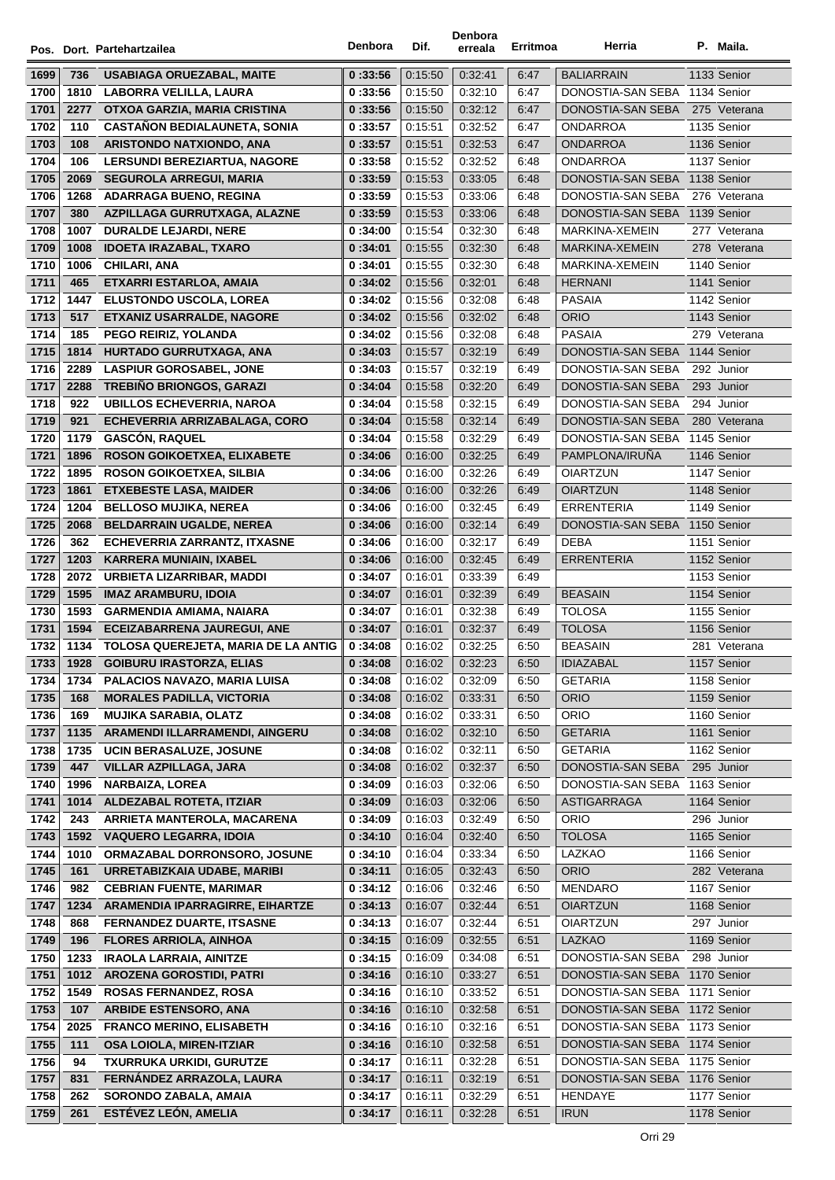|      |      | Pos. Dort. Partehartzailea               | Denbora | Dif.    | Denbora<br>erreala | Erritmoa | Herria                        | P. Maila.    |
|------|------|------------------------------------------|---------|---------|--------------------|----------|-------------------------------|--------------|
| 1699 | 736  | <b>USABIAGA ORUEZABAL, MAITE</b>         | 0:33:56 | 0:15:50 | 0:32:41            | 6:47     | <b>BALIARRAIN</b>             | 1133 Senior  |
| 1700 | 1810 | LABORRA VELILLA, LAURA                   | 0:33:56 | 0:15:50 | 0:32:10            | 6:47     | DONOSTIA-SAN SEBA 1134 Senior |              |
| 1701 | 2277 | OTXOA GARZIA, MARIA CRISTINA             | 0:33:56 | 0:15:50 | 0:32:12            | 6:47     | DONOSTIA-SAN SEBA             | 275 Veterana |
| 1702 | 110  | <b>CASTAÑON BEDIALAUNETA, SONIA</b>      | 0:33:57 | 0:15:51 | 0:32:52            | 6:47     | ONDARROA                      | 1135 Senior  |
| 1703 | 108  | ARISTONDO NATXIONDO, ANA                 | 0:33:57 | 0:15:51 | 0:32:53            | 6:47     | <b>ONDARROA</b>               | 1136 Senior  |
| 1704 | 106  | <b>LERSUNDI BEREZIARTUA, NAGORE</b>      | 0:33:58 | 0.15.52 | 0:32:52            | 6:48     | <b>ONDARROA</b>               | 1137 Senior  |
| 1705 | 2069 | <b>SEGUROLA ARREGUI, MARIA</b>           | 0:33:59 | 0:15:53 | 0:33:05            | 6:48     | DONOSTIA-SAN SEBA             | 1138 Senior  |
| 1706 | 1268 | <b>ADARRAGA BUENO, REGINA</b>            | 0:33:59 | 0:15:53 | 0:33:06            | 6:48     | DONOSTIA-SAN SEBA             | 276 Veterana |
| 1707 | 380  | AZPILLAGA GURRUTXAGA, ALAZNE             | 0:33:59 | 0:15:53 | 0:33:06            | 6:48     | DONOSTIA-SAN SEBA             | 1139 Senior  |
| 1708 | 1007 | <b>DURALDE LEJARDI, NERE</b>             | 0:34:00 | 0:15:54 | 0:32:30            | 6:48     | MARKINA-XEMEIN                | 277 Veterana |
| 1709 | 1008 | <b>IDOETA IRAZABAL, TXARO</b>            | 0:34:01 | 0:15:55 | 0:32:30            | 6:48     | MARKINA-XEMEIN                | 278 Veterana |
| 1710 | 1006 | CHILARI, ANA                             | 0:34:01 | 0:15:55 | 0:32:30            | 6:48     | MARKINA-XEMEIN                | 1140 Senior  |
| 1711 | 465  | ETXARRI ESTARLOA, AMAIA                  | 0:34:02 | 0:15:56 | 0:32:01            | 6:48     | <b>HERNANI</b>                | 1141 Senior  |
| 1712 | 1447 | <b>ELUSTONDO USCOLA, LOREA</b>           | 0:34:02 | 0:15:56 | 0:32:08            | 6:48     | <b>PASAIA</b>                 | 1142 Senior  |
| 1713 | 517  | <b>ETXANIZ USARRALDE, NAGORE</b>         | 0:34:02 | 0:15:56 | 0:32:02            | 6:48     | <b>ORIO</b>                   | 1143 Senior  |
| 1714 | 185  | PEGO REIRIZ, YOLANDA                     | 0:34:02 | 0:15:56 | 0:32:08            | 6:48     | PASAIA                        | 279 Veterana |
| 1715 | 1814 | HURTADO GURRUTXAGA, ANA                  | 0:34:03 | 0:15:57 | 0:32:19            | 6:49     | DONOSTIA-SAN SEBA 1144 Senior |              |
| 1716 | 2289 | <b>LASPIUR GOROSABEL, JONE</b>           | 0:34:03 | 0:15:57 | 0:32:19            | 6:49     | DONOSTIA-SAN SEBA             | 292 Junior   |
| 1717 | 2288 | <b>TREBIÑO BRIONGOS, GARAZI</b>          | 0:34:04 | 0:15:58 | 0:32:20            | 6:49     | DONOSTIA-SAN SEBA             | 293 Junior   |
| 1718 | 922  | <b>UBILLOS ECHEVERRIA, NAROA</b>         | 0:34:04 | 0.15.58 | 0:32:15            | 6:49     | DONOSTIA-SAN SEBA             | 294 Junior   |
| 1719 | 921  | ECHEVERRIA ARRIZABALAGA, CORO            | 0:34:04 | 0:15:58 | 0.32:14            | 6:49     | DONOSTIA-SAN SEBA             | 280 Veterana |
| 1720 | 1179 | <b>GASCÓN, RAQUEL</b>                    | 0:34:04 | 0:15:58 | 0:32:29            | 6:49     | DONOSTIA-SAN SEBA             | 1145 Senior  |
| 1721 | 1896 | ROSON GOIKOETXEA, ELIXABETE              | 0:34:06 | 0:16:00 | 0:32:25            | 6:49     | PAMPLONA/IRUÑA                | 1146 Senior  |
| 1722 | 1895 | <b>ROSON GOIKOETXEA, SILBIA</b>          | 0:34:06 | 0:16:00 | 0:32:26            | 6:49     | <b>OIARTZUN</b>               | 1147 Senior  |
| 1723 | 1861 | <b>ETXEBESTE LASA, MAIDER</b>            | 0:34:06 | 0.16:00 | 0:32:26            | 6:49     | <b>OIARTZUN</b>               | 1148 Senior  |
| 1724 | 1204 | <b>BELLOSO MUJIKA, NEREA</b>             | 0:34:06 | 0.16:00 | 0:32:45            | 6:49     | <b>ERRENTERIA</b>             | 1149 Senior  |
| 1725 | 2068 | <b>BELDARRAIN UGALDE, NEREA</b>          | 0:34:06 | 0:16:00 | 0:32:14            | 6:49     | DONOSTIA-SAN SEBA 1150 Senior |              |
| 1726 | 362  | <b>ECHEVERRIA ZARRANTZ, ITXASNE</b>      | 0:34:06 | 0:16:00 | 0.32:17            | 6:49     | <b>DEBA</b>                   | 1151 Senior  |
| 1727 | 1203 | <b>KARRERA MUNIAIN, IXABEL</b>           | 0:34:06 | 0:16:00 | 0.32.45            | 6:49     | <b>ERRENTERIA</b>             | 1152 Senior  |
| 1728 | 2072 | URBIETA LIZARRIBAR, MADDI                | 0:34:07 | 0:16:01 | 0:33:39            | 6:49     |                               | 1153 Senior  |
| 1729 | 1595 | <b>IMAZ ARAMBURU, IDOIA</b>              | 0:34:07 | 0:16:01 | 0:32:39            | 6:49     | <b>BEASAIN</b>                | 1154 Senior  |
| 1730 | 1593 | <b>GARMENDIA AMIAMA, NAIARA</b>          | 0:34:07 | 0:16:01 | 0:32:38            | 6:49     | <b>TOLOSA</b>                 | 1155 Senior  |
| 1731 | 1594 | <b>ECEIZABARRENA JAUREGUI, ANE</b>       | 0:34:07 | 0:16:01 | 0:32:37            | 6:49     | <b>TOLOSA</b>                 | 1156 Senior  |
| 1732 |      | 1134 TOLOSA QUEREJETA, MARIA DE LA ANTIG | 0:34:08 | 0:16:02 | 0:32:25            | 6:50     | <b>BEASAIN</b>                | 281 Veterana |
| 1733 | 1928 | <b>GOIBURU IRASTORZA, ELIAS</b>          | 0:34:08 | 0:16:02 | 0:32:23            | 6:50     | <b>IDIAZABAL</b>              | 1157 Senior  |
| 1734 | 1734 | PALACIOS NAVAZO, MARIA LUISA             | 0:34:08 | 0.16.02 | 0:32:09            | 6:50     | <b>GETARIA</b>                | 1158 Senior  |
| 1735 | 168  | <b>MORALES PADILLA, VICTORIA</b>         | 0:34:08 | 0:16:02 | 0:33:31            | 6:50     | <b>ORIO</b>                   | 1159 Senior  |
| 1736 | 169  | <b>MUJIKA SARABIA, OLATZ</b>             | 0:34:08 | 0.16.02 | 0:33:31            | 6:50     | ORIO                          | 1160 Senior  |
| 1737 | 1135 | ARAMENDI ILLARRAMENDI, AINGERU           | 0:34:08 | 0:16:02 | 0:32:10            | 6:50     | <b>GETARIA</b>                | 1161 Senior  |
| 1738 | 1735 | UCIN BERASALUZE, JOSUNE                  | 0:34:08 | 0:16:02 | 0:32:11            | 6:50     | <b>GETARIA</b>                | 1162 Senior  |
| 1739 | 447  | <b>VILLAR AZPILLAGA, JARA</b>            | 0:34:08 | 0:16:02 | 0:32:37            | 6:50     | DONOSTIA-SAN SEBA             | 295 Junior   |
| 1740 | 1996 | <b>NARBAIZA, LOREA</b>                   | 0:34:09 | 0:16:03 | 0:32:06            | 6:50     | DONOSTIA-SAN SEBA             | 1163 Senior  |
| 1741 | 1014 | <b>ALDEZABAL ROTETA, ITZIAR</b>          | 0:34:09 | 0:16:03 | 0:32:06            | 6:50     | ASTIGARRAGA                   | 1164 Senior  |
| 1742 | 243  | ARRIETA MANTEROLA, MACARENA              | 0:34:09 | 0:16:03 | 0:32:49            | 6:50     | ORIO                          | 296 Junior   |
| 1743 | 1592 | <b>VAQUERO LEGARRA, IDOIA</b>            | 0:34:10 | 0:16:04 | 0:32:40            | 6:50     | <b>TOLOSA</b>                 | 1165 Senior  |
| 1744 | 1010 | ORMAZABAL DORRONSORO, JOSUNE             | 0:34:10 | 0:16:04 | 0:33:34            | 6:50     | LAZKAO                        | 1166 Senior  |
| 1745 | 161  | URRETABIZKAIA UDABE, MARIBI              | 0:34:11 | 0:16:05 | 0:32:43            | 6:50     | <b>ORIO</b>                   | 282 Veterana |
| 1746 | 982  | <b>CEBRIAN FUENTE, MARIMAR</b>           | 0:34:12 | 0:16:06 | 0:32:46            | 6:50     | <b>MENDARO</b>                | 1167 Senior  |
| 1747 | 1234 | ARAMENDIA IPARRAGIRRE, EIHARTZE          | 0:34:13 | 0:16:07 | 0:32:44            | 6:51     | <b>OIARTZUN</b>               | 1168 Senior  |
| 1748 | 868  | <b>FERNANDEZ DUARTE, ITSASNE</b>         | 0:34:13 | 0:16:07 | 0:32:44            | 6:51     | OIARTZUN                      | 297 Junior   |
| 1749 | 196  | <b>FLORES ARRIOLA, AINHOA</b>            | 0:34:15 | 0:16:09 | 0.32.55            | 6:51     | <b>LAZKAO</b>                 | 1169 Senior  |
| 1750 | 1233 | <b>IRAOLA LARRAIA, AINITZE</b>           | 0:34:15 | 0:16:09 | 0:34:08            | 6:51     | DONOSTIA-SAN SEBA             | 298 Junior   |
| 1751 | 1012 | <b>AROZENA GOROSTIDI, PATRI</b>          | 0:34:16 | 0:16:10 | 0:33:27            | 6:51     | DONOSTIA-SAN SEBA 1170 Senior |              |
| 1752 | 1549 | <b>ROSAS FERNANDEZ, ROSA</b>             | 0:34:16 | 0:16:10 | 0:33:52            | 6:51     | DONOSTIA-SAN SEBA 1171 Senior |              |
| 1753 | 107  | <b>ARBIDE ESTENSORO, ANA</b>             | 0:34:16 | 0:16:10 | 0:32:58            | 6:51     | DONOSTIA-SAN SEBA 1172 Senior |              |
| 1754 | 2025 | <b>FRANCO MERINO, ELISABETH</b>          | 0:34:16 | 0:16:10 | 0:32:16            | 6:51     | DONOSTIA-SAN SEBA 1173 Senior |              |
| 1755 | 111  | <b>OSA LOIOLA, MIREN-ITZIAR</b>          | 0:34:16 | 0:16:10 | 0:32:58            | 6:51     | DONOSTIA-SAN SEBA 1174 Senior |              |
| 1756 | 94   | <b>TXURRUKA URKIDI, GURUTZE</b>          | 0:34:17 | 0:16:11 | 0:32:28            | 6.51     | DONOSTIA-SAN SEBA 1175 Senior |              |
| 1757 | 831  | FERNANDEZ ARRAZOLA, LAURA                | 0:34:17 | 0:16:11 | 0:32:19            | 6:51     | DONOSTIA-SAN SEBA 1176 Senior |              |
| 1758 | 262  | SORONDO ZABALA, AMAIA                    | 0:34:17 | 0:16:11 | 0:32:29            | 6:51     | HENDAYE                       | 1177 Senior  |
| 1759 | 261  | ESTÉVEZ LEÓN, AMELIA                     | 0:34:17 | 0:16:11 | 0:32:28            | 6:51     | <b>IRUN</b>                   | 1178 Senior  |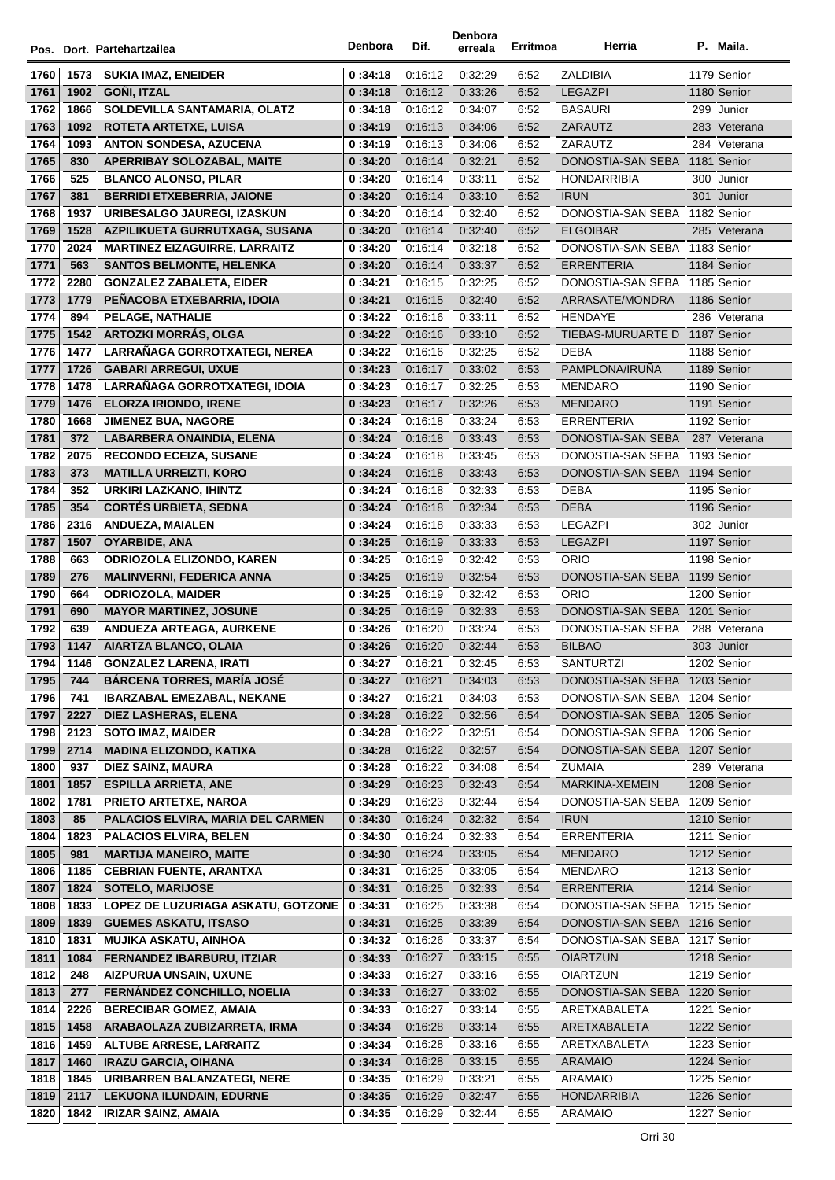|              |      |                                          | Denbora            | Dif.               | Denbora            | Erritmoa | Herria                        | P. Maila.    |
|--------------|------|------------------------------------------|--------------------|--------------------|--------------------|----------|-------------------------------|--------------|
|              |      | Pos. Dort. Partehartzailea               |                    |                    | erreala            |          |                               |              |
| 1760         | 1573 | <b>SUKIA IMAZ, ENEIDER</b>               | 0:34:18            | 0:16:12            | 0:32:29            | 6:52     | ZALDIBIA                      | 1179 Senior  |
| 1761         | 1902 | GOÑI, ITZAL                              | 0:34:18            | 0:16:12            | 0:33:26            | 6:52     | <b>LEGAZPI</b>                | 1180 Senior  |
| 1762         | 1866 | SOLDEVILLA SANTAMARIA, OLATZ             | 0:34:18            | 0:16:12            | 0:34:07            | 6:52     | <b>BASAURI</b>                | 299 Junior   |
| 1763         | 1092 | <b>ROTETA ARTETXE, LUISA</b>             | 0:34:19            | 0:16:13            | 0:34:06            | 6:52     | ZARAUTZ                       | 283 Veterana |
| 1764         | 1093 | <b>ANTON SONDESA, AZUCENA</b>            | 0:34:19            | 0.16.13            | 0:34:06            | 6:52     | ZARAUTZ                       | 284 Veterana |
| 1765         | 830  | <b>APERRIBAY SOLOZABAL, MAITE</b>        | 0:34:20            | 0:16:14            | 0:32:21            | 6:52     | DONOSTIA-SAN SEBA             | 1181 Senior  |
| 1766         | 525  | <b>BLANCO ALONSO, PILAR</b>              | 0:34:20            | 0:16:14            | 0:33:11            | 6:52     | <b>HONDARRIBIA</b>            | 300 Junior   |
| 1767         | 381  | <b>BERRIDI ETXEBERRIA, JAIONE</b>        | 0:34:20            | 0:16:14            | 0:33:10            | 6:52     | <b>IRUN</b>                   | 301 Junior   |
| 1768         | 1937 | URIBESALGO JAUREGI, IZASKUN              | 0:34:20            | 0:16:14            | 0:32:40            | 6:52     | DONOSTIA-SAN SEBA 1182 Senior |              |
| 1769         | 1528 | AZPILIKUETA GURRUTXAGA, SUSANA           | 0:34:20            | 0:16:14            | 0:32:40            | 6:52     | <b>ELGOIBAR</b>               | 285 Veterana |
| 1770         | 2024 | <b>MARTINEZ EIZAGUIRRE, LARRAITZ</b>     | 0:34:20            | 0:16:14            | 0:32:18            | 6:52     | DONOSTIA-SAN SEBA 1183 Senior |              |
| 1771         | 563  | <b>SANTOS BELMONTE, HELENKA</b>          | 0:34:20            | 0:16:14            | 0:33:37            | 6:52     | <b>ERRENTERIA</b>             | 1184 Senior  |
| 1772         | 2280 | <b>GONZALEZ ZABALETA, EIDER</b>          | 0:34:21            | 0:16:15            | 0:32:25            | 6:52     | DONOSTIA-SAN SEBA 1185 Senior |              |
| 1773         | 1779 | PEÑACOBA ETXEBARRIA, IDOIA               | 0:34:21            | 0:16:15            | 0:32:40            | 6:52     | ARRASATE/MONDRA               | 1186 Senior  |
| 1774         | 894  | PELAGE, NATHALIE                         | 0:34:22            | 0:16:16            | 0:33:11            | 6:52     | <b>HENDAYE</b>                | 286 Veterana |
| 1775         | 1542 | <b>ARTOZKI MORRÁS, OLGA</b>              | 0:34:22            | 0:16:16            | 0:33:10            | 6:52     | TIEBAS-MURUARTE D             | 1187 Senior  |
| 1776         | 1477 | LARRAÑAGA GORROTXATEGI, NEREA            | 0:34:22            | 0:16:16            | 0:32:25            | 6:52     | <b>DEBA</b>                   | 1188 Senior  |
| 1777         | 1726 | <b>GABARI ARREGUI, UXUE</b>              | 0:34:23            | 0:16:17            | 0:33:02            | 6:53     | PAMPLONA/IRUNA                | 1189 Senior  |
| 1778         | 1478 | LARRAÑAGA GORROTXATEGI, IDOIA            | 0:34:23            | 0.16.17            | 0:32:25            | 6:53     | <b>MENDARO</b>                | 1190 Senior  |
| 1779         | 1476 | <b>ELORZA IRIONDO, IRENE</b>             | 0:34:23            | 0:16:17            | 0:32:26            | 6:53     | <b>MENDARO</b>                | 1191 Senior  |
| 1780         | 1668 | <b>JIMENEZ BUA, NAGORE</b>               | 0:34:24            | 0.16.18            | 0:33:24            | 6:53     | <b>ERRENTERIA</b>             | 1192 Senior  |
| 1781         | 372  | <b>LABARBERA ONAINDIA, ELENA</b>         | 0:34:24            | 0:16:18            | 0:33:43            | 6:53     | DONOSTIA-SAN SEBA             | 287 Veterana |
| 1782         | 2075 | <b>RECONDO ECEIZA, SUSANE</b>            | 0:34:24            | 0.16.18            | 0:33:45            | 6:53     | DONOSTIA-SAN SEBA             | 1193 Senior  |
| 1783         | 373  | <b>MATILLA URREIZTI, KORO</b>            | 0:34:24            | 0:16:18            | 0:33:43            | 6:53     | DONOSTIA-SAN SEBA             | 1194 Senior  |
| 1784         | 352  | <b>URKIRI LAZKANO, IHINTZ</b>            | 0:34:24            | 0.16.18            | 0:32:33            | 6:53     | <b>DEBA</b>                   | 1195 Senior  |
|              | 354  | <b>CORTÉS URBIETA, SEDNA</b>             |                    | 0.16.18            | 0:32:34            | 6:53     | <b>DEBA</b>                   | 1196 Senior  |
| 1785<br>1786 | 2316 | <b>ANDUEZA, MAIALEN</b>                  | 0:34:24<br>0:34:24 | 0:16:18            | 0:33:33            | 6:53     | <b>LEGAZPI</b>                | 302 Junior   |
| 1787         | 1507 | <b>OYARBIDE, ANA</b>                     | 0:34:25            | 0:16:19            | 0:33:33            | 6:53     | <b>LEGAZPI</b>                | 1197 Senior  |
| 1788         | 663  | <b>ODRIOZOLA ELIZONDO, KAREN</b>         | 0:34:25            | 0:16:19            | 0:32:42            | 6:53     | ORIO                          | 1198 Senior  |
| 1789         | 276  | <b>MALINVERNI, FEDERICA ANNA</b>         | 0:34:25            | 0:16:19            | 0:32:54            | 6:53     | DONOSTIA-SAN SEBA 1199 Senior |              |
| 1790         | 664  | <b>ODRIOZOLA, MAIDER</b>                 | 0:34:25            | 0:16:19            | 0:32:42            | 6:53     | ORIO                          | 1200 Senior  |
| 1791         | 690  | <b>MAYOR MARTINEZ, JOSUNE</b>            | 0:34:25            | 0:16:19            | 0:32:33            | 6:53     | DONOSTIA-SAN SEBA             | 1201 Senior  |
| 1792         | 639  | ANDUEZA ARTEAGA, AURKENE                 | 0:34:26            |                    |                    | 6:53     | DONOSTIA-SAN SEBA             | 288 Veterana |
| 1793         | 1147 | <b>AIARTZA BLANCO, OLAIA</b>             | 0:34:26            | 0:16:20<br>0:16:20 | 0:33:24<br>0:32:44 | 6:53     | <b>BILBAO</b>                 | 303 Junior   |
| 1794         | 1146 | <b>GONZALEZ LARENA, IRATI</b>            | 0:34:27            | 0:16:21            | 0:32:45            | 6:53     | <b>SANTURTZI</b>              | 1202 Senior  |
| 1795         | 744  | <b>BÁRCENA TORRES, MARÍA JOSÉ</b>        | 0:34:27            | 0:16:21            | 0:34:03            | 6:53     | DONOSTIA-SAN SEBA             | 1203 Senior  |
| 1796         | 741  | <b>IBARZABAL EMEZABAL, NEKANE</b>        | 0:34:27            | 0.16.21            | 0:34:03            | 6:53     | DONOSTIA-SAN SEBA             | 1204 Senior  |
| 1797         | 2227 | <b>DIEZ LASHERAS, ELENA</b>              | 0:34:28            | 0:16:22            | 0:32:56            | 6:54     | DONOSTIA-SAN SEBA             | 1205 Senior  |
| 1798         | 2123 | <b>SOTO IMAZ, MAIDER</b>                 | 0:34:28            | 0:16:22            | 0:32:51            | 6:54     | DONOSTIA-SAN SEBA             | 1206 Senior  |
| 1799         | 2714 | <b>MADINA ELIZONDO, KATIXA</b>           | 0:34:28            | 0:16:22            | 0:32:57            | 6:54     | DONOSTIA-SAN SEBA             | 1207 Senior  |
| 1800         | 937  | DIEZ SAINZ, MAURA                        | 0:34:28            | 0:16:22            | 0:34:08            | 6:54     | <b>ZUMAIA</b>                 | 289 Veterana |
| 1801         | 1857 | <b>ESPILLA ARRIETA, ANE</b>              | 0:34:29            | 0:16:23            | 0:32:43            | 6:54     | MARKINA-XEMEIN                | 1208 Senior  |
| 1802         | 1781 | PRIETO ARTETXE, NAROA                    | 0:34:29            | 0:16:23            | 0:32:44            | 6:54     | DONOSTIA-SAN SEBA 1209 Senior |              |
| 1803         | 85   | <b>PALACIOS ELVIRA, MARIA DEL CARMEN</b> | 0:34:30            | 0:16:24            | 0:32:32            | 6:54     | <b>IRUN</b>                   | 1210 Senior  |
| 1804         | 1823 | <b>PALACIOS ELVIRA, BELEN</b>            | 0:34:30            | 0:16:24            | 0:32:33            | 6:54     | <b>ERRENTERIA</b>             | 1211 Senior  |
| 1805         | 981  | <b>MARTIJA MANEIRO, MAITE</b>            | 0:34:30            | 0:16:24            | 0:33:05            | 6:54     | <b>MENDARO</b>                | 1212 Senior  |
| 1806         | 1185 | <b>CEBRIAN FUENTE, ARANTXA</b>           | 0:34:31            | 0:16:25            | 0:33:05            | 6:54     | <b>MENDARO</b>                | 1213 Senior  |
| 1807         | 1824 | <b>SOTELO, MARIJOSE</b>                  | 0:34:31            | 0:16:25            | 0:32:33            | 6:54     | <b>ERRENTERIA</b>             | 1214 Senior  |
| 1808         | 1833 | LOPEZ DE LUZURIAGA ASKATU, GOTZONE       | 0:34:31            | 0:16:25            | 0:33:38            | 6:54     | DONOSTIA-SAN SEBA 1215 Senior |              |
| 1809         | 1839 | <b>GUEMES ASKATU, ITSASO</b>             | 0:34:31            | 0:16:25            | 0:33:39            | 6:54     | DONOSTIA-SAN SEBA 1216 Senior |              |
| 1810         | 1831 | <b>MUJIKA ASKATU, AINHOA</b>             | 0:34:32            | 0:16:26            | 0:33:37            | 6:54     | DONOSTIA-SAN SEBA 1217 Senior |              |
| 1811         | 1084 | <b>FERNANDEZ IBARBURU, ITZIAR</b>        | 0:34:33            | 0:16:27            | 0.33.15            | 6:55     | <b>OIARTZUN</b>               | 1218 Senior  |
| 1812         | 248  | AIZPURUA UNSAIN, UXUNE                   | 0:34:33            | 0:16:27            | 0.33.16            | 6:55     | <b>OIARTZUN</b>               | 1219 Senior  |
| 1813         |      | <b>FERNÁNDEZ CONCHILLO, NOELIA</b>       |                    | 0:16.27            | 0:33:02            | 6:55     | DONOSTIA-SAN SEBA             | 1220 Senior  |
|              | 277  |                                          | 0:34:33            |                    | 0:33:14            |          | ARETXABALETA                  | 1221 Senior  |
| 1814         | 2226 | <b>BERECIBAR GOMEZ, AMAIA</b>            | 0:34:33            | 0:16:27            |                    | 6:55     |                               |              |
| 1815         | 1458 | ARABAOLAZA ZUBIZARRETA, IRMA             | 0:34:34            | 0:16:28            | 0:33:14            | 6:55     | ARETXABALETA                  | 1222 Senior  |
| 1816         | 1459 | <b>ALTUBE ARRESE, LARRAITZ</b>           | 0:34:34            | 0:16:28            | 0:33:16            | 6:55     | ARETXABALETA                  | 1223 Senior  |
| 1817         | 1460 | <b>IRAZU GARCIA, OIHANA</b>              | 0:34:34            | 0:16:28            | 0:33:15            | 6:55     | ARAMAIO                       | 1224 Senior  |
| 1818         | 1845 | URIBARREN BALANZATEGI, NERE              | 0:34:35            | 0:16:29            | 0:33:21            | 6:55     | ARAMAIO                       | 1225 Senior  |
| 1819         | 2117 | LEKUONA ILUNDAIN, EDURNE                 | 0:34:35            | 0:16:29            | 0:32:47            | 6:55     | <b>HONDARRIBIA</b>            | 1226 Senior  |
| 1820         |      | 1842 IRIZAR SAINZ, AMAIA                 | 0:34:35            | 0:16:29            | 0:32:44            | 6:55     | <b>ARAMAIO</b>                | 1227 Senior  |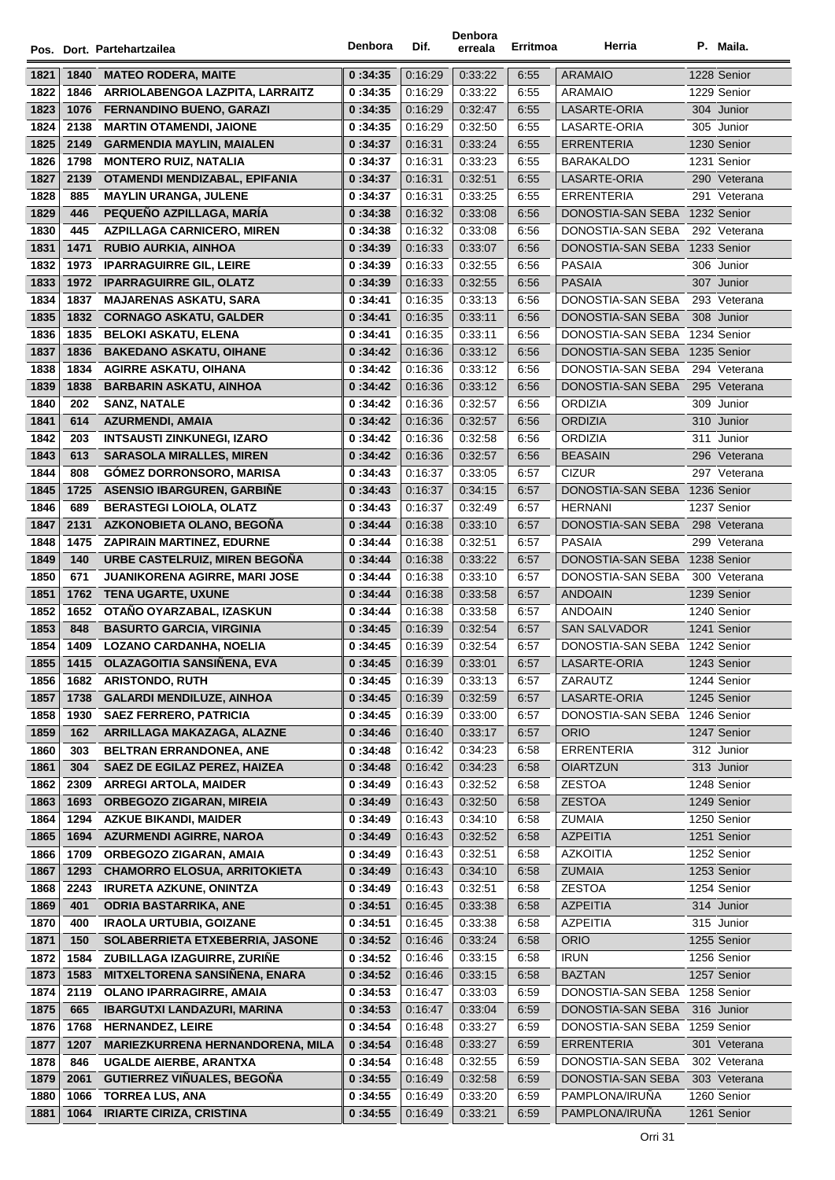|              |             | Pos. Dort. Partehartzailea                                  | Denbora            | Dif.               | Denbora<br>erreala | Erritmoa     | Herria                            |     | P. Maila.                  |
|--------------|-------------|-------------------------------------------------------------|--------------------|--------------------|--------------------|--------------|-----------------------------------|-----|----------------------------|
| 1821         | 1840        | <b>MATEO RODERA, MAITE</b>                                  | 0:34:35            | 0:16:29            | 0:33:22            | 6:55         | <b>ARAMAIO</b>                    |     | 1228 Senior                |
| 1822         | 1846        | ARRIOLABENGOA LAZPITA, LARRAITZ                             | 0:34:35            | 0:16:29            | 0:33:22            | 6:55         | <b>ARAMAIO</b>                    |     | 1229 Senior                |
| 1823         | 1076        | <b>FERNANDINO BUENO, GARAZI</b>                             | 0:34:35            | 0:16:29            | 0:32:47            | 6:55         | LASARTE-ORIA                      |     | 304 Junior                 |
| 1824         | 2138        | <b>MARTIN OTAMENDI, JAIONE</b>                              | 0:34:35            | 0.16.29            | 0:32:50            | 6:55         | LASARTE-ORIA                      |     | 305 Junior                 |
| 1825         | 2149        | <b>GARMENDIA MAYLIN, MAIALEN</b>                            | 0 :34:37           | 0:16:31            | 0:33:24            | 6:55         | <b>ERRENTERIA</b>                 |     | 1230 Senior                |
| 1826         | 1798        | <b>MONTERO RUIZ, NATALIA</b>                                | 0:34:37            | 0.16.31            | 0:33:23            | 6:55         | <b>BARAKALDO</b>                  |     | 1231 Senior                |
| 1827         | 2139        | OTAMENDI MENDIZABAL, EPIFANIA                               | 0:34:37            | 0:16:31            | 0:32:51            | 6:55         | LASARTE-ORIA                      |     | 290 Veterana               |
| 1828         | 885         | <b>MAYLIN URANGA, JULENE</b>                                | 0:34:37            | 0.16.31            | 0:33:25            | 6:55         | ERRENTERIA                        |     | 291 Veterana               |
| 1829         | 446         | PEQUEÑO AZPILLAGA, MARÍA                                    | 0:34:38            | 0:16:32            | 0:33:08            | 6:56         | DONOSTIA-SAN SEBA                 |     | 1232 Senior                |
| 1830         | 445         | <b>AZPILLAGA CARNICERO, MIREN</b>                           | 0:34:38            | 0:16:32            | 0:33:08            | 6:56         | DONOSTIA-SAN SEBA                 |     | 292 Veterana               |
| 1831         | 1471        | <b>RUBIO AURKIA, AINHOA</b>                                 | 0:34:39            | 0:16:33            | 0:33:07            | 6:56         | DONOSTIA-SAN SEBA                 |     | 1233 Senior                |
| 1832         |             | 1973 IPARRAGUIRRE GIL, LEIRE                                | 0:34:39            | 0:16:33            | 0:32:55            | 6:56         | PASAIA                            |     | 306 Junior                 |
| 1833         |             | 1972 IPARRAGUIRRE GIL, OLATZ                                | 0:34:39            | 0:16:33            | 0:32:55            | 6:56         | <b>PASAIA</b>                     |     | 307 Junior                 |
| 1834         | 1837        | <b>MAJARENAS ASKATU, SARA</b>                               | 0 :34:41           | 0:16:35            | 0:33:13            | 6:56         | DONOSTIA-SAN SEBA                 |     | 293 Veterana               |
| 1835         | 1832        | <b>CORNAGO ASKATU, GALDER</b>                               | 0:34:41            | 0:16:35            | 0:33:11            | 6:56         | DONOSTIA-SAN SEBA                 |     | 308 Junior                 |
| 1836         | 1835        | <b>BELOKI ASKATU, ELENA</b>                                 | 0:34:41            | 0.16.35            | 0:33:11            | 6:56         | DONOSTIA-SAN SEBA                 |     | 1234 Senior                |
| 1837         | 1836        | <b>BAKEDANO ASKATU, OIHANE</b>                              | 0:34:42            | 0:16:36            | 0:33:12            | 6:56         | DONOSTIA-SAN SEBA                 |     | 1235 Senior                |
| 1838         | 1834        | <b>AGIRRE ASKATU, OIHANA</b>                                | 0:34:42            | 0:16:36            | 0:33:12            | 6:56         | DONOSTIA-SAN SEBA                 |     | 294 Veterana               |
| 1839         | 1838        | <b>BARBARIN ASKATU, AINHOA</b>                              | 0:34:42            | 0:16:36            | 0.33.12            | 6:56         | DONOSTIA-SAN SEBA                 |     | 295 Veterana               |
| 1840         | 202         | <b>SANZ, NATALE</b>                                         | 0:34:42            | 0:16:36            | 0:32:57            | 6:56         | <b>ORDIZIA</b>                    |     | 309 Junior                 |
| 1841         | 614         | <b>AZURMENDI, AMAIA</b>                                     | 0:34:42            | 0:16:36            | 0:32:57            | 6:56         | <b>ORDIZIA</b>                    |     | 310 Junior                 |
| 1842         | 203         | <b>INTSAUSTI ZINKUNEGI, IZARO</b>                           | 0:34:42            | 0:16:36            | 0:32:58            | 6:56         | ORDIZIA                           | 311 | Junior                     |
| 1843         | 613         | <b>SARASOLA MIRALLES, MIREN</b>                             | 0:34:42            | 0:16:36            | 0:32:57            | 6:56         | <b>BEASAIN</b>                    |     | 296 Veterana               |
| 1844         | 808         | <b>GÓMEZ DORRONSORO, MARISA</b>                             | 0:34:43            | 0:16:37            | 0:33:05            | 6:57         | <b>CIZUR</b>                      |     | 297 Veterana               |
| 1845         | 1725        | <b>ASENSIO IBARGUREN, GARBIÑE</b>                           | 0:34:43            | 0.16:37            | 0.34.15            | 6:57         | DONOSTIA-SAN SEBA                 |     | 1236 Senior                |
| 1846         | 689         | <b>BERASTEGI LOIOLA, OLATZ</b>                              | 0:34:43            | 0:16:37            | 0:32:49            | 6:57         | <b>HERNANI</b>                    |     | 1237 Senior                |
| 1847         | 2131        | AZKONOBIETA OLANO, BEGOÑA                                   | 0:34:44            | 0:16:38            | 0:33:10            | 6:57         | DONOSTIA-SAN SEBA                 |     | 298 Veterana               |
| 1848         | 1475        | <b>ZAPIRAIN MARTINEZ, EDURNE</b>                            | 0:34:44            | 0:16:38            | 0:32:51            | 6:57         | <b>PASAIA</b>                     |     | 299 Veterana               |
| 1849         | 140         | URBE CASTELRUIZ, MIREN BEGOÑA                               | 0:34:44            | 0:16:38            | 0:33:22            | 6:57         | DONOSTIA-SAN SEBA                 |     | 1238 Senior                |
| 1850         | 671         | <b>JUANIKORENA AGIRRE, MARI JOSE</b>                        | 0:34:44            | 0:16:38            | 0:33:10            | 6:57         | DONOSTIA-SAN SEBA                 |     | 300 Veterana               |
| 1851         | 1762        | <b>TENA UGARTE, UXUNE</b>                                   | 0:34:44            | 0:16:38            | 0:33:58            | 6:57         | ANDOAIN                           |     | 1239 Senior                |
| 1852         | 1652        | OTAÑO OYARZABAL, IZASKUN                                    | 0:34:44            | 0:16:38            | 0:33:58            | 6:57         | <b>ANDOAIN</b>                    |     | 1240 Senior                |
| 1853         | 848         | <b>BASURTO GARCIA, VIRGINIA</b>                             | 0:34:45            | 0:16:39            | 0:32:54            | 6:57         | <b>SAN SALVADOR</b>               |     | 1241 Senior                |
| 1854         |             | 1409 LOZANO CARDANHA, NOELIA                                | 0:34:45            | 0:16:39            | 0:32:54            | 6:57         | DONOSTIA-SAN SEBA 1242 Senior     |     |                            |
| 1855         | 1415        | OLAZAGOITIA SANSIÑENA, EVA                                  | 0:34:45            | 0:16:39            | 0:33:01            | 6:57         | LASARTE-ORIA                      |     | 1243 Senior                |
| 1856         | 1682        | <b>ARISTONDO, RUTH</b>                                      | 0:34:45            | 0.16.39            | 0:33:13            | 6:57         | ZARAUTZ                           |     | 1244 Senior                |
| 1857         | 1738        | <b>GALARDI MENDILUZE, AINHOA</b>                            | 0:34:45            | 0:16:39            | 0:32:59            | 6:57         | LASARTE-ORIA<br>DONOSTIA-SAN SEBA |     | 1245 Senior                |
| 1858         | 1930<br>162 | <b>SAEZ FERRERO, PATRICIA</b><br>ARRILLAGA MAKAZAGA, ALAZNE | 0:34:45            | 0:16:39<br>0:16:40 | 0:33:00            | 6:57         | <b>ORIO</b>                       |     | 1246 Senior<br>1247 Senior |
| 1859<br>1860 | 303         | BELTRAN ERRANDONEA, ANE                                     | 0:34:46<br>0:34:48 | 0:16:42            | 0:33:17<br>0:34:23 | 6:57<br>6:58 | <b>ERRENTERIA</b>                 |     | 312 Junior                 |
| 1861         | 304         | <b>SAEZ DE EGILAZ PEREZ. HAIZEA</b>                         | 0:34:48            | 0:16:42            | 0.34.23            | 6:58         | <b>OIARTZUN</b>                   |     | 313 Junior                 |
| 1862         | 2309        | <b>ARREGI ARTOLA, MAIDER</b>                                | 0:34:49            | 0:16:43            | 0:32:52            | 6:58         | <b>ZESTOA</b>                     |     | 1248 Senior                |
| 1863         | 1693        | <b>ORBEGOZO ZIGARAN, MIREIA</b>                             | 0:34:49            | 0:16:43            | 0:32:50            | 6:58         | <b>ZESTOA</b>                     |     | 1249 Senior                |
| 1864         | 1294        | <b>AZKUE BIKANDI, MAIDER</b>                                | 0:34:49            | 0:16:43            | 0:34:10            | 6:58         | <b>ZUMAIA</b>                     |     | 1250 Senior                |
| 1865         | 1694        | <b>AZURMENDI AGIRRE, NAROA</b>                              | 0:34:49            | 0:16:43            | 0:32:52            | 6:58         | <b>AZPEITIA</b>                   |     | 1251 Senior                |
| 1866         | 1709        | ORBEGOZO ZIGARAN, AMAIA                                     | 0:34:49            | 0:16:43            | 0:32:51            | 6:58         | <b>AZKOITIA</b>                   |     | 1252 Senior                |
| 1867         | 1293        | <b>CHAMORRO ELOSUA, ARRITOKIETA</b>                         | 0:34:49            | 0:16:43            | 0:34:10            | 6:58         | ZUMAIA                            |     | 1253 Senior                |
| 1868         | 2243        | <b>IRURETA AZKUNE, ONINTZA</b>                              | 0:34:49            | 0:16:43            | 0:32:51            | 6:58         | <b>ZESTOA</b>                     |     | 1254 Senior                |
| 1869         | 401         | <b>ODRIA BASTARRIKA, ANE</b>                                | 0:34:51            | 0:16:45            | 0:33:38            | 6:58         | <b>AZPEITIA</b>                   |     | 314 Junior                 |
| 1870         | 400         | <b>IRAOLA URTUBIA, GOIZANE</b>                              | 0:34:51            | 0:16:45            | 0:33:38            | 6:58         | AZPEITIA                          |     | 315 Junior                 |
| 1871         | 150         | SOLABERRIETA ETXEBERRIA, JASONE                             | 0:34:52            | 0:16:46            | 0:33:24            | 6:58         | <b>ORIO</b>                       |     | 1255 Senior                |
| 1872         | 1584        | ZUBILLAGA IZAGUIRRE, ZURIÑE                                 | 0:34:52            | 0:16:46            | 0:33:15            | 6:58         | <b>IRUN</b>                       |     | 1256 Senior                |
| 1873         | 1583        | <b>MITXELTORENA SANSIÑENA, ENARA</b>                        | 0:34:52            | 0.16.46            | 0:33:15            | 6:58         | <b>BAZTAN</b>                     |     | 1257 Senior                |
| 1874         | 2119        | <b>OLANO IPARRAGIRRE, AMAIA</b>                             | 0:34:53            | 0:16:47            | 0:33:03            | 6:59         | DONOSTIA-SAN SEBA                 |     | 1258 Senior                |
| 1875         | 665         | <b>IBARGUTXI LANDAZURI, MARINA</b>                          | 0:34:53            | 0:16:47            | 0:33:04            | 6:59         | DONOSTIA-SAN SEBA                 |     | 316 Junior                 |
| 1876         | 1768        | <b>HERNANDEZ, LEIRE</b>                                     | 0:34:54            | 0:16:48            | 0:33:27            | 6:59         | DONOSTIA-SAN SEBA                 |     | 1259 Senior                |
| 1877         | 1207        | <b>MARIEZKURRENA HERNANDORENA, MILA</b>                     | 0:34:54            | 0:16:48            | 0:33:27            | 6:59         | <b>ERRENTERIA</b>                 |     | 301 Veterana               |
| 1878         | 846         | UGALDE AIERBE, ARANTXA                                      | 0:34:54            | 0:16:48            | 0:32:55            | 6:59         | DONOSTIA-SAN SEBA                 |     | 302 Veterana               |
| 1879         | 2061        | <b>GUTIERREZ VIÑUALES, BEGOÑA</b>                           | 0:34:55            | 0:16:49            | 0:32:58            | 6:59         | DONOSTIA-SAN SEBA                 |     | 303 Veterana               |
| 1880         | 1066        | <b>TORREA LUS, ANA</b>                                      | 0:34:55            | 0:16:49            | 0:33:20            | 6:59         | PAMPLONA/IRUÑA                    |     | 1260 Senior                |
| 1881         | 1064        | <b>IRIARTE CIRIZA, CRISTINA</b>                             | 0:34:55            | 0:16:49            | 0:33:21            | 6:59         | PAMPLONA/IRUÑA                    |     | 1261 Senior                |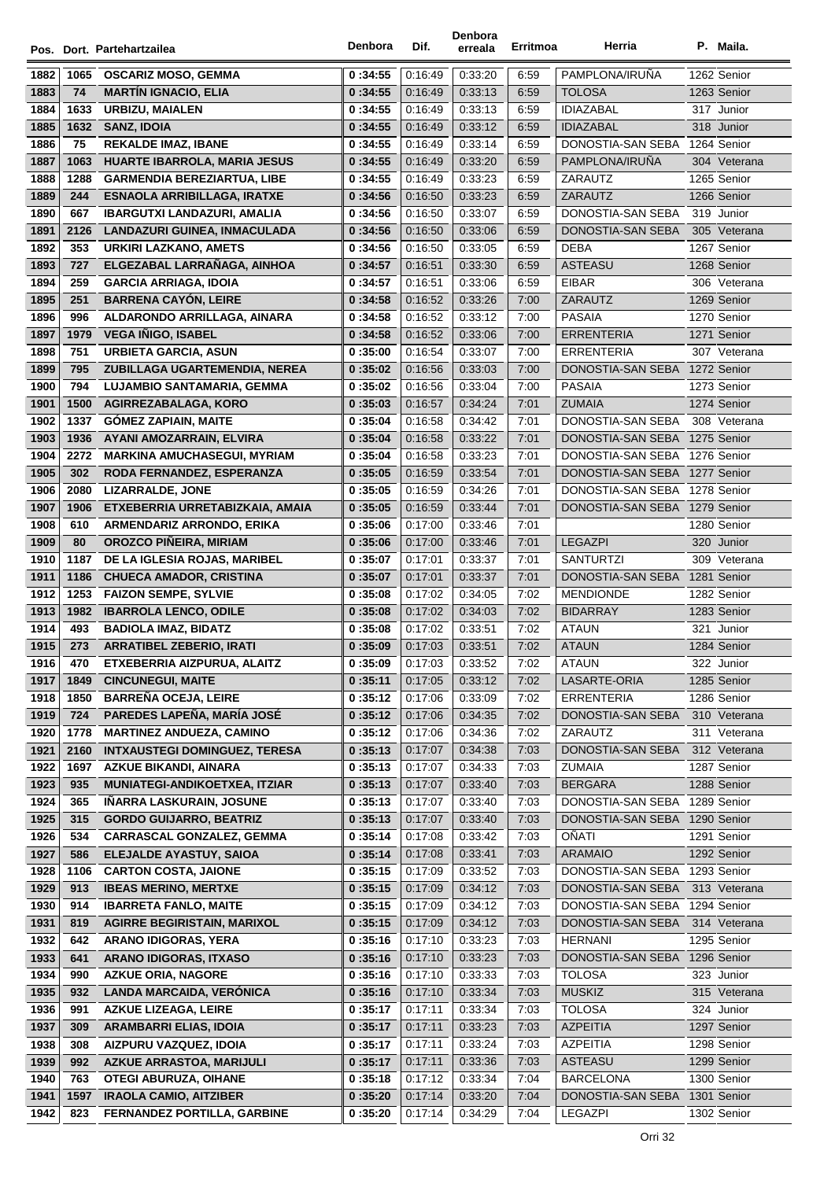|              |              | Pos. Dort. Partehartzailea                                     | Denbora            | Dif.               | Denbora<br>erreala | Erritmoa     | Herria                        | P. Maila.                 |
|--------------|--------------|----------------------------------------------------------------|--------------------|--------------------|--------------------|--------------|-------------------------------|---------------------------|
|              |              |                                                                |                    |                    |                    |              |                               |                           |
| 1882         | 1065         | <b>OSCARIZ MOSO, GEMMA</b>                                     | 0:34:55            | 0:16:49            | 0:33:20            | 6:59         | PAMPLONA/IRUÑA                | 1262 Senior               |
| 1883         | 74           | <b>MARTIN IGNACIO, ELIA</b>                                    | 0:34:55            | 0:16:49            | 0:33:13            | 6:59         | <b>TOLOSA</b>                 | 1263 Senior               |
| 1884         | 1633         | <b>URBIZU, MAIALEN</b>                                         | 0:34:55            | 0:16:49            | 0:33:13            | 6:59         | <b>IDIAZABAL</b>              | 317 Junior                |
| 1885         | 1632         | SANZ, IDOIA                                                    | 0:34:55            | 0.16.49            | 0:33:12            | 6:59         | <b>IDIAZABAL</b>              | 318 Junior                |
| 1886         | 75           | <b>REKALDE IMAZ, IBANE</b>                                     | 0:34:55            | 0:16:49            | 0:33:14            | 6:59         | DONOSTIA-SAN SEBA             | 1264 Senior               |
| 1887         | 1063         | <b>HUARTE IBARROLA, MARIA JESUS</b>                            | 0:34:55            | 0.16.49            | 0:33:20            | 6:59         | PAMPLONA/IRUÑA                | 304 Veterana              |
| 1888         | 1288         | <b>GARMENDIA BEREZIARTUA, LIBE</b>                             | 0:34:55            | 0:16:49            | 0:33:23            | 6:59         | ZARAUTZ                       | 1265 Senior               |
| 1889         | 244          | <b>ESNAOLA ARRIBILLAGA, IRATXE</b>                             | 0:34:56            | 0:16:50            | 0:33:23            | 6:59         | ZARAUTZ                       | 1266 Senior               |
| 1890         | 667          | <b>IBARGUTXI LANDAZURI, AMALIA</b>                             | 0:34:56            | 0:16:50            | 0:33:07            | 6:59         | DONOSTIA-SAN SEBA             | 319 Junior                |
| 1891         | 2126         | LANDAZURI GUINEA, INMACULADA                                   | 0:34:56            | 0:16:50            | 0:33:06            | 6:59         | DONOSTIA-SAN SEBA             | 305 Veterana              |
| 1892         | 353          | URKIRI LAZKANO, AMETS                                          | 0:34:56            | 0:16:50            | 0:33:05            | 6:59         | <b>DEBA</b>                   | 1267 Senior               |
| 1893         | 727          | ELGEZABAL LARRAÑAGA, AINHOA                                    | 0:34:57            | 0:16:51            | 0:33:30            | 6:59         | <b>ASTEASU</b>                | 1268 Senior               |
| 1894         | 259          | <b>GARCIA ARRIAGA, IDOIA</b>                                   | 0:34:57            | 0:16:51            | 0:33:06            | 6:59         | <b>EIBAR</b>                  | 306 Veterana              |
| 1895         | 251          | <b>BARRENA CAYÓN, LEIRE</b>                                    | 0:34:58            | 0.16.52            | 0:33:26            | 7:00         | ZARAUTZ                       | 1269 Senior               |
| 1896         | 996          | ALDARONDO ARRILLAGA, AINARA                                    | 0:34:58            | 0:16:52            | 0:33:12            | 7:00         | <b>PASAIA</b>                 | 1270 Senior               |
| 1897         | 1979         | <b>VEGA IÑIGO, ISABEL</b>                                      | 0:34:58            | 0:16:52            | 0:33:06            | 7:00         | <b>ERRENTERIA</b>             | 1271 Senior               |
| 1898         | 751          | <b>URBIETA GARCIA, ASUN</b>                                    | 0:35:00            | 0:16:54            | 0:33:07            | 7:00         | <b>ERRENTERIA</b>             | 307 Veterana              |
| 1899         | 795          | ZUBILLAGA UGARTEMENDIA, NEREA                                  | 0:35:02            | 0:16:56            | 0:33:03            | 7:00         | DONOSTIA-SAN SEBA             | 1272 Senior               |
| 1900         | 794          | LUJAMBIO SANTAMARIA, GEMMA                                     | 0:35:02            | 0:16:56            | 0:33:04            | 7:00         | <b>PASAIA</b>                 | 1273 Senior               |
| 1901         | 1500         | AGIRREZABALAGA, KORO                                           | 0:35:03            | 0:16:57            | 0:34:24            | 7:01         | <b>ZUMAIA</b>                 | 1274 Senior               |
| 1902         | 1337         | <b>GÓMEZ ZAPIAIN, MAITE</b>                                    | 0:35:04            | 0.16.58            | 0:34:42            | 7:01         | DONOSTIA-SAN SEBA             | 308 Veterana              |
| 1903         | 1936         | AYANI AMOZARRAIN, ELVIRA                                       | 0:35:04            | 0.16.58            | 0:33:22            | 7:01         | DONOSTIA-SAN SEBA             | 1275 Senior               |
| 1904         | 2272         | <b>MARKINA AMUCHASEGUI, MYRIAM</b>                             | 0:35:04            | 0:16:58            | 0:33:23            | 7:01         | DONOSTIA-SAN SEBA             | 1276 Senior               |
| 1905         | 302          | RODA FERNANDEZ, ESPERANZA                                      | 0:35:05            | 0:16:59            | 0:33:54            | 7:01         | DONOSTIA-SAN SEBA             | 1277 Senior               |
| 1906         | 2080         | LIZARRALDE, JONE                                               | 0:35:05            | 0:16:59            | 0:34:26            | 7:01         | DONOSTIA-SAN SEBA             | 1278 Senior               |
| 1907         | 1906         | ETXEBERRIA URRETABIZKAIA, AMAIA                                | 0:35:05            | 0:16:59            | 0.33.44            | 7:01         | DONOSTIA-SAN SEBA             | 1279 Senior               |
| 1908         | 610          | ARMENDARIZ ARRONDO, ERIKA                                      | 0:35:06            | 0.17:00            | 0:33:46            | 7:01         |                               | 1280 Senior               |
| 1909         | 80           | <b>OROZCO PIÑEIRA, MIRIAM</b>                                  | 0:35:06            | 0:17:00            | 0:33:46            | 7:01         | <b>LEGAZPI</b>                | 320 Junior                |
| 1910         | 1187         | DE LA IGLESIA ROJAS, MARIBEL                                   | 0:35:07            | 0:17:01            | 0:33:37            | 7:01         | <b>SANTURTZI</b>              | 309 Veterana              |
| 1911<br>1912 | 1186         | <b>CHUECA AMADOR, CRISTINA</b>                                 | 0:35:07            | 0:17:01            | 0:33:37            | 7:01         | DONOSTIA-SAN SEBA             | 1281 Senior               |
|              | 1253<br>1982 | <b>FAIZON SEMPE, SYLVIE</b>                                    | 0:35:08            | 0.17:02            | 0:34:05            | 7:02         | <b>MENDIONDE</b>              | 1282 Senior               |
| 1913<br>1914 |              | <b>IBARROLA LENCO, ODILE</b>                                   | 0:35:08            | 0:17:02            | 0:34:03            | 7:02         | <b>BIDARRAY</b>               | 1283 Senior               |
| 1915         | 493<br>273   | <b>BADIOLA IMAZ, BIDATZ</b><br><b>ARRATIBEL ZEBERIO, IRATI</b> | 0:35:08<br>0:35:09 | 0:17:02<br>0.17:03 | 0:33:51<br>0.33.51 | 7:02<br>7:02 | <b>ATAUN</b><br><b>ATAUN</b>  | 321 Junior<br>1284 Senior |
| 1916         | 470          | ETXEBERRIA AIZPURUA, ALAITZ                                    | 0:35:09            | 0:17:03            | 0:33:52            | 7:02         | <b>ATAUN</b>                  | 322 Junior                |
| 1917         | 1849         | <b>CINCUNEGUI, MAITE</b>                                       | 0:35:11            | 0.17:05            | 0:33:12            | 7:02         | LASARTE-ORIA                  | 1285 Senior               |
| 1918         | 1850         | <b>BARREÑA OCEJA, LEIRE</b>                                    | 0:35:12            | 0.17:06            | 0:33:09            | 7:02         | <b>ERRENTERIA</b>             | 1286 Senior               |
| 1919         | 724          | PAREDES LAPEÑA, MARÍA JOSÉ                                     | 0:35:12            | 0:17:06            | 0:34:35            | 7:02         | DONOSTIA-SAN SEBA             | 310 Veterana              |
| 1920         | 1778         | <b>MARTINEZ ANDUEZA, CAMINO</b>                                | 0:35:12            | 0.17:06            | 0:34:36            | 7:02         | ZARAUTZ                       | 311 Veterana              |
| 1921         | 2160         | <b>INTXAUSTEGI DOMINGUEZ, TERESA</b>                           | 0:35:13            | 0:17:07            | 0:34:38            | 7:03         | DONOSTIA-SAN SEBA             | 312 Veterana              |
| 1922         | 1697         | <b>AZKUE BIKANDI, AINARA</b>                                   | 0:35:13            | 0:17:07            | 0:34:33            | 7:03         | ZUMAIA                        | 1287 Senior               |
| 1923         | 935          | <b>MUNIATEGI-ANDIKOETXEA, ITZIAR</b>                           | 0:35:13            | 0.17:07            | 0:33:40            | 7:03         | <b>BERGARA</b>                | 1288 Senior               |
| 1924         | 365          | IÑARRA LASKURAIN, JOSUNE                                       | 0:35:13            | 0:17:07            | 0:33:40            | 7:03         | DONOSTIA-SAN SEBA             | 1289 Senior               |
| 1925         | 315          | <b>GORDO GUIJARRO, BEATRIZ</b>                                 | 0:35:13            | 0:17:07            | 0:33:40            | 7:03         | DONOSTIA-SAN SEBA             | 1290 Senior               |
| 1926         | 534          | <b>CARRASCAL GONZALEZ, GEMMA</b>                               | 0:35:14            | 0:17:08            | 0:33:42            | 7:03         | OÑATI                         | 1291 Senior               |
| 1927         | 586          | ELEJALDE AYASTUY, SAIOA                                        | 0:35:14            | 0:17:08            | 0:33:41            | 7:03         | <b>ARAMAIO</b>                | 1292 Senior               |
| 1928         | 1106         | <b>CARTON COSTA, JAIONE</b>                                    | 0:35:15            | 0.17:09            | 0:33:52            | 7:03         | DONOSTIA-SAN SEBA 1293 Senior |                           |
| 1929         | 913          | <b>IBEAS MERINO, MERTXE</b>                                    | 0:35:15            | 0:17:09            | 0:34:12            | 7:03         | DONOSTIA-SAN SEBA             | 313 Veterana              |
| 1930         | 914          | <b>IBARRETA FANLO, MAITE</b>                                   | 0:35:15            | 0:17:09            | 0:34:12            | 7:03         | DONOSTIA-SAN SEBA             | 1294 Senior               |
| 1931         | 819          | <b>AGIRRE BEGIRISTAIN, MARIXOL</b>                             | 0:35:15            | 0.17:09            | 0:34:12            | 7:03         | DONOSTIA-SAN SEBA             | 314 Veterana              |
| 1932         | 642          | <b>ARANO IDIGORAS, YERA</b>                                    | 0:35:16            | 0.17:10            | 0:33:23            | 7:03         | <b>HERNANI</b>                | 1295 Senior               |
| 1933         | 641          | <b>ARANO IDIGORAS, ITXASO</b>                                  | 0:35:16            | 0:17:10            | 0:33:23            | 7:03         | DONOSTIA-SAN SEBA             | 1296 Senior               |
| 1934         | 990          | <b>AZKUE ORIA, NAGORE</b>                                      | 0:35:16            | 0:17:10            | 0:33:33            | 7:03         | <b>TOLOSA</b>                 | 323 Junior                |
| 1935         | 932          | <b>LANDA MARCAIDA, VERONICA</b>                                | 0:35:16            | 0:17:10            | 0:33:34            | 7:03         | <b>MUSKIZ</b>                 | 315 Veterana              |
| 1936         | 991          | <b>AZKUE LIZEAGA, LEIRE</b>                                    | 0:35:17            | 0:17:11            | 0:33:34            | 7:03         | <b>TOLOSA</b>                 | 324 Junior                |
| 1937         | 309          | <b>ARAMBARRI ELIAS, IDOIA</b>                                  | 0:35:17            | 0:17:11            | 0:33:23            | 7:03         | <b>AZPEITIA</b>               | 1297 Senior               |
| 1938         | 308          | AIZPURU VAZQUEZ, IDOIA                                         | 0:35:17            | 0:17:11            | 0:33:24            | 7:03         | <b>AZPEITIA</b>               | 1298 Senior               |
| 1939         | 992          | <b>AZKUE ARRASTOA, MARIJULI</b>                                | 0:35:17            | 0:17:11            | 0:33:36            | 7:03         | <b>ASTEASU</b>                | 1299 Senior               |
| 1940         | 763          | <b>OTEGI ABURUZA, OIHANE</b>                                   | 0:35:18            | 0:17:12            | 0:33:34            | 7:04         | <b>BARCELONA</b>              | 1300 Senior               |
| 1941         | 1597         | <b>IRAOLA CAMIO, AITZIBER</b>                                  | 0:35:20            | 0:17:14            | 0:33:20            | 7:04         | DONOSTIA-SAN SEBA             | 1301 Senior               |
| 1942         | 823          | FERNANDEZ PORTILLA, GARBINE                                    | 0:35:20            | 0:17:14            | 0:34:29            | 7:04         | LEGAZPI                       | 1302 Senior               |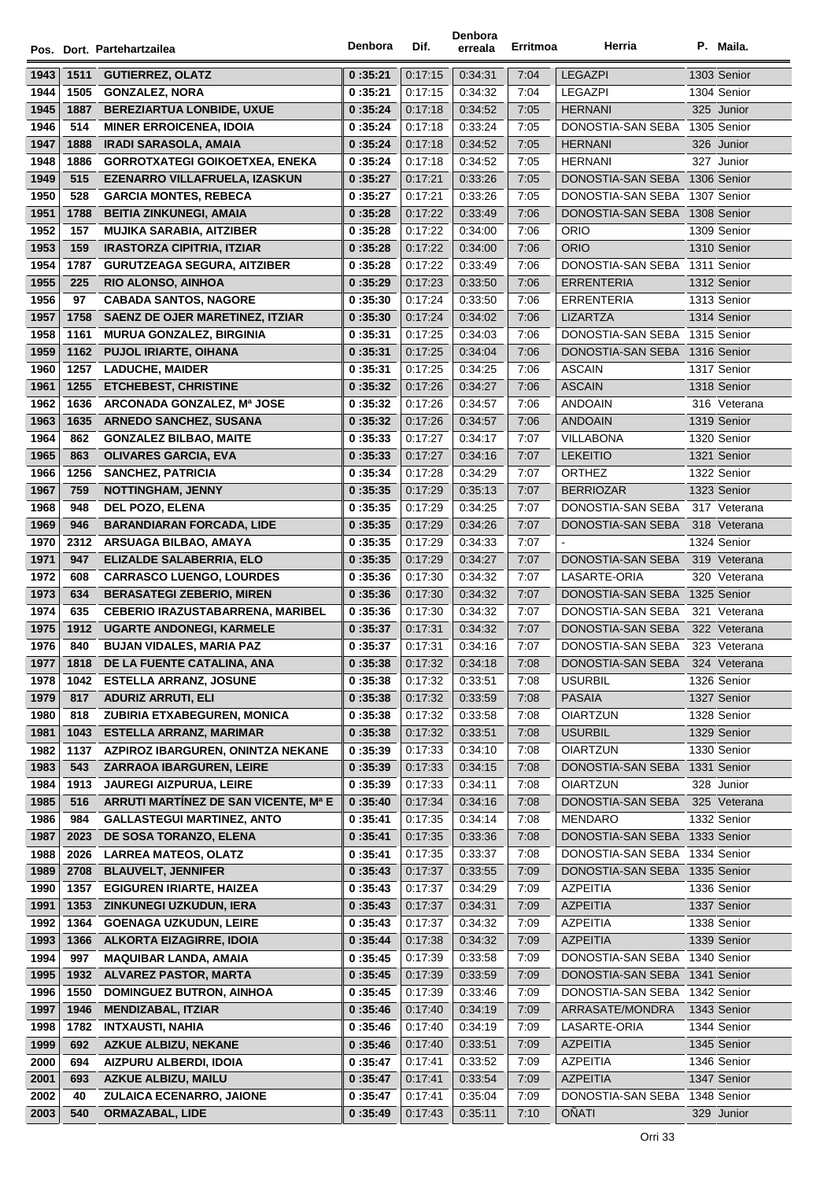|              |              | Pos. Dort. Partehartzailea                               | Denbora            | Dif.               | Denbora<br>erreala | Erritmoa     | Herria                           | P. Maila.                  |
|--------------|--------------|----------------------------------------------------------|--------------------|--------------------|--------------------|--------------|----------------------------------|----------------------------|
| 1943         |              |                                                          | 0:35:21            | 0:17:15            | 0:34:31            | 7:04         | <b>LEGAZPI</b>                   | 1303 Senior                |
| 1944         | 1511<br>1505 | <b>GUTIERREZ, OLATZ</b><br><b>GONZALEZ, NORA</b>         | 0:35:21            | 0:17:15            | 0:34:32            | 7:04         | <b>LEGAZPI</b>                   | 1304 Senior                |
| 1945         | 1887         | <b>BEREZIARTUA LONBIDE, UXUE</b>                         | 0:35:24            | 0:17:18            | 0:34:52            | 7:05         | <b>HERNANI</b>                   | 325 Junior                 |
| 1946         | 514          | <b>MINER ERROICENEA, IDOIA</b>                           | 0:35:24            | 0.17.18            | 0:33:24            | 7:05         | DONOSTIA-SAN SEBA                | 1305 Senior                |
| 1947         | 1888         | <b>IRADI SARASOLA, AMAIA</b>                             | 0:35:24            | 0:17:18            | 0:34:52            | 7:05         | <b>HERNANI</b>                   | 326 Junior                 |
| 1948         | 1886         | <b>GORROTXATEGI GOIKOETXEA, ENEKA</b>                    | 0:35:24            | 0:17:18            | 0:34:52            | 7:05         | <b>HERNANI</b>                   | 327 Junior                 |
| 1949         | 515          | EZENARRO VILLAFRUELA, IZASKUN                            | 0:35:27            | 0:17:21            | 0:33:26            | 7:05         | DONOSTIA-SAN SEBA                | 1306 Senior                |
| 1950         | 528          | <b>GARCIA MONTES, REBECA</b>                             | 0:35:27            | 0:17:21            | 0:33:26            | 7:05         | DONOSTIA-SAN SEBA                | 1307 Senior                |
| 1951         | 1788         | <b>BEITIA ZINKUNEGI, AMAIA</b>                           | 0:35:28            | 0:17:22            | 0:33:49            | 7:06         | DONOSTIA-SAN SEBA 1308 Senior    |                            |
| 1952         | 157          | <b>MUJIKA SARABIA, AITZIBER</b>                          | 0:35:28            | 0:17:22            | 0:34:00            | 7:06         | <b>ORIO</b>                      | 1309 Senior                |
| 1953         | 159          | <b>IRASTORZA CIPITRIA, ITZIAR</b>                        | 0:35:28            | 0:17:22            | 0:34:00            | 7:06         | <b>ORIO</b>                      | 1310 Senior                |
| 1954         | 1787         | <b>GURUTZEAGA SEGURA, AITZIBER</b>                       | 0:35:28            | 0:17:22            | 0:33:49            | 7:06         | DONOSTIA-SAN SEBA 1311 Senior    |                            |
| 1955         | 225          | <b>RIO ALONSO, AINHOA</b>                                | 0:35:29            | 0:17:23            | 0:33:50            | 7:06         | <b>ERRENTERIA</b>                | 1312 Senior                |
| 1956         | 97           | <b>CABADA SANTOS, NAGORE</b>                             | 0:35:30            | 0:17:24            | 0:33:50            | 7:06         | <b>ERRENTERIA</b>                | 1313 Senior                |
| 1957         | 1758         | <b>SAENZ DE OJER MARETINEZ, ITZIAR</b>                   | 0:35:30            | 0:17:24            | 0:34:02            | 7:06         | <b>LIZARTZA</b>                  | 1314 Senior                |
| 1958         | 1161         | <b>MURUA GONZALEZ, BIRGINIA</b>                          | 0:35:31            | 0:17:25            | 0:34:03            | 7:06         | DONOSTIA-SAN SEBA 1315 Senior    |                            |
| 1959         | 1162         | <b>PUJOL IRIARTE, OIHANA</b>                             | 0:35:31            | 0:17:25            | 0:34:04            | 7:06         | DONOSTIA-SAN SEBA 1316 Senior    |                            |
| 1960         | 1257         | <b>LADUCHE, MAIDER</b>                                   | 0:35:31            | 0:17:25            | 0:34:25            | 7:06         | <b>ASCAIN</b>                    | 1317 Senior                |
| 1961         | 1255         | <b>ETCHEBEST, CHRISTINE</b>                              | 0:35:32            | 0:17:26            | 0:34:27            | 7:06         | <b>ASCAIN</b>                    | 1318 Senior                |
| 1962         | 1636         | ARCONADA GONZALEZ, Mª JOSE                               | 0:35:32            | 0.17.26            | 0:34:57            | 7:06         | <b>ANDOAIN</b>                   | 316 Veterana               |
| 1963         | 1635         | <b>ARNEDO SANCHEZ, SUSANA</b>                            | 0:35:32            | 0:17:26            | 0:34:57            | 7:06         | <b>ANDOAIN</b>                   | 1319 Senior                |
| 1964         | 862          | <b>GONZALEZ BILBAO, MAITE</b>                            | 0:35:33            | 0:17:27            | 0:34:17            | 7:07         | <b>VILLABONA</b>                 | 1320 Senior                |
| 1965         | 863          | <b>OLIVARES GARCIA, EVA</b>                              | 0:35:33            | 0:17:27            | 0.34.16            | 7:07         | <b>LEKEITIO</b>                  | 1321 Senior                |
| 1966         | 1256         | <b>SANCHEZ, PATRICIA</b>                                 | 0:35:34            | 0.17.28            | 0:34:29            | 7:07         | <b>ORTHEZ</b>                    | 1322 Senior                |
| 1967         | 759          | <b>NOTTINGHAM, JENNY</b>                                 | 0:35:35            | 0:17:29            | 0:35:13            | 7:07         | <b>BERRIOZAR</b>                 | 1323 Senior                |
| 1968         | 948          | <b>DEL POZO, ELENA</b>                                   | 0:35:35            | 0.17.29            | 0:34:25            | 7:07         | DONOSTIA-SAN SEBA                | 317 Veterana               |
| 1969         | 946          | <b>BARANDIARAN FORCADA, LIDE</b>                         | 0:35:35            | 0:17:29            | 0:34:26            | 7:07         | DONOSTIA-SAN SEBA                | 318 Veterana               |
| 1970         | 2312         | ARSUAGA BILBAO, AMAYA                                    | 0:35:35            | 0:17:29            | 0:34:33            | 7:07         |                                  | 1324 Senior                |
| 1971         | 947          | <b>ELIZALDE SALABERRIA, ELO</b>                          | 0:35:35            | 0:17:29            | 0:34:27            | 7:07         | DONOSTIA-SAN SEBA                | 319 Veterana               |
| 1972         | 608          | <b>CARRASCO LUENGO, LOURDES</b>                          | 0:35:36            | 0.17.30            | 0:34:32            | 7:07         | LASARTE-ORIA                     | 320 Veterana               |
| 1973         | 634          | <b>BERASATEGI ZEBERIO, MIREN</b>                         | 0:35:36            | 0:17:30            | 0:34:32            | 7:07         | DONOSTIA-SAN SEBA                | 1325 Senior                |
| 1974         | 635          | <b>CEBERIO IRAZUSTABARRENA, MARIBEL</b>                  | 0:35:36            | 0.17.30            | 0:34:32            | 7:07         | DONOSTIA-SAN SEBA                | 321 Veterana               |
| 1975         | 1912         | <b>UGARTE ANDONEGI, KARMELE</b>                          | 0:35:37            | 0:17:31            | 0:34:32            | 7:07         | DONOSTIA-SAN SEBA                | 322 Veterana               |
| 1976         | 840          | <b>BUJAN VIDALES, MARIA PAZ</b>                          | 0:35:37            | 0:17:31            | 0:34:16            | 7:07         | DONOSTIA-SAN SEBA                | 323 Veterana               |
| 1977         | 1818         | DE LA FUENTE CATALINA, ANA                               | 0:35:38            | 0:17:32            | 0:34:18            | 7:08         | DONOSTIA-SAN SEBA 324 Veterana   |                            |
| 1978         | 1042         | <b>ESTELLA ARRANZ, JOSUNE</b>                            | 0:35:38            | 0.17.32            | 0:33:51            | 7:08         | <b>USURBIL</b>                   | 1326 Senior                |
| 1979         | 817          | <b>ADURIZ ARRUTI, ELI</b><br>ZUBIRIA ETXABEGUREN, MONICA | 0:35:38            | 0:17:32            | 0:33:59<br>0:33:58 | 7:08<br>7:08 | <b>PASAIA</b><br><b>OIARTZUN</b> | 1327 Senior<br>1328 Senior |
| 1980<br>1981 | 818<br>1043  | <b>ESTELLA ARRANZ, MARIMAR</b>                           | 0:35:38<br>0:35:38 | 0:17:32<br>0:17:32 | 0:33:51            | 7:08         | <b>USURBIL</b>                   | 1329 Senior                |
| 1982         | 1137         | AZPIROZ IBARGUREN, ONINTZA NEKANE                        | 0:35:39            | 0:17:33            | 0:34:10            | 7:08         | <b>OIARTZUN</b>                  | 1330 Senior                |
| 1983         | 543          | <b>ZARRAOA IBARGUREN, LEIRE</b>                          | 0:35:39            | 0:17:33            | 0:34:15            | 7:08         | DONOSTIA-SAN SEBA                | 1331 Senior                |
| 1984         | 1913         | <b>JAUREGI AIZPURUA, LEIRE</b>                           | 0:35:39            | 0:17:33            | 0:34:11            | 7:08         | <b>OIARTZUN</b>                  | 328 Junior                 |
| 1985         | 516          | ARRUTI MARTINEZ DE SAN VICENTE, Mª E                     | 0:35:40            | 0:17:34            | 0.34.16            | 7:08         | DONOSTIA-SAN SEBA                | 325 Veterana               |
| 1986         | 984          | <b>GALLASTEGUI MARTINEZ, ANTO</b>                        | 0:35:41            | 0:17:35            | 0:34:14            | 7:08         | <b>MENDARO</b>                   | 1332 Senior                |
| 1987         | 2023         | DE SOSA TORANZO, ELENA                                   | 0:35:41            | 0:17:35            | 0:33:36            | 7:08         | DONOSTIA-SAN SEBA 1333 Senior    |                            |
| 1988         | 2026         | <b>LARREA MATEOS, OLATZ</b>                              | 0:35:41            | 0:17:35            | 0:33:37            | 7:08         | DONOSTIA-SAN SEBA                | 1334 Senior                |
| 1989         | 2708         | <b>BLAUVELT, JENNIFER</b>                                | 0:35:43            | 0:17:37            | 0:33:55            | 7:09         | DONOSTIA-SAN SEBA                | 1335 Senior                |
| 1990         | 1357         | <b>EGIGUREN IRIARTE, HAIZEA</b>                          | 0:35:43            | 0:17:37            | 0:34:29            | 7:09         | <b>AZPEITIA</b>                  | 1336 Senior                |
| 1991         | 1353         | ZINKUNEGI UZKUDUN, IERA                                  | 0:35:43            | 0:17:37            | 0:34:31            | 7:09         | <b>AZPEITIA</b>                  | 1337 Senior                |
| 1992         | 1364         | <b>GOENAGA UZKUDUN, LEIRE</b>                            | 0:35:43            | 0:17:37            | 0:34:32            | 7:09         | AZPEITIA                         | 1338 Senior                |
| 1993         | 1366         | <b>ALKORTA EIZAGIRRE, IDOIA</b>                          | 0:35:44            | 0:17:38            | 0.34.32            | 7:09         | <b>AZPEITIA</b>                  | 1339 Senior                |
| 1994         | 997          | <b>MAQUIBAR LANDA, AMAIA</b>                             | 0:35:45            | 0:17:39            | 0:33:58            | 7:09         | DONOSTIA-SAN SEBA                | 1340 Senior                |
| 1995         | 1932         | <b>ALVAREZ PASTOR, MARTA</b>                             | 0:35:45            | 0:17:39            | 0:33:59            | 7:09         | DONOSTIA-SAN SEBA 1341 Senior    |                            |
| 1996         | 1550         | <b>DOMINGUEZ BUTRON, AINHOA</b>                          | 0:35:45            | 0:17:39            | 0:33:46            | 7:09         | DONOSTIA-SAN SEBA 1342 Senior    |                            |
| 1997         | 1946         | <b>MENDIZABAL, ITZIAR</b>                                | 0:35:46            | 0:17:40            | 0:34:19            | 7:09         | ARRASATE/MONDRA                  | 1343 Senior                |
| 1998         | 1782         | <b>INTXAUSTI, NAHIA</b>                                  | 0:35:46            | 0:17:40            | 0:34:19            | 7:09         | LASARTE-ORIA                     | 1344 Senior                |
| 1999         | 692          | <b>AZKUE ALBIZU, NEKANE</b>                              | 0:35:46            | 0:17:40            | 0:33:51            | 7:09         | <b>AZPEITIA</b>                  | 1345 Senior                |
| 2000         | 694          | AIZPURU ALBERDI, IDOIA                                   | 0:35:47            | 0:17:41            | 0:33:52            | 7:09         | <b>AZPEITIA</b>                  | 1346 Senior                |
| 2001         | 693          | <b>AZKUE ALBIZU, MAILU</b>                               | 0:35:47            | 0:17:41            | 0:33:54            | 7:09         | <b>AZPEITIA</b>                  | 1347 Senior                |
| 2002         | 40           | <b>ZULAICA ECENARRO, JAIONE</b>                          | 0:35:47            | 0:17:41            | 0:35:04            | 7:09         | DONOSTIA-SAN SEBA                | 1348 Senior                |
| 2003         | 540          | <b>ORMAZABAL, LIDE</b>                                   | 0:35:49            | 0:17:43            | 0:35:11            | 7:10         | <b>OÑATI</b>                     | 329 Junior                 |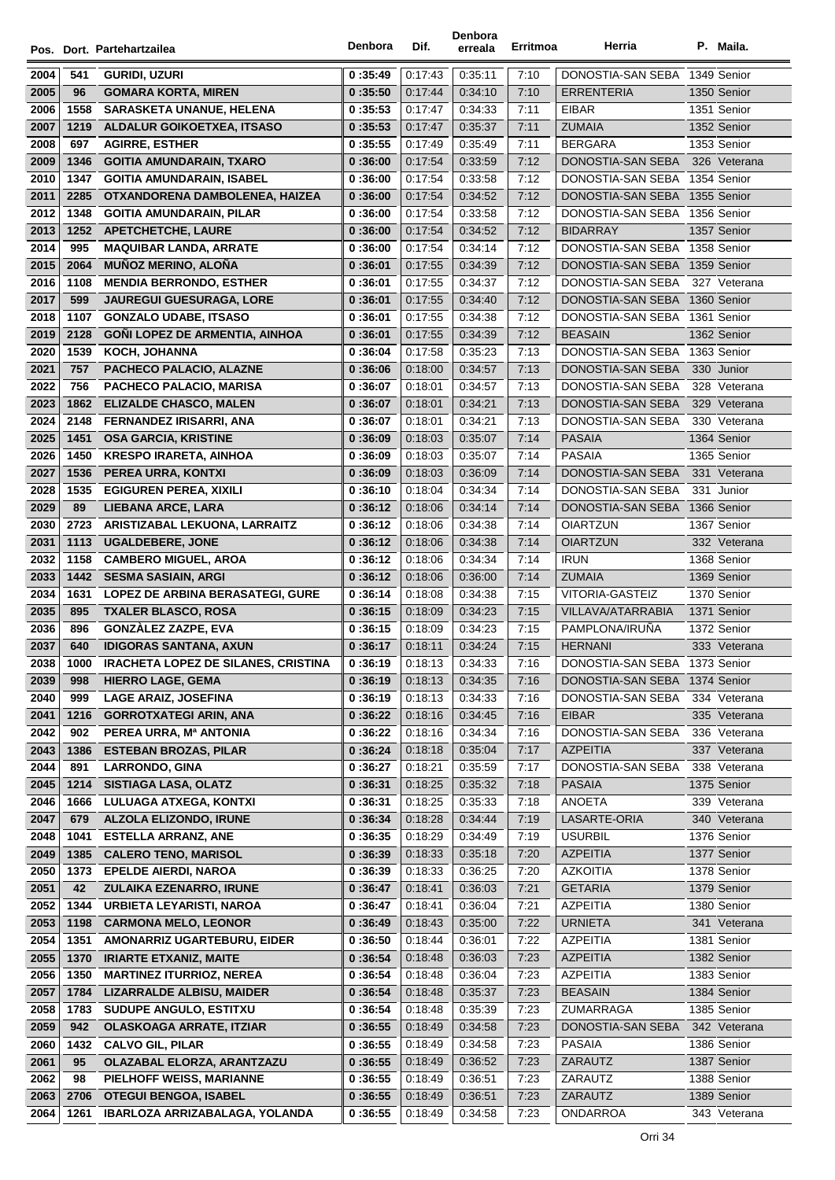|              |             | Pos. Dort. Partehartzailea                             | Denbora            | Dif.               | Denbora<br>erreala | Erritmoa     | Herria                                 | P. Maila.                    |
|--------------|-------------|--------------------------------------------------------|--------------------|--------------------|--------------------|--------------|----------------------------------------|------------------------------|
|              |             |                                                        |                    |                    |                    |              |                                        |                              |
| 2004         | 541         | GURIDI, UZURI                                          | 0:35:49            | 0:17:43            | 0:35:11            | 7:10         | DONOSTIA-SAN SEBA 1349 Senior          |                              |
| 2005         | 96          | <b>GOMARA KORTA, MIREN</b>                             | 0:35:50            | 0:17:44            | 0:34:10            | 7:10         | <b>ERRENTERIA</b>                      | 1350 Senior                  |
| 2006         | 1558        | <b>SARASKETA UNANUE, HELENA</b>                        | 0:35:53            | 0:17:47            | 0:34:33            | 7:11         | EIBAR                                  | 1351 Senior                  |
| 2007         | 1219        | ALDALUR GOIKOETXEA, ITSASO                             | 0:35:53            | 0:17:47            | 0:35:37            | 7:11         | <b>ZUMAIA</b>                          | 1352 Senior                  |
| 2008         | 697         | <b>AGIRRE, ESTHER</b>                                  | 0:35:55            | 0:17:49            | 0:35:49            | 7:11         | <b>BERGARA</b>                         | 1353 Senior                  |
| 2009         | 1346        | <b>GOITIA AMUNDARAIN, TXARO</b>                        | 0:36:00            | 0:17:54            | 0:33:59            | 7:12         | DONOSTIA-SAN SEBA                      | 326 Veterana                 |
| 2010         | 1347        | <b>GOITIA AMUNDARAIN, ISABEL</b>                       | 0:36:00            | 0.17:54            | 0:33:58            | 7:12         | DONOSTIA-SAN SEBA                      | 1354 Senior                  |
| 2011         | 2285        | OTXANDORENA DAMBOLENEA, HAIZEA                         | 0:36:00            | 0:17:54            | 0:34:52            | 7:12         | DONOSTIA-SAN SEBA                      | 1355 Senior                  |
| 2012         | 1348        | <b>GOITIA AMUNDARAIN, PILAR</b>                        | 0:36:00            | 0:17:54            | 0:33:58            | 7:12         | DONOSTIA-SAN SEBA 1356 Senior          |                              |
| 2013         |             | 1252 APETCHETCHE, LAURE                                | 0:36:00            | 0:17:54            | 0:34:52            | 7:12         | <b>BIDARRAY</b>                        | 1357 Senior                  |
| 2014         | 995         | <b>MAQUIBAR LANDA, ARRATE</b>                          | 0:36:00            | 0:17:54            | 0:34:14            | 7:12         | DONOSTIA-SAN SEBA 1358 Senior          |                              |
| 2015         | 2064        | <b>MUÑOZ MERINO, ALOÑA</b>                             | 0:36:01            | 0:17:55            | 0:34:39            | 7:12         | DONOSTIA-SAN SEBA                      | 1359 Senior                  |
| 2016         | 1108        | <b>MENDIA BERRONDO, ESTHER</b>                         | 0:36:01            | 0:17:55            | 0:34:37            | 7:12         | DONOSTIA-SAN SEBA                      | 327 Veterana                 |
| 2017         | 599         | <b>JAUREGUI GUESURAGA, LORE</b>                        | 0:36:01            | 0:17:55            | 0:34:40            | 7:12         | DONOSTIA-SAN SEBA                      | 1360 Senior                  |
| 2018         | 1107        | <b>GONZALO UDABE, ITSASO</b>                           | 0:36:01            | 0.17.55            | 0:34:38            | 7:12         | DONOSTIA-SAN SEBA                      | 1361 Senior                  |
| 2019         | 2128        | <b>GONI LOPEZ DE ARMENTIA, AINHOA</b>                  | 0:36:01            | 0:17:55            | 0:34:39            | 7:12         | <b>BEASAIN</b>                         | 1362 Senior                  |
| 2020         | 1539        | <b>KOCH, JOHANNA</b>                                   | 0:36:04            | 0:17:58            | 0:35:23            | 7:13         | DONOSTIA-SAN SEBA                      | 1363 Senior                  |
| 2021         | 757         | PACHECO PALACIO, ALAZNE                                | 0:36:06            | 0:18:00            | 0:34:57            | 7:13         | DONOSTIA-SAN SEBA                      | 330 Junior                   |
| 2022         | 756         | PACHECO PALACIO, MARISA                                | 0:36:07            | 0.18.01            | 0.34.57            | 7:13         | DONOSTIA-SAN SEBA                      | 328 Veterana                 |
| 2023         | 1862        | <b>ELIZALDE CHASCO, MALEN</b>                          | 0:36:07            | 0.18.01            | 0:34:21            | 7:13         | DONOSTIA-SAN SEBA                      | 329 Veterana                 |
| 2024         | 2148        | <b>FERNANDEZ IRISARRI, ANA</b>                         | 0:36:07            | 0.18:01            | 0:34:21            | 7:13         | DONOSTIA-SAN SEBA                      | 330 Veterana                 |
| 2025         | 1451        | <b>OSA GARCIA, KRISTINE</b>                            | 0:36:09            | 0:18:03            | 0:35:07            | 7:14         | <b>PASAIA</b>                          | 1364 Senior                  |
| 2026         | 1450        | <b>KRESPO IRARETA, AINHOA</b>                          | 0:36:09            | 0:18:03            | 0.35.07            | 7:14         | <b>PASAIA</b>                          | 1365 Senior                  |
| 2027         | 1536        | PEREA URRA, KONTXI                                     | 0:36:09            | 0:18:03            | 0:36:09            | 7:14         | DONOSTIA-SAN SEBA                      | 331 Veterana                 |
| 2028         | 1535        | <b>EGIGUREN PEREA, XIXILI</b>                          | 0:36:10            | 0.18.04            | 0:34:34            | 7:14         | DONOSTIA-SAN SEBA                      | 331 Junior                   |
| 2029         | 89          | LIEBANA ARCE, LARA                                     | 0:36:12            | 0:18:06            | 0:34:14            | 7:14         | DONOSTIA-SAN SEBA                      | 1366 Senior                  |
| 2030         | 2723        | ARISTIZABAL LEKUONA, LARRAITZ                          | 0:36:12            | 0:18:06            | 0:34:38            | 7:14         | <b>OIARTZUN</b>                        | 1367 Senior                  |
| 2031         | 1113        | <b>UGALDEBERE, JONE</b>                                | 0:36:12            | 0:18:06            | 0:34:38            | 7:14         | <b>OIARTZUN</b>                        | 332 Veterana                 |
| 2032         | 1158        | <b>CAMBERO MIGUEL, AROA</b>                            | 0:36:12            | 0:18:06            | 0:34:34            | 7:14         | <b>IRUN</b>                            | 1368 Senior                  |
| 2033         | 1442        | <b>SESMA SASIAIN, ARGI</b>                             | 0:36:12            | 0:18:06            | 0:36:00            | 7:14         | <b>ZUMAIA</b>                          | 1369 Senior                  |
| 2034         | 1631        | LOPEZ DE ARBINA BERASATEGI, GURE                       | 0:36:14            | 0:18:08            | 0:34:38            | 7:15         | VITORIA-GASTEIZ                        | 1370 Senior                  |
| 2035         | 895         | <b>TXALER BLASCO, ROSA</b>                             | 0:36:15            | 0:18:09            | 0:34:23            | 7:15         | VILLAVA/ATARRABIA                      | 1371 Senior                  |
| 2036         | 896         | <b>GONZALEZ ZAZPE, EVA</b>                             | 0:36:15            | 0:18:09            | 0:34:23            | 7:15         | PAMPLONA/IRUNA                         | 1372 Senior                  |
| 2037         | 640         | <b>IDIGORAS SANTANA, AXUN</b>                          | 0:36:17            | 0.18.11            | 0:34:24            | 7:15         | <b>HERNANI</b>                         | 333 Veterana                 |
| 2038         | 1000        | <b>IRACHETA LOPEZ DE SILANES, CRISTINA</b>             | 0:36:19            | 0:18:13            | 0:34:33            | 7:16         | DONOSTIA-SAN SEBA                      | 1373 Senior                  |
| 2039         | 998         | <b>HIERRO LAGE, GEMA</b>                               | 0:36:19            | 0:18:13            | 0:34:35            | 7:16         | DONOSTIA-SAN SEBA<br>DONOSTIA-SAN SEBA | 1374 Senior                  |
| 2040         | 999         | <b>LAGE ARAIZ, JOSEFINA</b>                            | 0:36:19            | 0:18:13            | 0:34:33            | 7:16         |                                        | 334 Veterana                 |
| 2041         | 1216<br>902 | <b>GORROTXATEGI ARIN, ANA</b>                          | 0:36:22            | 0:18:16<br>0:18:16 | 0:34:45            | 7:16<br>7:16 | <b>EIBAR</b><br>DONOSTIA-SAN SEBA      | 335 Veterana<br>336 Veterana |
| 2042<br>2043 |             | PEREA URRA, Mª ANTONIA<br><b>ESTEBAN BROZAS, PILAR</b> | 0:36:22<br>0:36:24 | 0:18:18            | 0:34:34<br>0:35:04 | 7:17         | <b>AZPEITIA</b>                        | 337 Veterana                 |
| 2044         | 1386<br>891 | <b>LARRONDO, GINA</b>                                  | 0:36:27            | 0:18:21            | 0:35:59            | 7:17         | DONOSTIA-SAN SEBA                      | 338 Veterana                 |
| 2045         | 1214        | <b>SISTIAGA LASA, OLATZ</b>                            | 0:36:31            | 0:18:25            | 0:35:32            | 7:18         | <b>PASAIA</b>                          | 1375 Senior                  |
| 2046         | 1666        | <b>LULUAGA ATXEGA, KONTXI</b>                          | 0:36:31            | 0:18:25            | 0:35:33            | 7:18         | ANOETA                                 | 339 Veterana                 |
| 2047         | 679         | ALZOLA ELIZONDO, IRUNE                                 | 0:36:34            | 0:18:28            | 0:34:44            | 7:19         | LASARTE-ORIA                           | 340 Veterana                 |
| 2048         | 1041        | <b>ESTELLA ARRANZ, ANE</b>                             | 0:36:35            | 0:18:29            | 0:34:49            | 7:19         | <b>USURBIL</b>                         | 1376 Senior                  |
| 2049         | 1385        | <b>CALERO TENO, MARISOL</b>                            | 0:36:39            | 0:18:33            | 0:35:18            | 7:20         | <b>AZPEITIA</b>                        | 1377 Senior                  |
| 2050         | 1373        | <b>EPELDE AIERDI, NAROA</b>                            | 0:36:39            | 0:18:33            | 0:36:25            | 7:20         | <b>AZKOITIA</b>                        | 1378 Senior                  |
| 2051         | 42          | ZULAIKA EZENARRO, IRUNE                                | 0:36:47            | 0:18:41            | 0:36:03            | 7:21         | <b>GETARIA</b>                         | 1379 Senior                  |
| 2052         | 1344        | URBIETA LEYARISTI, NAROA                               | 0:36:47            | 0:18:41            | 0:36:04            | 7:21         | AZPEITIA                               | 1380 Senior                  |
| 2053         | 1198        | <b>CARMONA MELO, LEONOR</b>                            | 0:36:49            | 0:18:43            | 0.35:00            | 7:22         | <b>URNIETA</b>                         | 341 Veterana                 |
| 2054         | 1351        | AMONARRIZ UGARTEBURU, EIDER                            | 0:36:50            | 0:18:44            | 0:36:01            | 7:22         | <b>AZPEITIA</b>                        | 1381 Senior                  |
| 2055         | 1370        | <b>IRIARTE ETXANIZ, MAITE</b>                          | 0:36:54            | 0:18:48            | 0:36:03            | 7:23         | <b>AZPEITIA</b>                        | 1382 Senior                  |
| 2056         | 1350        | <b>MARTINEZ ITURRIOZ, NEREA</b>                        | 0:36:54            | 0:18:48            | 0:36:04            | 7:23         | <b>AZPEITIA</b>                        | 1383 Senior                  |
| 2057         | 1784        | <b>LIZARRALDE ALBISU, MAIDER</b>                       | 0:36:54            | 0:18:48            | 0:35:37            | 7:23         | <b>BEASAIN</b>                         | 1384 Senior                  |
| 2058         | 1783        | SUDUPE ANGULO, ESTITXU                                 | 0:36:54            | 0:18:48            | 0:35:39            | 7:23         | ZUMARRAGA                              | 1385 Senior                  |
| 2059         | 942         | <b>OLASKOAGA ARRATE, ITZIAR</b>                        | 0:36:55            | 0:18:49            | 0:34:58            | 7:23         | DONOSTIA-SAN SEBA                      | 342 Veterana                 |
| 2060         | 1432        | <b>CALVO GIL, PILAR</b>                                | 0:36:55            | 0:18:49            | 0:34:58            | 7:23         | PASAIA                                 | 1386 Senior                  |
| 2061         | 95          | OLAZABAL ELORZA, ARANTZAZU                             | 0:36:55            | 0:18:49            | 0:36:52            | 7:23         | ZARAUTZ                                | 1387 Senior                  |
| 2062         | 98          | PIELHOFF WEISS, MARIANNE                               | 0:36:55            | 0:18:49            | 0:36:51            | 7:23         | ZARAUTZ                                | 1388 Senior                  |
| 2063         | 2706        | <b>OTEGUI BENGOA, ISABEL</b>                           | 0:36:55            | 0:18:49            | 0:36:51            | 7:23         | ZARAUTZ                                | 1389 Senior                  |
| 2064         | 1261        | IBARLOZA ARRIZABALAGA, YOLANDA                         | 0:36:55            | 0:18:49            | 0:34:58            | 7:23         | ONDARROA                               | 343 Veterana                 |